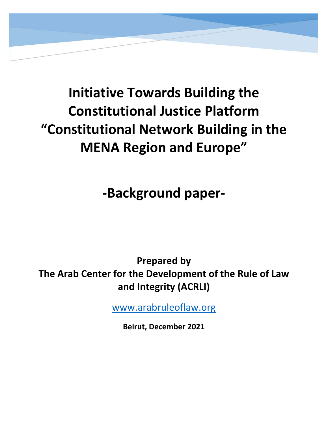

# **Initiative Towards Building the Constitutional Justice Platform "Constitutional Network Building in the MENA Region and Europe"**

**‐Background paper‐** 

**Prepared by The Arab Center for the Development of the Rule of Law and Integrity (ACRLI)**

www.arabruleoflaw.org

**Beirut, December 2021**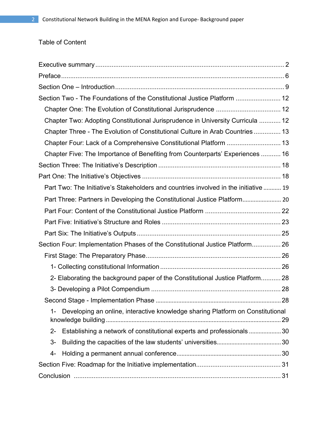# Table of Content

| Section Two - The Foundations of the Constitutional Justice Platform  12                |    |
|-----------------------------------------------------------------------------------------|----|
|                                                                                         |    |
| Chapter Two: Adopting Constitutional Jurisprudence in University Curricula  12          |    |
| Chapter Three - The Evolution of Constitutional Culture in Arab Countries  13           |    |
| Chapter Four: Lack of a Comprehensive Constitutional Platform  13                       |    |
| Chapter Five: The Importance of Benefiting from Counterparts' Experiences  16           |    |
|                                                                                         |    |
|                                                                                         |    |
| Part Two: The Initiative's Stakeholders and countries involved in the initiative  19    |    |
|                                                                                         |    |
|                                                                                         |    |
|                                                                                         |    |
|                                                                                         |    |
| Section Four: Implementation Phases of the Constitutional Justice Platform 26           |    |
|                                                                                         |    |
|                                                                                         |    |
| 2- Elaborating the background paper of the Constitutional Justice Platform 28           |    |
|                                                                                         |    |
|                                                                                         | 28 |
| Developing an online, interactive knowledge sharing Platform on Constitutional<br>$1 -$ |    |
| Establishing a network of constitutional experts and professionals30<br>$2 -$           |    |
| $3-$                                                                                    |    |
| 4-                                                                                      |    |
|                                                                                         |    |
|                                                                                         |    |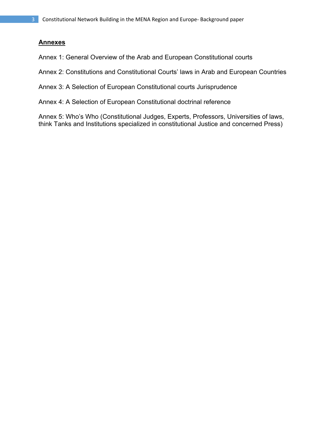# **Annexes**

Annex 1: General Overview of the Arab and European Constitutional courts

Annex 2: Constitutions and Constitutional Courts' laws in Arab and European Countries

Annex 3: A Selection of European Constitutional courts Jurisprudence

Annex 4: A Selection of European Constitutional doctrinal reference

Annex 5: Who's Who (Constitutional Judges, Experts, Professors, Universities of laws, think Tanks and Institutions specialized in constitutional Justice and concerned Press)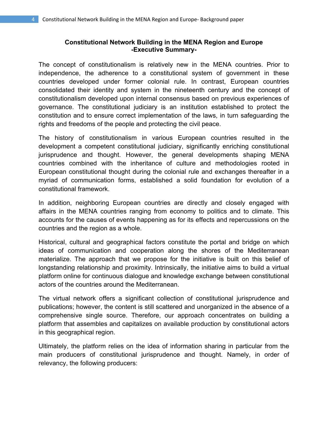#### **Constitutional Network Building in the MENA Region and Europe -Executive Summary-**

The concept of constitutionalism is relatively new in the MENA countries. Prior to independence, the adherence to a constitutional system of government in these countries developed under former colonial rule. In contrast, European countries consolidated their identity and system in the nineteenth century and the concept of constitutionalism developed upon internal consensus based on previous experiences of governance. The constitutional judiciary is an institution established to protect the constitution and to ensure correct implementation of the laws, in turn safeguarding the rights and freedoms of the people and protecting the civil peace.

The history of constitutionalism in various European countries resulted in the development a competent constitutional judiciary, significantly enriching constitutional jurisprudence and thought. However, the general developments shaping MENA countries combined with the inheritance of culture and methodologies rooted in European constitutional thought during the colonial rule and exchanges thereafter in a myriad of communication forms, established a solid foundation for evolution of a constitutional framework.

In addition, neighboring European countries are directly and closely engaged with affairs in the MENA countries ranging from economy to politics and to climate. This accounts for the causes of events happening as for its effects and repercussions on the countries and the region as a whole.

Historical, cultural and geographical factors constitute the portal and bridge on which ideas of communication and cooperation along the shores of the Mediterranean materialize. The approach that we propose for the initiative is built on this belief of longstanding relationship and proximity. Intrinsically, the initiative aims to build a virtual platform online for continuous dialogue and knowledge exchange between constitutional actors of the countries around the Mediterranean.

The virtual network offers a significant collection of constitutional jurisprudence and publications; however, the content is still scattered and unorganized in the absence of a comprehensive single source. Therefore, our approach concentrates on building a platform that assembles and capitalizes on available production by constitutional actors in this geographical region.

Ultimately, the platform relies on the idea of information sharing in particular from the main producers of constitutional jurisprudence and thought. Namely, in order of relevancy, the following producers: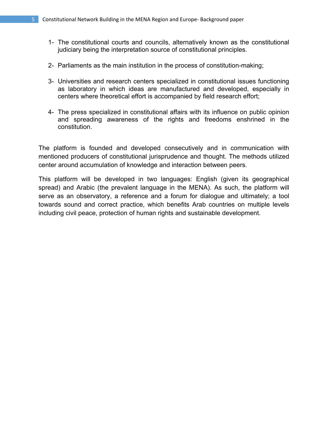- 1- The constitutional courts and councils, alternatively known as the constitutional judiciary being the interpretation source of constitutional principles.
- 2- Parliaments as the main institution in the process of constitution-making;
- 3- Universities and research centers specialized in constitutional issues functioning as laboratory in which ideas are manufactured and developed, especially in centers where theoretical effort is accompanied by field research effort;
- 4- The press specialized in constitutional affairs with its influence on public opinion and spreading awareness of the rights and freedoms enshrined in the constitution.

The platform is founded and developed consecutively and in communication with mentioned producers of constitutional jurisprudence and thought. The methods utilized center around accumulation of knowledge and interaction between peers.

This platform will be developed in two languages: English (given its geographical spread) and Arabic (the prevalent language in the MENA). As such, the platform will serve as an observatory, a reference and a forum for dialogue and ultimately; a tool towards sound and correct practice, which benefits Arab countries on multiple levels including civil peace, protection of human rights and sustainable development.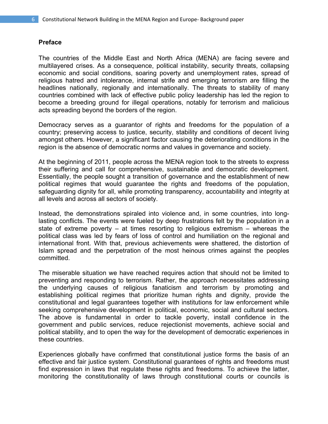#### **Preface**

The countries of the Middle East and North Africa (MENA) are facing severe and multilayered crises. As a consequence, political instability, security threats, collapsing economic and social conditions, soaring poverty and unemployment rates, spread of religious hatred and intolerance, internal strife and emerging terrorism are filling the headlines nationally, regionally and internationally. The threats to stability of many countries combined with lack of effective public policy leadership has led the region to become a breeding ground for illegal operations, notably for terrorism and malicious acts spreading beyond the borders of the region.

Democracy serves as a guarantor of rights and freedoms for the population of a country; preserving access to justice, security, stability and conditions of decent living amongst others. However, a significant factor causing the deteriorating conditions in the region is the absence of democratic norms and values in governance and society.

At the beginning of 2011, people across the MENA region took to the streets to express their suffering and call for comprehensive, sustainable and democratic development. Essentially, the people sought a transition of governance and the establishment of new political regimes that would guarantee the rights and freedoms of the population, safeguarding dignity for all, while promoting transparency, accountability and integrity at all levels and across all sectors of society.

Instead, the demonstrations spiraled into violence and, in some countries, into longlasting conflicts. The events were fueled by deep frustrations felt by the population in a state of extreme poverty – at times resorting to religious extremism – whereas the political class was led by fears of loss of control and humiliation on the regional and international front. With that, previous achievements were shattered, the distortion of Islam spread and the perpetration of the most heinous crimes against the peoples committed.

The miserable situation we have reached requires action that should not be limited to preventing and responding to terrorism. Rather, the approach necessitates addressing the underlying causes of religious fanaticism and terrorism by promoting and establishing political regimes that prioritize human rights and dignity, provide the constitutional and legal guarantees together with institutions for law enforcement while seeking comprehensive development in political, economic, social and cultural sectors. The above is fundamental in order to tackle poverty, install confidence in the government and public services, reduce rejectionist movements, achieve social and political stability, and to open the way for the development of democratic experiences in these countries.

Experiences globally have confirmed that constitutional justice forms the basis of an effective and fair justice system. Constitutional guarantees of rights and freedoms must find expression in laws that regulate these rights and freedoms. To achieve the latter, monitoring the constitutionality of laws through constitutional courts or councils is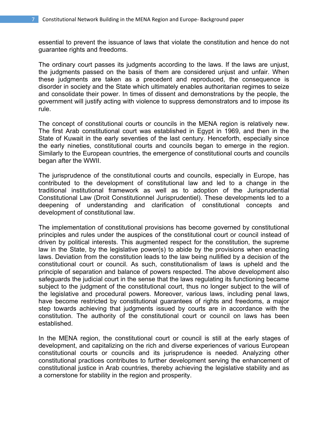essential to prevent the issuance of laws that violate the constitution and hence do not guarantee rights and freedoms.

The ordinary court passes its judgments according to the laws. If the laws are unjust, the judgments passed on the basis of them are considered unjust and unfair. When these judgments are taken as a precedent and reproduced, the consequence is disorder in society and the State which ultimately enables authoritarian regimes to seize and consolidate their power. In times of dissent and demonstrations by the people, the government will justify acting with violence to suppress demonstrators and to impose its rule.

The concept of constitutional courts or councils in the MENA region is relatively new. The first Arab constitutional court was established in Egypt in 1969, and then in the State of Kuwait in the early seventies of the last century. Henceforth, especially since the early nineties, constitutional courts and councils began to emerge in the region. Similarly to the European countries, the emergence of constitutional courts and councils began after the WWII.

The jurisprudence of the constitutional courts and councils, especially in Europe, has contributed to the development of constitutional law and led to a change in the traditional institutional framework as well as to adoption of the Jurisprudential Constitutional Law (Droit Constitutionnel Jurisprudentiel). These developments led to a deepening of understanding and clarification of constitutional concepts and development of constitutional law.

The implementation of constitutional provisions has become governed by constitutional principles and rules under the auspices of the constitutional court or council instead of driven by political interests. This augmented respect for the constitution, the supreme law in the State, by the legislative power(s) to abide by the provisions when enacting laws. Deviation from the constitution leads to the law being nullified by a decision of the constitutional court or council. As such, constitutionalism of laws is upheld and the principle of separation and balance of powers respected. The above development also safeguards the judicial court in the sense that the laws regulating its functioning became subject to the judgment of the constitutional court, thus no longer subject to the will of the legislative and procedural powers. Moreover, various laws, including penal laws, have become restricted by constitutional guarantees of rights and freedoms, a major step towards achieving that judgments issued by courts are in accordance with the constitution. The authority of the constitutional court or council on laws has been established.

In the MENA region, the constitutional court or council is still at the early stages of development, and capitalizing on the rich and diverse experiences of various European constitutional courts or councils and its jurisprudence is needed. Analyzing other constitutional practices contributes to further development serving the enhancement of constitutional justice in Arab countries, thereby achieving the legislative stability and as a cornerstone for stability in the region and prosperity.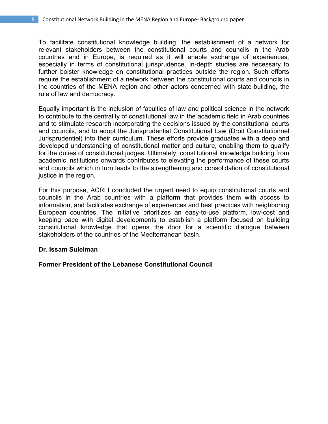To facilitate constitutional knowledge building, the establishment of a network for relevant stakeholders between the constitutional courts and councils in the Arab countries and in Europe, is required as it will enable exchange of experiences, especially in terms of constitutional jurisprudence. In-depth studies are necessary to further bolster knowledge on constitutional practices outside the region. Such efforts require the establishment of a network between the constitutional courts and councils in the countries of the MENA region and other actors concerned with state-building, the rule of law and democracy.

Equally important is the inclusion of faculties of law and political science in the network to contribute to the centrality of constitutional law in the academic field in Arab countries and to stimulate research incorporating the decisions issued by the constitutional courts and councils, and to adopt the Jurisprudential Constitutional Law (Droit Constitutionnel Jurisprudentiel) into their curriculum. These efforts provide graduates with a deep and developed understanding of constitutional matter and culture, enabling them to qualify for the duties of constitutional judges. Ultimately, constitutional knowledge building from academic institutions onwards contributes to elevating the performance of these courts and councils which in turn leads to the strengthening and consolidation of constitutional justice in the region.

For this purpose, ACRLI concluded the urgent need to equip constitutional courts and councils in the Arab countries with a platform that provides them with access to information, and facilitates exchange of experiences and best practices with neighboring European countries. The initiative prioritizes an easy-to-use platform, low-cost and keeping pace with digital developments to establish a platform focused on building constitutional knowledge that opens the door for a scientific dialogue between stakeholders of the countries of the Mediterranean basin.

#### **Dr. Issam Suleiman**

**Former President of the Lebanese Constitutional Council**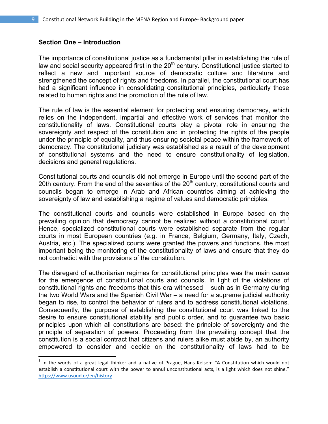#### **Section One – Introduction**

The importance of constitutional justice as a fundamental pillar in establishing the rule of law and social security appeared first in the  $20<sup>th</sup>$  century. Constitutional justice started to reflect a new and important source of democratic culture and literature and strengthened the concept of rights and freedoms. In parallel, the constitutional court has had a significant influence in consolidating constitutional principles, particularly those related to human rights and the promotion of the rule of law.

The rule of law is the essential element for protecting and ensuring democracy, which relies on the independent, impartial and effective work of services that monitor the constitutionality of laws. Constitutional courts play a pivotal role in ensuring the sovereignty and respect of the constitution and in protecting the rights of the people under the principle of equality, and thus ensuring societal peace within the framework of democracy. The constitutional judiciary was established as a result of the development of constitutional systems and the need to ensure constitutionality of legislation, decisions and general regulations.

Constitutional courts and councils did not emerge in Europe until the second part of the 20th century. From the end of the seventies of the  $20<sup>th</sup>$  century, constitutional courts and councils began to emerge in Arab and African countries aiming at achieving the sovereignty of law and establishing a regime of values and democratic principles.

The constitutional courts and councils were established in Europe based on the prevailing opinion that democracy cannot be realized without a constitutional court.<sup>1</sup> Hence, specialized constitutional courts were established separate from the regular courts in most European countries (e.g. in France, Belgium, Germany, Italy, Czech, Austria, etc.). The specialized courts were granted the powers and functions, the most important being the monitoring of the constitutionality of laws and ensure that they do not contradict with the provisions of the constitution.

The disregard of authoritarian regimes for constitutional principles was the main cause for the emergence of constitutional courts and councils. In light of the violations of constitutional rights and freedoms that this era witnessed – such as in Germany during the two World Wars and the Spanish Civil War – a need for a supreme judicial authority began to rise, to control the behavior of rulers and to address constitutional violations. Consequently, the purpose of establishing the constitutional court was linked to the desire to ensure constitutional stability and public order, and to guarantee two basic principles upon which all constitutions are based: the principle of sovereignty and the principle of separation of powers. Proceeding from the prevailing concept that the constitution is a social contract that citizens and rulers alike must abide by, an authority empowered to consider and decide on the constitutionality of laws had to be

 $<sup>1</sup>$  In the words of a great legal thinker and a native of Prague, Hans Kelsen: "A Constitution which would not</sup> establish a constitutional court with the power to annul unconstitutional acts, is a light which does not shine." https://www.usoud.cz/en/history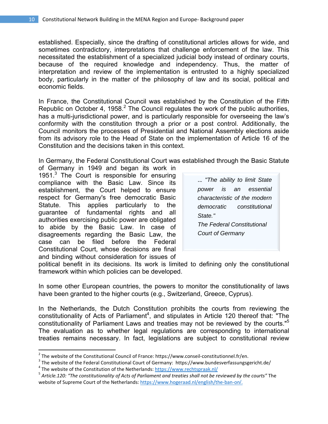established. Especially, since the drafting of constitutional articles allows for wide, and sometimes contradictory, interpretations that challenge enforcement of the law. This necessitated the establishment of a specialized judicial body instead of ordinary courts, because of the required knowledge and independency. Thus, the matter of interpretation and review of the implementation is entrusted to a highly specialized body, particularly in the matter of the philosophy of law and its social, political and economic fields.

In France, the Constitutional Council was established by the Constitution of the Fifth Republic on October 4, 1958. $2$  The Council regulates the work of the public authorities, has a multi-jurisdictional power, and is particularly responsible for overseeing the law's conformity with the constitution through a prior or a post control. Additionally, the Council monitors the processes of Presidential and National Assembly elections aside from its advisory role to the Head of State on the implementation of Article 16 of the Constitution and the decisions taken in this context.

In Germany, the Federal Constitutional Court was established through the Basic Statute

of Germany in 1949 and began its work in 1951.<sup>3</sup> The Court is responsible for ensuring compliance with the Basic Law. Since its establishment, the Court helped to ensure respect for Germany's free democratic Basic Statute. This applies particularly to the guarantee of fundamental rights and all authorities exercising public power are obligated to abide by the Basic Law. In case of disagreements regarding the Basic Law, the case can be filed before the Federal Constitutional Court, whose decisions are final and binding without consideration for issues of

| "The ability to limit State       |  |  |  |  |
|-----------------------------------|--|--|--|--|
| power is an essential             |  |  |  |  |
| characteristic of the modern      |  |  |  |  |
| democratic constitutional         |  |  |  |  |
| State."                           |  |  |  |  |
| <b>The Federal Constitutional</b> |  |  |  |  |
| <b>Court of Germany</b>           |  |  |  |  |
|                                   |  |  |  |  |

political benefit in its decisions. Its work is limited to defining only the constitutional framework within which policies can be developed.

In some other European countries, the powers to monitor the constitutionality of laws have been granted to the higher courts (e.g., Switzerland, Greece, Cyprus).

In the Netherlands, the Dutch Constitution prohibits the courts from reviewing the constitutionality of Acts of Parliament<sup>4</sup>, and stipulates in Article 120 thereof that: "The constitutionality of Parliament Laws and treaties may not be reviewed by the courts."<sup>5</sup> The evaluation as to whether legal regulations are corresponding to international treaties remains necessary. In fact, legislations are subject to constitutional review

<sup>&</sup>lt;sup>2</sup> The website of the Constitutional Council of France: https://www.conseil-constitutionnel.fr/en.<br><sup>3</sup> The website of the Federal Constitutional Court of Germany: https://www.bundesverfassungsgericht.de/<br><sup>4</sup> The website

website of Supreme Court of the Netherlands: https://www.hogeraad.nl/english/the-ban-on/.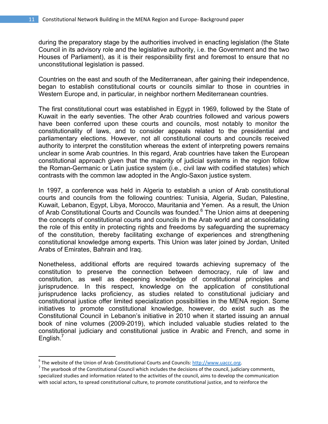during the preparatory stage by the authorities involved in enacting legislation (the State Council in its advisory role and the legislative authority, i.e. the Government and the two Houses of Parliament), as it is their responsibility first and foremost to ensure that no unconstitutional legislation is passed.

Countries on the east and south of the Mediterranean, after gaining their independence, began to establish constitutional courts or councils similar to those in countries in Western Europe and, in particular, in neighbor northern Mediterranean countries.

The first constitutional court was established in Egypt in 1969, followed by the State of Kuwait in the early seventies. The other Arab countries followed and various powers have been conferred upon these courts and councils, most notably to monitor the constitutionality of laws, and to consider appeals related to the presidential and parliamentary elections. However, not all constitutional courts and councils received authority to interpret the constitution whereas the extent of interpreting powers remains unclear in some Arab countries. In this regard, Arab countries have taken the European constitutional approach given that the majority of judicial systems in the region follow the Roman-Germanic or Latin justice system (i.e., civil law with codified statutes) which contrasts with the common law adopted in the Anglo-Saxon justice system.

In 1997, a conference was held in Algeria to establish a union of Arab constitutional courts and councils from the following countries: Tunisia, Algeria, Sudan, Palestine, Kuwait, Lebanon, Egypt, Libya, Morocco, Mauritania and Yemen. As a result, the Union of Arab Constitutional Courts and Councils was founded.<sup>6</sup> The Union aims at deepening the concepts of constitutional courts and councils in the Arab world and at consolidating the role of this entity in protecting rights and freedoms by safeguarding the supremacy of the constitution, thereby facilitating exchange of experiences and strengthening constitutional knowledge among experts. This Union was later joined by Jordan, United Arabs of Emirates, Bahrain and Iraq.

Nonetheless, additional efforts are required towards achieving supremacy of the constitution to preserve the connection between democracy, rule of law and constitution, as well as deepening knowledge of constitutional principles and jurisprudence. In this respect, knowledge on the application of constitutional jurisprudence lacks proficiency, as studies related to constitutional judiciary and constitutional justice offer limited specialization possibilities in the MENA region. Some initiatives to promote constitutional knowledge, however, do exist such as the Constitutional Council in Lebanon's initiative in 2010 when it started issuing an annual book of nine volumes (2009-2019), which included valuable studies related to the constitutional judiciary and constitutional justice in Arabic and French, and some in English.<sup>1</sup>

<sup>&</sup>lt;sup>6</sup> The website of the Union of Arab Constitutional Courts and Councils:  $\frac{http://www.uaccc.org}{http://www.uaccc.org}$ .<br><sup>7</sup> The vearbook of the Constitutional Council which includes the decisions of the council, judiciary comments,

specialized studies and information related to the activities of the council, aims to develop the communication with social actors, to spread constitutional culture, to promote constitutional justice, and to reinforce the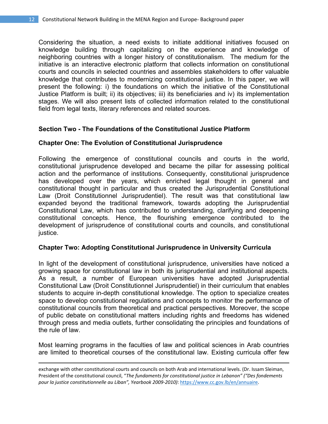Considering the situation, a need exists to initiate additional initiatives focused on knowledge building through capitalizing on the experience and knowledge of neighboring countries with a longer history of constitutionalism. The medium for the initiative is an interactive electronic platform that collects information on constitutional courts and councils in selected countries and assembles stakeholders to offer valuable knowledge that contributes to modernizing constitutional justice. In this paper, we will present the following: i) the foundations on which the initiative of the Constitutional Justice Platform is built; ii) its objectives; iii) its beneficiaries and iv) its implementation stages. We will also present lists of collected information related to the constitutional field from legal texts, literary references and related sources.

#### **Section Two - The Foundations of the Constitutional Justice Platform**

#### **Chapter One: The Evolution of Constitutional Jurisprudence**

Following the emergence of constitutional councils and courts in the world, constitutional jurisprudence developed and became the pillar for assessing political action and the performance of institutions. Consequently, constitutional jurisprudence has developed over the years, which enriched legal thought in general and constitutional thought in particular and thus created the Jurisprudential Constitutional Law (Droit Constitutionnel Jurisprudentiel). The result was that constitutional law expanded beyond the traditional framework, towards adopting the Jurisprudential Constitutional Law, which has contributed to understanding, clarifying and deepening constitutional concepts. Hence, the flourishing emergence contributed to the development of jurisprudence of constitutional courts and councils, and constitutional justice.

#### **Chapter Two: Adopting Constitutional Jurisprudence in University Curricula**

In light of the development of constitutional jurisprudence, universities have noticed a growing space for constitutional law in both its jurisprudential and institutional aspects. As a result, a number of European universities have adopted Jurisprudential Constitutional Law (Droit Constitutionnel Jurisprudentiel) in their curriculum that enables students to acquire in-depth constitutional knowledge. The option to specialize creates space to develop constitutional regulations and concepts to monitor the performance of constitutional councils from theoretical and practical perspectives. Moreover, the scope of public debate on constitutional matters including rights and freedoms has widened through press and media outlets, further consolidating the principles and foundations of the rule of law.

Most learning programs in the faculties of law and political sciences in Arab countries are limited to theoretical courses of the constitutional law. Existing curricula offer few

<u> 1989 - Johann Stein, marwolaethau a gweledydd a ganlad y ganlad y ganlad y ganlad y ganlad y ganlad y ganlad</u>

exchange with other constitutional courts and councils on both Arab and international levels. (Dr. Issam Sleiman, President of the constitutional council, "*The fundaments for constitutional justice in Lebanon" ("Des fondements pour la justice constitutionnelle au Liban", Yearbook 2009‐2010)*: https://www.cc.gov.lb/en/annuaire.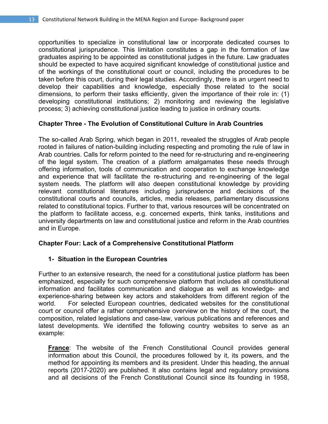opportunities to specialize in constitutional law or incorporate dedicated courses to constitutional jurisprudence. This limitation constitutes a gap in the formation of law graduates aspiring to be appointed as constitutional judges in the future. Law graduates should be expected to have acquired significant knowledge of constitutional justice and of the workings of the constitutional court or council, including the procedures to be taken before this court, during their legal studies. Accordingly, there is an urgent need to develop their capabilities and knowledge, especially those related to the social dimensions, to perform their tasks efficiently, given the importance of their role in: (1) developing constitutional institutions; 2) monitoring and reviewing the legislative process; 3) achieving constitutional justice leading to justice in ordinary courts.

# **Chapter Three - The Evolution of Constitutional Culture in Arab Countries**

The so-called Arab Spring, which began in 2011, revealed the struggles of Arab people rooted in failures of nation-building including respecting and promoting the rule of law in Arab countries. Calls for reform pointed to the need for re-structuring and re-engineering of the legal system. The creation of a platform amalgamates these needs through offering information, tools of communication and cooperation to exchange knowledge and experience that will facilitate the re-structuring and re-engineering of the legal system needs. The platform will also deepen constitutional knowledge by providing relevant constitutional literatures including jurisprudence and decisions of the constitutional courts and councils, articles, media releases, parliamentary discussions related to constitutional topics. Further to that, various resources will be concentrated on the platform to facilitate access, e.g. concerned experts, think tanks, institutions and university departments on law and constitutional justice and reform in the Arab countries and in Europe.

#### **Chapter Four: Lack of a Comprehensive Constitutional Platform**

#### **1- Situation in the European Countries**

Further to an extensive research, the need for a constitutional justice platform has been emphasized, especially for such comprehensive platform that includes all constitutional information and facilitates communication and dialogue as well as knowledge- and experience-sharing between key actors and stakeholders from different region of the world. For selected European countries, dedicated websites for the constitutional court or council offer a rather comprehensive overview on the history of the court, the composition, related legislations and case-law, various publications and references and latest developments. We identified the following country websites to serve as an example:

**France**: The website of the French Constitutional Council provides general information about this Council, the procedures followed by it, its powers, and the method for appointing its members and its president. Under this heading, the annual reports (2017-2020) are published. It also contains legal and regulatory provisions and all decisions of the French Constitutional Council since its founding in 1958,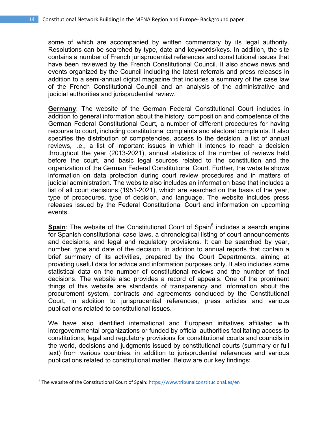some of which are accompanied by written commentary by its legal authority. Resolutions can be searched by type, date and keywords/keys. In addition, the site contains a number of French jurisprudential references and constitutional issues that have been reviewed by the French Constitutional Council. It also shows news and events organized by the Council including the latest referrals and press releases in addition to a semi-annual digital magazine that includes a summary of the case law of the French Constitutional Council and an analysis of the administrative and judicial authorities and jurisprudential review.

**Germany**: The website of the German Federal Constitutional Court includes in addition to general information about the history, composition and competence of the German Federal Constitutional Court, a number of different procedures for having recourse to court, including constitutional complaints and electoral complaints. It also specifies the distribution of competencies, access to the decision, a list of annual reviews, i.e., a list of important issues in which it intends to reach a decision throughout the year (2013-2021), annual statistics of the number of reviews held before the court, and basic legal sources related to the constitution and the organization of the German Federal Constitutional Court. Further, the website shows information on data protection during court review procedures and in matters of judicial administration. The website also includes an information base that includes a list of all court decisions (1951-2021), which are searched on the basis of the year, type of procedures, type of decision, and language. The website includes press releases issued by the Federal Constitutional Court and information on upcoming events.

Spain: The website of the Constitutional Court of Spain<sup>8</sup> includes a search engine for Spanish constitutional case laws, a chronological listing of court announcements and decisions, and legal and regulatory provisions. It can be searched by year, number, type and date of the decision. In addition to annual reports that contain a brief summary of its activities, prepared by the Court Departments, aiming at providing useful data for advice and information purposes only. It also includes some statistical data on the number of constitutional reviews and the number of final decisions. The website also provides a record of appeals. One of the prominent things of this website are standards of transparency and information about the procurement system, contracts and agreements concluded by the Constitutional Court, in addition to jurisprudential references, press articles and various publications related to constitutional issues.

We have also identified international and European initiatives affiliated with intergovernmental organizations or funded by official authorities facilitating access to constitutions, legal and regulatory provisions for constitutional courts and councils in the world, decisions and judgments issued by constitutional courts (summary or full text) from various countries, in addition to jurisprudential references and various publications related to constitutional matter. Below are our key findings:

 $8$  The website of the Constitutional Court of Spain: https://www.tribunalconstitucional.es/en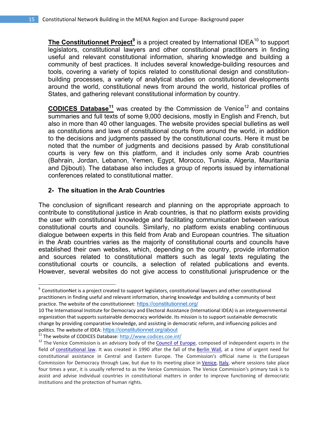The Constitutionnet Project<sup>9</sup> is a project created by International IDEA<sup>10</sup> to support legislators, constitutional lawyers and other constitutional practitioners in finding useful and relevant constitutional information, sharing knowledge and building a community of best practices. It includes several knowledge-building resources and tools, covering a variety of topics related to constitutional design and constitutionbuilding processes, a variety of analytical studies on constitutional developments around the world, constitutional news from around the world, historical profiles of States, and gathering relevant constitutional information by country.

**CODICES Database<sup>11</sup>** was created by the Commission de Venice<sup>12</sup> and contains summaries and full texts of some 9,000 decisions, mostly in English and French, but also in more than 40 other languages. The website provides special bulletins as well as constitutions and laws of constitutional courts from around the world, in addition to the decisions and judgments passed by the constitutional courts. Here it must be noted that the number of judgments and decisions passed by Arab constitutional courts is very few on this platform, and it includes only some Arab countries (Bahrain, Jordan, Lebanon, Yemen, Egypt, Morocco, Tunisia, Algeria, Mauritania and Djibouti). The database also includes a group of reports issued by international conferences related to constitutional matter.

#### **2- The situation in the Arab Countries**

The conclusion of significant research and planning on the appropriate approach to contribute to constitutional justice in Arab countries, is that no platform exists providing the user with constitutional knowledge and facilitating communication between various constitutional courts and councils. Similarly, no platform exists enabling continuous dialogue between experts in this field from Arab and European countries. The situation in the Arab countries varies as the majority of constitutional courts and councils have established their own websites, which, depending on the country, provide information and sources related to constitutional matters such as legal texts regulating the constitutional courts or councils, a selection of related publications and events. However, several websites do not give access to constitutional jurisprudence or the

 $^9$  ConstitutionNet is a project created to support legislators, constitutional lawyers and other constitutional practitioners in finding useful and relevant information, sharing knowledge and building a community of best practice. The website of the constitutionnet: https://constitutionnet.org/

<sup>10</sup> The International Institute for Democracy and Electoral Assistance (International IDEA) is an intergovernmental organization that supports sustainable democracy worldwide. Its mission is to support sustainable democratic change by providing comparative knowledge, and assisting in democratic reform, and influencing policies and politics. The website of IDEA: https://constitutionnet.org/about

<sup>&</sup>lt;sup>11</sup> The website of CODICES Database: http://www.codices.coe.int/<br><sup>12</sup> The Venice Commission is an advisory body of the Council of Europe, composed of independent experts in the field of constitutional law. It was created in 1990 after the fall of the Berlin Wall, at a time of urgent need for constitutional assistance in Central and Eastern Europe. The Commission's official name is the European Commission for Democracy through Law, but due to its meeting place in Venice, Italy, where sessions take place four times a year, it is usually referred to as the Venice Commission. The Venice Commission's primary task is to assist and advise individual countries in constitutional matters in order to improve functioning of democratic institutions and the protection of human rights.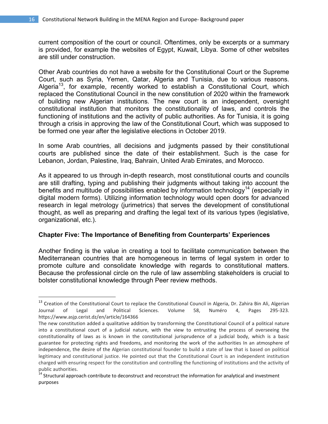current composition of the court or council. Oftentimes, only be excerpts or a summary is provided, for example the websites of Egypt, Kuwait, Libya. Some of other websites are still under construction.

Other Arab countries do not have a website for the Constitutional Court or the Supreme Court, such as Syria, Yemen, Qatar, Algeria and Tunisia, due to various reasons. Algeria<sup>13</sup>, for example, recently worked to establish a Constitutional Court, which replaced the Constitutional Council in the new constitution of 2020 within the framework of building new Algerian institutions. The new court is an independent, oversight constitutional institution that monitors the constitutionality of laws, and controls the functioning of institutions and the activity of public authorities. As for Tunisia, it is going through a crisis in approving the law of the Constitutional Court, which was supposed to be formed one year after the legislative elections in October 2019.

In some Arab countries, all decisions and judgments passed by their constitutional courts are published since the date of their establishment. Such is the case for Lebanon, Jordan, Palestine, Iraq, Bahrain, United Arab Emirates, and Morocco.

As it appeared to us through in-depth research, most constitutional courts and councils are still drafting, typing and publishing their judgments without taking into account the benefits and multitude of possibilities enabled by information technology<sup>14</sup> (especially in digital modern forms). Utilizing information technology would open doors for advanced research in legal metrology (jurimetrics) that serves the development of constitutional thought, as well as preparing and drafting the legal text of its various types (legislative, organizational, etc.).

#### **Chapter Five: The Importance of Benefiting from Counterparts' Experiences**

Another finding is the value in creating a tool to facilitate communication between the Mediterranean countries that are homogeneous in terms of legal system in order to promote culture and consolidate knowledge with regards to constitutional matters. Because the professional circle on the rule of law assembling stakeholders is crucial to bolster constitutional knowledge through Peer review methods.

<sup>&</sup>lt;sup>13</sup> Creation of the Constitutional Court to replace the Constitutional Council in Algeria, Dr. Zahira Bin Ali, Algerian<br>Journal of Legal and Political Sciences. Volume 58, Numéro 4. Pages 295-323. Journal of Legal and Political Sciences. Volume 58, Numéro 4, Pages 295‐323. https://www.asjp.cerist.dz/en/article/164366

The new constitution added a qualitative addition by transforming the Constitutional Council of a political nature into a constitutional court of a judicial nature, with the view to entrusting the process of overseeing the constitutionality of laws as is known in the constitutional jurisprudence of a judicial body, which is a basic guarantee for protecting rights and freedoms, and monitoring the work of the authorities In an atmosphere of independence, the desire of the Algerian constitutional founder to build a state of law that is based on political legitimacy and constitutional justice. He pointed out that the Constitutional Court is an independent institution charged with ensuring respect for the constitution and controlling the functioning of institutions and the activity of

<sup>&</sup>lt;sup>14</sup> Structural approach contribute to deconstruct and reconstruct the information for analytical and investment purposes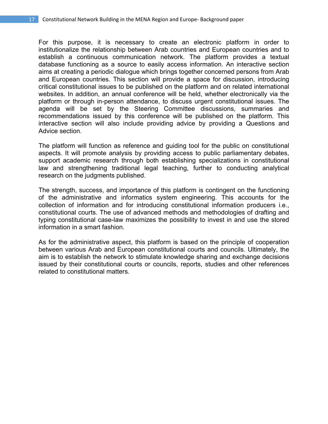For this purpose, it is necessary to create an electronic platform in order to institutionalize the relationship between Arab countries and European countries and to establish a continuous communication network. The platform provides a textual database functioning as a source to easily access information. An interactive section aims at creating a periodic dialogue which brings together concerned persons from Arab and European countries. This section will provide a space for discussion, introducing critical constitutional issues to be published on the platform and on related international websites. In addition, an annual conference will be held, whether electronically via the platform or through in-person attendance, to discuss urgent constitutional issues. The agenda will be set by the Steering Committee discussions, summaries and recommendations issued by this conference will be published on the platform. This interactive section will also include providing advice by providing a Questions and Advice section.

The platform will function as reference and guiding tool for the public on constitutional aspects. It will promote analysis by providing access to public parliamentary debates, support academic research through both establishing specializations in constitutional law and strengthening traditional legal teaching, further to conducting analytical research on the judgments published.

The strength, success, and importance of this platform is contingent on the functioning of the administrative and informatics system engineering. This accounts for the collection of information and for introducing constitutional information producers i.e., constitutional courts. The use of advanced methods and methodologies of drafting and typing constitutional case-law maximizes the possibility to invest in and use the stored information in a smart fashion.

As for the administrative aspect, this platform is based on the principle of cooperation between various Arab and European constitutional courts and councils. Ultimately, the aim is to establish the network to stimulate knowledge sharing and exchange decisions issued by their constitutional courts or councils, reports, studies and other references related to constitutional matters.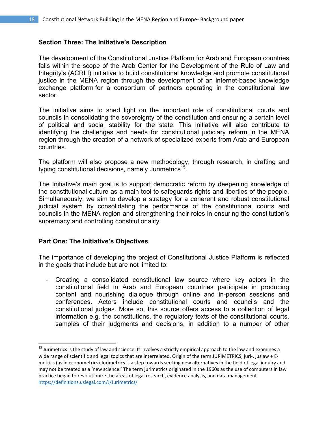#### **Section Three: The Initiative's Description**

The development of the Constitutional Justice Platform for Arab and European countries falls within the scope of the Arab Center for the Development of the Rule of Law and Integrity's (ACRLI) initiative to build constitutional knowledge and promote constitutional justice in the MENA region through the development of an internet-based knowledge exchange platform for a consortium of partners operating in the constitutional law sector.

The initiative aims to shed light on the important role of constitutional courts and councils in consolidating the sovereignty of the constitution and ensuring a certain level of political and social stability for the state. This initiative will also contribute to identifying the challenges and needs for constitutional judiciary reform in the MENA region through the creation of a network of specialized experts from Arab and European countries.

The platform will also propose a new methodology, through research, in drafting and typing constitutional decisions, namely Jurimetrics<sup>15</sup>.

The Initiative's main goal is to support democratic reform by deepening knowledge of the constitutional culture as a main tool to safeguards rights and liberties of the people. Simultaneously, we aim to develop a strategy for a coherent and robust constitutional judicial system by consolidating the performance of the constitutional courts and councils in the MENA region and strengthening their roles in ensuring the constitution's supremacy and controlling constitutionality.

#### **Part One: The Initiative's Objectives**

The importance of developing the project of Constitutional Justice Platform is reflected in the goals that include but are not limited to:

- Creating a consolidated constitutional law source where key actors in the constitutional field in Arab and European countries participate in producing content and nourishing dialogue through online and in-person sessions and conferences. Actors include constitutional courts and councils and the constitutional judges. More so, this source offers access to a collection of legal information e.g. the constitutions, the regulatory texts of the constitutional courts, samples of their judgments and decisions, in addition to a number of other

 $15$  Jurimetrics is the study of law and science. It involves a strictly empirical approach to the law and examines a wide range of scientific and legal topics that are interrelated. Origin of the term JURIMETRICS, juri-, juslaw + Emetrics (as in econometrics).Jurimetrics is a step towards seeking new alternatives in the field of legal inquiry and may not be treated as a 'new science.' The term jurimetrics originated in the 1960s as the use of computers in law practice began to revolutionize the areas of legal research, evidence analysis, and data management. https://definitions.uslegal.com/J/Jurimetrics/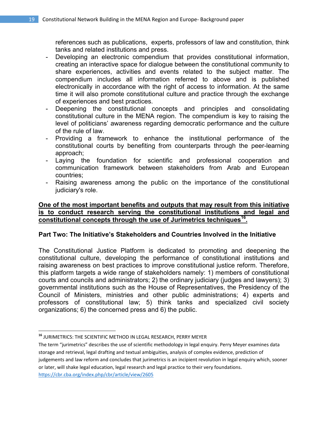references such as publications, experts, professors of law and constitution, think tanks and related institutions and press.

- Developing an electronic compendium that provides constitutional information, creating an interactive space for dialogue between the constitutional community to share experiences, activities and events related to the subject matter. The compendium includes all information referred to above and is published electronically in accordance with the right of access to information. At the same time it will also promote constitutional culture and practice through the exchange of experiences and best practices.
- Deepening the constitutional concepts and principles and consolidating constitutional culture in the MENA region. The compendium is key to raising the level of politicians' awareness regarding democratic performance and the culture of the rule of law.
- Providing a framework to enhance the institutional performance of the constitutional courts by benefiting from counterparts through the peer-learning approach;
- Laying the foundation for scientific and professional cooperation and communication framework between stakeholders from Arab and European countries;
- Raising awareness among the public on the importance of the constitutional judiciary's role.

#### **One of the most important benefits and outputs that may result from this initiative is to conduct research serving the constitutional institutions and legal and constitutional concepts through the use of Jurimetrics techniques16.**

#### **Part Two: The Initiative's Stakeholders and Countries Involved in the Initiative**

The Constitutional Justice Platform is dedicated to promoting and deepening the constitutional culture, developing the performance of constitutional institutions and raising awareness on best practices to improve constitutional justice reform. Therefore, this platform targets a wide range of stakeholders namely: 1) members of constitutional courts and councils and administrators; 2) the ordinary judiciary (judges and lawyers); 3) governmental institutions such as the House of Representatives, the Presidency of the Council of Ministers, ministries and other public administrations; 4) experts and professors of constitutional law; 5) think tanks and specialized civil society organizations; 6) the concerned press and 6) the public.

The term "jurimetrics" describes the use of scientific methodology in legal enquiry. Perry Meyer examines data storage and retrieval, legal drafting and textual ambiguities, analysis of complex evidence, prediction of judgements and law reform and concludes that jurimetrics is an incipient revolution in legal enquiry which, sooner or later, will shake legal education, legal research and legal practice to their very foundations. https://cbr.cba.org/index.php/cbr/article/view/2605

**<sup>16</sup>** JURIMETRICS: THE SCIENTIFIC METHOD IN LEGAL RESEARCH, PERRY MEYER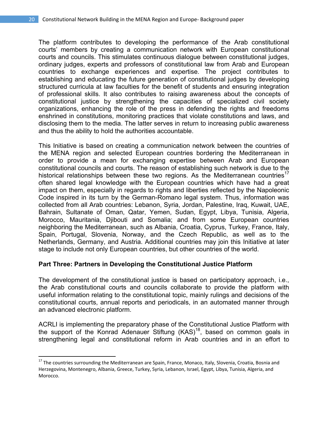The platform contributes to developing the performance of the Arab constitutional courts' members by creating a communication network with European constitutional courts and councils. This stimulates continuous dialogue between constitutional judges, ordinary judges, experts and professors of constitutional law from Arab and European countries to exchange experiences and expertise. The project contributes to establishing and educating the future generation of constitutional judges by developing structured curricula at law faculties for the benefit of students and ensuring integration of professional skills. It also contributes to raising awareness about the concepts of constitutional justice by strengthening the capacities of specialized civil society organizations, enhancing the role of the press in defending the rights and freedoms enshrined in constitutions, monitoring practices that violate constitutions and laws, and disclosing them to the media. The latter serves in return to increasing public awareness and thus the ability to hold the authorities accountable.

This Initiative is based on creating a communication network between the countries of the MENA region and selected European countries bordering the Mediterranean in order to provide a mean for exchanging expertise between Arab and European constitutional councils and courts. The reason of establishing such network is due to the historical relationships between these two regions. As the Mediterranean countries<sup>17</sup> often shared legal knowledge with the European countries which have had a great impact on them, especially in regards to rights and liberties reflected by the Napoleonic Code inspired in its turn by the German-Romano legal system. Thus, information was collected from all Arab countries: Lebanon, Syria, Jordan, Palestine, Iraq, Kuwait, UAE, Bahrain, Sultanate of Oman, Qatar, Yemen, Sudan, Egypt, Libya, Tunisia, Algeria, Morocco, Mauritania, Djibouti and Somalia; and from some European countries neighboring the Mediterranean, such as Albania, Croatia, Cyprus, Turkey, France, Italy, Spain, Portugal, Slovenia, Norway, and the Czech Republic, as well as to the Netherlands, Germany, and Austria. Additional countries may join this Initiative at later stage to include not only European countries, but other countries of the world.

#### **Part Three: Partners in Developing the Constitutional Justice Platform**

The development of the constitutional justice is based on participatory approach, i.e., the Arab constitutional courts and councils collaborate to provide the platform with useful information relating to the constitutional topic, mainly rulings and decisions of the constitutional courts, annual reports and periodicals, in an automated manner through an advanced electronic platform.

ACRLI is implementing the preparatory phase of the Constitutional Justice Platform with the support of the Konrad Adenauer Stiftung (KAS)<sup>18</sup>, based on common goals in strengthening legal and constitutional reform in Arab countries and in an effort to

<sup>&</sup>lt;sup>17</sup> The countries surrounding the Mediterranean are Spain, France, Monaco, Italy, Slovenia, Croatia, Bosnia and Herzegovina, Montenegro, Albania, Greece, Turkey, Syria, Lebanon, Israel, Egypt, Libya, Tunisia, Algeria, and Morocco.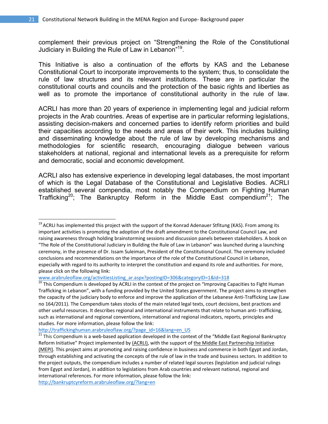complement their previous project on "Strengthening the Role of the Constitutional Judiciary in Building the Rule of Law in Lebanon"19.

This Initiative is also a continuation of the efforts by KAS and the Lebanese Constitutional Court to incorporate improvements to the system; thus, to consolidate the rule of law structures and its relevant institutions. These are in particular the constitutional courts and councils and the protection of the basic rights and liberties as well as to promote the importance of constitutional authority in the rule of law.

ACRLI has more than 20 years of experience in implementing legal and judicial reform projects in the Arab countries. Areas of expertise are in particular reforming legislations, assisting decision-makers and concerned parties to identify reform priorities and build their capacities according to the needs and areas of their work. This includes building and disseminating knowledge about the rule of law by developing mechanisms and methodologies for scientific research, encouraging dialogue between various stakeholders at national, regional and international levels as a prerequisite for reform and democratic, social and economic development.

ACRLI also has extensive experience in developing legal databases, the most important of which is the Legal Database of the Constitutional and Legislative Bodies. ACRLI established several compendia, most notably the Compendium on Fighting Human Trafficking<sup>20</sup>; The Bankruptcy Reform in the Middle East compendium<sup>21</sup>; The

 <sup>19</sup> ACRLI has implemented this project with the support of the Konrad Adenauer Stfitung (KAS). From among its important activities is promoting the adoption of the draft amendment to the Constitutional Council Law, and raising awareness through holding brainstorming sessions and discussion panels between stakeholders. A book on "The Role of the Constitutional Judiciary in Building the Rule of Law in Lebanon" was launched during a launching ceremony, in the presence of Dr. Issam Suleiman, President of the Constitutional Council. The ceremony included conclusions and recommendations on the importance of the role of the Constitutional Council in Lebanon, especially with regard to its authority to interpret the constitution and expand its role and authorities. For more, please click on the following link:<br>www.arabruleoflaw.org/activitiesListing ar.aspx?postingID=306&categoryID=1&Id=318

 $\overline{20}$  This Compendium is developed by ACRLI in the context of the project on "Improving Capacities to Fight Human Trafficking in Lebanon", with a funding provided by the United States government. The project aims to strengthen the capacity of the judiciary body to enforce and improve the application of the Lebanese Anti-Trafficking Law (Law no 164/2011). The Compendium takes stocks of the main related legal texts, court decisions, best practices and other useful resources. It describes regional and international instruments that relate to human anti‐ trafficking, such as international and regional conventions, international and regional indicators, reports, principles and studies. For more information, please follow the link:<br>http://traffickinghuman.arabruleoflaw.org/?page\_id=16&lang=en\_US

 $\frac{1}{21}$  This Compendium is a web-based application developed in the context of the "Middle East Regional Bankruptcy Reform Initiative" Project implemented by (ACRLI), with the support of the Middle East Partnership Initiative (MEPI). This project aims at promoting and raising confidence in business and commerce in both Egypt and Jordan, through establishing and activating the concepts of the rule of law in the trade and business sectors. In addition to the project outputs, the compendium includes a number of related legal sources (legislation and judicial rulings from Egypt and Jordan), in addition to legislations from Arab countries and relevant national, regional and international references. For more information, please follow the link: http://bankruptcyreform.arabruleoflaw.org/?lang=en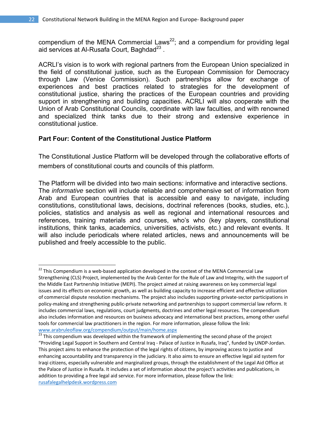compendium of the MENA Commercial Laws<sup>22</sup>; and a compendium for providing legal aid services at Al-Rusafa Court, Baghdad $^{23}$ .

ACRLI's vision is to work with regional partners from the European Union specialized in the field of constitutional justice, such as the European Commission for Democracy through Law (Venice Commission). Such partnerships allow for exchange of experiences and best practices related to strategies for the development of constitutional justice, sharing the practices of the European countries and providing support in strengthening and building capacities. ACRLI will also cooperate with the Union of Arab Constitutional Councils, coordinate with law faculties, and with renowned and specialized think tanks due to their strong and extensive experience in constitutional justice.

# **Part Four: Content of the Constitutional Justice Platform**

The Constitutional Justice Platform will be developed through the collaborative efforts of members of constitutional courts and councils of this platform.

The Platform will be divided into two main sections: informative and interactive sections. The *informative* section will include reliable and comprehensive set of information from Arab and European countries that is accessible and easy to navigate, including constitutions, constitutional laws, decisions, doctrinal references (books, studies, etc.), policies, statistics and analysis as well as regional and international resources and references, training materials and courses, who's who (key players, constitutional institutions, think tanks, academics, universities, activists, etc.) and relevant events. It will also include periodicals where related articles, news and announcements will be published and freely accessible to the public.

 $22$  This Compendium is a web-based application developed in the context of the MENA Commercial Law Strengthening (CLS) Project, implemented by the Arab Center for the Rule of Law and Integrity, with the support of the Middle East Partnership Initiative (MEPI). The project aimed at raising awareness on key commercial legal issues and its effects on economic growth, as well as building capacity to increase efficient and effective utilization of commercial dispute resolution mechanisms. The project also includes supporting private‐sector participations in policy‐making and strengthening public‐private networking and partnerships to support commercial law reform. It includes commercial laws, regulations, court judgments, doctrines and other legal resources. The compendium also includes information and resources on business advocacy and international best practices, among other useful tools for commercial law practitioners in the region. For more information, please follow the link:

www.arabruleoflaw.org/compendium/output/main/home.aspx<br><sup>23</sup> This compendium was developed within the framework of implementing the second phase of the project "Providing Legal Support in Southern and Central Iraq ‐ Palace of Justice in Rusafa, Iraq", funded by UNDP‐Jordan. This project aims to enhance the protection of the legal rights of citizens, by improving access to justice and enhancing accountability and transparency in the judiciary. It also aims to ensure an effective legal aid system for Iraqi citizens, especially vulnerable and marginalized groups, through the establishment of the Legal Aid Office at the Palace of Justice in Rusafa. It includes a set of information about the project's activities and publications, in addition to providing a free legal aid service. For more information, please follow the link: rusafalegalhelpdesk.wordpress.com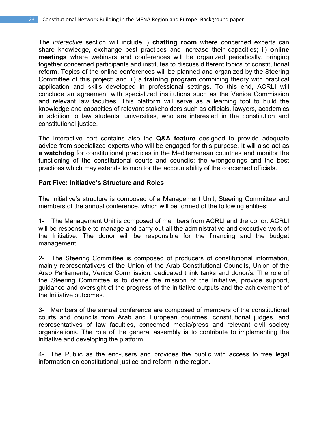The *interactive* section will include i) **chatting room** where concerned experts can share knowledge, exchange best practices and increase their capacities; ii) **online meetings** where webinars and conferences will be organized periodically, bringing together concerned participants and institutes to discuss different topics of constitutional reform. Topics of the online conferences will be planned and organized by the Steering Committee of this project; and iii) a **training program** combining theory with practical application and skills developed in professional settings. To this end, ACRLI will conclude an agreement with specialized institutions such as the Venice Commission and relevant law faculties. This platform will serve as a learning tool to build the knowledge and capacities of relevant stakeholders such as officials, lawyers, academics in addition to law students' universities, who are interested in the constitution and constitutional justice.

The interactive part contains also the **Q&A feature** designed to provide adequate advice from specialized experts who will be engaged for this purpose. It will also act as **a watchdog** for constitutional practices in the Mediterranean countries and monitor the functioning of the constitutional courts and councils; the wrongdoings and the best practices which may extends to monitor the accountability of the concerned officials.

#### **Part Five: Initiative's Structure and Roles**

The Initiative's structure is composed of a Management Unit, Steering Committee and members of the annual conference, which will be formed of the following entities:

1- The Management Unit is composed of members from ACRLI and the donor. ACRLI will be responsible to manage and carry out all the administrative and executive work of the Initiative. The donor will be responsible for the financing and the budget management.

2- The Steering Committee is composed of producers of constitutional information, mainly representative/s of the Union of the Arab Constitutional Councils, Union of the Arab Parliaments, Venice Commission; dedicated think tanks and donor/s. The role of the Steering Committee is to define the mission of the Initiative, provide support, guidance and oversight of the progress of the initiative outputs and the achievement of the Initiative outcomes.

3- Members of the annual conference are composed of members of the constitutional courts and councils from Arab and European countries, constitutional judges, and representatives of law faculties, concerned media/press and relevant civil society organizations. The role of the general assembly is to contribute to implementing the initiative and developing the platform.

4- The Public as the end-users and provides the public with access to free legal information on constitutional justice and reform in the region.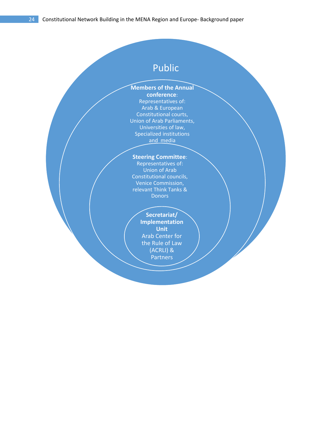# Public

# **Members of the Annual**

**conference**: Representatives of: Arab & European Constitutional courts, Union of Arab Parliaments, Universities of law, Specialized institutions and media

#### **Steering Committee**:

Representatives of: Union of Arab Constitutional councils, Venice Commission, relevant Think Tanks & **Donors** 

#### **Secretariat/ Implementation Unit** Arab Center for

the Rule of Law (ACRLI) & Partners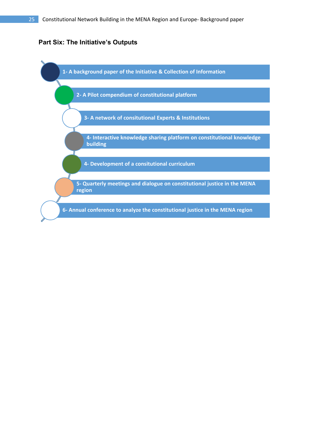# **Part Six: The Initiative's Outputs**

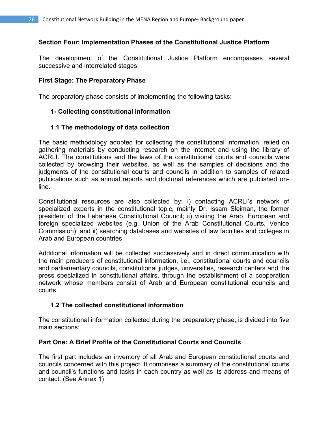#### **Section Four: Implementation Phases of the Constitutional Justice Platform**

The development of the Constitutional Justice Platform encompasses several successive and interrelated stages:

#### **First Stage: The Preparatory Phase**

The preparatory phase consists of implementing the following tasks:

#### **1- Collecting constitutional information**

#### **1.1 The methodology of data collection**

The basic methodology adopted for collecting the constitutional information, relied on gathering materials by conducting research on the internet and using the library of ACRLI. The constitutions and the laws of the constitutional courts and councils were collected by browsing their websites, as well as the samples of decisions and the judgments of the constitutional courts and councils in addition to samples of related publications such as annual reports and doctrinal references which are published online.

Constitutional resources are also collected by: i) contacting ACRLI's network of specialized experts in the constitutional topic, mainly Dr. Issam Sleiman, the former president of the Lebanese Constitutional Council; ii) visiting the Arab, European and foreign specialized websites (e.g. Union of the Arab Constitutional Courts, Venice Commission); and ii) searching databases and websites of law faculties and colleges in Arab and European countries.

Additional information will be collected successively and in direct communication with the main producers of constitutional information, i.e., constitutional courts and councils and parliamentary councils, constitutional judges, universities, research centers and the press specialized in constitutional affairs, through the establishment of a cooperation network whose members consist of Arab and European constitutional councils and courts.

#### **1.2 The collected constitutional information**

The constitutional information collected during the preparatory phase, is divided into five main sections:

#### **Part One: A Brief Profile of the Constitutional Courts and Councils**

The first part includes an inventory of all Arab and European constitutional courts and councils concerned with this project. It comprises a summary of the constitutional courts and council's functions and tasks in each country as well as its address and means of contact. (See Annex 1)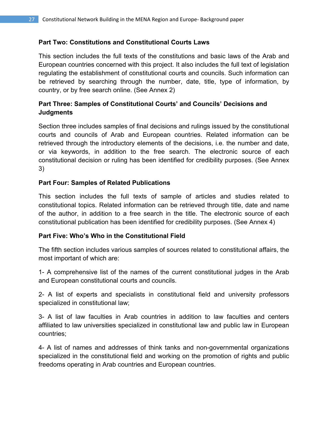# **Part Two: Constitutions and Constitutional Courts Laws**

This section includes the full texts of the constitutions and basic laws of the Arab and European countries concerned with this project. It also includes the full text of legislation regulating the establishment of constitutional courts and councils. Such information can be retrieved by searching through the number, date, title, type of information, by country, or by free search online. (See Annex 2)

# **Part Three: Samples of Constitutional Courts' and Councils' Decisions and Judgments**

Section three includes samples of final decisions and rulings issued by the constitutional courts and councils of Arab and European countries. Related information can be retrieved through the introductory elements of the decisions, i.e. the number and date, or via keywords, in addition to the free search. The electronic source of each constitutional decision or ruling has been identified for credibility purposes. (See Annex 3)

# **Part Four: Samples of Related Publications**

This section includes the full texts of sample of articles and studies related to constitutional topics. Related information can be retrieved through title, date and name of the author, in addition to a free search in the title. The electronic source of each constitutional publication has been identified for credibility purposes. (See Annex 4)

#### **Part Five: Who's Who in the Constitutional Field**

The fifth section includes various samples of sources related to constitutional affairs, the most important of which are:

1- A comprehensive list of the names of the current constitutional judges in the Arab and European constitutional courts and councils.

2- A list of experts and specialists in constitutional field and university professors specialized in constitutional law;

3- A list of law faculties in Arab countries in addition to law faculties and centers affiliated to law universities specialized in constitutional law and public law in European countries;

4- A list of names and addresses of think tanks and non-governmental organizations specialized in the constitutional field and working on the promotion of rights and public freedoms operating in Arab countries and European countries.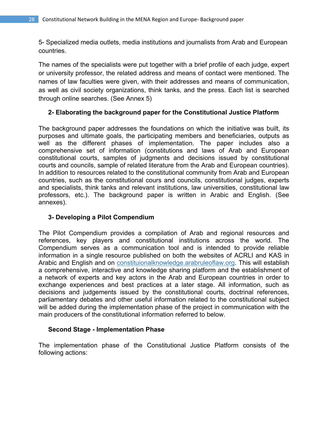5- Specialized media outlets, media institutions and journalists from Arab and European countries.

The names of the specialists were put together with a brief profile of each judge, expert or university professor, the related address and means of contact were mentioned. The names of law faculties were given, with their addresses and means of communication, as well as civil society organizations, think tanks, and the press. Each list is searched through online searches. (See Annex 5)

# **2- Elaborating the background paper for the Constitutional Justice Platform**

The background paper addresses the foundations on which the initiative was built, its purposes and ultimate goals, the participating members and beneficiaries, outputs as well as the different phases of implementation. The paper includes also a comprehensive set of information (constitutions and laws of Arab and European constitutional courts, samples of judgments and decisions issued by constitutional courts and councils, sample of related literature from the Arab and European countries). In addition to resources related to the constitutional community from Arab and European countries, such as the constitutional cours and councils, constitutional judges, experts and specialists, think tanks and relevant institutions, law universities, constitutional law professors, etc.). The background paper is written in Arabic and English. (See annexes).

#### **3- Developing a Pilot Compendium**

The Pilot Compendium provides a compilation of Arab and regional resources and references, key players and constitutional institutions across the world. The Compendium serves as a communication tool and is intended to provide reliable information in a single resource published on both the websites of ACRLI and KAS in Arabic and English and on constituionalknowledge.arabruleoflaw.org. This will establish a comprehensive, interactive and knowledge sharing platform and the establishment of a network of experts and key actors in the Arab and European countries in order to exchange experiences and best practices at a later stage. All information, such as decisions and judgements issued by the constitutional courts, doctrinal references, parliamentary debates and other useful information related to the constitutional subject will be added during the implementation phase of the project in communication with the main producers of the constitutional information referred to below.

#### **Second Stage - Implementation Phase**

The implementation phase of the Constitutional Justice Platform consists of the following actions: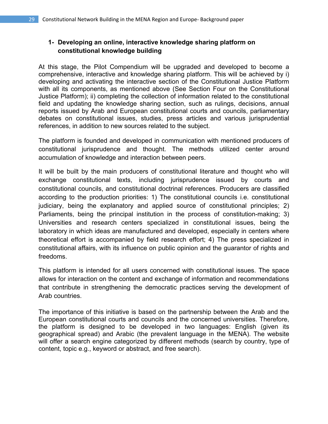# **1- Developing an online, interactive knowledge sharing platform on constitutional knowledge building**

At this stage, the Pilot Compendium will be upgraded and developed to become a comprehensive, interactive and knowledge sharing platform. This will be achieved by i) developing and activating the interactive section of the Constitutional Justice Platform with all its components, as mentioned above (See Section Four on the Constitutional Justice Platform); ii) completing the collection of information related to the constitutional field and updating the knowledge sharing section, such as rulings, decisions, annual reports issued by Arab and European constitutional courts and councils, parliamentary debates on constitutional issues, studies, press articles and various jurisprudential references, in addition to new sources related to the subject.

The platform is founded and developed in communication with mentioned producers of constitutional jurisprudence and thought. The methods utilized center around accumulation of knowledge and interaction between peers.

It will be built by the main producers of constitutional literature and thought who will exchange constitutional texts, including jurisprudence issued by courts and constitutional councils, and constitutional doctrinal references. Producers are classified according to the production priorities: 1) The constitutional councils i.e. constitutional judiciary, being the explanatory and applied source of constitutional principles; 2) Parliaments, being the principal institution in the process of constitution-making; 3) Universities and research centers specialized in constitutional issues, being the laboratory in which ideas are manufactured and developed, especially in centers where theoretical effort is accompanied by field research effort; 4) The press specialized in constitutional affairs, with its influence on public opinion and the guarantor of rights and freedoms.

This platform is intended for all users concerned with constitutional issues. The space allows for interaction on the content and exchange of information and recommendations that contribute in strengthening the democratic practices serving the development of Arab countries.

The importance of this initiative is based on the partnership between the Arab and the European constitutional courts and councils and the concerned universities. Therefore, the platform is designed to be developed in two languages: English (given its geographical spread) and Arabic (the prevalent language in the MENA). The website will offer a search engine categorized by different methods (search by country, type of content, topic e.g., keyword or abstract, and free search).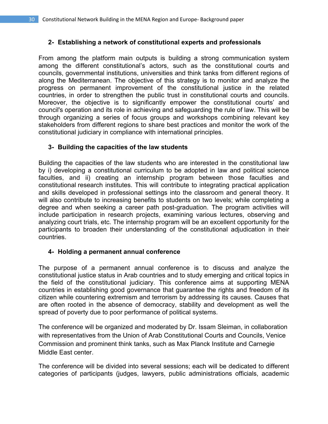# **2- Establishing a network of constitutional experts and professionals**

From among the platform main outputs is building a strong communication system among the different constitutional's actors, such as the constitutional courts and councils, governmental institutions, universities and think tanks from different regions of along the Mediterranean. The objective of this strategy is to monitor and analyze the progress on permanent improvement of the constitutional justice in the related countries, in order to strengthen the public trust in constitutional courts and councils. Moreover, the objective is to significantly empower the constitutional courts' and council's operation and its role in achieving and safeguarding the rule of law. This will be through organizing a series of focus groups and workshops combining relevant key stakeholders from different regions to share best practices and monitor the work of the constitutional judiciary in compliance with international principles.

# **3- Building the capacities of the law students**

Building the capacities of the law students who are interested in the constitutional law by i) developing a constitutional curriculum to be adopted in law and political science faculties, and ii) creating an internship program between those faculties and constitutional research institutes. This will contribute to integrating practical application and skills developed in professional settings into the classroom and general theory. It will also contribute to increasing benefits to students on two levels; while completing a degree and when seeking a career path post-graduation. The program activities will include participation in research projects, examining various lectures, observing and analyzing court trials, etc. The internship program will be an excellent opportunity for the participants to broaden their understanding of the constitutional adjudication in their countries.

#### **4- Holding a permanent annual conference**

The purpose of a permanent annual conference is to discuss and analyze the constitutional justice status in Arab countries and to study emerging and critical topics in the field of the constitutional judiciary. This conference aims at supporting MENA countries in establishing good governance that guarantee the rights and freedom of its citizen while countering extremism and terrorism by addressing its causes. Causes that are often rooted in the absence of democracy, stability and development as well the spread of poverty due to poor performance of political systems.

The conference will be organized and moderated by Dr. Issam Sleiman, in collaboration with representatives from the Union of Arab Constitutional Courts and Councils, Venice Commission and prominent think tanks, such as Max Planck Institute and Carnegie Middle East center.

The conference will be divided into several sessions; each will be dedicated to different categories of participants (judges, lawyers, public administrations officials, academic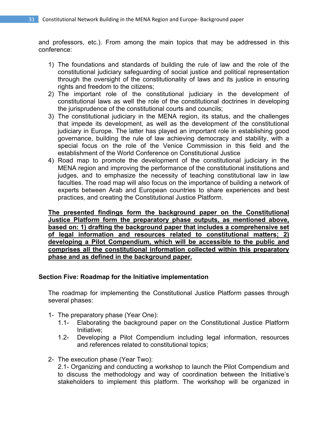and professors, etc.). From among the main topics that may be addressed in this conference:

- 1) The foundations and standards of building the rule of law and the role of the constitutional judiciary safeguarding of social justice and political representation through the oversight of the constitutionality of laws and its justice in ensuring rights and freedom to the citizens;
- 2) The important role of the constitutional judiciary in the development of constitutional laws as well the role of the constitutional doctrines in developing the jurisprudence of the constitutional courts and councils;
- 3) The constitutional judiciary in the MENA region, its status, and the challenges that impede its development, as well as the development of the constitutional judiciary in Europe. The latter has played an important role in establishing good governance, building the rule of law achieving democracy and stability, with a special focus on the role of the Venice Commission in this field and the establishment of the World Conference on Constitutional Justice
- 4) Road map to promote the development of the constitutional judiciary in the MENA region and improving the performance of the constitutional institutions and judges, and to emphasize the necessity of teaching constitutional law in law faculties. The road map will also focus on the importance of building a network of experts between Arab and European countries to share experiences and best practices, and creating the Constitutional Justice Platform.

**The presented findings form the background paper on the Constitutional Justice Platform form the preparatory phase outputs, as mentioned above, based on: 1) drafting the background paper that includes a comprehensive set of legal information and resources related to constitutional matters; 2) developing a Pilot Compendium, which will be accessible to the public and comprises all the constitutional information collected within this preparatory phase and as defined in the background paper.** 

#### **Section Five: Roadmap for the Initiative implementation**

The roadmap for implementing the Constitutional Justice Platform passes through several phases:

- 1- The preparatory phase (Year One):
	- 1.1- Elaborating the background paper on the Constitutional Justice Platform Initiative;
	- 1.2- Developing a Pilot Compendium including legal information, resources and references related to constitutional topics;
- 2- The execution phase (Year Two):

2.1- Organizing and conducting a workshop to launch the Pilot Compendium and to discuss the methodology and way of coordination between the Initiative's stakeholders to implement this platform. The workshop will be organized in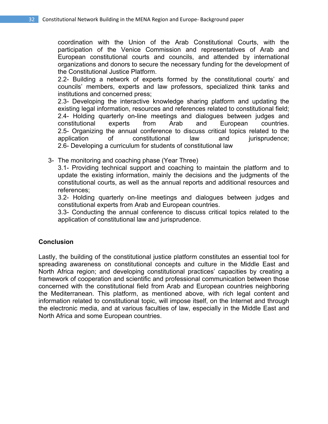coordination with the Union of the Arab Constitutional Courts, with the participation of the Venice Commission and representatives of Arab and European constitutional courts and councils, and attended by international organizations and donors to secure the necessary funding for the development of the Constitutional Justice Platform.

2.2- Building a network of experts formed by the constitutional courts' and councils' members, experts and law professors, specialized think tanks and institutions and concerned press;

2.3- Developing the interactive knowledge sharing platform and updating the existing legal information, resources and references related to constitutional field; 2.4- Holding quarterly on-line meetings and dialogues between judges and constitutional experts from Arab and European countries. 2.5- Organizing the annual conference to discuss critical topics related to the application of constitutional law and jurisprudence; 2.6- Developing a curriculum for students of constitutional law

3- The monitoring and coaching phase (Year Three)

3.1- Providing technical support and coaching to maintain the platform and to update the existing information, mainly the decisions and the judgments of the constitutional courts, as well as the annual reports and additional resources and references;

3.2- Holding quarterly on-line meetings and dialogues between judges and constitutional experts from Arab and European countries.

3.3- Conducting the annual conference to discuss critical topics related to the application of constitutional law and jurisprudence.

#### **Conclusion**

Lastly, the building of the constitutional justice platform constitutes an essential tool for spreading awareness on constitutional concepts and culture in the Middle East and North Africa region; and developing constitutional practices' capacities by creating a framework of cooperation and scientific and professional communication between those concerned with the constitutional field from Arab and European countries neighboring the Mediterranean. This platform, as mentioned above, with rich legal content and information related to constitutional topic, will impose itself, on the Internet and through the electronic media, and at various faculties of law, especially in the Middle East and North Africa and some European countries.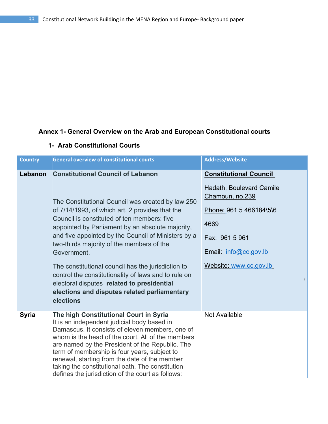# **Annex 1- General Overview on the Arab and European Constitutional courts**

| <b>Country</b> | <b>General overview of constitutional courts</b>                                                                                                                                                                                                                                                                                                                                                                                                                                                                                                                                                | <b>Address/Website</b>                                                                                                                                                               |
|----------------|-------------------------------------------------------------------------------------------------------------------------------------------------------------------------------------------------------------------------------------------------------------------------------------------------------------------------------------------------------------------------------------------------------------------------------------------------------------------------------------------------------------------------------------------------------------------------------------------------|--------------------------------------------------------------------------------------------------------------------------------------------------------------------------------------|
| Lebanon        | <b>Constitutional Council of Lebanon</b><br>The Constitutional Council was created by law 250<br>of 7/14/1993, of which art. 2 provides that the<br>Council is constituted of ten members: five<br>appointed by Parliament by an absolute majority,<br>and five appointed by the Council of Ministers by a<br>two-thirds majority of the members of the<br>Government.<br>The constitutional council has the jurisdiction to<br>control the constitutionality of laws and to rule on<br>electoral disputes related to presidential<br>elections and disputes related parliamentary<br>elections | <b>Constitutional Council</b><br>Hadath, Boulevard Camile<br>Chamoun, no.239<br>Phone: 961 5 466184\5\6<br>4669<br>Fax: 961 5 961<br>Email: info@cc.gov.lb<br>Website: www.cc.gov.lb |
| <b>Syria</b>   | The high Constitutional Court in Syria<br>It is an independent judicial body based in<br>Damascus. It consists of eleven members, one of<br>whom is the head of the court. All of the members<br>are named by the President of the Republic. The<br>term of membership is four years, subject to<br>renewal, starting from the date of the member<br>taking the constitutional oath. The constitution<br>defines the jurisdiction of the court as follows:                                                                                                                                      | <b>Not Available</b>                                                                                                                                                                 |

# **1- Arab Constitutional Courts**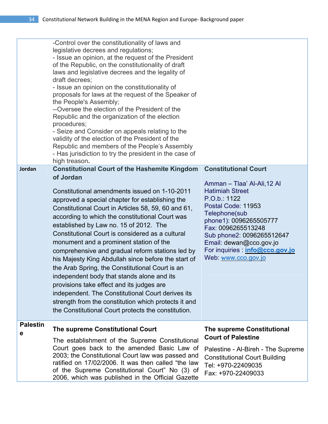|                      | -Control over the constitutionality of laws and<br>legislative decrees and regulations;<br>- Issue an opinion, at the request of the President<br>of the Republic, on the constitutionality of draft<br>laws and legislative decrees and the legality of<br>draft decrees;<br>- Issue an opinion on the constitutionality of<br>proposals for laws at the request of the Speaker of<br>the People's Assembly;<br>--Oversee the election of the President of the<br>Republic and the organization of the election<br>procedures;<br>- Seize and Consider on appeals relating to the<br>validity of the election of the President of the<br>Republic and members of the People's Assembly<br>- Has jurisdiction to try the president in the case of<br>high treason.                                                                                    |                                                                                                                                                                                                                                                                                                                      |
|----------------------|-------------------------------------------------------------------------------------------------------------------------------------------------------------------------------------------------------------------------------------------------------------------------------------------------------------------------------------------------------------------------------------------------------------------------------------------------------------------------------------------------------------------------------------------------------------------------------------------------------------------------------------------------------------------------------------------------------------------------------------------------------------------------------------------------------------------------------------------------------|----------------------------------------------------------------------------------------------------------------------------------------------------------------------------------------------------------------------------------------------------------------------------------------------------------------------|
| Jordan               | <b>Constitutional Court of the Hashemite Kingdom</b><br>of Jordan<br>Constitutional amendments issued on 1-10-2011<br>approved a special chapter for establishing the<br>Constitutional Court in Articles 58, 59, 60 and 61,<br>according to which the constitutional Court was<br>established by Law no. 15 of 2012. The<br>Constitutional Court is considered as a cultural<br>monument and a prominent station of the<br>comprehensive and gradual reform stations led by<br>his Majesty King Abdullah since before the start of<br>the Arab Spring, the Constitutional Court is an<br>independent body that stands alone and its<br>provisions take effect and its judges are<br>independent. The Constitutional Court derives its<br>strength from the constitution which protects it and<br>the Constitutional Court protects the constitution. | <b>Constitutional Court</b><br>Amman - Tlaa' Al-Ali, 12 Al<br><b>Hatimiah Street</b><br>P.O.b.: 1122<br>Postal Code: 11953<br>Telephone(sub<br>phone1): 0096265505777<br>Fax: 0096265513248<br>Sub phone2: 0096265512647<br>Email: dewan@cco.gov.jo<br>For inquiries : <i>info@cco.gov.jo</i><br>Web: www.cco.gov.jo |
| <b>Palestin</b><br>е | The supreme Constitutional Court<br>The establishment of the Supreme Constitutional<br>Court goes back to the amended Basic Law of<br>2003; the Constitutional Court law was passed and<br>ratified on 17/02/2006. It was then called "the law<br>of the Supreme Constitutional Court" No (3) of<br>2006, which was published in the Official Gazette                                                                                                                                                                                                                                                                                                                                                                                                                                                                                                 | <b>The supreme Constitutional</b><br><b>Court of Palestine</b><br>Palestine - Al-Bireh - The Supreme<br><b>Constitutional Court Building</b><br>Tel: +970-22409035<br>Fax: +970-22409033                                                                                                                             |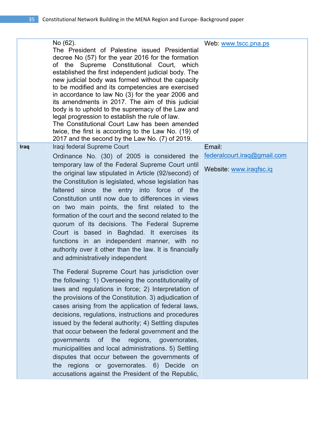|      | No (62).<br>The President of Palestine issued Presidential<br>decree No (57) for the year 2016 for the formation<br>of the Supreme Constitutional Court, which<br>established the first independent judicial body. The<br>new judicial body was formed without the capacity<br>to be modified and its competencies are exercised<br>in accordance to law No (3) for the year 2006 and<br>its amendments in 2017. The aim of this judicial<br>body is to uphold to the supremacy of the Law and<br>legal progression to establish the rule of law.<br>The Constitutional Court Law has been amended<br>twice, the first is according to the Law No. (19) of<br>2017 and the second by the Law No. (7) of 2019.    | Web: www.tscc.pna.ps        |
|------|------------------------------------------------------------------------------------------------------------------------------------------------------------------------------------------------------------------------------------------------------------------------------------------------------------------------------------------------------------------------------------------------------------------------------------------------------------------------------------------------------------------------------------------------------------------------------------------------------------------------------------------------------------------------------------------------------------------|-----------------------------|
| Iraq | Iraqi federal Supreme Court                                                                                                                                                                                                                                                                                                                                                                                                                                                                                                                                                                                                                                                                                      | Email:                      |
|      | Ordinance No. (30) of 2005 is considered the                                                                                                                                                                                                                                                                                                                                                                                                                                                                                                                                                                                                                                                                     | federalcourt.iraq@gmail.com |
|      | temporary law of the Federal Supreme Court until<br>the original law stipulated in Article (92/second) of<br>the Constitution is legislated, whose legislation has<br>faltered since the entry into force of the<br>Constitution until now due to differences in views<br>on two main points, the first related to the<br>formation of the court and the second related to the<br>quorum of its decisions. The Federal Supreme<br>Court is based in Baghdad. It exercises its<br>functions in an independent manner, with no<br>authority over it other than the law. It is financially<br>and administratively independent                                                                                      | Website: www.iraqfsc.iq     |
|      | The Federal Supreme Court has jurisdiction over<br>the following: 1) Overseeing the constitutionality of<br>laws and regulations in force; 2) Interpretation of<br>the provisions of the Constitution. 3) adjudication of<br>cases arising from the application of federal laws,<br>decisions, regulations, instructions and procedures<br>issued by the federal authority; 4) Settling disputes<br>that occur between the federal government and the<br>governments of the regions, governorates,<br>municipalities and local administrations. 5) Settling<br>disputes that occur between the governments of<br>the regions or governorates. 6) Decide on<br>accusations against the President of the Republic, |                             |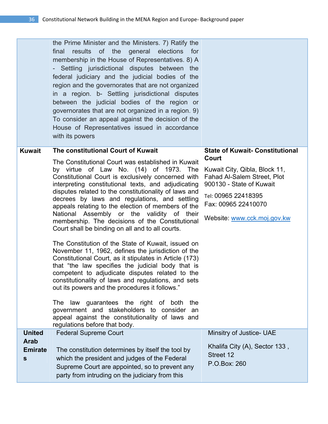|                                    | the Prime Minister and the Ministers. 7) Ratify the<br>final<br>results of the general elections<br>for<br>membership in the House of Representatives. 8) A<br>- Settling jurisdictional disputes between the<br>federal judiciary and the judicial bodies of the<br>region and the governorates that are not organized<br>in a region. b- Settling jurisdictional disputes<br>between the judicial bodies of the region or<br>governorates that are not organized in a region. 9)<br>To consider an appeal against the decision of the<br>House of Representatives issued in accordance<br>with its powers                                                                                                                                                                                                                                                                                                            |                                                                                                                                                                              |
|------------------------------------|------------------------------------------------------------------------------------------------------------------------------------------------------------------------------------------------------------------------------------------------------------------------------------------------------------------------------------------------------------------------------------------------------------------------------------------------------------------------------------------------------------------------------------------------------------------------------------------------------------------------------------------------------------------------------------------------------------------------------------------------------------------------------------------------------------------------------------------------------------------------------------------------------------------------|------------------------------------------------------------------------------------------------------------------------------------------------------------------------------|
| Kuwait                             | The constitutional Court of Kuwait                                                                                                                                                                                                                                                                                                                                                                                                                                                                                                                                                                                                                                                                                                                                                                                                                                                                                     | <b>State of Kuwait- Constitutional</b><br>Court                                                                                                                              |
|                                    | The Constitutional Court was established in Kuwait<br>by virtue of Law No. (14) of 1973. The<br>Constitutional Court is exclusively concerned with<br>interpreting constitutional texts, and adjudicating<br>disputes related to the constitutionality of laws and<br>decrees by laws and regulations, and settling<br>appeals relating to the election of members of the<br>National Assembly or the validity of their<br>membership. The decisions of the Constitutional<br>Court shall be binding on all and to all courts.<br>The Constitution of the State of Kuwait, issued on<br>November 11, 1962, defines the jurisdiction of the<br>Constitutional Court, as it stipulates in Article (173)<br>that "the law specifies the judicial body that is<br>competent to adjudicate disputes related to the<br>constitutionality of laws and regulations, and sets<br>out its powers and the procedures it follows." | Kuwait City, Qibla, Block 11,<br><b>Fahad Al-Salem Street, Plot</b><br>900130 - State of Kuwait<br>Tel: 00965 22418395<br>Fax: 00965 22410070<br>Website: www.cck.moj.gov.kw |
|                                    | The law guarantees the right of both<br>the<br>government and stakeholders to consider an<br>appeal against the constitutionality of laws and<br>regulations before that body.                                                                                                                                                                                                                                                                                                                                                                                                                                                                                                                                                                                                                                                                                                                                         |                                                                                                                                                                              |
| <b>United</b>                      | <b>Federal Supreme Court</b>                                                                                                                                                                                                                                                                                                                                                                                                                                                                                                                                                                                                                                                                                                                                                                                                                                                                                           | Minsitry of Justice- UAE                                                                                                                                                     |
| <b>Arab</b><br><b>Emirate</b><br>s | The constitution determines by itself the tool by<br>which the president and judges of the Federal<br>Supreme Court are appointed, so to prevent any<br>party from intruding on the judiciary from this                                                                                                                                                                                                                                                                                                                                                                                                                                                                                                                                                                                                                                                                                                                | Khalifa City (A), Sector 133,<br>Street 12<br>P.O.Box: 260                                                                                                                   |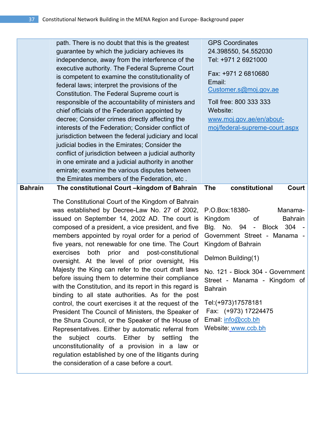|                | path. There is no doubt that this is the greatest<br>guarantee by which the judiciary achieves its<br>independence, away from the interference of the<br>executive authority. The Federal Supreme Court<br>is competent to examine the constitutionality of<br>federal laws; interpret the provisions of the<br>Constitution. The Federal Supreme court is<br>responsible of the accountability of ministers and<br>chief officials of the Federation appointed by<br>decree; Consider crimes directly affecting the<br>interests of the Federation; Consider conflict of<br>jurisdiction between the federal judiciary and local<br>judicial bodies in the Emirates; Consider the<br>conflict of jurisdiction between a judicial authority                                                                                                                                                                                                                                                                                                                                                            | <b>GPS Coordinates</b><br>24.398550, 54.552030<br>Tel: +971 2 6921000<br>Fax: +971 2 6810680<br>Email:<br>Customer.s@moj.gov.ae<br>Toll free: 800 333 333<br>Website:<br>www.moj.gov.ae/en/about-<br>moj/federal-supreme-court.aspx                                                                                                                      |
|----------------|--------------------------------------------------------------------------------------------------------------------------------------------------------------------------------------------------------------------------------------------------------------------------------------------------------------------------------------------------------------------------------------------------------------------------------------------------------------------------------------------------------------------------------------------------------------------------------------------------------------------------------------------------------------------------------------------------------------------------------------------------------------------------------------------------------------------------------------------------------------------------------------------------------------------------------------------------------------------------------------------------------------------------------------------------------------------------------------------------------|----------------------------------------------------------------------------------------------------------------------------------------------------------------------------------------------------------------------------------------------------------------------------------------------------------------------------------------------------------|
| <b>Bahrain</b> | in one emirate and a judicial authority in another<br>emirate; examine the various disputes between<br>the Emirates members of the Federation, etc.<br>The constitutional Court -kingdom of Bahrain                                                                                                                                                                                                                                                                                                                                                                                                                                                                                                                                                                                                                                                                                                                                                                                                                                                                                                    | constitutional<br><b>The</b><br>Court                                                                                                                                                                                                                                                                                                                    |
|                | The Constitutional Court of the Kingdom of Bahrain<br>was established by Decree-Law No. 27 of 2002,<br>issued on September 14, 2002 AD. The court is<br>composed of a president, a vice president, and five<br>members appointed by royal order for a period of<br>five years, not renewable for one time. The Court<br>both prior<br>and<br>post-constitutional<br>exercises<br>oversight. At the level of prior oversight, His<br>Majesty the King can refer to the court draft laws<br>before issuing them to determine their compliance<br>with the Constitution, and its report in this regard is<br>binding to all state authorities. As for the post<br>control, the court exercises it at the request of the<br>President The Council of Ministers, the Speaker of<br>the Shura Council, or the Speaker of the House of<br>Representatives. Either by automatic referral from<br>subject courts. Either<br>by settling<br>the<br>the<br>unconstitutionality of a provision in a law or<br>regulation established by one of the litigants during<br>the consideration of a case before a court. | P.O.Box: 18380-<br>Manama-<br>Kingdom<br><b>Bahrain</b><br>0f<br>Blg. No. 94<br>- Block 304<br>Government Street - Manama -<br>Kingdom of Bahrain<br>Delmon Building(1)<br>No. 121 - Block 304 - Government<br>Street - Manama - Kingdom of<br><b>Bahrain</b><br>Tel:(+973)17578181<br>Fax: (+973) 17224475<br>Email: info@ccb.bh<br>Website: www.ccb.bh |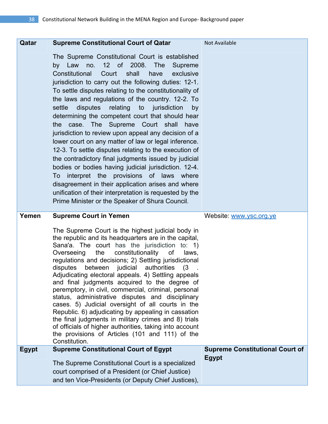| Qatar        | <b>Supreme Constitutional Court of Qatar</b>                                                                                                                                                                                                                                                                                                                                                                                                                                                                                                                                                                                                                                                                                                                                                                                                                                                                                                                                               | <b>Not Available</b>                   |
|--------------|--------------------------------------------------------------------------------------------------------------------------------------------------------------------------------------------------------------------------------------------------------------------------------------------------------------------------------------------------------------------------------------------------------------------------------------------------------------------------------------------------------------------------------------------------------------------------------------------------------------------------------------------------------------------------------------------------------------------------------------------------------------------------------------------------------------------------------------------------------------------------------------------------------------------------------------------------------------------------------------------|----------------------------------------|
|              | The Supreme Constitutional Court is established<br>by Law no. 12 of 2008. The<br>Supreme<br>Constitutional<br>Court<br>shall<br>have<br>exclusive<br>jurisdiction to carry out the following duties: 12-1.<br>To settle disputes relating to the constitutionality of<br>the laws and regulations of the country. 12-2. To<br>disputes<br>relating to jurisdiction<br>settle<br>by<br>determining the competent court that should hear<br>the case. The Supreme Court shall have<br>jurisdiction to review upon appeal any decision of a<br>lower court on any matter of law or legal inference.<br>12-3. To settle disputes relating to the execution of<br>the contradictory final judgments issued by judicial<br>bodies or bodies having judicial jurisdiction. 12-4.<br>To interpret the provisions of laws where<br>disagreement in their application arises and where<br>unification of their interpretation is requested by the<br>Prime Minister or the Speaker of Shura Council. |                                        |
| Yemen        | <b>Supreme Court in Yemen</b>                                                                                                                                                                                                                                                                                                                                                                                                                                                                                                                                                                                                                                                                                                                                                                                                                                                                                                                                                              | Website: www.ysc.org.ye                |
|              | The Supreme Court is the highest judicial body in<br>the republic and its headquarters are in the capital,                                                                                                                                                                                                                                                                                                                                                                                                                                                                                                                                                                                                                                                                                                                                                                                                                                                                                 |                                        |
|              | Sana'a. The court has the jurisdiction to: 1)<br>Overseeing<br>the<br>constitutionality<br>0f<br>laws,<br>regulations and decisions; 2) Settling jurisdictional<br>authorities<br>disputes<br>between<br>judicial<br>(3)<br>Adjudicating electoral appeals. 4) Settling appeals<br>and final judgments acquired to the degree of<br>peremptory, in civil, commercial, criminal, personal<br>status, administrative disputes and disciplinary<br>cases. 5) Judicial oversight of all courts in the<br>Republic. 6) adjudicating by appealing in cassation<br>the final judgments in military crimes and 8) trials<br>of officials of higher authorities, taking into account<br>the provisions of Articles (101 and 111) of the<br>Constitution.                                                                                                                                                                                                                                            |                                        |
| <b>Egypt</b> | <b>Supreme Constitutional Court of Egypt</b>                                                                                                                                                                                                                                                                                                                                                                                                                                                                                                                                                                                                                                                                                                                                                                                                                                                                                                                                               | <b>Supreme Constitutional Court of</b> |
|              | The Supreme Constitutional Court is a specialized<br>court comprised of a President (or Chief Justice)                                                                                                                                                                                                                                                                                                                                                                                                                                                                                                                                                                                                                                                                                                                                                                                                                                                                                     | <b>Egypt</b>                           |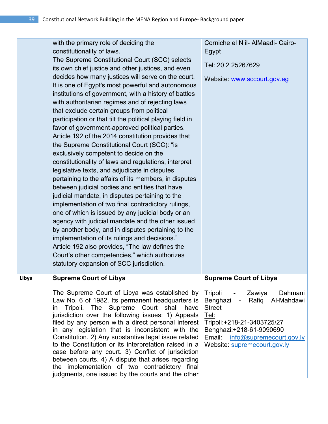| constitutionality of laws.<br>Egypt<br>The Supreme Constitutional Court (SCC) selects<br>Tel: 20 2 25267629<br>its own chief justice and other justices, and even<br>decides how many justices will serve on the court.<br>Website: www.sccourt.gov.eg<br>It is one of Egypt's most powerful and autonomous<br>institutions of government, with a history of battles<br>with authoritarian regimes and of rejecting laws<br>that exclude certain groups from political<br>participation or that tilt the political playing field in<br>favor of government-approved political parties.<br>Article 192 of the 2014 constitution provides that<br>the Supreme Constitutional Court (SCC): "is<br>exclusively competent to decide on the<br>constitutionality of laws and regulations, interpret<br>legislative texts, and adjudicate in disputes<br>pertaining to the affairs of its members, in disputes<br>between judicial bodies and entities that have<br>judicial mandate, in disputes pertaining to the<br>implementation of two final contradictory rulings,<br>one of which is issued by any judicial body or an<br>agency with judicial mandate and the other issued<br>by another body, and in disputes pertaining to the<br>implementation of its rulings and decisions."<br>Article 192 also provides, "The law defines the<br>Court's other competencies," which authorizes<br>statutory expansion of SCC jurisdiction.<br><b>Supreme Court of Libya</b><br><b>Supreme Court of Libya</b><br>Libya<br>The Supreme Court of Libya was established by<br>Tripoli - Zawiya<br>Dahmani<br>Law No. 6 of 1982. Its permanent headquarters is<br>Benghazi - Rafiq Al-Mahdawi<br>Tripoli. The Supreme Court shall have<br><b>Street</b><br>in<br>jurisdiction over the following issues: 1) Appeals<br>Tel:<br>filed by any person with a direct personal interest<br>Tripoli:+218-21-3403725/27<br>in any legislation that is inconsistent with the<br>Benghazi: +218-61-9090690<br>Constitution. 2) Any substantive legal issue related<br>Email info@supremecourt.gov.ly<br>to the Constitution or its interpretation raised in a<br>Website: supremecourt.gov.ly<br>case before any court. 3) Conflict of jurisdiction<br>between courts. 4) A dispute that arises regarding<br>the implementation of two contradictory final<br>judgments, one issued by the courts and the other |                                       |                                   |
|--------------------------------------------------------------------------------------------------------------------------------------------------------------------------------------------------------------------------------------------------------------------------------------------------------------------------------------------------------------------------------------------------------------------------------------------------------------------------------------------------------------------------------------------------------------------------------------------------------------------------------------------------------------------------------------------------------------------------------------------------------------------------------------------------------------------------------------------------------------------------------------------------------------------------------------------------------------------------------------------------------------------------------------------------------------------------------------------------------------------------------------------------------------------------------------------------------------------------------------------------------------------------------------------------------------------------------------------------------------------------------------------------------------------------------------------------------------------------------------------------------------------------------------------------------------------------------------------------------------------------------------------------------------------------------------------------------------------------------------------------------------------------------------------------------------------------------------------------------------------------------------------------------------------------------------------------------------------------------------------------------------------------------------------------------------------------------------------------------------------------------------------------------------------------------------------------------------------------------------------------------------------------------------------------------------------------------------------------------------------------------------------|---------------------------------------|-----------------------------------|
|                                                                                                                                                                                                                                                                                                                                                                                                                                                                                                                                                                                                                                                                                                                                                                                                                                                                                                                                                                                                                                                                                                                                                                                                                                                                                                                                                                                                                                                                                                                                                                                                                                                                                                                                                                                                                                                                                                                                                                                                                                                                                                                                                                                                                                                                                                                                                                                            | with the primary role of deciding the | Corniche el Niil- AlMaadi- Cairo- |
|                                                                                                                                                                                                                                                                                                                                                                                                                                                                                                                                                                                                                                                                                                                                                                                                                                                                                                                                                                                                                                                                                                                                                                                                                                                                                                                                                                                                                                                                                                                                                                                                                                                                                                                                                                                                                                                                                                                                                                                                                                                                                                                                                                                                                                                                                                                                                                                            |                                       |                                   |
|                                                                                                                                                                                                                                                                                                                                                                                                                                                                                                                                                                                                                                                                                                                                                                                                                                                                                                                                                                                                                                                                                                                                                                                                                                                                                                                                                                                                                                                                                                                                                                                                                                                                                                                                                                                                                                                                                                                                                                                                                                                                                                                                                                                                                                                                                                                                                                                            |                                       |                                   |
|                                                                                                                                                                                                                                                                                                                                                                                                                                                                                                                                                                                                                                                                                                                                                                                                                                                                                                                                                                                                                                                                                                                                                                                                                                                                                                                                                                                                                                                                                                                                                                                                                                                                                                                                                                                                                                                                                                                                                                                                                                                                                                                                                                                                                                                                                                                                                                                            |                                       |                                   |
|                                                                                                                                                                                                                                                                                                                                                                                                                                                                                                                                                                                                                                                                                                                                                                                                                                                                                                                                                                                                                                                                                                                                                                                                                                                                                                                                                                                                                                                                                                                                                                                                                                                                                                                                                                                                                                                                                                                                                                                                                                                                                                                                                                                                                                                                                                                                                                                            |                                       |                                   |
|                                                                                                                                                                                                                                                                                                                                                                                                                                                                                                                                                                                                                                                                                                                                                                                                                                                                                                                                                                                                                                                                                                                                                                                                                                                                                                                                                                                                                                                                                                                                                                                                                                                                                                                                                                                                                                                                                                                                                                                                                                                                                                                                                                                                                                                                                                                                                                                            |                                       |                                   |
|                                                                                                                                                                                                                                                                                                                                                                                                                                                                                                                                                                                                                                                                                                                                                                                                                                                                                                                                                                                                                                                                                                                                                                                                                                                                                                                                                                                                                                                                                                                                                                                                                                                                                                                                                                                                                                                                                                                                                                                                                                                                                                                                                                                                                                                                                                                                                                                            |                                       |                                   |
|                                                                                                                                                                                                                                                                                                                                                                                                                                                                                                                                                                                                                                                                                                                                                                                                                                                                                                                                                                                                                                                                                                                                                                                                                                                                                                                                                                                                                                                                                                                                                                                                                                                                                                                                                                                                                                                                                                                                                                                                                                                                                                                                                                                                                                                                                                                                                                                            |                                       |                                   |
|                                                                                                                                                                                                                                                                                                                                                                                                                                                                                                                                                                                                                                                                                                                                                                                                                                                                                                                                                                                                                                                                                                                                                                                                                                                                                                                                                                                                                                                                                                                                                                                                                                                                                                                                                                                                                                                                                                                                                                                                                                                                                                                                                                                                                                                                                                                                                                                            |                                       |                                   |
|                                                                                                                                                                                                                                                                                                                                                                                                                                                                                                                                                                                                                                                                                                                                                                                                                                                                                                                                                                                                                                                                                                                                                                                                                                                                                                                                                                                                                                                                                                                                                                                                                                                                                                                                                                                                                                                                                                                                                                                                                                                                                                                                                                                                                                                                                                                                                                                            |                                       |                                   |
|                                                                                                                                                                                                                                                                                                                                                                                                                                                                                                                                                                                                                                                                                                                                                                                                                                                                                                                                                                                                                                                                                                                                                                                                                                                                                                                                                                                                                                                                                                                                                                                                                                                                                                                                                                                                                                                                                                                                                                                                                                                                                                                                                                                                                                                                                                                                                                                            |                                       |                                   |
|                                                                                                                                                                                                                                                                                                                                                                                                                                                                                                                                                                                                                                                                                                                                                                                                                                                                                                                                                                                                                                                                                                                                                                                                                                                                                                                                                                                                                                                                                                                                                                                                                                                                                                                                                                                                                                                                                                                                                                                                                                                                                                                                                                                                                                                                                                                                                                                            |                                       |                                   |
|                                                                                                                                                                                                                                                                                                                                                                                                                                                                                                                                                                                                                                                                                                                                                                                                                                                                                                                                                                                                                                                                                                                                                                                                                                                                                                                                                                                                                                                                                                                                                                                                                                                                                                                                                                                                                                                                                                                                                                                                                                                                                                                                                                                                                                                                                                                                                                                            |                                       |                                   |
|                                                                                                                                                                                                                                                                                                                                                                                                                                                                                                                                                                                                                                                                                                                                                                                                                                                                                                                                                                                                                                                                                                                                                                                                                                                                                                                                                                                                                                                                                                                                                                                                                                                                                                                                                                                                                                                                                                                                                                                                                                                                                                                                                                                                                                                                                                                                                                                            |                                       |                                   |
|                                                                                                                                                                                                                                                                                                                                                                                                                                                                                                                                                                                                                                                                                                                                                                                                                                                                                                                                                                                                                                                                                                                                                                                                                                                                                                                                                                                                                                                                                                                                                                                                                                                                                                                                                                                                                                                                                                                                                                                                                                                                                                                                                                                                                                                                                                                                                                                            |                                       |                                   |
|                                                                                                                                                                                                                                                                                                                                                                                                                                                                                                                                                                                                                                                                                                                                                                                                                                                                                                                                                                                                                                                                                                                                                                                                                                                                                                                                                                                                                                                                                                                                                                                                                                                                                                                                                                                                                                                                                                                                                                                                                                                                                                                                                                                                                                                                                                                                                                                            |                                       |                                   |
|                                                                                                                                                                                                                                                                                                                                                                                                                                                                                                                                                                                                                                                                                                                                                                                                                                                                                                                                                                                                                                                                                                                                                                                                                                                                                                                                                                                                                                                                                                                                                                                                                                                                                                                                                                                                                                                                                                                                                                                                                                                                                                                                                                                                                                                                                                                                                                                            |                                       |                                   |
|                                                                                                                                                                                                                                                                                                                                                                                                                                                                                                                                                                                                                                                                                                                                                                                                                                                                                                                                                                                                                                                                                                                                                                                                                                                                                                                                                                                                                                                                                                                                                                                                                                                                                                                                                                                                                                                                                                                                                                                                                                                                                                                                                                                                                                                                                                                                                                                            |                                       |                                   |
|                                                                                                                                                                                                                                                                                                                                                                                                                                                                                                                                                                                                                                                                                                                                                                                                                                                                                                                                                                                                                                                                                                                                                                                                                                                                                                                                                                                                                                                                                                                                                                                                                                                                                                                                                                                                                                                                                                                                                                                                                                                                                                                                                                                                                                                                                                                                                                                            |                                       |                                   |
|                                                                                                                                                                                                                                                                                                                                                                                                                                                                                                                                                                                                                                                                                                                                                                                                                                                                                                                                                                                                                                                                                                                                                                                                                                                                                                                                                                                                                                                                                                                                                                                                                                                                                                                                                                                                                                                                                                                                                                                                                                                                                                                                                                                                                                                                                                                                                                                            |                                       |                                   |
|                                                                                                                                                                                                                                                                                                                                                                                                                                                                                                                                                                                                                                                                                                                                                                                                                                                                                                                                                                                                                                                                                                                                                                                                                                                                                                                                                                                                                                                                                                                                                                                                                                                                                                                                                                                                                                                                                                                                                                                                                                                                                                                                                                                                                                                                                                                                                                                            |                                       |                                   |
|                                                                                                                                                                                                                                                                                                                                                                                                                                                                                                                                                                                                                                                                                                                                                                                                                                                                                                                                                                                                                                                                                                                                                                                                                                                                                                                                                                                                                                                                                                                                                                                                                                                                                                                                                                                                                                                                                                                                                                                                                                                                                                                                                                                                                                                                                                                                                                                            |                                       |                                   |
|                                                                                                                                                                                                                                                                                                                                                                                                                                                                                                                                                                                                                                                                                                                                                                                                                                                                                                                                                                                                                                                                                                                                                                                                                                                                                                                                                                                                                                                                                                                                                                                                                                                                                                                                                                                                                                                                                                                                                                                                                                                                                                                                                                                                                                                                                                                                                                                            |                                       |                                   |
|                                                                                                                                                                                                                                                                                                                                                                                                                                                                                                                                                                                                                                                                                                                                                                                                                                                                                                                                                                                                                                                                                                                                                                                                                                                                                                                                                                                                                                                                                                                                                                                                                                                                                                                                                                                                                                                                                                                                                                                                                                                                                                                                                                                                                                                                                                                                                                                            |                                       |                                   |
|                                                                                                                                                                                                                                                                                                                                                                                                                                                                                                                                                                                                                                                                                                                                                                                                                                                                                                                                                                                                                                                                                                                                                                                                                                                                                                                                                                                                                                                                                                                                                                                                                                                                                                                                                                                                                                                                                                                                                                                                                                                                                                                                                                                                                                                                                                                                                                                            |                                       |                                   |
|                                                                                                                                                                                                                                                                                                                                                                                                                                                                                                                                                                                                                                                                                                                                                                                                                                                                                                                                                                                                                                                                                                                                                                                                                                                                                                                                                                                                                                                                                                                                                                                                                                                                                                                                                                                                                                                                                                                                                                                                                                                                                                                                                                                                                                                                                                                                                                                            |                                       |                                   |
|                                                                                                                                                                                                                                                                                                                                                                                                                                                                                                                                                                                                                                                                                                                                                                                                                                                                                                                                                                                                                                                                                                                                                                                                                                                                                                                                                                                                                                                                                                                                                                                                                                                                                                                                                                                                                                                                                                                                                                                                                                                                                                                                                                                                                                                                                                                                                                                            |                                       |                                   |
|                                                                                                                                                                                                                                                                                                                                                                                                                                                                                                                                                                                                                                                                                                                                                                                                                                                                                                                                                                                                                                                                                                                                                                                                                                                                                                                                                                                                                                                                                                                                                                                                                                                                                                                                                                                                                                                                                                                                                                                                                                                                                                                                                                                                                                                                                                                                                                                            |                                       |                                   |
|                                                                                                                                                                                                                                                                                                                                                                                                                                                                                                                                                                                                                                                                                                                                                                                                                                                                                                                                                                                                                                                                                                                                                                                                                                                                                                                                                                                                                                                                                                                                                                                                                                                                                                                                                                                                                                                                                                                                                                                                                                                                                                                                                                                                                                                                                                                                                                                            |                                       |                                   |
|                                                                                                                                                                                                                                                                                                                                                                                                                                                                                                                                                                                                                                                                                                                                                                                                                                                                                                                                                                                                                                                                                                                                                                                                                                                                                                                                                                                                                                                                                                                                                                                                                                                                                                                                                                                                                                                                                                                                                                                                                                                                                                                                                                                                                                                                                                                                                                                            |                                       |                                   |
|                                                                                                                                                                                                                                                                                                                                                                                                                                                                                                                                                                                                                                                                                                                                                                                                                                                                                                                                                                                                                                                                                                                                                                                                                                                                                                                                                                                                                                                                                                                                                                                                                                                                                                                                                                                                                                                                                                                                                                                                                                                                                                                                                                                                                                                                                                                                                                                            |                                       |                                   |
|                                                                                                                                                                                                                                                                                                                                                                                                                                                                                                                                                                                                                                                                                                                                                                                                                                                                                                                                                                                                                                                                                                                                                                                                                                                                                                                                                                                                                                                                                                                                                                                                                                                                                                                                                                                                                                                                                                                                                                                                                                                                                                                                                                                                                                                                                                                                                                                            |                                       |                                   |
|                                                                                                                                                                                                                                                                                                                                                                                                                                                                                                                                                                                                                                                                                                                                                                                                                                                                                                                                                                                                                                                                                                                                                                                                                                                                                                                                                                                                                                                                                                                                                                                                                                                                                                                                                                                                                                                                                                                                                                                                                                                                                                                                                                                                                                                                                                                                                                                            |                                       |                                   |
|                                                                                                                                                                                                                                                                                                                                                                                                                                                                                                                                                                                                                                                                                                                                                                                                                                                                                                                                                                                                                                                                                                                                                                                                                                                                                                                                                                                                                                                                                                                                                                                                                                                                                                                                                                                                                                                                                                                                                                                                                                                                                                                                                                                                                                                                                                                                                                                            |                                       |                                   |
|                                                                                                                                                                                                                                                                                                                                                                                                                                                                                                                                                                                                                                                                                                                                                                                                                                                                                                                                                                                                                                                                                                                                                                                                                                                                                                                                                                                                                                                                                                                                                                                                                                                                                                                                                                                                                                                                                                                                                                                                                                                                                                                                                                                                                                                                                                                                                                                            |                                       |                                   |
|                                                                                                                                                                                                                                                                                                                                                                                                                                                                                                                                                                                                                                                                                                                                                                                                                                                                                                                                                                                                                                                                                                                                                                                                                                                                                                                                                                                                                                                                                                                                                                                                                                                                                                                                                                                                                                                                                                                                                                                                                                                                                                                                                                                                                                                                                                                                                                                            |                                       |                                   |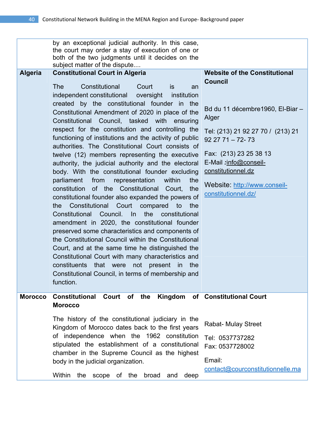| <b>Algeria</b> | by an exceptional judicial authority. In this case,<br>the court may order a stay of execution of one or<br>both of the two judgments until it decides on the<br>subject matter of the dispute<br><b>Constitutional Court in Algeria</b><br>Constitutional<br><b>The</b><br>Court<br><i>is</i><br>an<br>independent constitutional<br>oversight<br>institution<br>created by the constitutional founder in the<br>Constitutional Amendment of 2020 in place of the<br>Constitutional Council, tasked with ensuring<br>respect for the constitution and controlling the<br>functioning of institutions and the activity of public<br>authorities. The Constitutional Court consists of<br>twelve (12) members representing the executive<br>authority, the judicial authority and the electoral<br>body. With the constitutional founder excluding<br>parliament<br>from<br>representation<br>within<br>the<br>constitution of the Constitutional Court,<br>the<br>constitutional founder also expanded the powers of<br>Constitutional Court<br>the<br>compared<br>to<br>the<br>the<br>Constitutional<br>Council.<br>$\ln$<br>constitutional<br>amendment in 2020, the constitutional founder<br>preserved some characteristics and components of | <b>Website of the Constitutional</b><br><b>Council</b><br>Bd du 11 décembre 1960, El-Biar -<br>Alger<br>Tel: (213) 21 92 27 70 / (213) 21<br>$922771 - 72 - 73$<br>Fax: (213) 23 25 38 13<br>E-Mail :info@conseil-<br>constitutionnel.dz<br>Website: http://www.conseil-<br>constitutionnel.dz/ |
|----------------|---------------------------------------------------------------------------------------------------------------------------------------------------------------------------------------------------------------------------------------------------------------------------------------------------------------------------------------------------------------------------------------------------------------------------------------------------------------------------------------------------------------------------------------------------------------------------------------------------------------------------------------------------------------------------------------------------------------------------------------------------------------------------------------------------------------------------------------------------------------------------------------------------------------------------------------------------------------------------------------------------------------------------------------------------------------------------------------------------------------------------------------------------------------------------------------------------------------------------------------------------|-------------------------------------------------------------------------------------------------------------------------------------------------------------------------------------------------------------------------------------------------------------------------------------------------|
|                | the Constitutional Council within the Constitutional<br>Court, and at the same time he distinguished the<br>Constitutional Court with many characteristics and<br>constituents<br>that were<br>not<br>present in<br>the<br>Constitutional Council, in terms of membership and<br>function.                                                                                                                                                                                                                                                                                                                                                                                                                                                                                                                                                                                                                                                                                                                                                                                                                                                                                                                                                        |                                                                                                                                                                                                                                                                                                 |
| <b>Morocco</b> | Constitutional Court of the<br><b>Morocco</b>                                                                                                                                                                                                                                                                                                                                                                                                                                                                                                                                                                                                                                                                                                                                                                                                                                                                                                                                                                                                                                                                                                                                                                                                     | Kingdom of Constitutional Court                                                                                                                                                                                                                                                                 |
|                | The history of the constitutional judiciary in the<br>Kingdom of Morocco dates back to the first years<br>of independence when the 1962 constitution<br>stipulated the establishment of a constitutional<br>chamber in the Supreme Council as the highest<br>body in the judicial organization.<br>Within<br>the<br>broad<br>scope of the<br>deep<br>and                                                                                                                                                                                                                                                                                                                                                                                                                                                                                                                                                                                                                                                                                                                                                                                                                                                                                          | <b>Rabat-Mulay Street</b><br>Tel: 0537737282<br>Fax: 0537728002<br>Email:<br>contact@courconstitutionnelle.ma                                                                                                                                                                                   |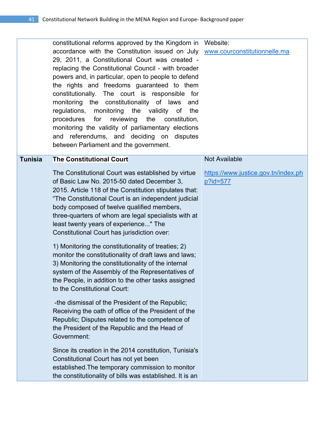|                | constitutional reforms approved by the Kingdom in Website:<br>accordance with the Constitution issued on July www.courconstitutionnelle.ma<br>29, 2011, a Constitutional Court was created -<br>replacing the Constitutional Council - with broader<br>powers and, in particular, open to people to defend<br>the rights and freedoms guaranteed to them<br>constitutionally. The court is responsible for<br>monitoring the constitutionality of laws<br>and<br>regulations, monitoring the validity of the<br>procedures<br>for<br>reviewing<br>the<br>constitution,<br>monitoring the validity of parliamentary elections<br>and referendums, and deciding on disputes<br>between Parliament and the government.                                                                    |                                                 |
|----------------|----------------------------------------------------------------------------------------------------------------------------------------------------------------------------------------------------------------------------------------------------------------------------------------------------------------------------------------------------------------------------------------------------------------------------------------------------------------------------------------------------------------------------------------------------------------------------------------------------------------------------------------------------------------------------------------------------------------------------------------------------------------------------------------|-------------------------------------------------|
| <b>Tunisia</b> | <b>The Constitutional Court</b>                                                                                                                                                                                                                                                                                                                                                                                                                                                                                                                                                                                                                                                                                                                                                        | <b>Not Available</b>                            |
|                | The Constitutional Court was established by virtue<br>of Basic Law No. 2015-50 dated December 3,<br>2015. Article 118 of the Constitution stipulates that:<br>"The Constitutional Court is an independent judicial<br>body composed of twelve qualified members,<br>three-quarters of whom are legal specialists with at<br>least twenty years of experience" The<br>Constitutional Court has jurisdiction over:<br>1) Monitoring the constitutionality of treaties; 2)<br>monitor the constitutionality of draft laws and laws;<br>3) Monitoring the constitutionality of the internal<br>system of the Assembly of the Representatives of<br>the People, in addition to the other tasks assigned<br>to the Constitutional Court:<br>-the dismissal of the President of the Republic; | https://www.justice.gov.tn/index.ph<br>p?id=577 |
|                | Receiving the oath of office of the President of the<br>Republic; Disputes related to the competence of<br>the President of the Republic and the Head of<br>Government:<br>Since its creation in the 2014 constitution, Tunisia's                                                                                                                                                                                                                                                                                                                                                                                                                                                                                                                                                      |                                                 |
|                | Constitutional Court has not yet been<br>established. The temporary commission to monitor<br>the constitutionality of bills was established. It is an                                                                                                                                                                                                                                                                                                                                                                                                                                                                                                                                                                                                                                  |                                                 |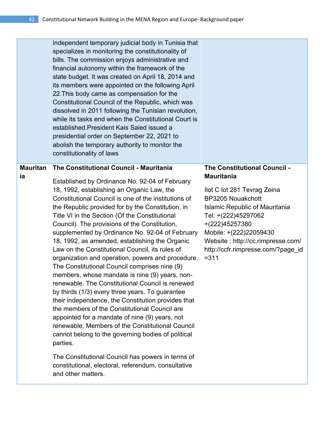|                       | independent temporary judicial body in Tunisia that<br>specializes in monitoring the constitutionality of<br>bills. The commission enjoys administrative and<br>financial autonomy within the framework of the<br>state budget. It was created on April 18, 2014 and<br>its members were appointed on the following April<br>22. This body came as compensation for the<br>Constitutional Council of the Republic, which was<br>dissolved in 2011 following the Tunisian revolution,<br>while its tasks end when the Constitutional Court is<br>established. President Kais Saied issued a<br>presidential order on September 22, 2021 to<br>abolish the temporary authority to monitor the<br>constitutionality of laws                                                                                                                                                                                                                                                                                                                                      |                                                                                                                                                                                                                                                                                                                |
|-----------------------|---------------------------------------------------------------------------------------------------------------------------------------------------------------------------------------------------------------------------------------------------------------------------------------------------------------------------------------------------------------------------------------------------------------------------------------------------------------------------------------------------------------------------------------------------------------------------------------------------------------------------------------------------------------------------------------------------------------------------------------------------------------------------------------------------------------------------------------------------------------------------------------------------------------------------------------------------------------------------------------------------------------------------------------------------------------|----------------------------------------------------------------------------------------------------------------------------------------------------------------------------------------------------------------------------------------------------------------------------------------------------------------|
| <b>Mauritan</b><br>ia | The Constitutional Council - Mauritania<br>Established by Ordinance No. 92-04 of February<br>18, 1992, establishing an Organic Law, the<br>Constitutional Council is one of the institutions of<br>the Republic provided for by the Constitution, in<br>Title VI in the Section (Of the Constitutional<br>Council). The provisions of the Constitution,<br>supplemented by Ordinance No. 92-04 of February<br>18, 1992, as amended, establishing the Organic<br>Law on the Constitutional Council, its rules of<br>organization and operation, powers and procedure.<br>The Constitutional Council comprises nine (9)<br>members, whose mandate is nine (9) years, non-<br>renewable. The Constitutional Council is renewed<br>by thirds (1/3) every three years. To guarantee<br>their independence, the Constitution provides that<br>the members of the Constitutional Council are<br>appointed for a mandate of nine (9) years, not<br>renewable. Members of the Constitutional Council<br>cannot belong to the governing bodies of political<br>parties. | The Constitutional Council -<br><b>Mauritania</b><br>Ilot C lot 281 Tevrag Zeina<br><b>BP3205 Nouakchott</b><br><b>Islamic Republic of Mauritania</b><br>Tel: +(222)45297062<br>+(222)45257380<br>Mobile: +(222)22059430<br>Website: http://cc.rimpresse.com/<br>http://ccfr.rimpresse.com/?page_id<br>$= 311$ |
|                       | The Constitutional Council has powers in terms of                                                                                                                                                                                                                                                                                                                                                                                                                                                                                                                                                                                                                                                                                                                                                                                                                                                                                                                                                                                                             |                                                                                                                                                                                                                                                                                                                |

constitutional, electoral, referendum, consultative and other matters.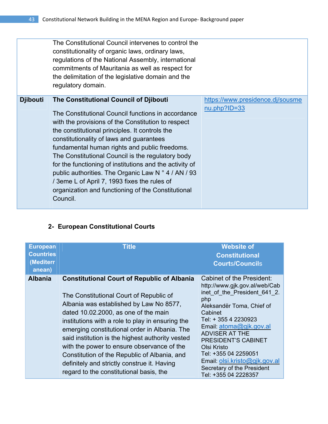|                 | The Constitutional Council intervenes to control the<br>constitutionality of organic laws, ordinary laws,<br>regulations of the National Assembly, international<br>commitments of Mauritania as well as respect for<br>the delimitation of the legislative domain and the<br>regulatory domain.                                                                                                                                                                                                                                                                                                   |                                                    |
|-----------------|----------------------------------------------------------------------------------------------------------------------------------------------------------------------------------------------------------------------------------------------------------------------------------------------------------------------------------------------------------------------------------------------------------------------------------------------------------------------------------------------------------------------------------------------------------------------------------------------------|----------------------------------------------------|
| <b>Djibouti</b> | The Constitutional Council of Djibouti<br>The Constitutional Council functions in accordance<br>with the provisions of the Constitution to respect<br>the constitutional principles. It controls the<br>constitutionality of laws and guarantees<br>fundamental human rights and public freedoms.<br>The Constitutional Council is the regulatory body<br>for the functioning of institutions and the activity of<br>public authorities. The Organic Law N $\degree$ 4 / AN / 93<br>/ 3eme L of April 7, 1993 fixes the rules of<br>organization and functioning of the Constitutional<br>Council. | https://www.presidence.dj/sousme<br>$nu.php?ID=33$ |

### **2- European Constitutional Courts**

| <b>European</b><br><b>Countries</b><br>(Mediterr<br>anean) | <b>Title</b>                                                                                                                                                                                                                                                                                                                                                                                                                                                                                                                      | <b>Website of</b><br><b>Constitutional</b><br><b>Courts/Councils</b>                                                                                                                                                                                                                                                                                                              |
|------------------------------------------------------------|-----------------------------------------------------------------------------------------------------------------------------------------------------------------------------------------------------------------------------------------------------------------------------------------------------------------------------------------------------------------------------------------------------------------------------------------------------------------------------------------------------------------------------------|-----------------------------------------------------------------------------------------------------------------------------------------------------------------------------------------------------------------------------------------------------------------------------------------------------------------------------------------------------------------------------------|
| <b>Albania</b>                                             | <b>Constitutional Court of Republic of Albania</b><br>The Constitutional Court of Republic of<br>Albania was established by Law No 8577,<br>dated 10.02.2000, as one of the main<br>institutions with a role to play in ensuring the<br>emerging constitutional order in Albania. The<br>said institution is the highest authority vested<br>with the power to ensure observance of the<br>Constitution of the Republic of Albania, and<br>definitely and strictly construe it. Having<br>regard to the constitutional basis, the | Cabinet of the President:<br>http://www.gjk.gov.al/web/Cab<br>inet of the President 641 2.<br>php<br>Aleksandër Toma, Chief of<br>Cabinet<br>Tel: + 355 4 2230923<br>Email: atoma@gjk.gov.al<br><b>ADVISER AT THE</b><br><b>PRESIDENT'S CABINET</b><br>Olsi Kristo<br>Tel: +355 04 2259051<br>Email: olsi.kristo@gjk.gov.al<br>Secretary of the President<br>Tel: +355 04 2228357 |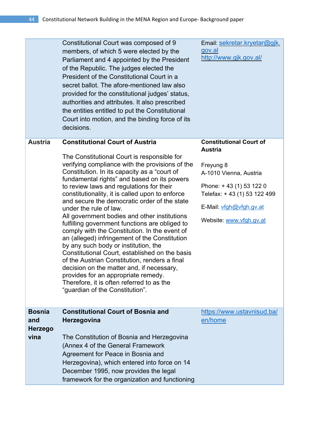|                | Constitutional Court was composed of 9<br>members, of which 5 were elected by the<br>Parliament and 4 appointed by the President<br>of the Republic. The judges elected the<br>President of the Constitutional Court in a<br>secret ballot. The afore-mentioned law also<br>provided for the constitutional judges' status,<br>authorities and attributes. It also prescribed<br>the entities entitled to put the Constitutional<br>Court into motion, and the binding force of its<br>decisions.                                                                                                                                                                                                                                                                                                                                                                                                                                  | Email: sekretar.kryetar@gjk.<br>gov.al<br>http://www.gjk.gov.al/                                                                                                                                        |
|----------------|------------------------------------------------------------------------------------------------------------------------------------------------------------------------------------------------------------------------------------------------------------------------------------------------------------------------------------------------------------------------------------------------------------------------------------------------------------------------------------------------------------------------------------------------------------------------------------------------------------------------------------------------------------------------------------------------------------------------------------------------------------------------------------------------------------------------------------------------------------------------------------------------------------------------------------|---------------------------------------------------------------------------------------------------------------------------------------------------------------------------------------------------------|
| <b>Austria</b> | <b>Constitutional Court of Austria</b><br>The Constitutional Court is responsible for<br>verifying compliance with the provisions of the<br>Constitution. In its capacity as a "court of<br>fundamental rights" and based on its powers<br>to review laws and regulations for their<br>constitutionality, it is called upon to enforce<br>and secure the democratic order of the state<br>under the rule of law.<br>All government bodies and other institutions<br>fulfilling government functions are obliged to<br>comply with the Constitution. In the event of<br>an (alleged) infringement of the Constitution<br>by any such body or institution, the<br>Constitutional Court, established on the basis<br>of the Austrian Constitution, renders a final<br>decision on the matter and, if necessary,<br>provides for an appropriate remedy<br>Therefore, it is often referred to as the<br>"guardian of the Constitution". | <b>Constitutional Court of</b><br><b>Austria</b><br>Freyung 8<br>A-1010 Vienna, Austria<br>Phone: +43 (1) 53 122 0<br>Telefax: +43 (1) 53 122 499<br>E-Mail: vfgh@vfgh.gv.at<br>Website: www.vfgh.gv.at |
| <b>Bosnia</b>  | <b>Constitutional Court of Bosnia and</b>                                                                                                                                                                                                                                                                                                                                                                                                                                                                                                                                                                                                                                                                                                                                                                                                                                                                                          | https://www.ustavnisud.ba/                                                                                                                                                                              |
| and            | <b>Herzegovina</b>                                                                                                                                                                                                                                                                                                                                                                                                                                                                                                                                                                                                                                                                                                                                                                                                                                                                                                                 | en/home                                                                                                                                                                                                 |
| <b>Herzego</b> |                                                                                                                                                                                                                                                                                                                                                                                                                                                                                                                                                                                                                                                                                                                                                                                                                                                                                                                                    |                                                                                                                                                                                                         |
| vina           | The Constitution of Bosnia and Herzegovina                                                                                                                                                                                                                                                                                                                                                                                                                                                                                                                                                                                                                                                                                                                                                                                                                                                                                         |                                                                                                                                                                                                         |
|                | (Annex 4 of the General Framework                                                                                                                                                                                                                                                                                                                                                                                                                                                                                                                                                                                                                                                                                                                                                                                                                                                                                                  |                                                                                                                                                                                                         |
|                | Agreement for Peace in Bosnia and                                                                                                                                                                                                                                                                                                                                                                                                                                                                                                                                                                                                                                                                                                                                                                                                                                                                                                  |                                                                                                                                                                                                         |
|                | Herzegovina), which entered into force on 14                                                                                                                                                                                                                                                                                                                                                                                                                                                                                                                                                                                                                                                                                                                                                                                                                                                                                       |                                                                                                                                                                                                         |
|                | December 1995, now provides the legal                                                                                                                                                                                                                                                                                                                                                                                                                                                                                                                                                                                                                                                                                                                                                                                                                                                                                              |                                                                                                                                                                                                         |
|                | framework for the organization and functioning                                                                                                                                                                                                                                                                                                                                                                                                                                                                                                                                                                                                                                                                                                                                                                                                                                                                                     |                                                                                                                                                                                                         |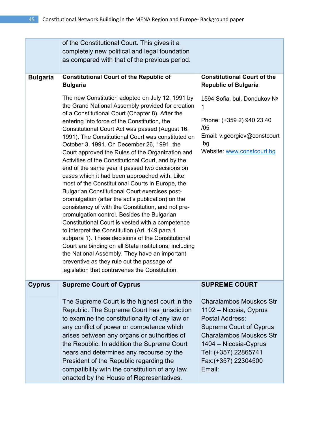|                 | of the Constitutional Court. This gives it a<br>completely new political and legal foundation<br>as compared with that of the previous period.                                                                                                                                                                                                                                                                                                                                                                                                                                                                                                                                                                                                                                                                                                                                                                                                                                                                                                                                                                                                                                                                              |                                                                                                                                                                                                                                                            |
|-----------------|-----------------------------------------------------------------------------------------------------------------------------------------------------------------------------------------------------------------------------------------------------------------------------------------------------------------------------------------------------------------------------------------------------------------------------------------------------------------------------------------------------------------------------------------------------------------------------------------------------------------------------------------------------------------------------------------------------------------------------------------------------------------------------------------------------------------------------------------------------------------------------------------------------------------------------------------------------------------------------------------------------------------------------------------------------------------------------------------------------------------------------------------------------------------------------------------------------------------------------|------------------------------------------------------------------------------------------------------------------------------------------------------------------------------------------------------------------------------------------------------------|
| <b>Bulgaria</b> | <b>Constitutional Court of the Republic of</b><br><b>Bulgaria</b>                                                                                                                                                                                                                                                                                                                                                                                                                                                                                                                                                                                                                                                                                                                                                                                                                                                                                                                                                                                                                                                                                                                                                           | <b>Constitutional Court of the</b><br><b>Republic of Bulgaria</b>                                                                                                                                                                                          |
|                 | The new Constitution adopted on July 12, 1991 by<br>the Grand National Assembly provided for creation<br>of a Constitutional Court (Chapter 8). After the<br>entering into force of the Constitution, the<br>Constitutional Court Act was passed (August 16,<br>1991). The Constitutional Court was constituted on<br>October 3, 1991. On December 26, 1991, the<br>Court approved the Rules of the Organization and<br>Activities of the Constitutional Court, and by the<br>end of the same year it passed two decisions on<br>cases which it had been approached with. Like<br>most of the Constitutional Courts in Europe, the<br><b>Bulgarian Constitutional Court exercises post-</b><br>promulgation (after the act's publication) on the<br>consistency of with the Constitution, and not pre-<br>promulgation control. Besides the Bulgarian<br>Constitutional Court is vested with a competence<br>to interpret the Constitution (Art. 149 para 1<br>subpara 1). These decisions of the Constitutional<br>Court are binding on all State institutions, including<br>the National Assembly. They have an important<br>preventive as they rule out the passage of<br>legislation that contravenes the Constitution. | 1594 Sofia, bul. Dondukov Nº<br>1<br>Phone: (+359 2) 940 23 40<br>/05<br>Email: v.georgiev@constcourt<br>.bg<br>Website: www.constcourt.bg                                                                                                                 |
| <b>Cyprus</b>   | <b>Supreme Court of Cyprus</b><br>The Supreme Court is the highest court in the<br>Republic. The Supreme Court has jurisdiction<br>to examine the constitutionality of any law or<br>any conflict of power or competence which<br>arises between any organs or authorities of<br>the Republic. In addition the Supreme Court<br>hears and determines any recourse by the<br>President of the Republic regarding the<br>compatibility with the constitution of any law<br>enacted by the House of Representatives.                                                                                                                                                                                                                                                                                                                                                                                                                                                                                                                                                                                                                                                                                                           | <b>SUPREME COURT</b><br><b>Charalambos Mouskos Str</b><br>1102 – Nicosia, Cyprus<br>Postal Address:<br><b>Supreme Court of Cyprus</b><br><b>Charalambos Mouskos Str</b><br>1404 - Nicosia-Cyprus<br>Tel: (+357) 22865741<br>Fax: (+357) 22304500<br>Email: |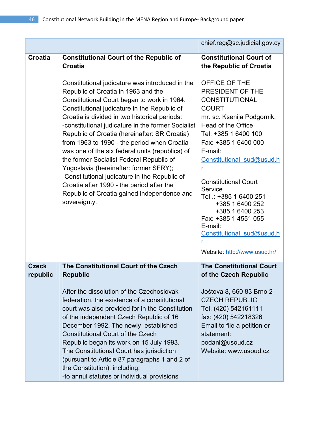|                          |                                                                                                                                                                                                                                                                                                                                                                                                                                                                                                                                                                                                                                                                                                    | chief.reg@sc.judicial.gov.cy                                                                                                                                                                                                                                                                                                                                                                                                                |
|--------------------------|----------------------------------------------------------------------------------------------------------------------------------------------------------------------------------------------------------------------------------------------------------------------------------------------------------------------------------------------------------------------------------------------------------------------------------------------------------------------------------------------------------------------------------------------------------------------------------------------------------------------------------------------------------------------------------------------------|---------------------------------------------------------------------------------------------------------------------------------------------------------------------------------------------------------------------------------------------------------------------------------------------------------------------------------------------------------------------------------------------------------------------------------------------|
| Croatia                  | <b>Constitutional Court of the Republic of</b><br><b>Croatia</b>                                                                                                                                                                                                                                                                                                                                                                                                                                                                                                                                                                                                                                   | <b>Constitutional Court of</b><br>the Republic of Croatia                                                                                                                                                                                                                                                                                                                                                                                   |
|                          | Constitutional judicature was introduced in the<br>Republic of Croatia in 1963 and the<br>Constitutional Court began to work in 1964.<br>Constitutional judicature in the Republic of<br>Croatia is divided in two historical periods:<br>-constitutional judicature in the former Socialist<br>Republic of Croatia (hereinafter: SR Croatia)<br>from 1963 to 1990 - the period when Croatia<br>was one of the six federal units (republics) of<br>the former Socialist Federal Republic of<br>Yugoslavia (hereinafter: former SFRY);<br>-Constitutional judicature in the Republic of<br>Croatia after 1990 - the period after the<br>Republic of Croatia gained independence and<br>sovereignty. | OFFICE OF THE<br>PRESIDENT OF THE<br><b>CONSTITUTIONAL</b><br><b>COURT</b><br>mr. sc. Ksenija Podgornik,<br>Head of the Office<br>Tel: +385 1 6400 100<br>Fax: +385 1 6400 000<br>E-mail:<br>Constitutional sud@usud.h<br>r<br><b>Constitutional Court</b><br>Service<br>Tel .: +385 1 6400 251<br>+385 1 6400 252<br>+385 1 6400 253<br>Fax: +385 1 4551 055<br>E-mail:<br>Constitutional sud@usud.h<br>r.<br>Website: http://www.usud.hr/ |
| <b>Czeck</b><br>republic | The Constitutional Court of the Czech<br><b>Republic</b>                                                                                                                                                                                                                                                                                                                                                                                                                                                                                                                                                                                                                                           | <b>The Constitutional Court</b><br>of the Czech Republic                                                                                                                                                                                                                                                                                                                                                                                    |
|                          | After the dissolution of the Czechoslovak<br>federation, the existence of a constitutional<br>court was also provided for in the Constitution<br>of the independent Czech Republic of 16<br>December 1992. The newly established<br><b>Constitutional Court of the Czech</b><br>Republic began its work on 15 July 1993.<br>The Constitutional Court has jurisdiction<br>(pursuant to Article 87 paragraphs 1 and 2 of<br>the Constitution), including:<br>-to annul statutes or individual provisions                                                                                                                                                                                             | Joštova 8, 660 83 Brno 2<br><b>CZECH REPUBLIC</b><br>Tel. (420) 542161111<br>fax: (420) 542218326<br>Email to file a petition or<br>statement:<br>podani@usoud.cz<br>Website: www.usoud.cz                                                                                                                                                                                                                                                  |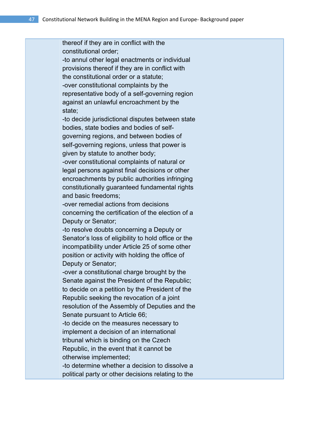thereof if they are in conflict with the constitutional order; -to annul other legal enactments or individual provisions thereof if they are in conflict with the constitutional order or a statute; -over constitutional complaints by the representative body of a self-governing region against an unlawful encroachment by the state; -to decide jurisdictional disputes between state bodies, state bodies and bodies of selfgoverning regions, and between bodies of self-governing regions, unless that power is given by statute to another body; -over constitutional complaints of natural or legal persons against final decisions or other encroachments by public authorities infringing constitutionally guaranteed fundamental rights and basic freedoms; -over remedial actions from decisions concerning the certification of the election of a Deputy or Senator; -to resolve doubts concerning a Deputy or Senator's loss of eligibility to hold office or the incompatibility under Article 25 of some other position or activity with holding the office of Deputy or Senator; -over a constitutional charge brought by the Senate against the President of the Republic; to decide on a petition by the President of the Republic seeking the revocation of a joint resolution of the Assembly of Deputies and the Senate pursuant to Article 66; -to decide on the measures necessary to implement a decision of an international tribunal which is binding on the Czech Republic, in the event that it cannot be otherwise implemented; -to determine whether a decision to dissolve a political party or other decisions relating to the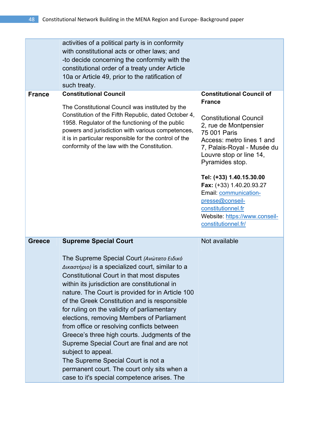|               | activities of a political party is in conformity<br>with constitutional acts or other laws; and<br>-to decide concerning the conformity with the<br>constitutional order of a treaty under Article<br>10a or Article 49, prior to the ratification of<br>such treaty.                                                                                                                                                                                                                                                                                                                                                                                                                                                               |                                                                                                                                                                                                                                                                                                                                                                                                                        |
|---------------|-------------------------------------------------------------------------------------------------------------------------------------------------------------------------------------------------------------------------------------------------------------------------------------------------------------------------------------------------------------------------------------------------------------------------------------------------------------------------------------------------------------------------------------------------------------------------------------------------------------------------------------------------------------------------------------------------------------------------------------|------------------------------------------------------------------------------------------------------------------------------------------------------------------------------------------------------------------------------------------------------------------------------------------------------------------------------------------------------------------------------------------------------------------------|
| <b>France</b> | <b>Constitutional Council</b><br>The Constitutional Council was instituted by the<br>Constitution of the Fifth Republic, dated October 4,<br>1958. Regulator of the functioning of the public<br>powers and jurisdiction with various competences,<br>it is in particular responsible for the control of the<br>conformity of the law with the Constitution.                                                                                                                                                                                                                                                                                                                                                                        | <b>Constitutional Council of</b><br><b>France</b><br><b>Constitutional Council</b><br>2, rue de Montpensier<br>75 001 Paris<br>Access: metro lines 1 and<br>7, Palais-Royal - Musée du<br>Louvre stop or line 14,<br>Pyramides stop.<br>Tel: (+33) 1.40.15.30.00<br>Fax: (+33) 1.40.20.93.27<br>Email: communication-<br>presse@conseil-<br>constitutionnel.fr<br>Website: https://www.conseil-<br>constitutionnel.fr/ |
| <b>Greece</b> | <b>Supreme Special Court</b><br>The Supreme Special Court (Ανώτατο Ειδικό<br>Δικαστήριο) is a specialized court, similar to a<br>Constitutional Court in that most disputes<br>within its jurisdiction are constitutional in<br>nature. The Court is provided for in Article 100<br>of the Greek Constitution and is responsible<br>for ruling on the validity of parliamentary<br>elections, removing Members of Parliament<br>from office or resolving conflicts between<br>Greece's three high courts. Judgments of the<br>Supreme Special Court are final and are not<br>subject to appeal.<br>The Supreme Special Court is not a<br>permanent court. The court only sits when a<br>case to it's special competence arises. The | Not available                                                                                                                                                                                                                                                                                                                                                                                                          |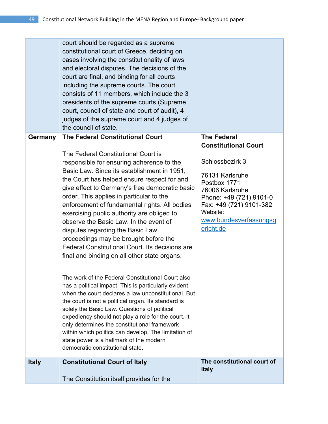| <b>Italy</b> | <b>Constitutional Court of Italy</b><br>The Constitution itself provides for the                                                                                                                                                                                                                                                                                                                                                                                                                                                                                                                                         | The constitutional court of<br><b>Italy</b>                                                                                                                                                                   |
|--------------|--------------------------------------------------------------------------------------------------------------------------------------------------------------------------------------------------------------------------------------------------------------------------------------------------------------------------------------------------------------------------------------------------------------------------------------------------------------------------------------------------------------------------------------------------------------------------------------------------------------------------|---------------------------------------------------------------------------------------------------------------------------------------------------------------------------------------------------------------|
|              | Federal Constitutional Court. Its decisions are<br>final and binding on all other state organs.<br>The work of the Federal Constitutional Court also<br>has a political impact. This is particularly evident<br>when the court declares a law unconstitutional. But<br>the court is not a political organ. Its standard is<br>solely the Basic Law. Questions of political<br>expediency should not play a role for the court. It<br>only determines the constitutional framework<br>within which politics can develop. The limitation of<br>state power is a hallmark of the modern<br>democratic constitutional state. |                                                                                                                                                                                                               |
|              | The Federal Constitutional Court is<br>responsible for ensuring adherence to the<br>Basic Law. Since its establishment in 1951,<br>the Court has helped ensure respect for and<br>give effect to Germany's free democratic basic<br>order. This applies in particular to the<br>enforcement of fundamental rights. All bodies<br>exercising public authority are obliged to<br>observe the Basic Law. In the event of<br>disputes regarding the Basic Law,<br>proceedings may be brought before the                                                                                                                      | <b>Constitutional Court</b><br>Schlossbezirk 3<br>76131 Karlsruhe<br>Postbox 1771<br>76006 Karlsruhe<br>Phone: +49 (721) 9101-0<br>Fax: +49 (721) 9101-382<br>Website:<br>www.bundesverfassungsg<br>ericht.de |
| Germany      | court should be regarded as a supreme<br>constitutional court of Greece, deciding on<br>cases involving the constitutionality of laws<br>and electoral disputes. The decisions of the<br>court are final, and binding for all courts<br>including the supreme courts. The court<br>consists of 11 members, which include the 3<br>presidents of the supreme courts (Supreme<br>court, council of state and court of audit), 4<br>judges of the supreme court and 4 judges of<br>the council of state.<br><b>The Federal Constitutional Court</b>                                                                         | <b>The Federal</b>                                                                                                                                                                                            |
|              |                                                                                                                                                                                                                                                                                                                                                                                                                                                                                                                                                                                                                          |                                                                                                                                                                                                               |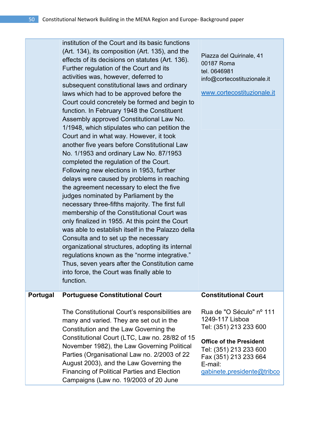institution of the Court and its basic functions (Art. 134), its composition (Art. 135), and the effects of its decisions on statutes (Art. 136). Further regulation of the Court and its activities was, however, deferred to subsequent constitutional laws and ordinary laws which had to be approved before the Court could concretely be formed and begin to function. In February 1948 the Constituent Assembly approved Constitutional Law No. 1/1948, which stipulates who can petition the Court and in what way. However, it took another five years before Constitutional Law No. 1/1953 and ordinary Law No. 87/1953 completed the regulation of the Court. Following new elections in 1953, further delays were caused by problems in reaching the agreement necessary to elect the five judges nominated by Parliament by the necessary three-fifths majority. The first full membership of the Constitutional Court was only finalized in 1955. At this point the Court was able to establish itself in the Palazzo della Consulta and to set up the necessary organizational structures, adopting its internal regulations known as the "norme integrative." Thus, seven years after the Constitution came into force, the Court was finally able to function.

Piazza del Quirinale, 41 00187 Roma tel. 0646981 info@cortecostituzionale.it

www.cortecostituzionale.it

#### **Portugal Portuguese Constitutional Court**

The Constitutional Court's responsibilities are many and varied. They are set out in the Constitution and the Law Governing the Constitutional Court (LTC, Law no. 28/82 of 15 November 1982), the Law Governing Political Parties (Organisational Law no. 2/2003 of 22 August 2003), and the Law Governing the Financing of Political Parties and Election Campaigns (Law no. 19/2003 of 20 June

### **Constitutional Court**

Rua de "O Século" nº 111 1249-117 Lisboa Tel: (351) 213 233 600

#### **Office of the President**

Tel: (351) 213 233 600 Fax (351) 213 233 664 E-mail: gabinete.presidente@tribco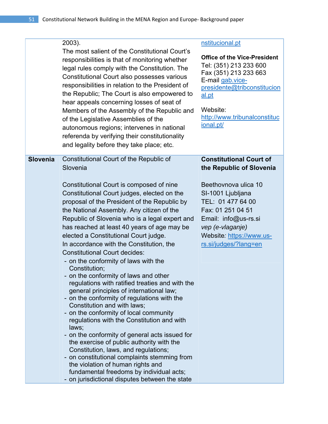|                 | 2003).<br>The most salient of the Constitutional Court's<br>responsibilities is that of monitoring whether<br>legal rules comply with the Constitution. The<br>Constitutional Court also possesses various<br>responsibilities in relation to the President of<br>the Republic; The Court is also empowered to<br>hear appeals concerning losses of seat of<br>Members of the Assembly of the Republic and<br>of the Legislative Assemblies of the<br>autonomous regions; intervenes in national<br>referenda by verifying their constitutionality<br>and legality before they take place; etc.                                                                                                                                                                                                                                                                                                                                                                                                                                                                                                                                                                                     | nstitucional.pt<br><b>Office of the Vice-President</b><br>Tel: (351) 213 233 600<br>Fax (351) 213 233 663<br>E-mail gab.vice-<br>presidente@tribconstitucion<br>al.pt<br>Website:<br>http://www.tribunalconstituc<br>ional.pt/                     |
|-----------------|-------------------------------------------------------------------------------------------------------------------------------------------------------------------------------------------------------------------------------------------------------------------------------------------------------------------------------------------------------------------------------------------------------------------------------------------------------------------------------------------------------------------------------------------------------------------------------------------------------------------------------------------------------------------------------------------------------------------------------------------------------------------------------------------------------------------------------------------------------------------------------------------------------------------------------------------------------------------------------------------------------------------------------------------------------------------------------------------------------------------------------------------------------------------------------------|----------------------------------------------------------------------------------------------------------------------------------------------------------------------------------------------------------------------------------------------------|
| <b>Slovenia</b> | Constitutional Court of the Republic of<br>Slovenia<br>Constitutional Court is composed of nine<br>Constitutional Court judges, elected on the<br>proposal of the President of the Republic by<br>the National Assembly. Any citizen of the<br>Republic of Slovenia who is a legal expert and<br>has reached at least 40 years of age may be<br>elected a Constitutional Court judge.<br>In accordance with the Constitution, the<br><b>Constitutional Court decides:</b><br>- on the conformity of laws with the<br>Constitution;<br>- on the conformity of laws and other<br>regulations with ratified treaties and with the<br>general principles of international law;<br>- on the conformity of regulations with the<br>Constitution and with laws;<br>- on the conformity of local community<br>regulations with the Constitution and with<br>laws;<br>- on the conformity of general acts issued for<br>the exercise of public authority with the<br>Constitution, laws, and regulations;<br>- on constitutional complaints stemming from<br>the violation of human rights and<br>fundamental freedoms by individual acts;<br>- on jurisdictional disputes between the state | <b>Constitutional Court of</b><br>the Republic of Slovenia<br>Beethovnova ulica 10<br>SI-1001 Ljubljana<br>TEL: 01 477 64 00<br>Fax: 01 251 04 51<br>Email: info@us-rs.si<br>vep (e-vlaganje)<br>Website: https://www.us-<br>rs.si/judges/?lang=en |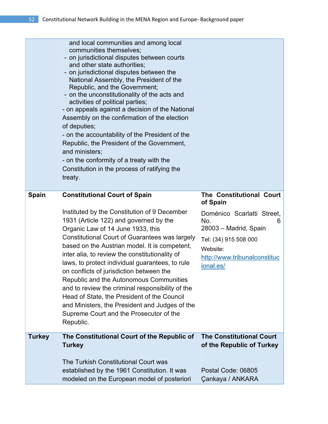|               | and local communities and among local<br>communities themselves:<br>- on jurisdictional disputes between courts<br>and other state authorities;<br>- on jurisdictional disputes between the<br>National Assembly, the President of the<br>Republic, and the Government;<br>- on the unconstitutionality of the acts and<br>activities of political parties;<br>- on appeals against a decision of the National<br>Assembly on the confirmation of the election<br>of deputies;<br>- on the accountability of the President of the<br>Republic, the President of the Government,<br>and ministers;<br>- on the conformity of a treaty with the<br>Constitution in the process of ratifying the<br>treaty. |                                                                                                                                                                                           |
|---------------|----------------------------------------------------------------------------------------------------------------------------------------------------------------------------------------------------------------------------------------------------------------------------------------------------------------------------------------------------------------------------------------------------------------------------------------------------------------------------------------------------------------------------------------------------------------------------------------------------------------------------------------------------------------------------------------------------------|-------------------------------------------------------------------------------------------------------------------------------------------------------------------------------------------|
| <b>Spain</b>  | <b>Constitutional Court of Spain</b><br>Instituted by the Constitution of 9 December<br>1931 (Article 122) and governed by the<br>Organic Law of 14 June 1933, this<br>Constitutional Court of Guarantees was largely<br>based on the Austrian model. It is competent,<br>inter alia, to review the constitutionality of<br>laws, to protect individual guarantees, to rule<br>on conflicts of jurisdiction between the<br>Republic and the Autonomous Communities<br>and to review the criminal responsibility of the<br>Head of State, the President of the Council<br>and Ministers, the President and Judges of the<br>Supreme Court and the Prosecutor of the<br>Republic.                          | The Constitutional Court<br>of Spain<br>Doménico Scarlatti Street,<br>No.<br>6<br>28003 - Madrid, Spain<br>Tel: (34) 915 508 000<br>Website:<br>http://www.tribunalconstituc<br>ional.es/ |
| <b>Turkey</b> | The Constitutional Court of the Republic of<br><b>Turkey</b><br>The Turkish Constitutional Court was<br>established by the 1961 Constitution. It was<br>modeled on the European model of posteriori                                                                                                                                                                                                                                                                                                                                                                                                                                                                                                      | <b>The Constitutional Court</b><br>of the Republic of Turkey<br>Postal Code: 06805<br>Çankaya / ANKARA                                                                                    |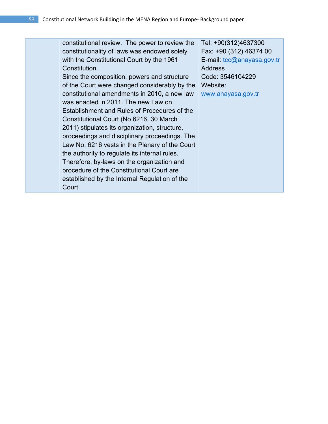| constitutional review. The power to review the | Tel: +90(312)4637300       |
|------------------------------------------------|----------------------------|
| constitutionality of laws was endowed solely   | Fax: +90 (312) 46374 00    |
| with the Constitutional Court by the 1961      | E-mail: tcc@anayasa.gov.tr |
| Constitution.                                  | <b>Address</b>             |
| Since the composition, powers and structure    | Code: 3546104229           |
| of the Court were changed considerably by the  | Website:                   |
| constitutional amendments in 2010, a new law   | www.anayasa.gov.tr         |
| was enacted in 2011. The new Law on            |                            |
| Establishment and Rules of Procedures of the   |                            |
| Constitutional Court (No 6216, 30 March        |                            |
| 2011) stipulates its organization, structure,  |                            |
| proceedings and disciplinary proceedings. The  |                            |
| Law No. 6216 vests in the Plenary of the Court |                            |
| the authority to regulate its internal rules.  |                            |
| Therefore, by-laws on the organization and     |                            |
| procedure of the Constitutional Court are      |                            |
| established by the Internal Regulation of the  |                            |
| Court.                                         |                            |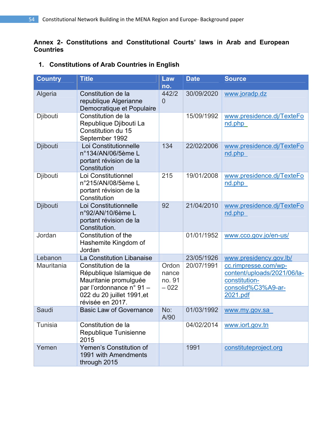### **Annex 2- Constitutions and Constitutional Courts' laws in Arab and European Countries**

### **1. Constitutions of Arab Countries in English**

| <b>Country</b> | <b>Title</b>                                                                                                                                         | Law<br>no.                         | <b>Date</b> | <b>Source</b>                                                                                          |
|----------------|------------------------------------------------------------------------------------------------------------------------------------------------------|------------------------------------|-------------|--------------------------------------------------------------------------------------------------------|
| Algeria        | Constitution de la<br>republique Algerianne<br>Democratique et Populaire                                                                             | 442/2<br>$\overline{0}$            | 30/09/2020  | www.joradp.dz                                                                                          |
| Djibouti       | Constitution de la<br>Republique Djibouti La<br>Constitution du 15<br>September 1992                                                                 |                                    | 15/09/1992  | www.presidence.dj/TexteFo<br>nd.php                                                                    |
| Djibouti       | Loi Constitutionnelle<br>n°134/AN/06/5ème L<br>portant révision de la<br>Constitution                                                                | 134                                | 22/02/2006  | www.presidence.dj/TexteFo<br>nd.php                                                                    |
| Djibouti       | Loi Constitutionnel<br>n°215/AN/08/5ème L<br>portant révision de la<br>Constitution                                                                  | 215                                | 19/01/2008  | www.presidence.dj/TexteFo<br>nd.php                                                                    |
| Djibouti       | Loi Constitutionnelle<br>n°92/AN/10/6ème L<br>portant révision de la<br>Constitution.                                                                | 92                                 | 21/04/2010  | www.presidence.dj/TexteFo<br>nd.php                                                                    |
| Jordan         | Constitution of the<br>Hashemite Kingdom of<br>Jordan                                                                                                |                                    | 01/01/1952  | www.cco.gov.jo/en-us/                                                                                  |
| Lebanon        | La Constitution Libanaise                                                                                                                            |                                    | 23/05/1926  | www.presidency.gov.lb/                                                                                 |
| Mauritania     | Constitution de la<br>République Islamique de<br>Mauritanie promulguée<br>par l'ordonnance n° 91 -<br>022 du 20 juillet 1991, et<br>révisée en 2017. | Ordon<br>nance<br>no. 91<br>$-022$ | 20/07/1991  | cc.rimpresse.com/wp-<br>content/uploads/2021/06/la-<br>constitution-<br>consolid%C3%A9-ar-<br>2021.pdf |
| Saudi          | <b>Basic Law of Governance</b>                                                                                                                       | No:<br>A/90                        | 01/03/1992  | www.my.gov.sa                                                                                          |
| <b>Tunisia</b> | Constitution de la<br>Republique Tunisienne<br>2015                                                                                                  |                                    | 04/02/2014  | www.iort.gov.tn                                                                                        |
| Yemen          | Yemen's Constitution of<br>1991 with Amendments<br>through 2015                                                                                      |                                    | 1991        | constituteproject.org                                                                                  |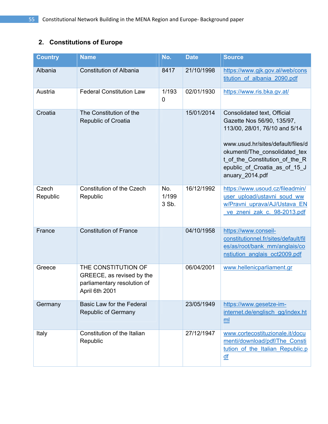# **2. Constitutions of Europe**

| <b>Country</b>    | <b>Name</b>                                                                                       | No.                   | <b>Date</b> | <b>Source</b>                                                                                                                                                                                                                                          |
|-------------------|---------------------------------------------------------------------------------------------------|-----------------------|-------------|--------------------------------------------------------------------------------------------------------------------------------------------------------------------------------------------------------------------------------------------------------|
| Albania           | <b>Constitution of Albania</b>                                                                    | 8417                  | 21/10/1998  | https://www.gjk.gov.al/web/cons<br>titution of albania 2090.pdf                                                                                                                                                                                        |
| Austria           | <b>Federal Constitution Law</b>                                                                   | 1/193<br>$\mathbf 0$  | 02/01/1930  | https://www.ris.bka.gv.at/                                                                                                                                                                                                                             |
| Croatia           | The Constitution of the<br><b>Republic of Croatia</b>                                             |                       | 15/01/2014  | Consolidated text, Official<br>Gazette Nos 56/90, 135/97,<br>113/00, 28/01, 76/10 and 5/14<br>www.usud.hr/sites/default/files/d<br>okumenti/The_consolidated_tex<br>t of the Constitution of the R<br>epublic of Croatia as of 15 J<br>anuary_2014.pdf |
| Czech<br>Republic | <b>Constitution of the Czech</b><br>Republic                                                      | No.<br>1/199<br>3 Sb. | 16/12/1992  | https://www.usoud.cz/fileadmin/<br>user upload/ustavni soud ww<br>w/Pravni uprava/AJ/Ustava EN<br>ve zneni zak c. 98-2013.pdf                                                                                                                          |
| France            | <b>Constitution of France</b>                                                                     |                       | 04/10/1958  | https://www.conseil-<br>constitutionnel.fr/sites/default/fil<br>es/as/root/bank mm/anglais/co<br>nstiution anglais oct2009.pdf                                                                                                                         |
| Greece            | THE CONSTITUTION OF<br>GREECE, as revised by the<br>parliamentary resolution of<br>April 6th 2001 |                       | 06/04/2001  | www.hellenicparliament.gr                                                                                                                                                                                                                              |
| Germany           | Basic Law for the Federal<br><b>Republic of Germany</b>                                           |                       | 23/05/1949  | https://www.gesetze-im-<br>internet.de/englisch_gg/index.ht<br>ml                                                                                                                                                                                      |
| Italy             | Constitution of the Italian<br>Republic                                                           |                       | 27/12/1947  | www.cortecostituzionale.it/docu<br>menti/download/pdf/The Consti<br>tution of the Italian Republic.p<br>$\underline{df}$                                                                                                                               |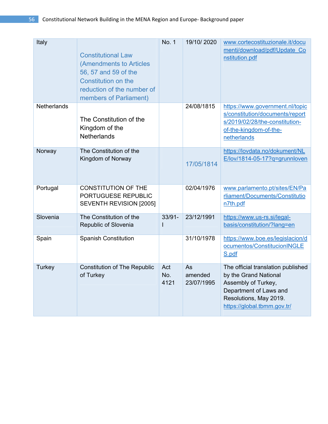| Italy              | <b>Constitutional Law</b><br>(Amendments to Articles<br>56, 57 and 59 of the<br><b>Constitution on the</b><br>reduction of the number of<br>members of Parliament) | <b>No. 1</b>       | 19/10/2020                  | www.cortecostituzionale.it/docu<br>menti/download/pdf/Update Co<br>nstitution.pdf                                                                                     |
|--------------------|--------------------------------------------------------------------------------------------------------------------------------------------------------------------|--------------------|-----------------------------|-----------------------------------------------------------------------------------------------------------------------------------------------------------------------|
| <b>Netherlands</b> | The Constitution of the<br>Kingdom of the<br><b>Netherlands</b>                                                                                                    |                    | 24/08/1815                  | https://www.government.nl/topic<br>s/constitution/documents/report<br>s/2019/02/28/the-constitution-<br>of-the-kingdom-of-the-<br>netherlands                         |
| Norway             | The Constitution of the<br>Kingdom of Norway                                                                                                                       |                    | 17/05/1814                  | https://lovdata.no/dokument/NL<br>E/lov/1814-05-17?q=grunnloven                                                                                                       |
| Portugal           | <b>CONSTITUTION OF THE</b><br>PORTUGUESE REPUBLIC<br>SEVENTH REVISION [2005]                                                                                       |                    | 02/04/1976                  | www.parlamento.pt/sites/EN/Pa<br>rliament/Documents/Constitutio<br>n7th.pdf                                                                                           |
| Slovenia           | The Constitution of the<br>Republic of Slovenia                                                                                                                    | $33/91 -$<br>ı     | 23/12/1991                  | https://www.us-rs.si/legal-<br>basis/constitution/?lang=en                                                                                                            |
| Spain              | <b>Spanish Constitution</b>                                                                                                                                        |                    | 31/10/1978                  | https://www.boe.es/legislacion/d<br>ocumentos/ConstitucionINGLE<br>S.pdf                                                                                              |
| <b>Turkey</b>      | <b>Constitution of The Republic</b><br>of Turkey                                                                                                                   | Act<br>No.<br>4121 | As<br>amended<br>23/07/1995 | The official translation published<br>by the Grand National<br>Assembly of Turkey,<br>Department of Laws and<br>Resolutions, May 2019.<br>https://global.tbmm.gov.tr/ |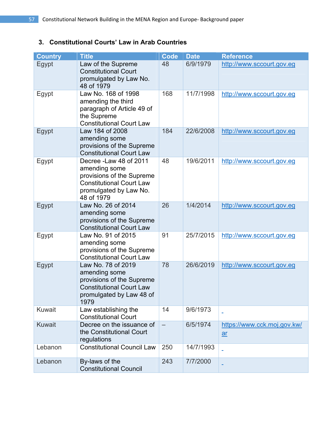### **3. Constitutional Courts' Law in Arab Countries**

| <b>Country</b> | <b>Title</b>                                                                                                                                     | <b>Code</b>       | <b>Date</b> | <b>Reference</b>                  |
|----------------|--------------------------------------------------------------------------------------------------------------------------------------------------|-------------------|-------------|-----------------------------------|
| Egypt          | Law of the Supreme<br><b>Constitutional Court</b><br>promulgated by Law No.<br>48 of 1979                                                        | 48                | 6/9/1979    | http://www.sccourt.gov.eg         |
| Egypt          | Law No. 168 of 1998<br>amending the third<br>paragraph of Article 49 of<br>the Supreme<br><b>Constitutional Court Law</b>                        | 168               | 11/7/1998   | http://www.sccourt.gov.eg         |
| Egypt          | Law 184 of 2008<br>amending some<br>provisions of the Supreme<br><b>Constitutional Court Law</b>                                                 | 184               | 22/6/2008   | http://www.sccourt.gov.eg         |
| Egypt          | Decree - Law 48 of 2011<br>amending some<br>provisions of the Supreme<br><b>Constitutional Court Law</b><br>promulgated by Law No.<br>48 of 1979 | 48                | 19/6/2011   | http://www.sccourt.gov.eg         |
| Egypt          | Law No. 26 of 2014<br>amending some<br>provisions of the Supreme<br><b>Constitutional Court Law</b>                                              | 26                | 1/4/2014    | http://www.sccourt.gov.eg         |
| Egypt          | Law No. 91 of 2015<br>amending some<br>provisions of the Supreme<br><b>Constitutional Court Law</b>                                              | 91                | 25/7/2015   | http://www.sccourt.gov.eg         |
| Egypt          | Law No. 78 of 2019<br>amending some<br>provisions of the Supreme<br><b>Constitutional Court Law</b><br>promulgated by Law 48 of<br>1979          | 78                | 26/6/2019   | http://www.sccourt.gov.eg         |
| <b>Kuwait</b>  | Law establishing the<br><b>Constitutional Court</b>                                                                                              | 14                | 9/6/1973    | ÷                                 |
| <b>Kuwait</b>  | Decree on the issuance of<br>the Constitutional Court<br>regulations                                                                             | $\qquad \qquad -$ | 6/5/1974    | https://www.cck.moj.gov.kw/<br>ar |
| Lebanon        | <b>Constitutional Council Law</b>                                                                                                                | 250               | 14/7/1993   |                                   |
| Lebanon        | By-laws of the<br><b>Constitutional Council</b>                                                                                                  | 243               | 7/7/2000    |                                   |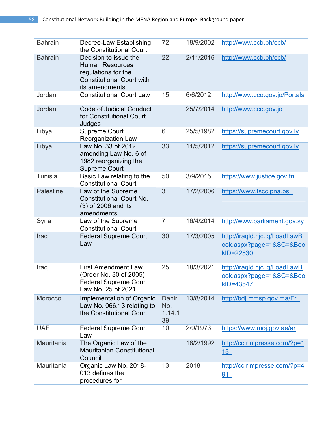| <b>Bahrain</b>   | Decree-Law Establishing<br>the Constitutional Court                                                                          | 72                           | 18/9/2002 | http://www.ccb.bh/ccb/                                                |
|------------------|------------------------------------------------------------------------------------------------------------------------------|------------------------------|-----------|-----------------------------------------------------------------------|
| <b>Bahrain</b>   | Decision to issue the<br><b>Human Resources</b><br>regulations for the<br><b>Constitutional Court with</b><br>its amendments | 22                           | 2/11/2016 | http://www.ccb.bh/ccb/                                                |
| Jordan           | <b>Constitutional Court Law</b>                                                                                              | 15                           | 6/6/2012  | http://www.cco.gov.jo/Portals                                         |
| Jordan           | <b>Code of Judicial Conduct</b><br>for Constitutional Court<br>Judges                                                        |                              | 25/7/2014 | http://www.cco.gov.jo                                                 |
| Libya            | Supreme Court<br>Reorganization Law                                                                                          | 6                            | 25/5/1982 | https://supremecourt.gov.ly                                           |
| Libya            | Law No. 33 of 2012<br>amending Law No. 6 of<br>1982 reorganizing the<br>Supreme Court                                        | 33                           | 11/5/2012 | https://supremecourt.gov.ly                                           |
| <b>Tunisia</b>   | Basic Law relating to the<br><b>Constitutional Court</b>                                                                     | 50                           | 3/9/2015  | https://www.justice.gov.tn                                            |
| <b>Palestine</b> | Law of the Supreme<br><b>Constitutional Court No.</b><br>(3) of 2006 and its<br>amendments                                   | 3                            | 17/2/2006 | https://www.tscc.pna.ps                                               |
| Syria            | Law of the Supreme<br><b>Constitutional Court</b>                                                                            | $\overline{7}$               | 16/4/2014 | http://www.parliament.gov.sy                                          |
| Iraq             | <b>Federal Supreme Court</b><br>Law                                                                                          | 30                           | 17/3/2005 | http://iraqld.hjc.iq/LoadLawB<br>ook.aspx?page=1&SC=&Boo<br>kID=22530 |
| Iraq             | <b>First Amendment Law</b><br>(Order No. 30 of 2005)<br><b>Federal Supreme Court</b><br>Law No. 25 of 2021                   | 25                           | 18/3/2021 | http://iraqld.hjc.iq/LoadLawB<br>ook.aspx?page=1&SC=&Boo<br>kID=43547 |
| Morocco          | Implementation of Organic<br>Law No. 066.13 relating to<br>the Constitutional Court                                          | Dahir<br>No.<br>1.14.1<br>39 | 13/8/2014 | http://bdj.mmsp.gov.ma/Fr                                             |
| <b>UAE</b>       | <b>Federal Supreme Court</b><br>Law                                                                                          | 10                           | 2/9/1973  | https://www.moj.gov.ae/ar                                             |
| Mauritania       | The Organic Law of the<br><b>Mauritanian Constitutional</b><br>Council                                                       |                              | 18/2/1992 | http://cc.rimpresse.com/?p=1<br>15                                    |
| Mauritania       | Organic Law No. 2018-<br>013 defines the<br>procedures for                                                                   | 13                           | 2018      | http://cc.rimpresse.com/?p=4<br>91                                    |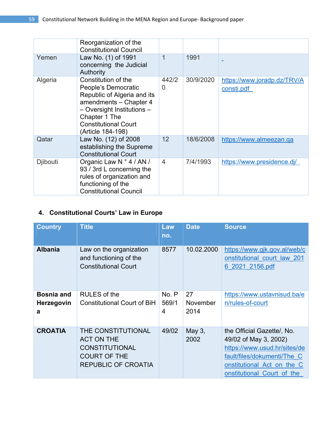|                 | Reorganization of the<br><b>Constitutional Council</b>                                                                                                                                                 |                |           |                                           |
|-----------------|--------------------------------------------------------------------------------------------------------------------------------------------------------------------------------------------------------|----------------|-----------|-------------------------------------------|
| Yemen           | Law No. (1) of 1991<br>concerning the Judicial<br>Authority                                                                                                                                            | 1              | 1991      |                                           |
| Algeria         | Constitution of the<br>People's Democratic<br>Republic of Algeria and its<br>amendments - Chapter 4<br>- Oversight Institutions -<br>Chapter 1 The<br><b>Constitutional Court</b><br>(Article 184-198) | 442/2<br>0     | 30/9/2020 | https://www.joradp.dz/TRV/A<br>consti.pdf |
| Qatar           | Law No. (12) of 2008<br>establishing the Supreme<br><b>Constitutional Court</b>                                                                                                                        | 12             | 18/6/2008 | https://www.almeezan.qa                   |
| <b>Djibouti</b> | Organic Law N ° 4 / AN /<br>93 / 3rd L concerning the<br>rules of organization and<br>functioning of the<br><b>Constitutional Council</b>                                                              | $\overline{4}$ | 7/4/1993  | https://www.presidence.dj/                |

# **4. Constitutional Courts' Law in Europe**

| <b>Country</b>    | <b>Title</b>                                                                     | Law<br>no. | <b>Date</b> | <b>Source</b>                                                                  |
|-------------------|----------------------------------------------------------------------------------|------------|-------------|--------------------------------------------------------------------------------|
| <b>Albania</b>    | Law on the organization<br>and functioning of the<br><b>Constitutional Court</b> | 8577       | 10.02.2000  | https://www.gjk.gov.al/web/c<br>onstitutional court law 201<br>6 2021 2156.pdf |
| <b>Bosnia and</b> | RULES of the                                                                     | No. P      | 27          | https://www.ustavnisud.ba/e                                                    |
| <b>Herzegovin</b> | <b>Constitutional Court of BiH</b>                                               | 569/1      | November    | n/rules-of-court                                                               |
| a                 |                                                                                  | 4          | 2014        |                                                                                |
| <b>CROATIA</b>    | THE CONSTITUTIONAL                                                               | 49/02      | May 3,      | the Official Gazette/, No.                                                     |
|                   | <b>ACT ON THE</b>                                                                |            | 2002        | 49/02 of May 3, 2002)                                                          |
|                   | <b>CONSTITUTIONAL</b>                                                            |            |             | https://www.usud.hr/sites/de                                                   |
|                   | <b>COURT OF THE</b>                                                              |            |             | fault/files/dokumenti/The C                                                    |
|                   | REPUBLIC OF CROATIA                                                              |            |             | onstitutional Act on the C                                                     |
|                   |                                                                                  |            |             | onstitutional Court of the                                                     |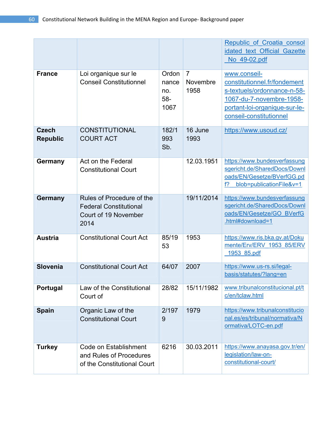|                                 |                                                                                            |                                      |                                    | Republic of Croatia consol<br>idated text Official Gazette<br>No 49-02.pdf                                                                                          |
|---------------------------------|--------------------------------------------------------------------------------------------|--------------------------------------|------------------------------------|---------------------------------------------------------------------------------------------------------------------------------------------------------------------|
| <b>France</b>                   | Loi organique sur le<br><b>Conseil Constitutionnel</b>                                     | Ordon<br>nance<br>no.<br>58-<br>1067 | $\overline{7}$<br>Novembre<br>1958 | www.conseil-<br>constitutionnel.fr/fondement<br>s-textuels/ordonnance-n-58-<br>1067-du-7-novembre-1958-<br>portant-loi-organique-sur-le-<br>conseil-constitutionnel |
| <b>Czech</b><br><b>Republic</b> | <b>CONSTITUTIONAL</b><br><b>COURT ACT</b>                                                  | 182/1<br>993<br>Sb.                  | 16 June<br>1993                    | https://www.usoud.cz/                                                                                                                                               |
| <b>Germany</b>                  | Act on the Federal<br><b>Constitutional Court</b>                                          |                                      | 12.03.1951                         | https://www.bundesverfassung<br>sgericht.de/SharedDocs/Downl<br>oads/EN/Gesetze/BVerfGG.pd<br>blob=publicationFile&v=1<br>f?                                        |
| <b>Germany</b>                  | Rules of Procedure of the<br><b>Federal Constitutional</b><br>Court of 19 November<br>2014 |                                      | 19/11/2014                         | https://www.bundesverfassung<br>sgericht.de/SharedDocs/Downl<br>oads/EN/Gesetze/GO BVerfG<br>.html#download=1                                                       |
| <b>Austria</b>                  | <b>Constitutional Court Act</b>                                                            | 85/19<br>53                          | 1953                               | https://www.ris.bka.gv.at/Doku<br>mente/Erv/ERV 1953 85/ERV<br>1953 85.pdf                                                                                          |
| <b>Slovenia</b>                 | <b>Constitutional Court Act</b>                                                            | 64/07                                | 2007                               | https://www.us-rs.si/legal-<br>basis/statutes/?lang=en                                                                                                              |
| Portugal                        | Law of the Constitutional<br>Court of                                                      | 28/82                                | 15/11/1982                         | www.tribunalconstitucional.pt/t<br>c/en/tclaw.html                                                                                                                  |
| Spain                           | Organic Law of the<br><b>Constitutional Court</b>                                          | 2/197<br>9                           | 1979                               | https://www.tribunalconstitucio<br>nal.es/es/tribunal/normativa/N<br>ormativa/LOTC-en.pdf                                                                           |
| <b>Turkey</b>                   | Code on Establishment<br>and Rules of Procedures<br>of the Constitutional Court            | 6216                                 | 30.03.2011                         | https://www.anayasa.gov.tr/en/<br>legislation/law-on-<br>constitutional-court/                                                                                      |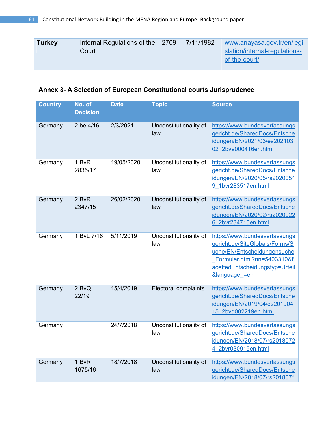| <b>Turkey</b> | Internal Regulations of the 2709<br>Court | 7/11/1982 | www.anayasa.gov.tr/en/legi<br>slation/internal-regulations-<br>of-the-court/ |
|---------------|-------------------------------------------|-----------|------------------------------------------------------------------------------|
|               |                                           |           |                                                                              |

# **Annex 3- A Selection of European Constitutional courts Jurisprudence**

| <b>Country</b> | No. of<br><b>Decision</b> | <b>Date</b> | <b>Topic</b>                  | <b>Source</b>                                                                                                                                                                              |
|----------------|---------------------------|-------------|-------------------------------|--------------------------------------------------------------------------------------------------------------------------------------------------------------------------------------------|
| Germany        | 2 be 4/16                 | 2/3/2021    | Unconstitutionality of<br>law | https://www.bundesverfassungs<br>gericht.de/SharedDocs/Entsche<br>idungen/EN/2021/03/es202103<br>02 2bve000416en.html                                                                      |
| Germany        | 1 BvR<br>2835/17          | 19/05/2020  | Unconstitutionality of<br>law | https://www.bundesverfassungs<br>gericht.de/SharedDocs/Entsche<br>idungen/EN/2020/05/rs2020051<br>9 1bvr283517en.html                                                                      |
| Germany        | 2 BvR<br>2347/15          | 26/02/2020  | Unconstitutionality of<br>law | https://www.bundesverfassungs<br>gericht.de/SharedDocs/Entsche<br>idungen/EN/2020/02/rs2020022<br>6 2bvr234715en.html                                                                      |
| Germany        | 1 BvL 7/16                | 5/11/2019   | Unconstitutionality of<br>law | https://www.bundesverfassungs<br>gericht.de/SiteGlobals/Forms/S<br>uche/EN/Entscheidungensuche<br>Formular.html?nn=5403310&f<br>acettedEntscheidungstyp=Urteil<br><b>&amp;language =en</b> |
| Germany        | 2 BvQ<br>22/19            | 15/4/2019   | <b>Electoral complaints</b>   | https://www.bundesverfassungs<br>gericht.de/SharedDocs/Entsche<br>idungen/EN/2019/04/qs201904<br>15 2bvg002219en.html                                                                      |
| Germany        |                           | 24/7/2018   | Unconstitutionality of<br>law | https://www.bundesverfassungs<br>gericht.de/SharedDocs/Entsche<br>idungen/EN/2018/07/rs2018072<br>4 2bvr030915en.html                                                                      |
| Germany        | 1 BvR<br>1675/16          | 18/7/2018   | Unconstitutionality of<br>law | https://www.bundesverfassungs<br>gericht.de/SharedDocs/Entsche<br>idungen/EN/2018/07/rs2018071                                                                                             |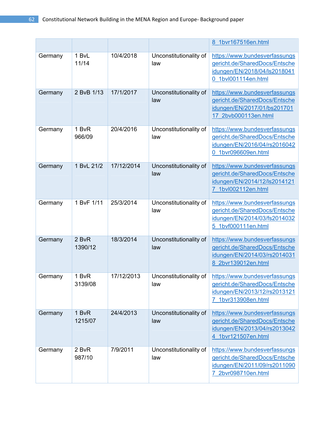|         |                  |            |                               | 8 1bvr167516en.html                                                                                                   |
|---------|------------------|------------|-------------------------------|-----------------------------------------------------------------------------------------------------------------------|
| Germany | 1 BvL<br>11/14   | 10/4/2018  | Unconstitutionality of<br>law | https://www.bundesverfassungs<br>gericht.de/SharedDocs/Entsche<br>idungen/EN/2018/04/ls2018041<br>0 1bvl001114en.html |
| Germany | 2 BvB 1/13       | 17/1/2017  | Unconstitutionality of<br>law | https://www.bundesverfassungs<br>gericht.de/SharedDocs/Entsche<br>idungen/EN/2017/01/bs201701<br>17 2bvb000113en.html |
| Germany | 1 BvR<br>966/09  | 20/4/2016  | Unconstitutionality of<br>law | https://www.bundesverfassungs<br>gericht.de/SharedDocs/Entsche<br>idungen/EN/2016/04/rs2016042<br>0 1bvr096609en.html |
| Germany | 1 BvL 21/2       | 17/12/2014 | Unconstitutionality of<br>law | https://www.bundesverfassungs<br>gericht.de/SharedDocs/Entsche<br>idungen/EN/2014/12/ls2014121<br>7 1bvl002112en.html |
| Germany | 1 BvF 1/11       | 25/3/2014  | Unconstitutionality of<br>law | https://www.bundesverfassungs<br>gericht.de/SharedDocs/Entsche<br>idungen/EN/2014/03/fs2014032<br>5 1bvf000111en.html |
| Germany | 2 BvR<br>1390/12 | 18/3/2014  | Unconstitutionality of<br>law | https://www.bundesverfassungs<br>gericht.de/SharedDocs/Entsche<br>idungen/EN/2014/03/rs2014031<br>8 2bvr139012en.html |
| Germany | 1 BvR<br>3139/08 | 17/12/2013 | Unconstitutionality of<br>law | https://www.bundesverfassungs<br>gericht.de/SharedDocs/Entsche<br>idungen/EN/2013/12/rs2013121<br>7 1bvr313908en.html |
| Germany | 1 BvR<br>1215/07 | 24/4/2013  | Unconstitutionality of<br>law | https://www.bundesverfassungs<br>gericht.de/SharedDocs/Entsche<br>idungen/EN/2013/04/rs2013042<br>4 1bvr121507en.html |
| Germany | 2 BvR<br>987/10  | 7/9/2011   | Unconstitutionality of<br>law | https://www.bundesverfassungs<br>gericht.de/SharedDocs/Entsche<br>idungen/EN/2011/09/rs2011090<br>7 2bvr098710en.html |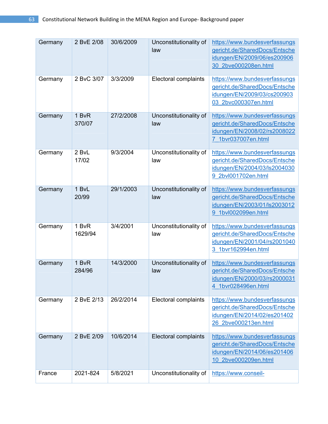| Germany | 2 BvE 2/08       | 30/6/2009 | Unconstitutionality of<br>law | https://www.bundesverfassungs<br>gericht.de/SharedDocs/Entsche<br>idungen/EN/2009/06/es200906<br>30 2bve000208en.html |
|---------|------------------|-----------|-------------------------------|-----------------------------------------------------------------------------------------------------------------------|
| Germany | 2 BvC 3/07       | 3/3/2009  | Electoral complaints          | https://www.bundesverfassungs<br>gericht.de/SharedDocs/Entsche<br>idungen/EN/2009/03/cs200903<br>03 2bvc000307en.html |
| Germany | 1 BvR<br>370/07  | 27/2/2008 | Unconstitutionality of<br>law | https://www.bundesverfassungs<br>gericht.de/SharedDocs/Entsche<br>idungen/EN/2008/02/rs2008022<br>7 1bvr037007en.html |
| Germany | 2 BvL<br>17/02   | 9/3/2004  | Unconstitutionality of<br>law | https://www.bundesverfassungs<br>gericht.de/SharedDocs/Entsche<br>idungen/EN/2004/03/ls2004030<br>9 2bvl001702en.html |
| Germany | 1 BvL<br>20/99   | 29/1/2003 | Unconstitutionality of<br>law | https://www.bundesverfassungs<br>gericht.de/SharedDocs/Entsche<br>idungen/EN/2003/01/ls2003012<br>9 1bvl002099en.html |
| Germany | 1 BvR<br>1629/94 | 3/4/2001  | Unconstitutionality of<br>law | https://www.bundesverfassungs<br>gericht.de/SharedDocs/Entsche<br>idungen/EN/2001/04/rs2001040<br>3 1bvr162994en.html |
| Germany | 1 BvR<br>284/96  | 14/3/2000 | Unconstitutionality of<br>law | https://www.bundesverfassungs<br>gericht.de/SharedDocs/Entsche<br>idungen/EN/2000/03/rs2000031<br>4 1bvr028496en.html |
| Germany | 2 BvE 2/13       | 26/2/2014 | Electoral complaints          | https://www.bundesverfassungs<br>gericht.de/SharedDocs/Entsche<br>idungen/EN/2014/02/es201402<br>26 2bve000213en.html |
| Germany | 2 BvE 2/09       | 10/6/2014 | <b>Electoral complaints</b>   | https://www.bundesverfassungs<br>gericht.de/SharedDocs/Entsche<br>idungen/EN/2014/06/es201406<br>10 2bve000209en.html |
| France  | 2021-824         | 5/8/2021  | Unconstitutionality of        | https://www.conseil-                                                                                                  |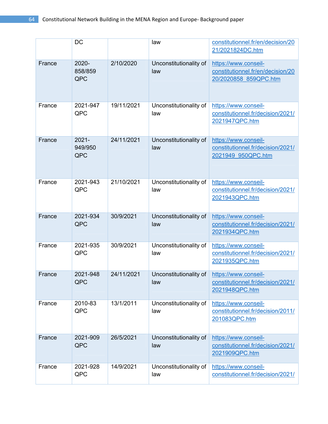|        | DC         |            | law                    | constitutionnel.fr/en/decision/20 |
|--------|------------|------------|------------------------|-----------------------------------|
|        |            |            |                        | 21/2021824DC.htm                  |
| France | 2020-      | 2/10/2020  | Unconstitutionality of | https://www.conseil-              |
|        | 858/859    |            | law                    | constitutionnel.fr/en/decision/20 |
|        | QPC        |            |                        | 20/2020858 859QPC.htm             |
|        |            |            |                        |                                   |
| France | 2021-947   | 19/11/2021 | Unconstitutionality of | https://www.conseil-              |
|        | QPC        |            | law                    | constitutionnel.fr/decision/2021/ |
|        |            |            |                        | 2021947QPC.htm                    |
|        |            |            |                        |                                   |
| France | $2021 -$   | 24/11/2021 | Unconstitutionality of | https://www.conseil-              |
|        | 949/950    |            | law                    | constitutionnel.fr/decision/2021/ |
|        | <b>QPC</b> |            |                        | 2021949 950QPC.htm                |
|        |            |            |                        |                                   |
|        |            |            |                        |                                   |
| France | 2021-943   | 21/10/2021 | Unconstitutionality of | https://www.conseil-              |
|        | QPC        |            | law                    | constitutionnel.fr/decision/2021/ |
|        |            |            |                        | 2021943QPC.htm                    |
|        |            |            |                        |                                   |
| France | 2021-934   | 30/9/2021  | Unconstitutionality of | https://www.conseil-              |
|        | QPC        |            | law                    | constitutionnel.fr/decision/2021/ |
|        |            |            |                        | 2021934QPC.htm                    |
|        |            |            |                        |                                   |
| France | 2021-935   | 30/9/2021  | Unconstitutionality of | https://www.conseil-              |
|        | QPC        |            | law                    | constitutionnel.fr/decision/2021/ |
|        |            |            |                        | 2021935QPC.htm                    |
| France | 2021-948   | 24/11/2021 | Unconstitutionality of | https://www.conseil-              |
|        | QPC        |            | law                    | constitutionnel.fr/decision/2021/ |
|        |            |            |                        | 2021948QPC.htm                    |
|        |            |            |                        |                                   |
| France | 2010-83    | 13/1/2011  | Unconstitutionality of | https://www.conseil-              |
|        | QPC        |            | law                    | constitutionnel.fr/decision/2011/ |
|        |            |            |                        | 201083QPC.htm                     |
|        |            |            |                        |                                   |
| France | 2021-909   | 26/5/2021  | Unconstitutionality of | https://www.conseil-              |
|        | QPC        |            | law                    | constitutionnel.fr/decision/2021/ |
|        |            |            |                        | 2021909QPC.htm                    |
| France | 2021-928   | 14/9/2021  | Unconstitutionality of | https://www.conseil-              |
|        | QPC        |            | law                    | constitutionnel.fr/decision/2021/ |
|        |            |            |                        |                                   |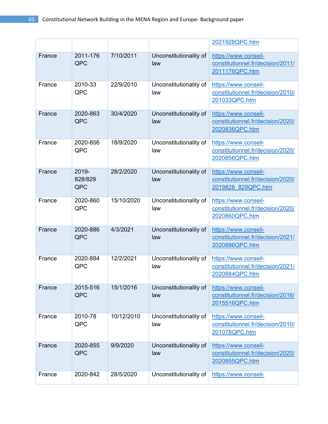|        |                         |            |                               | 2021928QPC.htm                                                                  |
|--------|-------------------------|------------|-------------------------------|---------------------------------------------------------------------------------|
| France | 2011-176<br>QPC         | 7/10/2011  | Unconstitutionality of<br>law | https://www.conseil-<br>constitutionnel.fr/decision/2011/<br>2011176QPC.htm     |
| France | 2010-33<br>QPC          | 22/9/2010  | Unconstitutionality of<br>law | https://www.conseil-<br>constitutionnel.fr/decision/2010/<br>201033QPC.htm      |
| France | 2020-863<br>QPC         | 30/4/2020  | Unconstitutionality of<br>law | https://www.conseil-<br>constitutionnel.fr/decision/2020/<br>2020836QPC.htm     |
| France | 2020-856<br>QPC         | 18/9/2020  | Unconstitutionality of<br>law | https://www.conseil-<br>constitutionnel.fr/decision/2020/<br>2020856QPC.htm     |
| France | 2019-<br>828/829<br>QPC | 28/2/2020  | Unconstitutionality of<br>law | https://www.conseil-<br>constitutionnel.fr/decision/2020/<br>2019828 829QPC.htm |
| France | 2020-860<br>QPC         | 15/10/2020 | Unconstitutionality of<br>law | https://www.conseil-<br>constitutionnel.fr/decision/2020/<br>2020860QPC.htm     |
| France | 2020-886<br>QPC         | 4/3/2021   | Unconstitutionality of<br>law | https://www.conseil-<br>constitutionnel.fr/decision/2021/<br>2020886QPC.htm     |
| France | 2020-884<br>QPC         | 12/2/2021  | Unconstitutionality of<br>law | https://www.conseil-<br>constitutionnel.fr/decision/2021/<br>2020884QPC.htm     |
| France | 2015-516<br>QPC         | 15/1/2016  | Unconstitutionality of<br>law | https://www.conseil-<br>constitutionnel.fr/decision/2016/<br>2015516QPC.htm     |
| France | 2010-78<br>QPC          | 10/12/2010 | Unconstitutionality of<br>law | https://www.conseil-<br>constitutionnel.fr/decision/2010/<br>201078QPC.htm      |
| France | 2020-855<br>QPC         | 9/9/2020   | Unconstitutionality of<br>law | https://www.conseil-<br>constitutionnel.fr/decision/2020/<br>2020855QPC.htm     |
| France | 2020-842                | 28/5/2020  | Unconstitutionality of        | https://www.conseil-                                                            |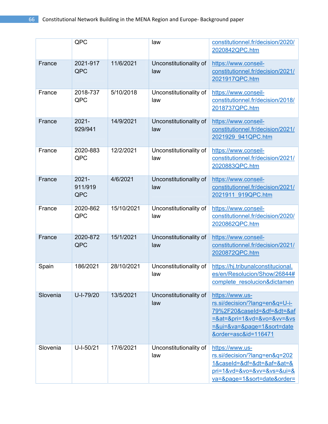|          | QPC                        |            | law                           | constitutionnel.fr/decision/2020/<br>2020842QPC.htm                                                                                                             |
|----------|----------------------------|------------|-------------------------------|-----------------------------------------------------------------------------------------------------------------------------------------------------------------|
| France   | 2021-917<br>QPC            | 11/6/2021  | Unconstitutionality of<br>law | https://www.conseil-<br>constitutionnel.fr/decision/2021/<br>2021917QPC.htm                                                                                     |
| France   | 2018-737<br>QPC            | 5/10/2018  | Unconstitutionality of<br>law | https://www.conseil-<br>constitutionnel.fr/decision/2018/<br>2018737QPC.htm                                                                                     |
| France   | $2021 -$<br>929/941        | 14/9/2021  | Unconstitutionality of<br>law | https://www.conseil-<br>constitutionnel.fr/decision/2021/<br>2021929 941QPC.htm                                                                                 |
| France   | 2020-883<br>QPC            | 12/2/2021  | Unconstitutionality of<br>law | https://www.conseil-<br>constitutionnel.fr/decision/2021/<br>2020883QPC.htm                                                                                     |
| France   | $2021 -$<br>911/919<br>QPC | 4/6/2021   | Unconstitutionality of<br>law | https://www.conseil-<br>constitutionnel.fr/decision/2021/<br>2021911 919QPC.htm                                                                                 |
| France   | 2020-862<br>QPC            | 15/10/2021 | Unconstitutionality of<br>law | https://www.conseil-<br>constitutionnel.fr/decision/2020/<br>2020862QPC.htm                                                                                     |
| France   | 2020-872<br>QPC            | 15/1/2021  | Unconstitutionality of<br>law | https://www.conseil-<br>constitutionnel.fr/decision/2021/<br>2020872QPC.htm                                                                                     |
| Spain    | 186/2021                   | 28/10/2021 | Unconstitutionality of<br>law | https://hj.tribunalconstitucional.<br>es/en/Resolucion/Show/26844#<br>complete resolucion&dictamen                                                              |
| Slovenia | U-I-79/20                  | 13/5/2021  | Unconstitutionality of<br>law | https://www.us-<br>rs.si/decision/?lang=en&q=U-i-<br>79%2F20&caseId=&df=&dt=⁡<br>$=$ &at=&pri=1&vd=&vo=&vv=&vs<br>=&ui=&va=&page=1&sort=date<br>ℴ=asc&id=116471 |
| Slovenia | U-I-50/21                  | 17/6/2021  | Unconstitutionality of<br>law | https://www.us-<br>rs.si/decision/?lang=en&q=202<br>1&caseId=&df=&dt=⁡=&at=&<br>$pri=1&vd=&vo=&vv=&vs=&ui=&u$<br>va=&page=1&sort=dateℴ=                         |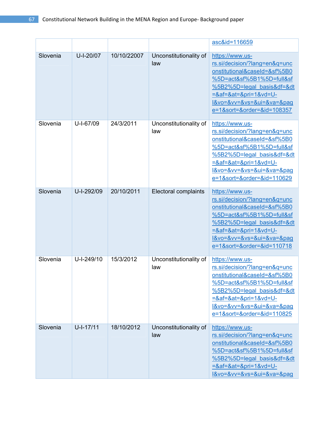|          |             |             |                               | asc&id=116659                                                                                                                                                                                                                                                        |
|----------|-------------|-------------|-------------------------------|----------------------------------------------------------------------------------------------------------------------------------------------------------------------------------------------------------------------------------------------------------------------|
| Slovenia | U-I-20/07   | 10/10/22007 | Unconstitutionality of<br>law | https://www.us-<br>rs.si/decision/?lang=en&q=unc<br>onstitutional&caseId=&sf%5B0<br>%5D=act&sf%5B1%5D=full&sf<br>%5B2%5D=legal basis&df=&dt<br><u>=⁡=&amp;at=&amp;pri=1&amp;vd=U-</u><br>I&vo=&vv=&vs=&ui=&va=&pag<br>e=1&sort=ℴ=&id=108357                          |
| Slovenia | U-I-67/09   | 24/3/2011   | Unconstitutionality of<br>law | https://www.us-<br>rs.si/decision/?lang=en&q=unc<br>onstitutional&caseId=&sf%5B0<br>%5D=act&sf%5B1%5D=full&sf<br><u>%5B2%5D=legal_basis&amp;df=&amp;dt</u><br>$=8af=8at=8pri=18vd=U-$<br>l&vo=&vv=&vs=&ui=&va=&pag<br>e=1&sort=ℴ=&id=110629                          |
| Slovenia | U-I-292/09  | 20/10/2011  | <b>Electoral complaints</b>   | https://www.us-<br>rs.si/decision/?lang=en&g=unc<br>onstitutional&caseId=&sf%5B0<br>%5D=act&sf%5B1%5D=full&sf<br>%5B2%5D=legal basis&df=&dt<br>$=8af = 8at = 8pri = 18vd = U -$<br><u>I&amp;vo=&amp;vv=&amp;vs=&amp;ui=&amp;va=&amp;pag</u><br>e=1&sort=ℴ=&id=110718 |
| Slovenia | U-I-249/10  | 15/3/2012   | Unconstitutionality of<br>law | https://www.us-<br>rs.si/decision/?lang=en&q=unc<br>onstitutional&caseId=&sf%5B0<br>%5D=act&sf%5B1%5D=full&sf<br>%5B2%5D=legal basis&df=&dt<br>$=8af = 8at = 8pri = 18vd = U -$<br>I&vo=&vv=&vs=&ui=&va=&pag<br>e=1&sort=ℴ=&id=110825                                |
| Slovenia | $U-I-17/11$ | 18/10/2012  | Unconstitutionality of<br>law | https://www.us-<br>rs.si/decision/?lang=en&q=unc<br>onstitutional&caseId=&sf%5B0<br>%5D=act&sf%5B1%5D=full&sf<br>%5B2%5D=legal basis&df=&dt<br>$=8af = 8at = 8pri = 18vd = U -$<br>I&vo=&vv=&vs=&ui=&va=&pag                                                         |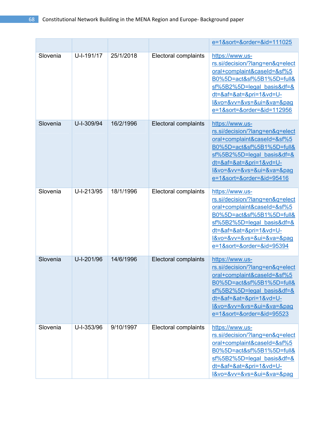|          |            |           |                             | e=1&sort=ℴ=&id=111025                                                                                                                                                                                                         |
|----------|------------|-----------|-----------------------------|-------------------------------------------------------------------------------------------------------------------------------------------------------------------------------------------------------------------------------|
| Slovenia | U-I-191/17 | 25/1/2018 | Electoral complaints        | https://www.us-<br>rs.si/decision/?lang=en&q=elect<br>oral+complaint&caseId=&sf%5<br>B0%5D=act&sf%5B1%5D=full&<br>$sf%5B2%5D=legal basis&df=&$<br>dt=⁡=&at=&pri=1&vd=U-<br>I&vo=&vv=&vs=&ui=&va=&pag<br>e=1&sort=ℴ=&id=112956 |
| Slovenia | U-I-309/94 | 16/2/1996 | Electoral complaints        | https://www.us-<br>rs.si/decision/?lang=en&q=elect<br>oral+complaint&caseId=&sf%5<br>B0%5D=act&sf%5B1%5D=full&<br>$sf%5B2%5D=legal basis&df=&$<br>dt=⁡=&at=&pri=1&vd=U-<br>I&vo=&vv=&vs=&ui=&va=&pag<br>e=1&sort=ℴ=&id=95416  |
| Slovenia | U-I-213/95 | 18/1/1996 | Electoral complaints        | https://www.us-<br>rs.si/decision/?lang=en&q=elect<br>oral+complaint&caseId=&sf%5<br>B0%5D=act&sf%5B1%5D=full&<br>$sf%5B2%5D=legal basis&df=&$<br>dt=⁡=&at=&pri=1&vd=U-<br>l&vo=&vv=&vs=&ui=&va=&pag<br>e=1&sort=ℴ=&id=95394  |
| Slovenia | U-I-201/96 | 14/6/1996 | <b>Electoral complaints</b> | https://www.us-<br>rs.si/decision/?lang=en&q=elect<br>oral+complaint&caseId=&sf%5<br>B0%5D=act&sf%5B1%5D=full&<br>$sf%5B2%5D=legal basis&df=&$<br>dt=⁡=&at=&pri=1&vd=U-<br>I&vo=&vv=&vs=&ui=&va=&pag<br>e=1&sort=ℴ=&id=95523  |
| Slovenia | U-I-353/96 | 9/10/1997 | Electoral complaints        | https://www.us-<br>rs.si/decision/?lang=en&q=elect<br>oral+complaint&caseId=&sf%5<br>B0%5D=act&sf%5B1%5D=full&<br>$sf%5B2%5D=legal basis&df=&$<br>dt=⁡=&at=&pri=1&vd=U-<br>l&vo=&vv=&vs=&ui=&va=&pag                          |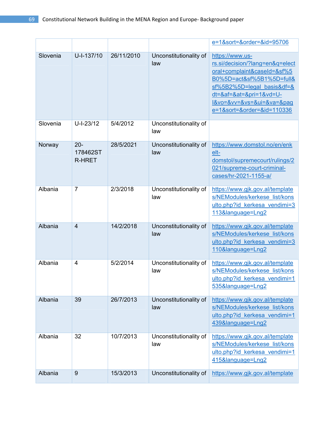|          |                              |            |                               | e=1&sort=ℴ=&id=95706                                                                                                                                                                                                               |
|----------|------------------------------|------------|-------------------------------|------------------------------------------------------------------------------------------------------------------------------------------------------------------------------------------------------------------------------------|
| Slovenia | U-I-137/10                   | 26/11/2010 | Unconstitutionality of<br>law | https://www.us-<br>rs.si/decision/?lang=en&q=elect<br>oral+complaint&caseId=&sf%5<br>B0%5D=act&sf%5B1%5D=full&<br>$s f\%5B2\%5D =$ legal basis&df=&<br>dt=⁡=&at=&pri=1&vd=U-<br>I&vo=&vv=&vs=&ui=&va=&pag<br>e=1&sort=ℴ=&id=110336 |
| Slovenia | $U-I-23/12$                  | 5/4/2012   | Unconstitutionality of<br>law |                                                                                                                                                                                                                                    |
| Norway   | $20 -$<br>178462ST<br>R-HRET | 28/5/2021  | Unconstitutionality of<br>law | https://www.domstol.no/en/enk<br>elt-<br>domstol/supremecourt/rulings/2<br>021/supreme-court-criminal-<br>cases/hr-2021-1155-a/                                                                                                    |
| Albania  | $\overline{7}$               | 2/3/2018   | Unconstitutionality of<br>law | https://www.gjk.gov.al/template<br>s/NEModules/kerkese list/kons<br>ulto.php?id kerkesa vendimi=3<br>113&language=Lng2                                                                                                             |
| Albania  | $\overline{4}$               | 14/2/2018  | Unconstitutionality of<br>law | https://www.gjk.gov.al/template<br>s/NEModules/kerkese list/kons<br>ulto.php?id kerkesa vendimi=3<br>110&language=Lng2                                                                                                             |
| Albania  | $\overline{4}$               | 5/2/2014   | Unconstitutionality of<br>law | https://www.gjk.gov.al/template<br>s/NEModules/kerkese list/kons<br>ulto.php?id kerkesa vendimi=1<br>535&language=Lng2                                                                                                             |
| Albania  | 39                           | 26/7/2013  | Unconstitutionality of<br>law | https://www.gjk.gov.al/template<br>s/NEModules/kerkese list/kons<br>ulto.php?id kerkesa vendimi=1<br>439&language=Lng2                                                                                                             |
| Albania  | 32                           | 10/7/2013  | Unconstitutionality of<br>law | https://www.gjk.gov.al/template<br>s/NEModules/kerkese list/kons<br>ulto.php?id kerkesa vendimi=1<br>415&language=Lng2                                                                                                             |
| Albania  | $9$                          | 15/3/2013  | Unconstitutionality of        | https://www.gjk.gov.al/template                                                                                                                                                                                                    |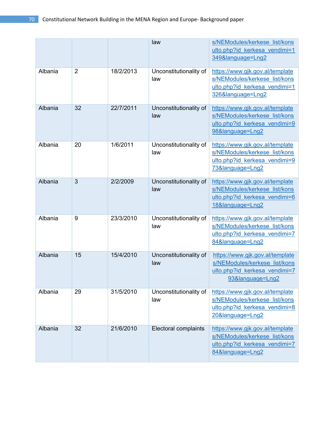|         |                |           | law                           | s/NEModules/kerkese list/kons<br>ulto.php?id kerkesa vendimi=1<br>349&language=Lng2                                    |
|---------|----------------|-----------|-------------------------------|------------------------------------------------------------------------------------------------------------------------|
| Albania | $\overline{2}$ | 18/2/2013 | Unconstitutionality of<br>law | https://www.gjk.gov.al/template<br>s/NEModules/kerkese list/kons<br>ulto.php?id kerkesa vendimi=1<br>326&language=Lng2 |
| Albania | 32             | 22/7/2011 | Unconstitutionality of<br>law | https://www.gjk.gov.al/template<br>s/NEModules/kerkese list/kons<br>ulto.php?id kerkesa vendimi=9<br>98&language=Lng2  |
| Albania | 20             | 1/6/2011  | Unconstitutionality of<br>law | https://www.gjk.gov.al/template<br>s/NEModules/kerkese list/kons<br>ulto.php?id kerkesa vendimi=9<br>73&language=Lng2  |
| Albania | 3              | 2/2/2009  | Unconstitutionality of<br>law | https://www.gjk.gov.al/template<br>s/NEModules/kerkese list/kons<br>ulto.php?id kerkesa vendimi=6<br>18&language=Lng2  |
| Albania | 9              | 23/3/2010 | Unconstitutionality of<br>law | https://www.gjk.gov.al/template<br>s/NEModules/kerkese list/kons<br>ulto.php?id kerkesa vendimi=7<br>84&language=Lng2  |
| Albania | 15             | 15/4/2010 | Unconstitutionality of<br>law | https://www.gjk.gov.al/template<br>s/NEModules/kerkese list/kons<br>ulto.php?id kerkesa vendimi=7<br>93&language=Lng2  |
| Albania | 29             | 31/5/2010 | Unconstitutionality of<br>law | https://www.gjk.gov.al/template<br>s/NEModules/kerkese list/kons<br>ulto.php?id kerkesa vendimi=8<br>20&language=Lng2  |
| Albania | 32             | 21/6/2010 | Electoral complaints          | https://www.gjk.gov.al/template<br>s/NEModules/kerkese list/kons<br>ulto.php?id kerkesa vendimi=7<br>84&language=Lng2  |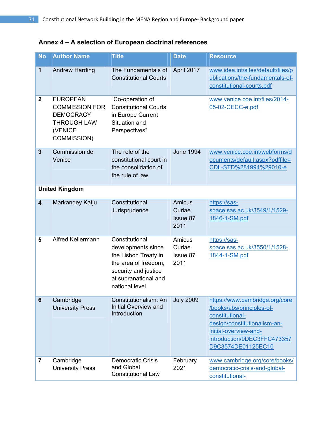# **Annex 4 – A selection of European doctrinal references**

| <b>No</b>               | <b>Author Name</b>                                                                                           | <b>Title</b>                                                                                                                                           | <b>Date</b>                                 | <b>Resource</b>                                                                                                                                                                              |
|-------------------------|--------------------------------------------------------------------------------------------------------------|--------------------------------------------------------------------------------------------------------------------------------------------------------|---------------------------------------------|----------------------------------------------------------------------------------------------------------------------------------------------------------------------------------------------|
| 1                       | <b>Andrew Harding</b>                                                                                        | The Fundamentals of<br><b>Constitutional Courts</b>                                                                                                    | April 2017                                  | www.idea.int/sites/default/files/p<br>ublications/the-fundamentals-of-<br>constitutional-courts.pdf                                                                                          |
| $\boldsymbol{2}$        | <b>EUROPEAN</b><br><b>COMMISSION FOR</b><br><b>DEMOCRACY</b><br><b>THROUGH LAW</b><br>(VENICE<br>COMMISSION) | "Co-operation of<br><b>Constitutional Courts</b><br>in Europe Current<br>Situation and<br>Perspectives"                                                |                                             | www.venice.coe.int/files/2014-<br>05-02-CECC-e.pdf                                                                                                                                           |
| $\overline{3}$          | Commission de<br>Venice                                                                                      | The role of the<br>constitutional court in<br>the consolidation of<br>the rule of law                                                                  | <b>June 1994</b>                            | www.venice.coe.int/webforms/d<br>ocuments/default.aspx?pdffile=<br>CDL-STD%281994%29010-e                                                                                                    |
|                         | <b>United Kingdom</b>                                                                                        |                                                                                                                                                        |                                             |                                                                                                                                                                                              |
| $\overline{\mathbf{4}}$ | Markandey Katju                                                                                              | Constitutional<br>Jurisprudence                                                                                                                        | Amicus<br>Curiae<br><b>Issue 87</b><br>2011 | https://sas-<br>space.sas.ac.uk/3549/1/1529-<br>1846-1-SM.pdf                                                                                                                                |
| 5                       | <b>Alfred Kellermann</b>                                                                                     | Constitutional<br>developments since<br>the Lisbon Treaty in<br>the area of freedom,<br>security and justice<br>at supranational and<br>national level | Amicus<br>Curiae<br>Issue 87<br>2011        | https://sas-<br>space.sas.ac.uk/3550/1/1528-<br>1844-1-SM.pdf                                                                                                                                |
| 6                       | Cambridge<br><b>University Press</b>                                                                         | Constitutionalism: An<br><b>Initial Overview and</b><br>Introduction                                                                                   | <b>July 2009</b>                            | https://www.cambridge.org/core<br>/books/abs/principles-of-<br>constitutional-<br>design/constitutionalism-an-<br>initial-overview-and-<br>introduction/9DEC3FFC473357<br>D9C3574DE01125EC10 |
| 7                       | Cambridge<br><b>University Press</b>                                                                         | <b>Democratic Crisis</b><br>and Global<br><b>Constitutional Law</b>                                                                                    | February<br>2021                            | www.cambridge.org/core/books/<br>democratic-crisis-and-global-<br>constitutional-                                                                                                            |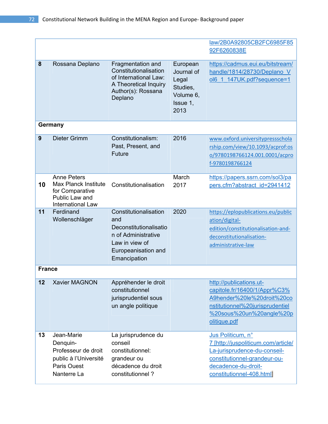|               |                                                                                                             |                                                                                                                                        |                                                                              | law/2B0A92805CB2FC6985F85                                                                                                                                                    |
|---------------|-------------------------------------------------------------------------------------------------------------|----------------------------------------------------------------------------------------------------------------------------------------|------------------------------------------------------------------------------|------------------------------------------------------------------------------------------------------------------------------------------------------------------------------|
| 92F6260838E   |                                                                                                             |                                                                                                                                        |                                                                              |                                                                                                                                                                              |
| 8             | Rossana Deplano                                                                                             | Fragmentation and<br>Constitutionalisation<br>of International Law:<br>A Theoretical Inquiry<br>Author(s): Rossana<br>Deplano          | European<br>Journal of<br>Legal<br>Studies,<br>Volume 6,<br>Issue 1,<br>2013 | https://cadmus.eui.eu/bitstream/<br>handle/1814/28730/Deplano V<br>ol6 1 147UK.pdf?sequence=1                                                                                |
| Germany       |                                                                                                             |                                                                                                                                        |                                                                              |                                                                                                                                                                              |
| 9             | Dieter Grimm                                                                                                | Constitutionalism:<br>Past, Present, and<br>Future                                                                                     | 2016                                                                         | www.oxford.universitypressschola<br>rship.com/view/10.1093/acprof:os<br>o/9780198766124.001.0001/acpro<br>f-9780198766124                                                    |
| 10            | <b>Anne Peters</b><br><b>Max Planck Institute</b><br>for Comparative<br>Public Law and<br>International Law | Constitutionalisation                                                                                                                  | March<br>2017                                                                | https://papers.ssrn.com/sol3/pa<br>pers.cfm?abstract_id=2941412                                                                                                              |
| 11            | Ferdinand<br>Wollenschläger                                                                                 | Constitutionalisation<br>and<br>Deconstitutionalisatio<br>n of Administrative<br>Law in view of<br>Europeanisation and<br>Emancipation | 2020                                                                         | https://eplopublications.eu/public<br>ation/digital-<br>edition/constitutionalisation-and-<br>deconstitutionalisation-<br>administrative-law                                 |
| <b>France</b> |                                                                                                             |                                                                                                                                        |                                                                              |                                                                                                                                                                              |
| 12            | <b>Xavier MAGNON</b>                                                                                        | Appréhender le droit<br>constitutionnel<br>jurisprudentiel sous<br>un angle politique                                                  |                                                                              | http://publications.ut-<br>capitole.fr/16400/1/Appr%C3%<br>A9hender%20le%20droit%20co<br>nstitutionnel%20jurisprudentiel<br>%20sous%20un%20angle%20p<br>olitique.pdf         |
| 13            | Jean-Marie<br>Denquin-<br>Professeur de droit<br>public à l'Université<br>Paris Ouest<br>Nanterre La        | La jurisprudence du<br>conseil<br>constitutionnel:<br>grandeur ou<br>décadence du droit<br>constitutionnel?                            |                                                                              | Jus Politicum, n°<br>7 [http://juspoliticum.com/article/<br>La-jurisprudence-du-conseil-<br>constitutionnel-grandeur-ou-<br>decadence-du-droit-<br>constitutionnel-408.html] |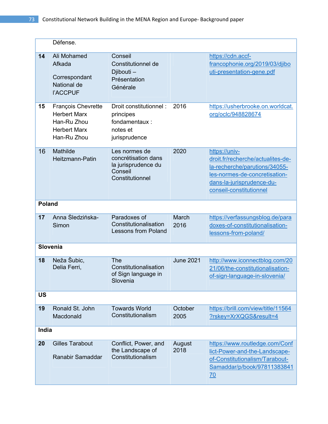|               | Défense.                                                                                       |                                                                                           |                  |                                                                                                                                                                              |
|---------------|------------------------------------------------------------------------------------------------|-------------------------------------------------------------------------------------------|------------------|------------------------------------------------------------------------------------------------------------------------------------------------------------------------------|
| 14            | Ali Mohamed<br>Afkada<br>Correspondant<br>National de<br><b>I'ACCPUF</b>                       | Conseil<br>Constitutionnel de<br>Djibouti -<br>Présentation<br>Générale                   |                  | https://cdn.accf-<br>francophonie.org/2019/03/djibo<br>uti-presentation-gene.pdf                                                                                             |
| 15            | François Chevrette<br><b>Herbert Marx</b><br>Han-Ru Zhou<br><b>Herbert Marx</b><br>Han-Ru Zhou | Droit constitutionnel:<br>principes<br>fondamentaux:<br>notes et<br>jurisprudence         | 2016             | https://usherbrooke.on.worldcat.<br>org/oclc/948828674                                                                                                                       |
| 16            | Mathilde<br>Heitzmann-Patin                                                                    | Les normes de<br>concrétisation dans<br>la jurisprudence du<br>Conseil<br>Constitutionnel | 2020             | https://univ-<br>droit.fr/recherche/actualites-de-<br>la-recherche/parutions/34055-<br>les-normes-de-concretisation-<br>dans-la-jurisprudence-du-<br>conseil-constitutionnel |
| <b>Poland</b> |                                                                                                |                                                                                           |                  |                                                                                                                                                                              |
| 17            | Anna Śledzińska-<br>Simon                                                                      | Paradoxes of<br>Constitutionalisation<br><b>Lessons from Poland</b>                       | March<br>2016    | https://verfassungsblog.de/para<br>doxes-of-constitutionalisation-<br>lessons-from-poland/                                                                                   |
| Slovenia      |                                                                                                |                                                                                           |                  |                                                                                                                                                                              |
| 18            | Neža Šubic,<br>Delia Ferri,                                                                    | <b>The</b><br>Constitutionalisation<br>of Sign language in<br>Slovenia                    | <b>June 2021</b> | http://www.iconnectblog.com/20<br>21/06/the-constitutionalisation-<br>of-sign-language-in-slovenia/                                                                          |
| <b>US</b>     |                                                                                                |                                                                                           |                  |                                                                                                                                                                              |
| 19            | Ronald St. John<br>Macdonald                                                                   | <b>Towards World</b><br>Constitutionalism                                                 | October<br>2005  | https://brill.com/view/title/11564<br>?rskey=XrXQGS&result=4                                                                                                                 |
| India         |                                                                                                |                                                                                           |                  |                                                                                                                                                                              |
| 20            | <b>Gilles Tarabout</b><br>Ranabir Samaddar                                                     | Conflict, Power, and<br>the Landscape of<br>Constitutionalism                             | August<br>2018   | https://www.routledge.com/Conf<br>lict-Power-and-the-Landscape-<br>of-Constitutionalism/Tarabout-<br>Samaddar/p/book/97811383841<br>70                                       |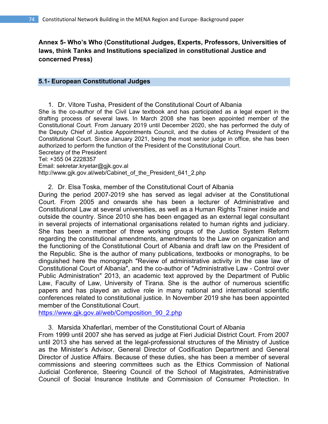**Annex 5- Who's Who (Constitutional Judges, Experts, Professors, Universities of laws, think Tanks and Institutions specialized in constitutional Justice and concerned Press)** 

#### **5.1- European Constitutional Judges**

1. Dr. Vitore Tusha, President of the Constitutional Court of Albania She is the co-author of the Civil Law textbook and has participated as a legal expert in the drafting process of several laws. In March 2008 she has been appointed member of the Constitutional Court. From January 2019 until December 2020, she has performed the duty of the Deputy Chief of Justice Appointments Council, and the duties of Acting President of the Constitutional Court. Since January 2021, being the most senior judge in office, she has been authorized to perform the function of the President of the Constitutional Court. Secretary of the President Tel: +355 04 2228357 Email: sekretar.kryetar@gjk.gov.al

http://www.gjk.gov.al/web/Cabinet\_of\_the\_President\_641\_2.php

2. Dr. Elsa Toska, member of the Constitutional Court of Albania

During the period 2007-2019 she has served as legal adviser at the Constitutional Court. From 2005 and onwards she has been a lecturer of Administrative and Constitutional Law at several universities, as well as a Human Rights Trainer inside and outside the country. Since 2010 she has been engaged as an external legal consultant in several projects of international organisations related to human rights and judiciary. She has been a member of three working groups of the Justice System Reform regarding the constitutional amendments, amendments to the Law on organization and the functioning of the Constitutional Court of Albania and draft law on the President of the Republic. She is the author of many publications, textbooks or monographs, to be dinguished here the monograph "Review of administrative activity in the case law of Constitutional Court of Albania", and the co-author of "Administrative Law - Control over Public Administration" 2013, an academic text approved by the Department of Public Law, Faculty of Law, University of Tirana. She is the author of numerous scientific papers and has played an active role in many national and international scientific conferences related to constitutional justice. In November 2019 she has been appointed member of the Constitutional Court.

https://www.gjk.gov.al/web/Composition\_90\_2.php

3. Marsida Xhaferllari, member of the Constitutional Court of Albania

From 1999 until 2007 she has served as judge at Fieri Judicial District Court. From 2007 until 2013 she has served at the legal-professional structures of the Ministry of Justice as the Minister's Advisor, General Director of Codification Department and General Director of Justice Affairs. Because of these duties, she has been a member of several commissions and steering committees such as the Ethics Commission of National Judicial Conference, Steering Council of the School of Magistrates, Administrative Council of Social Insurance Institute and Commission of Consumer Protection. In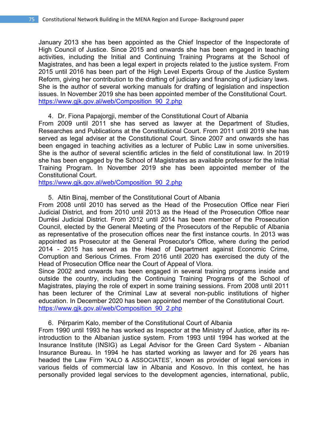January 2013 she has been appointed as the Chief Inspector of the Inspectorate of High Council of Justice. Since 2015 and onwards she has been engaged in teaching activities, including the Initial and Continuing Training Programs at the School of Magistrates, and has been a legal expert in projects related to the justice system. From 2015 until 2016 has been part of the High Level Experts Group of the Justice System Reform, giving her contribution to the drafting of judiciary and financing of judiciary laws. She is the author of several working manuals for drafting of legislation and inspection issues. In November 2019 she has been appointed member of the Constitutional Court. https://www.gjk.gov.al/web/Composition\_90\_2.php

#### 4. Dr. Fiona Papajorgji, member of the Constitutional Court of Albania

From 2009 until 2011 she has served as lawyer at the Department of Studies, Researches and Publications at the Constitutional Court. From 2011 until 2019 she has served as legal adviser at the Constitutional Court. Since 2007 and onwards she has been engaged in teaching activities as a lecturer of Public Law in some universities. She is the author of several scientific articles in the field of constitutional law. In 2019 she has been engaged by the School of Magistrates as available professor for the Initial Training Program. In November 2019 she has been appointed member of the Constitutional Court.

https://www.gjk.gov.al/web/Composition\_90\_2.php

### 5. Altin Binaj, member of the Constitutional Court of Albania

From 2008 until 2010 has served as the Head of the Prosecution Office near Fieri Judicial District, and from 2010 until 2013 as the Head of the Prosecution Office near Durrësi Judicial District. From 2012 until 2014 has been member of the Prosecution Council, elected by the General Meeting of the Prosecutors of the Republic of Albania as representative of the prosecution offices near the first instance courts. In 2013 was appointed as Prosecutor at the General Prosecutor's Office, where during the period 2014 - 2015 has served as the Head of Department against Economic Crime, Corruption and Serious Crimes. From 2016 until 2020 has exercised the duty of the Head of Prosecution Office near the Court of Appeal of Vlora.

Since 2002 and onwards has been engaged in several training programs inside and outside the country, including the Continuing Training Programs of the School of Magistrates, playing the role of expert in some training sessions. From 2008 until 2011 has been lecturer of the Criminal Law at several non-public institutions of higher education. In December 2020 has been appointed member of the Constitutional Court. https://www.gjk.gov.al/web/Composition\_90\_2.php

#### 6. Përparim Kalo, member of the Constitutional Court of Albania

From 1990 until 1993 he has worked as Inspector at the Ministry of Justice, after its reintroduction to the Albanian justice system. From 1993 until 1994 has worked at the Insurance Institute (INSIG) as Legal Advisor for the Green Card System - Albanian Insurance Bureau. In 1994 he has started working as lawyer and for 26 years has headed the Law Firm 'KALO & ASSOCIATES', known as provider of legal services in various fields of commercial law in Albania and Kosovo. In this context, he has personally provided legal services to the development agencies, international, public,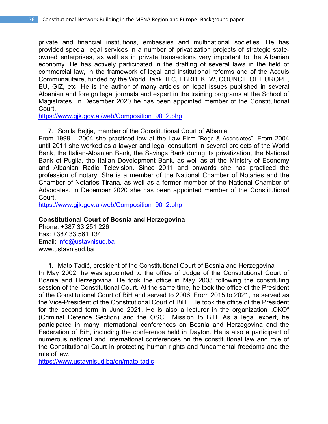private and financial institutions, embassies and multinational societies. He has provided special legal services in a number of privatization projects of strategic stateowned enterprises, as well as in private transactions very important to the Albanian economy. He has actively participated in the drafting of several laws in the field of commercial law, in the framework of legal and institutional reforms and of the Acquis Communautaire, funded by the World Bank, IFC, EBRD, KFW, COUNCIL OF EUROPE, EU, GIZ, etc. He is the author of many articles on legal issues published in several Albanian and foreign legal journals and expert in the training programs at the School of Magistrates. In December 2020 he has been appointed member of the Constitutional Court.

https://www.gjk.gov.al/web/Composition\_90\_2.php

7. Sonila Bejtja, member of the Constitutional Court of Albania

From 1999 – 2004 she practiced law at the Law Firm "Boga & Associates". From 2004 until 2011 she worked as a lawyer and legal consultant in several projects of the World Bank, the Italian-Albanian Bank, the Savings Bank during its privatization, the National Bank of Puglia, the Italian Development Bank, as well as at the Ministry of Economy and Albanian Radio Television. Since 2011 and onwards she has practiced the profession of notary. She is a member of the National Chamber of Notaries and the Chamber of Notaries Tirana, as well as a former member of the National Chamber of Advocates. In December 2020 she has been appointed member of the Constitutional Court.

https://www.gjk.gov.al/web/Composition\_90\_2.php

# **Constitutional Court of Bosnia and Herzegovina**

Phone: +387 33 251 226 Fax: +387 33 561 134 Email: info@ustavnisud.ba www.ustavnisud.ba

**1.** Mato Tadić, president of the Constitutional Court of Bosnia and Herzegovina In May 2002, he was appointed to the office of Judge of the Constitutional Court of Bosnia and Herzegovina. He took the office in May 2003 following the constituting session of the Constitutional Court. At the same time, he took the office of the President of the Constitutional Court of BiH and served to 2006. From 2015 to 2021, he served as the Vice-President of the Constitutional Court of BiH. He took the office of the President for the second term in June 2021. He is also a lecturer in the organization "OKO" (Criminal Defence Section) and the OSCE Mission to BiH. As a legal expert, he participated in many international conferences on Bosnia and Herzegovina and the Federation of BiH, including the conference held in Dayton. He is also a participant of numerous national and international conferences on the constitutional law and role of the Constitutional Court in protecting human rights and fundamental freedoms and the rule of law.

https://www.ustavnisud.ba/en/mato-tadic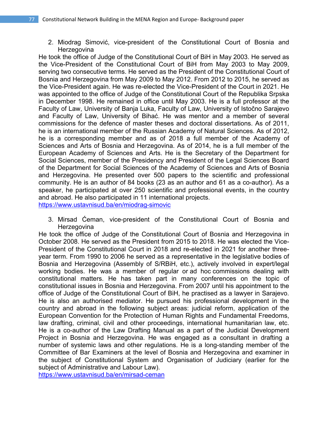2. Miodrag Simović, vice-president of the Constitutional Court of Bosnia and **Herzegovina** 

He took the office of Judge of the Constitutional Court of BiH in May 2003. He served as the Vice-President of the Constitutional Court of BiH from May 2003 to May 2009, serving two consecutive terms. He served as the President of the Constitutional Court of Bosnia and Herzegovina from May 2009 to May 2012. From 2012 to 2015, he served as the Vice-President again. He was re-elected the Vice-President of the Court in 2021. He was appointed to the office of Judge of the Constitutional Court of the Republika Srpska in December 1998. He remained in office until May 2003. He is a full professor at the Faculty of Law, University of Banja Luka, Faculty of Law, University of Istočno Sarajevo and Faculty of Law, University of Bihać. He was mentor and a member of several commissions for the defence of master theses and doctoral dissertations. As of 2011, he is an international member of the Russian Academy of Natural Sciences. As of 2012, he is a corresponding member and as of 2018 a full member of the Academy of Sciences and Arts of Bosnia and Herzegovina. As of 2014, he is a full member of the European Academy of Sciences and Arts. He is the Secretary of the Department for Social Sciences, member of the Presidency and President of the Legal Sciences Board of the Department for Social Sciences of the Academy of Sciences and Arts of Bosnia and Herzegovina. He presented over 500 papers to the scientific and professional community. He is an author of 84 books (23 as an author and 61 as a co-author). As a speaker, he participated at over 250 scientific and professional events, in the country and abroad. He also participated in 11 international projects.

https://www.ustavnisud.ba/en/miodrag-simovic

3. Mirsad Ćeman, vice-president of the Constitutional Court of Bosnia and **Herzegovina** 

He took the office of Judge of the Constitutional Court of Bosnia and Herzegovina in October 2008. He served as the President from 2015 to 2018. He was elected the Vice-President of the Constitutional Court in 2018 and re-elected in 2021 for another threeyear term. From 1990 to 2006 he served as a representative in the legislative bodies of Bosnia and Herzegovina (Assembly of S/RBiH, etc.), actively involved in expert/legal working bodies. He was a member of regular or ad hoc commissions dealing with constitutional matters. He has taken part in many conferences on the topic of constitutional issues in Bosnia and Herzegovina. From 2007 until his appointment to the office of Judge of the Constitutional Court of BiH, he practised as a lawyer in Sarajevo. He is also an authorised mediator. He pursued his professional development in the country and abroad in the following subject areas: judicial reform, application of the European Convention for the Protection of Human Rights and Fundamental Freedoms, law drafting, criminal, civil and other proceedings, international humanitarian law, etc. He is a co-author of the Law Drafting Manual as a part of the Judicial Development Project in Bosnia and Herzegovina. He was engaged as a consultant in drafting a number of systemic laws and other regulations. He is a long-standing member of the Committee of Bar Examiners at the level of Bosnia and Herzegovina and examiner in the subject of Constitutional System and Organisation of Judiciary (earlier for the subject of Administrative and Labour Law).

https://www.ustavnisud.ba/en/mirsad-ceman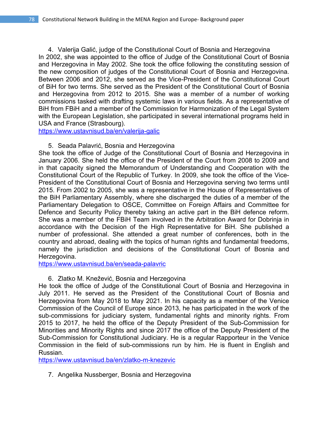4. Valerija Galić, judge of the Constitutional Court of Bosnia and Herzegovina In 2002, she was appointed to the office of Judge of the Constitutional Court of Bosnia and Herzegovina in May 2002. She took the office following the constituting session of the new composition of judges of the Constitutional Court of Bosnia and Herzegovina. Between 2006 and 2012, she served as the Vice-President of the Constitutional Court of BiH for two terms. She served as the President of the Constitutional Court of Bosnia and Herzegovina from 2012 to 2015. She was a member of a number of working commissions tasked with drafting systemic laws in various fields. As a representative of BiH from FBiH and a member of the Commission for Harmonization of the Legal System with the European Legislation, she participated in several international programs held in USA and France (Strasbourg).

https://www.ustavnisud.ba/en/valerija-galic

# 5. Seada Palavrić, Bosnia and Herzegovina

She took the office of Judge of the Constitutional Court of Bosnia and Herzegovina in January 2006. She held the office of the President of the Court from 2008 to 2009 and in that capacity signed the Memorandum of Understanding and Cooperation with the Constitutional Court of the Republic of Turkey. In 2009, she took the office of the Vice-President of the Constitutional Court of Bosnia and Herzegovina serving two terms until 2015. From 2002 to 2005, she was a representative in the House of Representatives of the BiH Parliamentary Assembly, where she discharged the duties of a member of the Parliamentary Delegation to OSCE, Committee on Foreign Affairs and Committee for Defence and Security Policy thereby taking an active part in the BiH defence reform. She was a member of the FBiH Team involved in the Arbitration Award for Dobrinja in accordance with the Decision of the High Representative for BiH. She published a number of professional. She attended a great number of conferences, both in the country and abroad, dealing with the topics of human rights and fundamental freedoms, namely the jurisdiction and decisions of the Constitutional Court of Bosnia and Herzegovina.

https://www.ustavnisud.ba/en/seada-palavric

# 6. Zlatko M. Knežević, Bosnia and Herzegovina

He took the office of Judge of the Constitutional Court of Bosnia and Herzegovina in July 2011. He served as the President of the Constitutional Court of Bosnia and Herzegovina from May 2018 to May 2021. In his capacity as a member of the Venice Commission of the Council of Europe since 2013, he has participated in the work of the sub-commissions for judiciary system, fundamental rights and minority rights. From 2015 to 2017, he held the office of the Deputy President of the Sub-Commission for Minorities and Minority Rights and since 2017 the office of the Deputy President of the Sub-Commission for Constitutional Judiciary. He is a regular Rapporteur in the Venice Commission in the field of sub-commissions run by him. He is fluent in English and Russian.

https://www.ustavnisud.ba/en/zlatko-m-knezevic

7. Angelika Nussberger, Bosnia and Herzegovina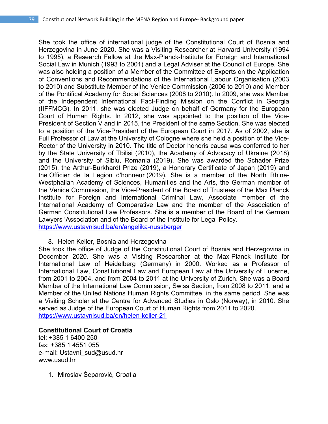She took the office of international judge of the Constitutional Court of Bosnia and Herzegovina in June 2020. She was a Visiting Researcher at Harvard University (1994 to 1995), a Research Fellow at the Max-Planck-Institute for Foreign and International Social Law in Munich (1993 to 2001) and a Legal Adviser at the Council of Europe. She was also holding a position of a Member of the Committee of Experts on the Application of Conventions and Recommendations of the International Labour Organisation (2003 to 2010) and Substitute Member of the Venice Commission (2006 to 2010) and Member of the Pontifical Academy for Social Sciences (2008 to 2010). In 2009, she was Member of the Independent International Fact-Finding Mission on the Conflict in Georgia (IIFFMCG). In 2011, she was elected Judge on behalf of Germany for the European Court of Human Rights. In 2012, she was appointed to the position of the Vice-President of Section V and in 2015, the President of the same Section. She was elected to a position of the Vice-President of the European Court in 2017. As of 2002, she is Full Professor of Law at the University of Cologne where she held a position of the Vice-Rector of the University in 2010. The title of Doctor honoris causa was conferred to her by the State University of Tbilisi (2010), the Academy of Advocacy of Ukraine (2018) and the University of Sibiu, Romania (2019). She was awarded the Schader Prize (2015), the Arthur-Burkhardt Prize (2019), a Honorary Certificate of Japan (2019) and the Officier de la Legion d'honneur (2019). She is a member of the North Rhine-Westphalian Academy of Sciences, Humanities and the Arts, the German member of the Venice Commission, the Vice-President of the Board of Trustees of the Max Planck Institute for Foreign and International Criminal Law, Associate member of the International Academy of Comparative Law and the member of the Association of German Constitutional Law Professors. She is a member of the Board of the German Lawyers 'Association and of the Board of the Institute for Legal Policy. https://www.ustavnisud.ba/en/angelika-nussberger

8. Helen Keller, Bosnia and Herzegovina

She took the office of Judge of the Constitutional Court of Bosnia and Herzegovina in December 2020. She was a Visiting Researcher at the Max-Planck Institute for International Law of Heidelberg (Germany) in 2000. Worked as a Professor of International Law, Constitutional Law and European Law at the University of Lucerne, from 2001 to 2004, and from 2004 to 2011 at the University of Zurich. She was a Board Member of the International Law Commission, Swiss Section, from 2008 to 2011, and a Member of the United Nations Human Rights Committee, in the same period. She was a Visiting Scholar at the Centre for Advanced Studies in Oslo (Norway), in 2010. She served as Judge of the European Court of Human Rights from 2011 to 2020. https://www.ustavnisud.ba/en/helen-keller-21

# **Constitutional Court of Croatia**

tel: +385 1 6400 250 fax: +385 1 4551 055 e-mail: Ustavni\_sud@usud.hr www.usud.hr

1. Miroslav Šeparović, Croatia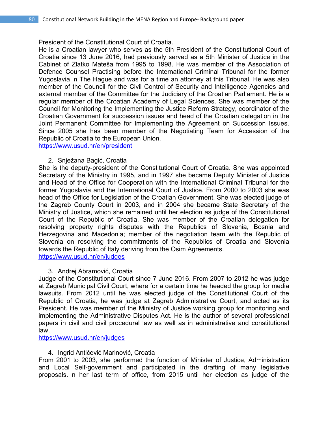President of the Constitutional Court of Croatia.

He is a Croatian lawyer who serves as the 5th President of the Constitutional Court of Croatia since 13 June 2016, had previously served as a 5th Minister of Justice in the Cabinet of Zlatko Mateša from 1995 to 1998. He was member of the Association of Defence Counsel Practising before the International Criminal Tribunal for the former Yugoslavia in The Hague and was for a time an attorney at this Tribunal. He was also member of the Council for the Civil Control of Security and Intelligence Agencies and external member of the Committee for the Judiciary of the Croatian Parliament. He is a regular member of the Croatian Academy of Legal Sciences. She was member of the Council for Monitoring the Implementing the Justice Reform Strategy, coordinator of the Croatian Government for succession issues and head of the Croatian delegation in the Joint Permanent Committee for Implementing the Agreement on Succession Issues. Since 2005 she has been member of the Negotiating Team for Accession of the Republic of Croatia to the European Union.

https://www.usud.hr/en/president

### 2. Snježana Bagić, Croatia

She is the deputy-president of the Constitutional Court of Croatia. She was appointed Secretary of the Ministry in 1995, and in 1997 she became Deputy Minister of Justice and Head of the Office for Cooperation with the International Criminal Tribunal for the former Yugoslavia and the International Court of Justice. From 2000 to 2003 she was head of the Office for Legislation of the Croatian Government. She was elected judge of the Zagreb County Court in 2003, and in 2004 she became State Secretary of the Ministry of Justice, which she remained until her election as judge of the Constitutional Court of the Republic of Croatia. She was member of the Croatian delegation for resolving property rights disputes with the Republics of Slovenia, Bosnia and Herzegovina and Macedonia; member of the negotiation team with the Republic of Slovenia on resolving the commitments of the Republics of Croatia and Slovenia towards the Republic of Italy deriving from the Osim Agreements. https://www.usud.hr/en/judges

3. Andrej Abramović, Croatia

Judge of the Constitutional Court since 7 June 2016. From 2007 to 2012 he was judge at Zagreb Municipal Civil Court, where for a certain time he headed the group for media lawsuits. From 2012 until he was elected judge of the Constitutional Court of the Republic of Croatia, he was judge at Zagreb Administrative Court, and acted as its President. He was member of the Ministry of Justice working group for monitoring and implementing the Administrative Disputes Act. He is the author of several professional papers in civil and civil procedural law as well as in administrative and constitutional law.

https://www.usud.hr/en/judges

#### 4. Ingrid Antičević Marinović, Croatia

From 2001 to 2003, she performed the function of Minister of Justice, Administration and Local Self-government and participated in the drafting of many legislative proposals. n her last term of office, from 2015 until her election as judge of the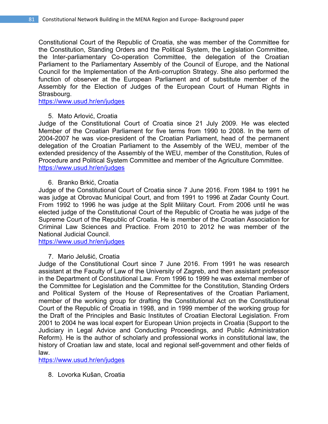Constitutional Court of the Republic of Croatia, she was member of the Committee for the Constitution, Standing Orders and the Political System, the Legislation Committee, the Inter-parliamentary Co-operation Committee, the delegation of the Croatian Parliament to the Parliamentary Assembly of the Council of Europe, and the National Council for the Implementation of the Anti-corruption Strategy. She also performed the function of observer at the European Parliament and of substitute member of the Assembly for the Election of Judges of the European Court of Human Rights in Strasbourg.

https://www.usud.hr/en/judges

5. Mato Arlović, Croatia

Judge of the Constitutional Court of Croatia since 21 July 2009. He was elected Member of the Croatian Parliament for five terms from 1990 to 2008. In the term of 2004-2007 he was vice-president of the Croatian Parliament, head of the permanent delegation of the Croatian Parliament to the Assembly of the WEU, member of the extended presidency of the Assembly of the WEU, member of the Constitution, Rules of Procedure and Political System Committee and member of the Agriculture Committee. https://www.usud.hr/en/judges

6. Branko Brkić, Croatia

Judge of the Constitutional Court of Croatia since 7 June 2016. From 1984 to 1991 he was judge at Obrovac Municipal Court, and from 1991 to 1996 at Zadar County Court. From 1992 to 1996 he was judge at the Split Military Court. From 2006 until he was elected judge of the Constitutional Court of the Republic of Croatia he was judge of the Supreme Court of the Republic of Croatia. He is member of the Croatian Association for Criminal Law Sciences and Practice. From 2010 to 2012 he was member of the National Judicial Council.

https://www.usud.hr/en/judges

7. Mario Jelušić, Croatia

Judge of the Constitutional Court since 7 June 2016. From 1991 he was research assistant at the Faculty of Law of the University of Zagreb, and then assistant professor in the Department of Constitutional Law. From 1996 to 1999 he was external member of the Committee for Legislation and the Committee for the Constitution, Standing Orders and Political System of the House of Representatives of the Croatian Parliament, member of the working group for drafting the Constitutional Act on the Constitutional Court of the Republic of Croatia in 1998, and in 1999 member of the working group for the Draft of the Principles and Basic Institutes of Croatian Electoral Legislation. From 2001 to 2004 he was local expert for European Union projects in Croatia (Support to the Judiciary in Legal Advice and Conducting Proceedings, and Public Administration Reform). He is the author of scholarly and professional works in constitutional law, the history of Croatian law and state, local and regional self-government and other fields of law.

https://www.usud.hr/en/judges

8. Lovorka Kušan, Croatia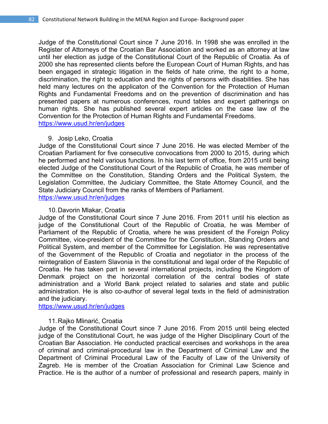Judge of the Constitutional Court since 7 June 2016. In 1998 she was enrolled in the Register of Attorneys of the Croatian Bar Association and worked as an attorney at law until her election as judge of the Constitutional Court of the Republic of Croatia. As of 2000 she has represented clients before the European Court of Human Rights, and has been engaged in strategic litigation in the fields of hate crime, the right to a home, discrimination, the right to education and the rights of persons with disabilities. She has held many lectures on the applicaton of the Convention for the Protection of Human Rights and Fundamental Freedoms and on the prevention of discrimination and has presented papers at numerous conferences, round tables and expert gatherings on human rights. She has published several expert articles on the case law of the Convention for the Protection of Human Rights and Fundamental Freedoms. https://www.usud.hr/en/judges

#### 9. Josip Leko, Croatia

Judge of the Constitutional Court since 7 June 2016. He was elected Member of the Croatian Parliament for five consecutive convocations from 2000 to 2015, during which he performed and held various functions. In his last term of office, from 2015 until being elected Judge of the Constitutional Court of the Republic of Croatia, he was member of the Committee on the Constitution, Standing Orders and the Political System, the Legislation Committee, the Judiciary Committee, the State Attorney Council, and the State Judiciary Council from the ranks of Members of Parliament. https://www.usud.hr/en/judges

#### 10.Davorin Mlakar, Croatia

Judge of the Constitutional Court since 7 June 2016. From 2011 until his election as judge of the Constitutional Court of the Republic of Croatia, he was Member of Parliament of the Republic of Croatia, where he was president of the Foreign Policy Committee, vice-president of the Committee for the Constitution, Standing Orders and Political System, and member of the Committee for Legislation. He was representative of the Government of the Republic of Croatia and negotiator in the process of the reintegration of Eastern Slavonia in the constitutional and legal order of the Republic of Croatia. He has taken part in several international projects, including the Kingdom of Denmark project on the horizontal correlation of the central bodies of state administration and a World Bank project related to salaries and state and public administration. He is also co-author of several legal texts in the field of administration and the judiciary.

https://www.usud.hr/en/judges

# 11.Rajko Mlinarić, Croatia

Judge of the Constitutional Court since 7 June 2016. From 2015 until being elected judge of the Constitutional Court, he was judge of the Higher Disciplinary Court of the Croatian Bar Association. He conducted practical exercises and workshops in the area of criminal and criminal-procedural law in the Department of Criminal Law and the Department of Criminal Procedural Law of the Faculty of Law of the University of Zagreb. He is member of the Croatian Association for Criminal Law Science and Practice. He is the author of a number of professional and research papers, mainly in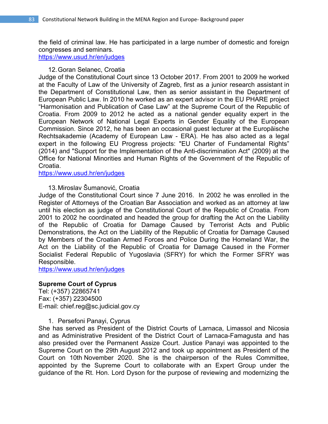the field of criminal law. He has participated in a large number of domestic and foreign congresses and seminars.

https://www.usud.hr/en/judges

#### 12.Goran Selanec, Croatia

Judge of the Constitutional Court since 13 October 2017. From 2001 to 2009 he worked at the Faculty of Law of the University of Zagreb, first as a junior research assistant in the Department of Constitutional Law, then as senior assistant in the Department of European Public Law. In 2010 he worked as an expert advisor in the EU PHARE project "Harmonisation and Publication of Case Law" at the Supreme Court of the Republic of Croatia. From 2009 to 2012 he acted as a national gender equality expert in the European Network of National Legal Experts in Gender Equality of the European Commission. Since 2012, he has been an occasional guest lecturer at the Europäische Rechtsakademie (Academy of European Law - ERA). He has also acted as a legal expert in the following EU Progress projects: "EU Charter of Fundamental Rights" (2014) and "Support for the Implementation of the Anti-discrimination Act" (2009) at the Office for National Minorities and Human Rights of the Government of the Republic of Croatia.

https://www.usud.hr/en/judges

### 13.Miroslav Šumanović, Croatia

Judge of the Constitutional Court since 7 June 2016. In 2002 he was enrolled in the Register of Attorneys of the Croatian Bar Association and worked as an attorney at law until his election as judge of the Constitutional Court of the Republic of Croatia. From 2001 to 2002 he coordinated and headed the group for drafting the Act on the Liability of the Republic of Croatia for Damage Caused by Terrorist Acts and Public Demonstrations, the Act on the Liability of the Republic of Croatia for Damage Caused by Members of the Croatian Armed Forces and Police During the Homeland War, the Act on the Liability of the Republic of Croatia for Damage Caused in the Former Socialist Federal Republic of Yugoslavia (SFRY) for which the Former SFRY was Responsible.

https://www.usud.hr/en/judges

#### **Supreme Court of Cyprus**

Tel: (+357) 22865741 Fax: (+357) 22304500 E-mail: chief.reg@sc.judicial.gov.cy

1. Persefoni Panayi, Cyprus

She has served as President of the District Courts of Larnaca, Limassol and Nicosia and as Administrative President of the District Court of Larnaca-Famagusta and has also presided over the Permanent Assize Court. Justice Panayi was appointed to the Supreme Court on the 29th August 2012 and took up appointment as President of the Court on 10th November 2020. She is the chairperson of the Rules Committee, appointed by the Supreme Court to collaborate with an Expert Group under the guidance of the Rt. Hon. Lord Dyson for the purpose of reviewing and modernizing the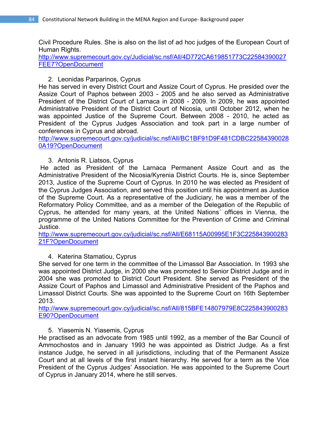Civil Procedure Rules. She is also on the list of ad hoc judges of the European Court of Human Rights.

http://www.supremecourt.gov.cy/Judicial/sc.nsf/All/4D772CA619851773C22584390027 FEE7?OpenDocument

# 2. Leonidas Parparinos, Cyprus

He has served in every District Court and Assize Court of Cyprus. He presided over the Assize Court of Paphos between 2003 - 2005 and he also served as Administrative President of the District Court of Larnaca in 2008 - 2009. In 2009, he was appointed Administrative President of the District Court of Nicosia, until October 2012, when he was appointed Justice of the Supreme Court. Between 2008 - 2010, he acted as President of the Cyprus Judges Association and took part in a large number of conferences in Cyprus and abroad.

http://www.supremecourt.gov.cy/judicial/sc.nsf/All/BC1BF91D9F481CDBC22584390028 0A19?OpenDocument

# 3. Antonis R. Liatsos, Cyprus

 He acted as President of the Larnaca Permanent Assize Court and as the Administrative President of the Nicosia/Kyrenia District Courts. He is, since September 2013, Justice of the Supreme Court of Cyprus. In 2010 he was elected as President of the Cyprus Judges Association, and served this position until his appointment as Justice of the Supreme Court. As a representative of the Judiciary, he was a member of the Reformatory Policy Committee, and as a member of the Delegation of the Republic of Cyprus, he attended for many years, at the United Nations´ offices in Vienna, the programme of the United Nations Committee for the Prevention of Crime and Criminal Justice.

http://www.supremecourt.gov.cy/judicial/sc.nsf/All/E68115A00995E1F3C225843900283 21F?OpenDocument

# 4. Katerina Stamatiou, Cyprus

She served for one term in the committee of the Limassol Bar Association. In 1993 she was appointed District Judge, in 2000 she was promoted to Senior District Judge and in 2004 she was promoted to District Court President. She served as President of the Assize Court of Paphos and Limassol and Administrative President of the Paphos and Limassol District Courts. She was appointed to the Supreme Court on 16th September 2013.

http://www.supremecourt.gov.cy/judicial/sc.nsf/All/815BFE14807979E8C225843900283 E90?OpenDocument

# 5. Yiasemis N. Yiasemis, Cyprus

He practised as an advocate from 1985 until 1992, as a member of the Bar Council of Ammochostos and in January 1993 he was appointed as District Judge. As a first instance Judge, he served in all jurisdictions, including that of the Permanent Assize Court and at all levels of the first instant hierarchy. He served for a term as the Vice President of the Cyprus Judges' Association. He was appointed to the Supreme Court of Cyprus in January 2014, where he still serves.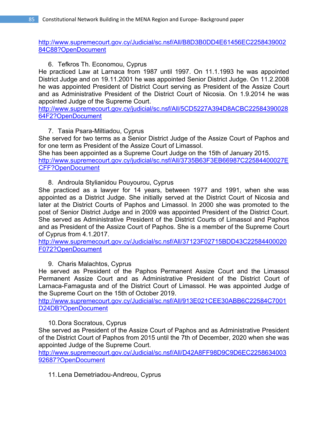http://www.supremecourt.gov.cy/Judicial/sc.nsf/All/B8D3B0DD4E61456EC2258439002 84C88?OpenDocument

# 6. Tefkros Th. Economou, Cyprus

He practiced Law at Larnaca from 1987 until 1997. On 11.1.1993 he was appointed District Judge and οn 19.11.2001 he was appointed Senior District Judge. On 11.2.2008 he was appointed President of District Court serving as President of the Assize Court and as Administrative President of the District Court of Nicosia. On 1.9.2014 he was appointed Judge of the Supreme Court.

http://www.supremecourt.gov.cy/judicial/sc.nsf/All/5CD5227A394D8ACBC22584390028 64F2?OpenDocument

# 7. Tasia Psara-Miltiadou, Cyprus

She served for two terms as a Senior District Judge of the Assize Court of Paphos and for one term as President of the Assize Court of Limassol.

She has been appointed as a Supreme Court Judge on the 15th of January 2015. http://www.supremecourt.gov.cy/judicial/sc.nsf/All/3735B63F3EB66987C22584400027E CFF?OpenDocument

# 8. Androula Stylianidou Pouyourou, Cyprus

She practiced as a lawyer for 14 years, between 1977 and 1991, when she was appointed as a District Judge. She initially served at the District Court of Nicosia and later at the District Courts of Paphos and Limassol. In 2000 she was promoted to the post of Senior District Judge and in 2009 was appointed President of the District Court. She served as Administrative President of the District Courts of Limassol and Paphos and as President of the Assize Court of Paphos. She is a member of the Supreme Court of Cyprus from 4.1.2017.

http://www.supremecourt.gov.cy/Judicial/sc.nsf/All/37123F02715BDD43C22584400020 F072?OpenDocument

# 9. Charis Malachtos, Cyprus

He served as President of the Paphos Permanent Assize Court and the Limassol Permanent Assize Court and as Administrative President of the District Court of Larnaca-Famagusta and of the District Court of Limassol. He was appointed Judge of the Supreme Court on the 15th of October 2019.

http://www.supremecourt.gov.cy/Judicial/sc.nsf/All/913E021CEE30ABB6C22584C7001 D24DB?OpenDocument

# 10.Dora Socratous, Cyprus

She served as President of the Assize Court of Paphos and as Administrative President of the District Court of Paphos from 2015 until the 7th of December, 2020 when she was appointed Judge of the Supreme Court.

http://www.supremecourt.gov.cy/Judicial/sc.nsf/All/D42A8FF98D9C9D6EC2258634003 92687?OpenDocument

# 11.Lena Demetriadou-Andreou, Cyprus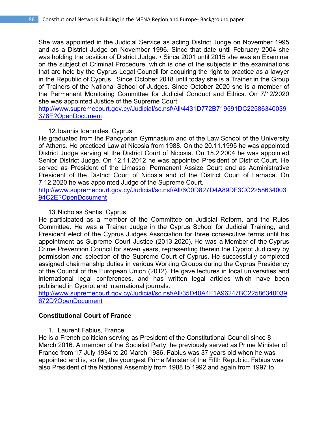She was appointed in the Judicial Service as acting District Judge on November 1995 and as a District Judge on November 1996. Since that date until February 2004 she was holding the position of District Judge. • Since 2001 until 2015 she was an Examiner on the subject of Criminal Procedure, which is one of the subjects in the examinations that are held by the Cyprus Legal Council for acquiring the right to practice as a lawyer in the Republic of Cyprus. Since October 2018 until today she is a Trainer in the Group of Trainers of the National School of Judges. Since October 2020 she is a member of the Permanent Monitoring Committee for Judicial Conduct and Ethics. On 7/12/2020 she was appointed Justice of the Supreme Court.

http://www.supremecourt.gov.cy/Judicial/sc.nsf/All/4431D772B719591DC22586340039 378E?OpenDocument

### 12.Ioannis Ioannides, Cyprus

He graduated from the Pancyprian Gymnasium and of the Law School of the University of Athens. He practiced Law at Nicosia from 1988. On the 20.11.1995 he was appointed District Judge serving at the District Court of Nicosia. On 15.2.2004 he was appointed Senior District Judge. On 12.11.2012 he was appointed President of District Court. He served as President of the Limassol Permanent Assize Court and as Administrative President of the District Court of Nicosia and of the District Court of Larnaca. On 7.12.2020 he was appointed Judge of the Supreme Court.

http://www.supremecourt.gov.cy/Judicial/sc.nsf/All/6C0D827D4A89DF3CC2258634003 94C2E?OpenDocument

#### 13.Nicholas Santis, Cyprus

He participated as a member of the Committee on Judicial Reform, and the Rules Committee. He was a Trainer Judge in the Cyprus School for Judicial Training, and President elect of the Cyprus Judges Association for three consecutive terms until his appointment as Supreme Court Justice (2013-2020). He was a Member of the Cyprus Crime Prevention Council for seven years, representing therein the Cypriot Judiciary by permission and selection of the Supreme Court of Cyprus. He successfully completed assigned chairmanship duties in various Working Groups during the Cyprus Presidency of the Council of the European Union (2012). He gave lectures in local universities and international legal conferences, and has written legal articles which have been published in Cypriot and international journals.

http://www.supremecourt.gov.cy/Judicial/sc.nsf/All/35D40A4F1A96247BC22586340039 672D?OpenDocument

# **Constitutional Court of France**

1. Laurent Fabius, France

He is a French politician serving as President of the Constitutional Council since 8 March 2016. A member of the Socialist Party, he previously served as Prime Minister of France from 17 July 1984 to 20 March 1986. Fabius was 37 years old when he was appointed and is, so far, the youngest Prime Minister of the Fifth Republic. Fabius was also President of the National Assembly from 1988 to 1992 and again from 1997 to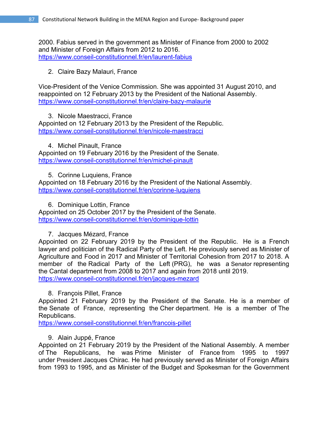2000. Fabius served in the government as Minister of Finance from 2000 to 2002 and Minister of Foreign Affairs from 2012 to 2016. https://www.conseil-constitutionnel.fr/en/laurent-fabius

2. Claire Bazy Malauri, France

Vice-President of the Venice Commission. She was appointed 31 August 2010, and reappointed on 12 February 2013 by the President of the National Assembly. https://www.conseil-constitutionnel.fr/en/claire-bazy-malaurie

3. Nicole Maestracci, France Appointed on 12 February 2013 by the President of the Republic. https://www.conseil-constitutionnel.fr/en/nicole-maestracci

4. Michel Pinault, France Appointed on 19 February 2016 by the President of the Senate. https://www.conseil-constitutionnel.fr/en/michel-pinault

5. Corinne Luquiens, France Appointed on 18 February 2016 by the President of the National Assembly. https://www.conseil-constitutionnel.fr/en/corinne-luquiens

6. Dominique Lottin, France

Appointed on 25 October 2017 by the President of the Senate. https://www.conseil-constitutionnel.fr/en/dominique-lottin

# 7. Jacques Mézard, France

Appointed on 22 February 2019 by the President of the Republic. He is a French lawyer and politician of the Radical Party of the Left. He previously served as Minister of Agriculture and Food in 2017 and Minister of Territorial Cohesion from 2017 to 2018. A member of the Radical Party of the Left (PRG), he was a Senator representing the Cantal department from 2008 to 2017 and again from 2018 until 2019. https://www.conseil-constitutionnel.fr/en/jacques-mezard

# 8. François Pillet, France

Appointed 21 February 2019 by the President of the Senate. He is a member of the Senate of France, representing the Cher department. He is a member of The Republicans.

https://www.conseil-constitutionnel.fr/en/francois-pillet

# 9. Alain Juppé, France

Appointed on 21 February 2019 by the President of the National Assembly. A member of The Republicans, he was Prime Minister of France from 1995 to 1997 under President Jacques Chirac. He had previously served as Minister of Foreign Affairs from 1993 to 1995, and as Minister of the Budget and Spokesman for the Government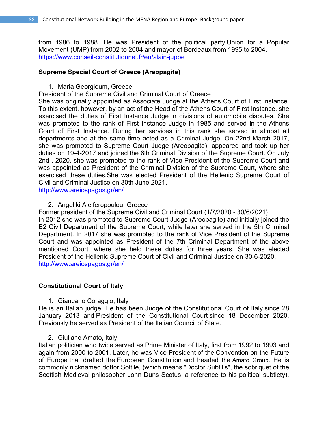from 1986 to 1988. He was President of the political party Union for a Popular Movement (UMP) from 2002 to 2004 and mayor of Bordeaux from 1995 to 2004. https://www.conseil-constitutionnel.fr/en/alain-juppe

### **Supreme Special Court of Greece (Areopagite)**

1. Maria Georgioum, Greece

President of the Supreme Civil and Criminal Court of Greece

She was originally appointed as Associate Judge at the Athens Court of First Instance. To this extent, however, by an act of the Head of the Athens Court of First Instance, she exercised the duties of First Instance Judge in divisions of automobile disputes. She was promoted to the rank of First Instance Judge in 1985 and served in the Athens Court of First Instance. During her services in this rank she served in almost all departments and at the same time acted as a Criminal Judge. On 22nd March 2017, she was promoted to Supreme Court Judge (Areopagite), appeared and took up her duties on 19-4-2017 and joined the 6th Criminal Division of the Supreme Court. On July 2nd , 2020, she was promoted to the rank of Vice President of the Supreme Court and was appointed as President of the Criminal Division of the Supreme Court, where she exercised these duties.She was elected President of the Hellenic Supreme Court of Civil and Criminal Justice on 30th June 2021.

http://www.areiospagos.gr/en/

2. Angeliki Aleiferopoulou, Greece

Former president of the Supreme Civil and Criminal Court (1/7/2020 - 30/6/2021) In 2012 she was promoted to Supreme Court Judge (Areopagite) and initially joined the B2 Civil Department of the Supreme Court, while later she served in the 5th Criminal Department. In 2017 she was promoted to the rank of Vice President of the Supreme Court and was appointed as President of the 7th Criminal Department of the above mentioned Court, where she held these duties for three years. She was elected President of the Hellenic Supreme Court of Civil and Criminal Justice on 30-6-2020. http://www.areiospagos.gr/en/

# **Constitutional Court of Italy**

1. Giancarlo Coraggio, Italy

He is an Italian judge. He has been Judge of the Constitutional Court of Italy since 28 January 2013 and President of the Constitutional Court since 18 December 2020. Previously he served as President of the Italian Council of State.

2. Giuliano Amato, Italy

Italian politician who twice served as Prime Minister of Italy, first from 1992 to 1993 and again from 2000 to 2001. Later, he was Vice President of the Convention on the Future of Europe that drafted the European Constitution and headed the Amato Group. He is commonly nicknamed dottor Sottile, (which means "Doctor Subtilis", the sobriquet of the Scottish Medieval philosopher John Duns Scotus, a reference to his political subtlety).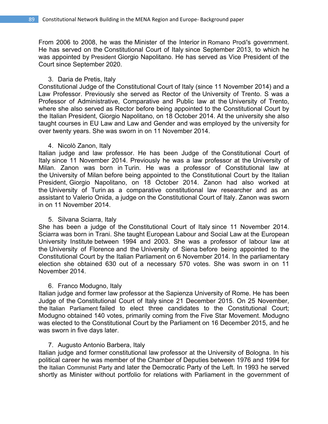From 2006 to 2008, he was the Minister of the Interior in Romano Prodi's government. He has served on the Constitutional Court of Italy since September 2013, to which he was appointed by President Giorgio Napolitano. He has served as Vice President of the Court since September 2020.

#### 3. Daria de Pretis, Italy

Constitutional Judge of the Constitutional Court of Italy (since 11 November 2014) and a Law Professor. Previously she served as Rector of the University of Trento. S was a Professor of Administrative, Comparative and Public law at the University of Trento, where she also served as Rector before being appointed to the Constitutional Court by the Italian President, Giorgio Napolitano, on 18 October 2014. At the university she also taught courses in EU Law and Law and Gender and was employed by the university for over twenty years. She was sworn in on 11 November 2014.

#### 4. Nicolò Zanon, Italy

Italian judge and law professor. He has been Judge of the Constitutional Court of Italy since 11 November 2014. Previously he was a law professor at the University of Milan. Zanon was born in Turin. He was a professor of Constitutional law at the University of Milan before being appointed to the Constitutional Court by the Italian President, Giorgio Napolitano, on 18 October 2014. Zanon had also worked at the University of Turin as a comparative constitutional law researcher and as an assistant to Valerio Onida, a judge on the Constitutional Court of Italy. Zanon was sworn in on 11 November 2014.

# 5. Silvana Sciarra, Italy

She has been a judge of the Constitutional Court of Italy since 11 November 2014. Sciarra was born in Trani. She taught European Labour and Social Law at the European University Institute between 1994 and 2003. She was a professor of labour law at the University of Florence and the University of Siena before being appointed to the Constitutional Court by the Italian Parliament on 6 November 2014. In the parliamentary election she obtained 630 out of a necessary 570 votes. She was sworn in on 11 November 2014.

# 6. Franco Modugno, Italy

Italian judge and former law professor at the Sapienza University of Rome. He has been Judge of the Constitutional Court of Italy since 21 December 2015. On 25 November, the Italian Parliament failed to elect three candidates to the Constitutional Court; Modugno obtained 140 votes, primarily coming from the Five Star Movement. Modugno was elected to the Constitutional Court by the Parliament on 16 December 2015, and he was sworn in five days later.

# 7. Augusto Antonio Barbera, Italy

Italian judge and former constitutional law professor at the University of Bologna. In his political career he was member of the Chamber of Deputies between 1976 and 1994 for the Italian Communist Party and later the Democratic Party of the Left. In 1993 he served shortly as Minister without portfolio for relations with Parliament in the government of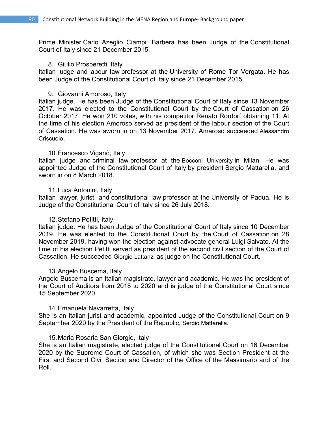Prime Minister Carlo Azeglio Ciampi. Barbera has been Judge of the Constitutional Court of Italy since 21 December 2015.

#### 8. Giulio Prosperetti, Italy

Italian judge and labour law professor at the University of Rome Tor Vergata. He has been Judge of the Constitutional Court of Italy since 21 December 2015.

#### 9. Giovanni Amoroso, Italy

Italian judge. He has been Judge of the Constitutional Court of Italy since 13 November 2017. He was elected to the Constitutional Court by the Court of Cassation on 26 October 2017. He won 210 votes, with his competitor Renato Rordorf obtaining 11. At the time of his election Amoroso served as president of the labour section of the Court of Cassation. He was sworn in on 13 November 2017. Amaroso succeeded Alessandro Criscuolo,

#### 10.Francesco Viganò, Italy

Italian judge and criminal law professor at the Bocconi University in Milan. He was appointed Judge of the Constitutional Court of Italy by president Sergio Mattarella, and sworn in on 8 March 2018.

#### 11.Luca Antonini, Italy

Italian lawyer, jurist, and constitutional law professor at the University of Padua. He is Judge of the Constitutional Court of Italy since 26 July 2018.

#### 12.Stefano Petitti, Italy

Italian judge. He has been Judge of the Constitutional Court of Italy since 10 December 2019. He was elected to the Constitutional Court by the Court of Cassation on 28 November 2019, having won the election against advocate general Luigi Salvato. At the time of his election Petitti served as president of the second civil section of the Court of Cassation. He succeeded Giorgio Lattanzi as judge on the Constitutional Court.

#### 13.Angelo Buscema, Italy

Angelo Buscema is an Italian magistrate, lawyer and academic. He was the president of the Court of Auditors from 2018 to 2020 and is judge of the Constitutional Court since 15 September 2020.

#### 14.Emanuela Navarretta, Italy

She is an Italian jurist and academic, appointed Judge of the Constitutional Court on 9 September 2020 by the President of the Republic, Sergio Mattarella.

#### 15.Maria Rosaria San Giorgio, Italy

She is an Italian magistrate, elected judge of the Constitutional Court on 16 December 2020 by the Supreme Court of Cassation, of which she was Section President at the First and Second Civil Section and Director of the Office of the Massimario and of the Roll.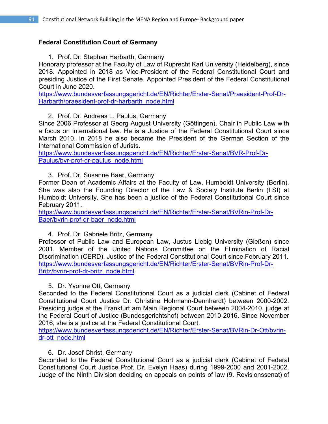# **Federal Constitution Court of Germany**

1. Prof. Dr. Stephan Harbarth, Germany

Honorary professor at the Faculty of Law of Ruprecht Karl University (Heidelberg), since 2018. Appointed in 2018 as Vice-President of the Federal Constitutional Court and presiding Justice of the First Senate. Appointed President of the Federal Constitutional Court in June 2020.

https://www.bundesverfassungsgericht.de/EN/Richter/Erster-Senat/Praesident-Prof-Dr-Harbarth/praesident-prof-dr-harbarth\_node.html

2. Prof. Dr. Andreas L. Paulus, Germany

Since 2006 Professor at Georg August University (Göttingen), Chair in Public Law with a focus on international law. He is a Justice of the Federal Constitutional Court since March 2010. In 2018 he also became the President of the German Section of the International Commission of Jurists.

https://www.bundesverfassungsgericht.de/EN/Richter/Erster-Senat/BVR-Prof-Dr-Paulus/bvr-prof-dr-paulus\_node.html

3. Prof. Dr. Susanne Baer, Germany

Former Dean of Academic Affairs at the Faculty of Law, Humboldt University (Berlin). She was also the Founding Director of the Law & Society Institute Berlin (LSI) at Humboldt University. She has been a justice of the Federal Constitutional Court since February 2011.

https://www.bundesverfassungsgericht.de/EN/Richter/Erster-Senat/BVRin-Prof-Dr-Baer/bvrin-prof-dr-baer\_node.html

# 4. Prof. Dr. Gabriele Britz, Germany

Professor of Public Law and European Law, Justus Liebig University (Gießen) since 2001. Member of the United Nations Committee on the Elimination of Racial Discrimination (CERD). Justice of the Federal Constitutional Court since February 2011. https://www.bundesverfassungsgericht.de/EN/Richter/Erster-Senat/BVRin-Prof-Dr-Britz/bvrin-prof-dr-britz\_node.html

# 5. Dr. Yvonne Ott, Germany

Seconded to the Federal Constitutional Court as a judicial clerk (Cabinet of Federal Constitutional Court Justice Dr. Christine Hohmann-Dennhardt) between 2000-2002. Presiding judge at the Frankfurt am Main Regional Court between 2004-2010, judge at the Federal Court of Justice (Bundesgerichtshof) between 2010-2016. Since November 2016, she is a justice at the Federal Constitutional Court.

https://www.bundesverfassungsgericht.de/EN/Richter/Erster-Senat/BVRin-Dr-Ott/bvrindr-ott\_node.html

# 6. Dr. Josef Christ, Germany

Seconded to the Federal Constitutional Court as a judicial clerk (Cabinet of Federal Constitutional Court Justice Prof. Dr. Evelyn Haas) during 1999-2000 and 2001-2002. Judge of the Ninth Division deciding on appeals on points of law (9. Revisionssenat) of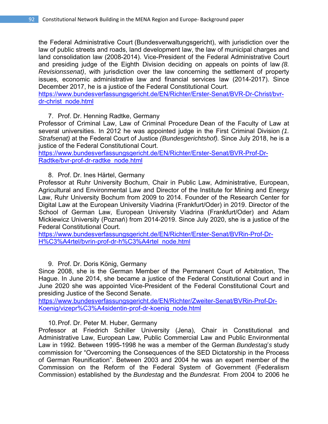the Federal Administrative Court (Bundesverwaltungsgericht), with jurisdiction over the law of public streets and roads, land development law, the law of municipal charges and land consolidation law (2008-2014). Vice-President of the Federal Administrative Court and presiding judge of the Eighth Division deciding on appeals on points of law *(8. Revisionssenat)*, with jurisdiction over the law concerning the settlement of property issues, economic administrative law and financial services law (2014-2017). Since December 2017, he is a justice of the Federal Constitutional Court.

https://www.bundesverfassungsgericht.de/EN/Richter/Erster-Senat/BVR-Dr-Christ/bvrdr-christ\_node.html

# 7. Prof. Dr. Henning Radtke, Germany

Professor of Criminal Law, Law of Criminal Procedure Dean of the Faculty of Law at several universities. In 2012 he was appointed judge in the First Criminal Division *(1. Strafsenat)* at the Federal Court of Justice *(Bundesgerichtshof).* Since July 2018, he is a justice of the Federal Constitutional Court.

https://www.bundesverfassungsgericht.de/EN/Richter/Erster-Senat/BVR-Prof-Dr-Radtke/bvr-prof-dr-radtke\_node.html

# 8. Prof. Dr. Ines Härtel, Germany

Professor at Ruhr University Bochum, Chair in Public Law, Administrative, European, Agricultural and Environmental Law and Director of the Institute for Mining and Energy Law, Ruhr University Bochum from 2009 to 2014. Founder of the Research Center for Digital Law at the European University Viadrina (Frankfurt/Oder) in 2019. Director of the School of German Law, European University Viadrina (Frankfurt/Oder) and Adam Mickiewicz University (Poznań) from 2014-2019. Since July 2020, she is a justice of the Federal Constitutional Court.

https://www.bundesverfassungsgericht.de/EN/Richter/Erster-Senat/BVRin-Prof-Dr-H%C3%A4rtel/bvrin-prof-dr-h%C3%A4rtel\_node.html

# 9. Prof. Dr. Doris König, Germany

Since 2008, she is the German Member of the Permanent Court of Arbitration, The Hague. In June 2014, she became a justice of the Federal Constitutional Court and in June 2020 she was appointed Vice-President of the Federal Constitutional Court and presiding Justice of the Second Senate.

https://www.bundesverfassungsgericht.de/EN/Richter/Zweiter-Senat/BVRin-Prof-Dr-Koenig/vizepr%C3%A4sidentin-prof-dr-koenig\_node.html

# 10.Prof. Dr. Peter M. Huber, Germany

Professor at Friedrich Schiller University (Jena), Chair in Constitutional and Administrative Law, European Law, Public Commercial Law and Public Environmental Law in 1992. Between 1995-1998 he was a member of the German *Bundestag*'*s* study commission for "Overcoming the Consequences of the SED Dictatorship in the Process of German Reunification". Between 2003 and 2004 he was an expert member of the Commission on the Reform of the Federal System of Government (Federalism Commission) established by the *Bundestag* and the *Bundesrat.* From 2004 to 2006 he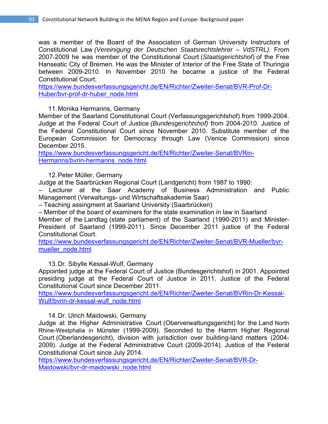was a member of the Board of the Association of German University Instructors of Constitutional Law *(Vereinigung der Deutschen Staatsrechtslehrer – VdSTRL).* From 2007-2009 he was member of the Constitutional Court (*Staatsgerichtshof*) of the Free Hanseatic City of Bremen. He was the Minister of Interior of the Free State of Thuringia between 2009-2010. In November 2010 he became a justice of the Federal Constitutional Court.

https://www.bundesverfassungsgericht.de/EN/Richter/Zweiter-Senat/BVR-Prof-Dr-Huber/bvr-prof-dr-huber\_node.html

11.Monika Hermanns, Germany

Member of the Saarland Constitutional Court (Verfassungsgerichtshof) from 1999-2004. Judge at the Federal Court of Justice *(Bundesgerichtshof)* from 2004-2010. Justice of the Federal Constitutional Court since November 2010. Substitute member of the European Commission for Democracy through Law (Venice Commission) since December 2015.

https://www.bundesverfassungsgericht.de/EN/Richter/Zweiter-Senat/BVRin-Hermanns/bvrin-hermanns\_node.html

12.Peter Müller, Germany

Judge at the Saarbrücken Regional Court (Landgericht) from 1987 to 1990:

– Lecturer at the Saar Academy of Business Administration and Public Management (Verwaltungs- und Wirtschaftsakademie Saar)

– Teaching assingment at Saarland University (Saarbrücken)

– Member of the board of examiners for the state examination in law in Saarland

Member of the Landtag (state parliament) of the Saarland (1990-2011) and Minister-President of Saarland (1999-2011). Since December 2011 justice of the Federal Constitutional Court.

https://www.bundesverfassungsgericht.de/EN/Richter/Zweiter-Senat/BVR-Mueller/bvrmueller\_node.html

13.Dr. Sibylle Kessal-Wulf, Germany

Appointed judge at the Federal Court of Justice (Bundesgerichtshof) in 2001. Appointed presiding judge at the Federal Court of Justice in 2011. Justice of the Federal Constitutional Court since December 2011.

https://www.bundesverfassungsgericht.de/EN/Richter/Zweiter-Senat/BVRin-Dr-Kessal-Wulf/bvrin-dr-kessal-wulf\_node.html

# 14.Dr. Ulrich Maidowski, Germany

Judge at the Higher Administrative Court (Oberverwaltungsgericht) for the Land North Rhine-Westphalia in Münster (1999-2009). Seconded to the Hamm Higher Regional Court (Oberlandesgericht), division with jurisdiction over building-land matters (2004- 2009). Judge at the Federal Administrative Court (2009-2014). Justice of the Federal Constitutional Court since July 2014.

https://www.bundesverfassungsgericht.de/EN/Richter/Zweiter-Senat/BVR-Dr-Maidowski/bvr-dr-maidowski\_node.html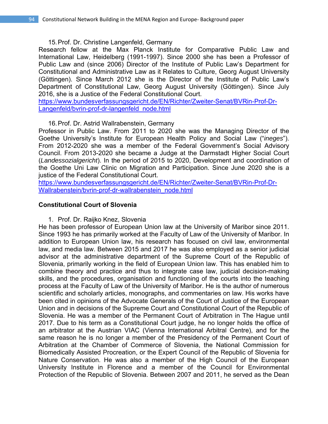#### 15.Prof. Dr. Christine Langenfeld, Germany

Research fellow at the Max Planck Institute for Comparative Public Law and International Law, Heidelberg (1991-1997). Since 2000 she has been a Professor of Public Law and (since 2006) Director of the Institute of Public Law's Department for Constitutional and Administrative Law as it Relates to Culture, Georg August University (Göttingen). Since March 2012 she is the Director of the Institute of Public Law's Department of Constitutional Law, Georg August University (Göttingen). Since July 2016, she is a Justice of the Federal Constitutional Court.

https://www.bundesverfassungsgericht.de/EN/Richter/Zweiter-Senat/BVRin-Prof-Dr-Langenfeld/bvrin-prof-dr-langenfeld\_node.html

### 16.Prof. Dr. Astrid Wallrabenstein, Germany

Professor in Public Law. From 2011 to 2020 she was the Managing Director of the Goethe University's Institute for European Health Policy and Social Law ("*ineges*"). From 2012-2020 she was a member of the Federal Government's Social Advisory Council. From 2013-2020 she became a Judge at the Darmstadt Higher Social Court (*Landessozialgericht*). In the period of 2015 to 2020, Development and coordination of the Goethe Uni Law Clinic on Migration and Participation. Since June 2020 she is a justice of the Federal Constitutional Court.

https://www.bundesverfassungsgericht.de/EN/Richter/Zweiter-Senat/BVRin-Prof-Dr-Wallrabenstein/bvrin-prof-dr-wallrabenstein\_node.html

### **Constitutional Court of Slovenia**

1. Prof. Dr. Raijko Knez, Slovenia

He has been professor of European Union law at the University of Maribor since 2011. Since 1993 he has primarily worked at the Faculty of Law of the University of Maribor. In addition to European Union law, his research has focused on civil law, environmental law, and media law. Between 2015 and 2017 he was also employed as a senior judicial advisor at the administrative department of the Supreme Court of the Republic of Slovenia, primarily working in the field of European Union law. This has enabled him to combine theory and practice and thus to integrate case law, judicial decision-making skills, and the procedures, organisation and functioning of the courts into the teaching process at the Faculty of Law of the University of Maribor. He is the author of numerous scientific and scholarly articles, monographs, and commentaries on law. His works have been cited in opinions of the Advocate Generals of the Court of Justice of the European Union and in decisions of the Supreme Court and Constitutional Court of the Republic of Slovenia. He was a member of the Permanent Court of Arbitration in The Hague until 2017. Due to his term as a Constitutional Court judge, he no longer holds the office of an arbitrator at the Austrian VIAC (Vienna International Arbitral Centre), and for the same reason he is no longer a member of the Presidency of the Permanent Court of Arbitration at the Chamber of Commerce of Slovenia, the National Commission for Biomedically Assisted Procreation, or the Expert Council of the Republic of Slovenia for Nature Conservation. He was also a member of the High Council of the European University Institute in Florence and a member of the Council for Environmental Protection of the Republic of Slovenia. Between 2007 and 2011, he served as the Dean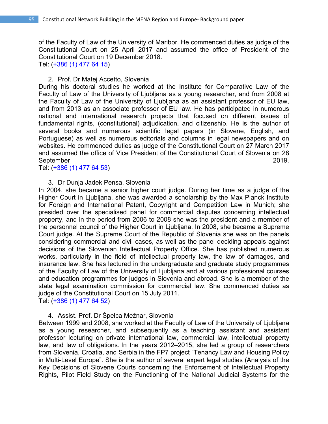of the Faculty of Law of the University of Maribor. He commenced duties as judge of the Constitutional Court on 25 April 2017 and assumed the office of President of the Constitutional Court on 19 December 2018. Tel: (+386 (1) 477 64 15)

2. Prof. Dr Matej Accetto, Slovenia

During his doctoral studies he worked at the Institute for Comparative Law of the Faculty of Law of the University of Ljubljana as a young researcher, and from 2008 at the Faculty of Law of the University of Ljubljana as an assistant professor of EU law, and from 2013 as an associate professor of EU law. He has participated in numerous national and international research projects that focused on different issues of fundamental rights, (constitutional) adjudication, and citizenship. He is the author of several books and numerous scientific legal papers (in Slovene, English, and Portuguese) as well as numerous editorials and columns in legal newspapers and on websites. He commenced duties as judge of the Constitutional Court on 27 March 2017 and assumed the office of Vice President of the Constitutional Court of Slovenia on 28 September 2019.

Tel: (+386 (1) 477 64 53)

#### 3. Dr Dunja Jadek Pensa, Slovenia

In 2004, she became a senior higher court judge. During her time as a judge of the Higher Court in Ljubljana, she was awarded a scholarship by the Max Planck Institute for Foreign and International Patent, Copyright and Competition Law in Munich; she presided over the specialised panel for commercial disputes concerning intellectual property, and in the period from 2006 to 2008 she was the president and a member of the personnel council of the Higher Court in Ljubljana. In 2008, she became a Supreme Court judge. At the Supreme Court of the Republic of Slovenia she was on the panels considering commercial and civil cases, as well as the panel deciding appeals against decisions of the Slovenian Intellectual Property Office. She has published numerous works, particularly in the field of intellectual property law, the law of damages, and insurance law. She has lectured in the undergraduate and graduate study programmes of the Faculty of Law of the University of Ljubljana and at various professional courses and education programmes for judges in Slovenia and abroad. She is a member of the state legal examination commission for commercial law. She commenced duties as judge of the Constitutional Court on 15 July 2011. Tel: (+386 (1) 477 64 52)

4. Assist. Prof. Dr Špelca Mežnar, Slovenia

Between 1999 and 2008, she worked at the Faculty of Law of the University of Ljubljana as a young researcher, and subsequently as a teaching assistant and assistant professor lecturing on private international law, commercial law, intellectual property law, and law of obligations. In the years 2012–2015, she led a group of researchers from Slovenia, Croatia, and Serbia in the FP7 project "Tenancy Law and Housing Policy in Multi-Level Europe". She is the author of several expert legal studies (Analysis of the Key Decisions of Slovene Courts concerning the Enforcement of Intellectual Property Rights, Pilot Field Study on the Functioning of the National Judicial Systems for the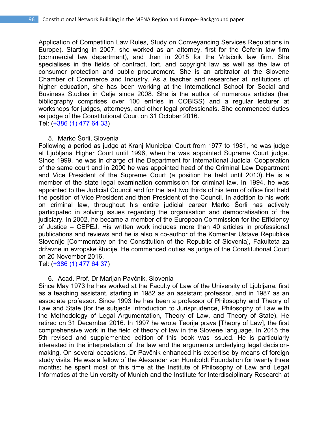Application of Competition Law Rules, Study on Conveyancing Services Regulations in Europe). Starting in 2007, she worked as an attorney, first for the Čeferin law firm (commercial law department), and then in 2015 for the Vrtačnik law firm. She specialises in the fields of contract, tort, and copyright law as well as the law of consumer protection and public procurement. She is an arbitrator at the Slovene Chamber of Commerce and Industry. As a teacher and researcher at institutions of higher education, she has been working at the International School for Social and Business Studies in Celje since 2008. She is the author of numerous articles (her bibliography comprises over 100 entries in COBISS) and a regular lecturer at workshops for judges, attorneys, and other legal professionals. She commenced duties as judge of the Constitutional Court on 31 October 2016. Tel: (+386 (1) 477 64 33)

#### 5. Marko Šorli, Slovenia

Following a period as judge at Kranj Municipal Court from 1977 to 1981, he was judge at Ljubljana Higher Court until 1996, when he was appointed Supreme Court judge. Since 1999, he was in charge of the Department for International Judicial Cooperation of the same court and in 2000 he was appointed head of the Criminal Law Department and Vice President of the Supreme Court (a position he held until 2010). He is a member of the state legal examination commission for criminal law. In 1994, he was appointed to the Judicial Council and for the last two thirds of his term of office first held the position of Vice President and then President of the Council. In addition to his work on criminal law, throughout his entire judicial career Marko Šorli has actively participated in solving issues regarding the organisation and democratisation of the judiciary. In 2002, he became a member of the European Commission for the Efficiency of Justice – CEPEJ. His written work includes more than 40 articles in professional publications and reviews and he is also a co-author of the Komentar Ustave Republike Slovenije [Commentary on the Constitution of the Republic of Slovenia], Fakulteta za državne in evropske študije. He commenced duties as judge of the Constitutional Court on 20 November 2016.

Tel: (+386 (1) 477 64 37)

#### 6. Acad. Prof. Dr Marijan Pavčnik, Slovenia

Since May 1973 he has worked at the Faculty of Law of the University of Ljubljana, first as a teaching assistant, starting in 1982 as an assistant professor, and in 1987 as an associate professor. Since 1993 he has been a professor of Philosophy and Theory of Law and State (for the subjects Introduction to Jurisprudence, Philosophy of Law with the Methodology of Legal Argumentation, Theory of Law, and Theory of State). He retired on 31 December 2016. In 1997 he wrote Teorija prava [Theory of Law], the first comprehensive work in the field of theory of law in the Slovene language. In 2015 the 5th revised and supplemented edition of this book was issued. He is particularly interested in the interpretation of the law and the arguments underlying legal decisionmaking. On several occasions, Dr Pavčnik enhanced his expertise by means of foreign study visits. He was a fellow of the Alexander von Humboldt Foundation for twenty three months; he spent most of this time at the Institute of Philosophy of Law and Legal Informatics at the University of Munich and the Institute for Interdisciplinary Research at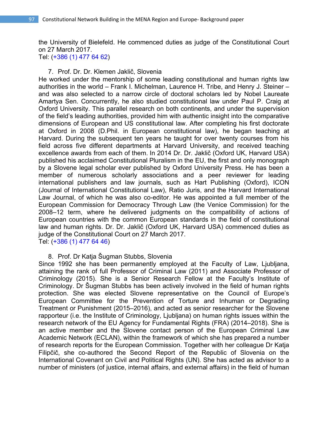the University of Bielefeld. He commenced duties as judge of the Constitutional Court on 27 March 2017.

Tel: (+386 (1) 477 64 62)

### 7. Prof. Dr. Dr. Klemen Jaklič, Slovenia

He worked under the mentorship of some leading constitutional and human rights law authorities in the world – Frank I. Michelman, Laurence H. Tribe, and Henry J. Steiner – and was also selected to a narrow circle of doctoral scholars led by Nobel Laureate Amartya Sen. Concurrently, he also studied constitutional law under Paul P. Craig at Oxford University. This parallel research on both continents, and under the supervision of the field's leading authorities, provided him with authentic insight into the comparative dimensions of European and US constitutional law. After completing his first doctorate at Oxford in 2008 (D.Phil. in European constitutional law), he began teaching at Harvard. During the subsequent ten years he taught for over twenty courses from his field across five different departments at Harvard University, and received teaching excellence awards from each of them. In 2014 Dr. Dr. Jaklič (Oxford UK, Harvard USA) published his acclaimed Constitutional Pluralism in the EU, the first and only monograph by a Slovene legal scholar ever published by Oxford University Press. He has been a member of numerous scholarly associations and a peer reviewer for leading international publishers and law journals, such as Hart Publishing (Oxford), ICON (Journal of International Constitutional Law), Ratio Juris, and the Harvard International Law Journal, of which he was also co-editor. He was appointed a full member of the European Commission for Democracy Through Law (the Venice Commission) for the 2008–12 term, where he delivered judgments on the compatibility of actions of European countries with the common European standards in the field of constitutional law and human rights. Dr. Dr. Jaklič (Oxford UK, Harvard USA) commenced duties as judge of the Constitutional Court on 27 March 2017. Tel: (+386 (1) 477 64 46)

# 8. Prof. Dr Katja Šugman Stubbs, Slovenia

Since 1992 she has been permanently employed at the Faculty of Law, Ljubljana, attaining the rank of full Professor of Criminal Law (2011) and Associate Professor of Criminology (2015). She is a Senior Research Fellow at the Faculty's Institute of Criminology. Dr Šugman Stubbs has been actively involved in the field of human rights protection. She was elected Slovene representative on the Council of Europe's European Committee for the Prevention of Torture and Inhuman or Degrading Treatment or Punishment (2015–2016), and acted as senior researcher for the Slovene rapporteur (i.e. the Institute of Criminology, Ljubljana) on human rights issues within the research network of the EU Agency for Fundamental Rights (FRA) (2014–2018). She is an active member and the Slovene contact person of the European Criminal Law Academic Network (ECLAN), within the framework of which she has prepared a number of research reports for the European Commission. Together with her colleague Dr Katja Filipčič, she co-authored the Second Report of the Republic of Slovenia on the International Covenant on Civil and Political Rights (UN). She has acted as advisor to a number of ministers (of justice, internal affairs, and external affairs) in the field of human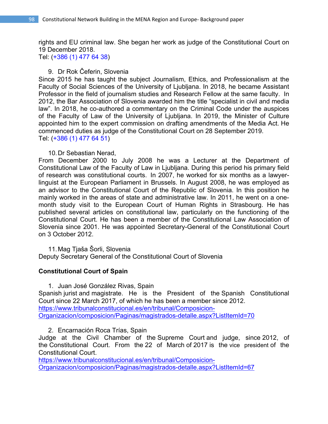rights and EU criminal law. She began her work as judge of the Constitutional Court on 19 December 2018.

Tel: (+386 (1) 477 64 38)

# 9. Dr Rok Čeferin, Slovenia

Since 2015 he has taught the subject Journalism, Ethics, and Professionalism at the Faculty of Social Sciences of the University of Ljubljana. In 2018, he became Assistant Professor in the field of journalism studies and Research Fellow at the same faculty. In 2012, the Bar Association of Slovenia awarded him the title "specialist in civil and media law". In 2018, he co-authored a commentary on the Criminal Code under the auspices of the Faculty of Law of the University of Ljubljana. In 2019, the Minister of Culture appointed him to the expert commission on drafting amendments of the Media Act. He commenced duties as judge of the Constitutional Court on 28 September 2019. Tel: (+386 (1) 477 64 51)

### 10.Dr Sebastian Nerad,

From December 2000 to July 2008 he was a Lecturer at the Department of Constitutional Law of the Faculty of Law in Ljubljana. During this period his primary field of research was constitutional courts. In 2007, he worked for six months as a lawyerlinguist at the European Parliament in Brussels. In August 2008, he was employed as an advisor to the Constitutional Court of the Republic of Slovenia. In this position he mainly worked in the areas of state and administrative law. In 2011, he went on a onemonth study visit to the European Court of Human Rights in Strasbourg. He has published several articles on constitutional law, particularly on the functioning of the Constitutional Court. He has been a member of the Constitutional Law Association of Slovenia since 2001. He was appointed Secretary-General of the Constitutional Court on 3 October 2012.

11.Mag Tjaša Šorli, Slovenia Deputy Secretary General of the Constitutional Court of Slovenia

# **Constitutional Court of Spain**

1. Juan José González Rivas, Spain Spanish jurist and magistrate. He is the President of the Spanish Constitutional Court since 22 March 2017, of which he has been a member since 2012. https://www.tribunalconstitucional.es/en/tribunal/Composicion-Organizacion/composicion/Paginas/magistrados-detalle.aspx?ListItemId=70

2. Encarnación Roca Trías, Spain

Judge at the Civil Chamber of the Supreme Court and judge, since 2012, of the Constitutional Court. From the 22 of March of 2017 is the vice president of the Constitutional Court.

https://www.tribunalconstitucional.es/en/tribunal/Composicion-Organizacion/composicion/Paginas/magistrados-detalle.aspx?ListItemId=67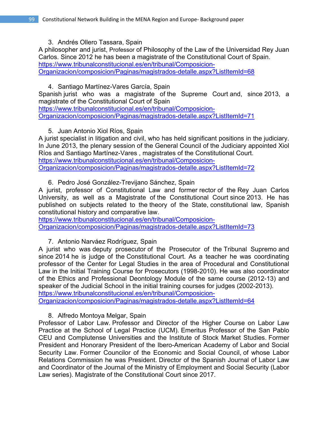3. Andrés Ollero Tassara, Spain

A philosopher and jurist, Professor of Philosophy of the Law of the Universidad Rey Juan Carlos. Since 2012 he has been a magistrate of the Constitutional Court of Spain. https://www.tribunalconstitucional.es/en/tribunal/Composicion-Organizacion/composicion/Paginas/magistrados-detalle.aspx?ListItemId=68

# 4. Santiago Martínez-Vares García, Spain

Spanish jurist who was a magistrate of the Supreme Court and, since 2013, a magistrate of the Constitutional Court of Spain

https://www.tribunalconstitucional.es/en/tribunal/Composicion-Organizacion/composicion/Paginas/magistrados-detalle.aspx?ListItemId=71

5. Juan Antonio Xiol Ríos, Spain

A jurist specialist in litigation and civil, who has held significant positions in the judiciary. In June 2013, the plenary session of the General Council of the Judiciary appointed Xiol Ríos and Santiago Martínez-Vares , magistrates of the Constitutional Court. https://www.tribunalconstitucional.es/en/tribunal/Composicion-Organizacion/composicion/Paginas/magistrados-detalle.aspx?ListItemId=72

6. Pedro José González-Trevijano Sánchez, Spain

A jurist, professor of Constitutional Law and former rector of the Rey Juan Carlos University, as well as a Magistrate of the Constitutional Court since 2013. He has published on subjects related to the theory of the State, constitutional law, Spanish constitutional history and comparative law.

https://www.tribunalconstitucional.es/en/tribunal/Composicion-Organizacion/composicion/Paginas/magistrados-detalle.aspx?ListItemId=73

7. Antonio Narváez Rodríguez, Spain

A jurist who was deputy prosecutor of the Prosecutor of the Tribunal Supremo and since 2014 he is judge of the Constitutional Court. As a teacher he was coordinating professor of the Center for Legal Studies in the area of Procedural and Constitutional Law in the Initial Training Course for Prosecutors (1998-2010). He was also coordinator of the Ethics and Professional Deontology Module of the same course (2012-13) and speaker of the Judicial School in the initial training courses for judges (2002-2013). https://www.tribunalconstitucional.es/en/tribunal/Composicion-

Organizacion/composicion/Paginas/magistrados-detalle.aspx?ListItemId=64

8. Alfredo Montoya Melgar, Spain

Professor of Labor Law. Professor and Director of the Higher Course on Labor Law Practice at the School of Legal Practice (UCM). Emeritus Professor of the San Pablo CEU and Complutense Universities and the Institute of Stock Market Studies. Former President and Honorary President of the Ibero-American Academy of Labor and Social Security Law. Former Councilor of the Economic and Social Council, of whose Labor Relations Commission he was President. Director of the Spanish Journal of Labor Law and Coordinator of the Journal of the Ministry of Employment and Social Security (Labor Law series). Magistrate of the Constitutional Court since 2017.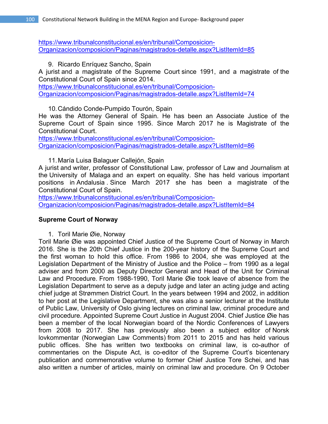https://www.tribunalconstitucional.es/en/tribunal/Composicion-Organizacion/composicion/Paginas/magistrados-detalle.aspx?ListItemId=85

9. Ricardo Enríquez Sancho, Spain

A jurist and a magistrate of the Supreme Court since 1991, and a magistrate of the Constitutional Court of Spain since 2014.

https://www.tribunalconstitucional.es/en/tribunal/Composicion-Organizacion/composicion/Paginas/magistrados-detalle.aspx?ListItemId=74

10.Cándido Conde-Pumpido Tourón, Spain

He was the Attorney General of Spain. He has been an Associate Justice of the Supreme Court of Spain since 1995. Since March 2017 he is Magistrate of the Constitutional Court.

https://www.tribunalconstitucional.es/en/tribunal/Composicion-Organizacion/composicion/Paginas/magistrados-detalle.aspx?ListItemId=86

11.María Luisa Balaguer Callejón, Spain

A jurist and writer, professor of Constitutional Law, professor of Law and Journalism at the University of Malaga and an expert on equality. She has held various important positions in Andalusia . Since March 2017 she has been a magistrate of the Constitutional Court of Spain.

https://www.tribunalconstitucional.es/en/tribunal/Composicion-Organizacion/composicion/Paginas/magistrados-detalle.aspx?ListItemId=84

# **Supreme Court of Norway**

1. Toril Marie Øie, Norway

Toril Marie Øie was appointed Chief Justice of the Supreme Court of Norway in March 2016. She is the 20th Chief Justice in the 200-year history of the Supreme Court and the first woman to hold this office. From 1986 to 2004, she was employed at the Legislation Department of the Ministry of Justice and the Police – from 1990 as a legal adviser and from 2000 as Deputy Director General and Head of the Unit for Criminal Law and Procedure. From 1988-1990, Toril Marie Øie took leave of absence from the Legislation Department to serve as a deputy judge and later an acting judge and acting chief judge at Strømmen District Court. In the years between 1994 and 2002, in addition to her post at the Legislative Department, she was also a senior lecturer at the Institute of Public Law, University of Oslo giving lectures on criminal law, criminal procedure and civil procedure. Appointed Supreme Court Justice in August 2004. Chief Justice Øie has been a member of the local Norwegian board of the Nordic Conferences of Lawyers from 2008 to 2017. She has previously also been a subject editor of Norsk lovkommentar (Norwegian Law Comments) from 2011 to 2015 and has held various public offices. She has written two textbooks on criminal law, is co-author of commentaries on the Dispute Act, is co-editor of the Supreme Court's bicentenary publication and commemorative volume to former Chief Justice Tore Schei, and has also written a number of articles, mainly on criminal law and procedure. On 9 October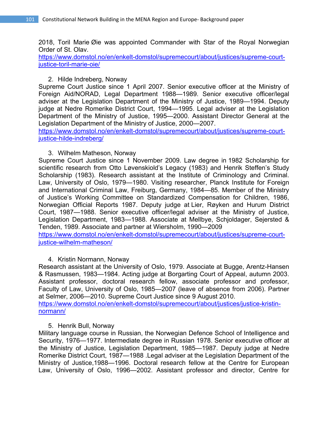2018, Toril Marie Øie was appointed Commander with Star of the Royal Norwegian Order of St. Olav.

https://www.domstol.no/en/enkelt-domstol/supremecourt/about/justices/supreme-courtjustice-toril-marie-oie/

# 2. Hilde Indreberg, Norway

Supreme Court Justice since 1 April 2007. Senior executive officer at the Ministry of Foreign Aid/NORAD, Legal Department 1988—1989. Senior executive officer/legal adviser at the Legislation Department of the Ministry of Justice, 1989—1994. Deputy judge at Nedre Romerike District Court, 1994—1995. Legal adviser at the Legislation Department of the Ministry of Justice, 1995—2000. Assistant Director General at the Legislation Department of the Ministry of Justice, 2000—2007.

https://www.domstol.no/en/enkelt-domstol/supremecourt/about/justices/supreme-courtjustice-hilde-indreberg/

# 3. Wilhelm Matheson, Norway

Supreme Court Justice since 1 November 2009. Law degree in 1982 Scholarship for scientific research from Otto Løvenskiold's Legacy (1983) and Henrik Steffen's Study Scholarship (1983). Research assistant at the Institute of Criminology and Criminal. Law, University of Oslo, 1979—1980. Visiting researcher, Planck Institute for Foreign and International Criminal Law, Freiburg, Germany, 1984—85. Member of the Ministry of Justice's Working Committee on Standardized Compensation for Children, 1986, Norwegian Official Reports 1987. Deputy judge at Lier, Røyken and Hurum District Court, 1987—1988. Senior executive officer/legal adviser at the Ministry of Justice, Legislation Department, 1983—1988. Associate at Mellbye, Schjoldager, Sejersted & Tenden, 1989. Associate and partner at Wiersholm, 1990—2009

https://www.domstol.no/en/enkelt-domstol/supremecourt/about/justices/supreme-courtjustice-wilhelm-matheson/

# 4. Kristin Normann, Norway

Research assistant at the University of Oslo, 1979. Associate at Bugge, Arentz-Hansen & Rasmussen, 1983—1984. Acting judge at Borgarting Court of Appeal, autumn 2003. Assistant professor, doctoral research fellow, associate professor and professor, Faculty of Law, University of Oslo, 1985—2007 (leave of absence from 2006). Partner at Selmer, 2006—2010. Supreme Court Justice since 9 August 2010.

https://www.domstol.no/en/enkelt-domstol/supremecourt/about/justices/justice-kristinnormann/

# 5. Henrik Bull, Norway

Military language course in Russian, the Norwegian Defence School of Intelligence and Security, 1976—1977. Intermediate degree in Russian 1978. Senior executive officer at the Ministry of Justice, Legislation Department, 1985—1987. Deputy judge at Nedre Romerike District Court, 1987—1988 .Legal adviser at the Legislation Department of the Ministry of Justice,1988—1996. Doctoral research fellow at the Centre for European Law, University of Oslo, 1996—2002. Assistant professor and director, Centre for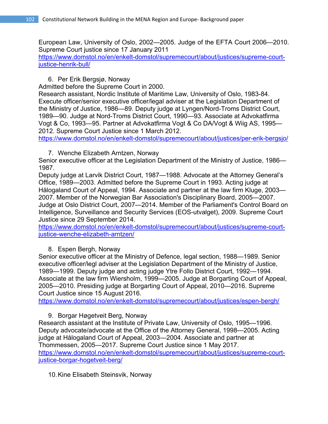European Law, University of Oslo, 2002—2005. Judge of the EFTA Court 2006—2010. Supreme Court justice since 17 January 2011

https://www.domstol.no/en/enkelt-domstol/supremecourt/about/justices/supreme-courtjustice-henrik-bull/

# 6. Per Erik Bergsjø, Norway

Admitted before the Supreme Court in 2000.

Research assistant, Nordic Institute of Maritime Law, University of Oslo, 1983-84. Execute officer/senior executive officer/legal adviser at the Legislation Department of the Ministry of Justice, 1986—89. Deputy judge at Lyngen/Nord-Troms District Court, 1989—90. Judge at Nord-Troms District Court, 1990—93. Associate at Advokatfirma Vogt & Co, 1993—95. Partner at Advokatfirma Vogt & Co DA/Vogt & Wiig AS, 1995— 2012. Supreme Court Justice since 1 March 2012.

https://www.domstol.no/en/enkelt-domstol/supremecourt/about/justices/per-erik-bergsjo/

7. Wenche Elizabeth Arntzen, Norway

Senior executive officer at the Legislation Department of the Ministry of Justice, 1986— 1987.

Deputy judge at Larvik District Court, 1987—1988. Advocate at the Attorney General's Office, 1989—2003. Admitted before the Supreme Court in 1993. Acting judge at Hålogaland Court of Appeal, 1994. Associate and partner at the law firm Kluge, 2003— 2007. Member of the Norwegian Bar Association's Disciplinary Board, 2005—2007. Judge at Oslo District Court, 2007—2014. Member of the Parliament's Control Board on Intelligence, Surveillance and Security Services (EOS-utvalget), 2009. Supreme Court Justice since 29 September 2014.

https://www.domstol.no/en/enkelt-domstol/supremecourt/about/justices/supreme-courtjustice-wenche-elizabeth-arntzen/

# 8. Espen Bergh, Norway

Senior executive officer at the Ministry of Defence, legal section, 1988—1989. Senior executive officer/legl adviser at the Legislation Department of the Ministry of Justice, 1989—1999. Deputy judge and acting judge Ytre Follo District Court, 1992—1994. Associate at the law firm Wiersholm, 1999—2005. Judge at Borgarting Court of Appeal, 2005—2010. Presiding judge at Borgarting Court of Appeal, 2010—2016. Supreme Court Justice since 15 August 2016.

https://www.domstol.no/en/enkelt-domstol/supremecourt/about/justices/espen-bergh/

# 9. Borgar Høgetveit Berg, Norway

Research assistant at the Institute of Private Law, University of Oslo, 1995—1996. Deputy advocate/advocate at the Office of the Attorney General, 1998—2005. Acting judge at Hålogaland Court of Appeal, 2003—2004. Associate and partner at Thommessen, 2005—2017. Supreme Court Justice since 1 May 2017. https://www.domstol.no/en/enkelt-domstol/supremecourt/about/justices/supreme-courtjustice-borgar-hogetveit-berg/

10.Kine Elisabeth Steinsvik, Norway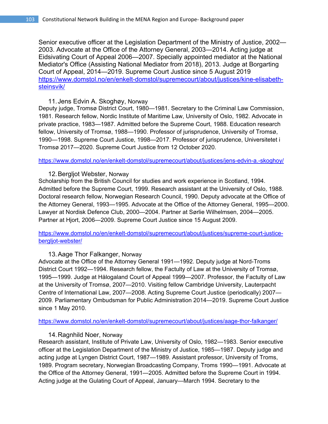Senior executive officer at the Legislation Department of the Ministry of Justice, 2002— 2003. Advocate at the Office of the Attorney General, 2003—2014. Acting judge at Eidsivating Court of Appeal 2006—2007. Specially appointed mediator at the National Mediator's Office (Assisting National Mediator from 2018), 2013. Judge at Borgarting Court of Appeal, 2014—2019. Supreme Court Justice since 5 August 2019 https://www.domstol.no/en/enkelt-domstol/supremecourt/about/justices/kine-elisabethsteinsvik/

#### 11.Jens Edvin A. Skoghøy, Norway

Deputy judge, Tromsø District Court, 1980—1981. Secretary to the Criminal Law Commission, 1981. Research fellow, Nordic Institute of Maritime Law, University of Oslo, 1982. Advocate in private practice, 1983—1987. Admitted before the Supreme Court, 1988. Education research fellow, University of Tromsø, 1988—1990. Professor of jurisprudence, University of Tromsø, 1990—1998. Supreme Court Justice, 1998—2017. Professor of jurisprudence, Universitetet i Tromsø 2017—2020. Supreme Court Justice from 12 October 2020.

https://www.domstol.no/en/enkelt-domstol/supremecourt/about/justices/jens-edvin-a.-skoghoy/

### 12.Bergljot Webster, Norway

Scholarship from the British Council for studies and work experience in Scotland, 1994. Admitted before the Supreme Court, 1999. Research assistant at the University of Oslo, 1988. Doctoral research fellow, Norwegian Research Council, 1990. Deputy advocate at the Office of the Attorney General, 1993—1995. Advocate at the Office of the Attorney General, 1995—2000. Lawyer at Nordisk Defence Club, 2000—2004. Partner at Sørlie Wilhelmsen, 2004—2005. Partner at Hjort, 2006—2009. Supreme Court Justice since 15 August 2009.

https://www.domstol.no/en/enkelt-domstol/supremecourt/about/justices/supreme-court-justicebergljot-webster/

# 13.Aage Thor Falkanger, Norway

Advocate at the Office of the Attorney General 1991—1992. Deputy judge at Nord-Troms District Court 1992—1994. Research fellow, the Factulty of Law at the University of Tromsø, 1995—1999. Judge at Hålogaland Court of Appeal 1999—2007. Professor, the Factulty of Law at the University of Tromsø, 2007—2010. Visiting fellow Cambridge University, Lauterpacht Centre of International Law, 2007—2008. Acting Supreme Court Justice (periodically) 2007— 2009. Parliamentary Ombudsman for Public Administration 2014—2019. Supreme Court Justice since 1 May 2010.

https://www.domstol.no/en/enkelt-domstol/supremecourt/about/justices/aage-thor-falkanger/

#### 14.Ragnhild Noer, Norway

Research assistant, Institute of Private Law, University of Oslo, 1982—1983. Senior executive officer at the Legislation Department of the Ministry of Justice, 1985—1987. Deputy judge and acting judge at Lyngen District Court, 1987—1989. Assistant professor, University of Troms, 1989. Program secretary, Norwegian Broadcasting Company, Troms 1990—1991. Advocate at the Office of the Attorney General, 1991—2005. Admitted before the Supreme Court in 1994. Acting judge at the Gulating Court of Appeal, January—March 1994. Secretary to the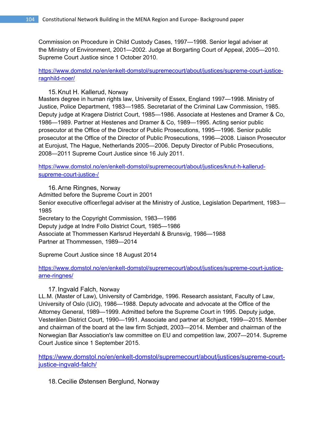Commission on Procedure in Child Custody Cases, 1997—1998. Senior legal adviser at the Ministry of Environment, 2001—2002. Judge at Borgarting Court of Appeal, 2005—2010. Supreme Court Justice since 1 October 2010.

https://www.domstol.no/en/enkelt-domstol/supremecourt/about/justices/supreme-court-justiceragnhild-noer/

### 15.Knut H. Kallerud, Norway

Masters degree in human rights law, University of Essex, England 1997—1998. Ministry of Justice, Police Department, 1983—1985. Secretariat of the Criminal Law Commission, 1985. Deputy judge at Kragerø District Court, 1985—1986. Associate at Hestenes and Dramer & Co, 1986—1989. Partner at Hestenes and Dramer & Co, 1989—1995. Acting senior public prosecutor at the Office of the Director of Public Prosecutions, 1995—1996. Senior public prosecutor at the Office of the Director of Public Prosecutions, 1996—2008. Liaison Prosecutor at Eurojust, The Hague, Netherlands 2005—2006. Deputy Director of Public Prosecutions, 2008—2011 Supreme Court Justice since 16 July 2011.

https://www.domstol.no/en/enkelt-domstol/supremecourt/about/justices/knut-h-kallerudsupreme-court-justice-/

16.Arne Ringnes, Norway

Admitted before the Supreme Court in 2001 Senior executive officer/legal adviser at the Ministry of Justice, Legislation Department, 1983— 1985

Secretary to the Copyright Commission, 1983—1986

Deputy judge at Indre Follo District Court, 1985—1986

Associate at Thommessen Karlsrud Heyerdahl & Brunsvig, 1986—1988

Partner at Thommessen, 1989—2014

Supreme Court Justice since 18 August 2014

https://www.domstol.no/en/enkelt-domstol/supremecourt/about/justices/supreme-court-justicearne-ringnes/

# 17.Ingvald Falch, Norway

LL.M. (Master of Law), University of Cambridge, 1996. Research assistant, Faculty of Law, University of Oslo (UiO), 1986—1988. Deputy advocate and advocate at the Office of the Attorney General, 1989—1999. Admitted before the Supreme Court in 1995. Deputy judge, Vesterålen District Court, 1990—1991. Associate and partner at Schjødt, 1999—2015. Member and chairman of the board at the law firm Schjødt, 2003—2014. Member and chairman of the Norwegian Bar Association's law committee on EU and competition law, 2007—2014. Supreme Court Justice since 1 September 2015.

https://www.domstol.no/en/enkelt-domstol/supremecourt/about/justices/supreme-courtjustice-ingvald-falch/

18.Cecilie Østensen Berglund, Norway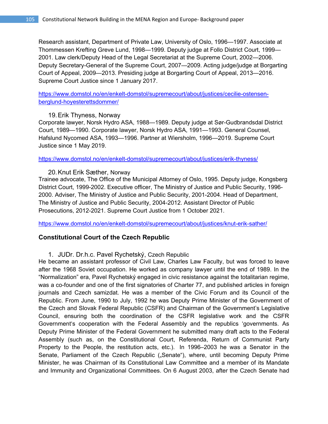Research assistant, Department of Private Law, University of Oslo, 1996—1997. Associate at Thommessen Krefting Greve Lund, 1998—1999. Deputy judge at Follo District Court, 1999— 2001. Law clerk/Deputy Head of the Legal Secretariat at the Supreme Court, 2002—2006. Deputy Secretary-General of the Supreme Court, 2007—2009. Acting judge/judge at Borgarting Court of Appeal, 2009—2013. Presiding judge at Borgarting Court of Appeal, 2013—2016. Supreme Court Justice since 1 January 2017.

https://www.domstol.no/en/enkelt-domstol/supremecourt/about/justices/cecilie-ostensenberglund-hoyesterettsdommer/

#### 19.Erik Thyness, Norway

Corporate lawyer, Norsk Hydro ASA, 1988—1989. Deputy judge at Sør-Gudbrandsdal District Court, 1989—1990. Corporate lawyer, Norsk Hydro ASA, 1991—1993. General Counsel, Hafslund Nycomed ASA, 1993—1996. Partner at Wiersholm, 1996—2019. Supreme Court Justice since 1 May 2019.

https://www.domstol.no/en/enkelt-domstol/supremecourt/about/justices/erik-thyness/

#### 20.Knut Erik Sæther, Norway

Trainee advocate, The Office of the Municipal Attorney of Oslo, 1995. Deputy judge, Kongsberg District Court, 1999-2002. Executive officer, The Ministry of Justice and Public Security, 1996- 2000. Adviser, The Ministry of Justice and Public Security, 2001-2004. Head of Department, The Ministry of Justice and Public Security, 2004-2012. Assistant Director of Public Prosecutions, 2012-2021. Supreme Court Justice from 1 October 2021.

https://www.domstol.no/en/enkelt-domstol/supremecourt/about/justices/knut-erik-sather/

#### **Constitutional Court of the Czech Republic**

1. JUDr. Dr.h.c. Pavel Rychetský, Czech Republic

He became an assistant professor of Civil Law, Charles Law Faculty, but was forced to leave after the 1968 Soviet occupation. He worked as company lawyer until the end of 1989. In the "Normalization" era, Pavel Rychetský engaged in civic resistance against the totalitarian regime, was a co-founder and one of the first signatories of Charter 77, and published articles in foreign journals and Czech samizdat. He was a member of the Civic Forum and its Council of the Republic. From June, 1990 to July, 1992 he was Deputy Prime Minister of the Government of the Czech and Slovak Federal Republic (CSFR) and Chairman of the Government's Legislative Council, ensuring both the coordination of the CSFR legislative work and the CSFR Government's cooperation with the Federal Assembly and the republics 'governments. As Deputy Prime Minister of the Federal Government he submitted many draft acts to the Federal Assembly (such as, on the Constitutional Court, Referenda, Return of Communist Party Property to the People, the restitution acts, etc.). In 1996–2003 he was a Senator in the Senate, Parliament of the Czech Republic ("Senate"), where, until becoming Deputy Prime Minister, he was Chairman of its Constitutional Law Committee and a member of its Mandate and Immunity and Organizational Committees. On 6 August 2003, after the Czech Senate had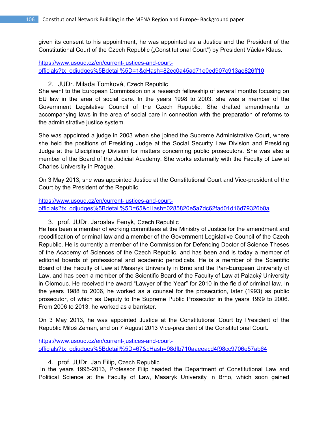given its consent to his appointment, he was appointed as a Justice and the President of the Constitutional Court of the Czech Republic ("Constitutional Court") by President Václav Klaus.

https://www.usoud.cz/en/current-justices-and-courtofficials?tx\_odjudges%5Bdetail%5D=1&cHash=82ec0a45ad71e0ed907c913ae826ff10

#### 2. JUDr. Milada Tomková, Czech Republic

She went to the European Commission on a research fellowship of several months focusing on EU law in the area of social care. In the years 1998 to 2003, she was a member of the Government Legislative Council of the Czech Republic. She drafted amendments to accompanying laws in the area of social care in connection with the preparation of reforms to the administrative justice system.

She was appointed a judge in 2003 when she joined the Supreme Administrative Court, where she held the positions of Presiding Judge at the Social Security Law Division and Presiding Judge at the Disciplinary Division for matters concerning public prosecutors. She was also a member of the Board of the Judicial Academy. She works externally with the Faculty of Law at Charles University in Prague.

On 3 May 2013, she was appointed Justice at the Constitutional Court and Vice-president of the Court by the President of the Republic.

https://www.usoud.cz/en/current-justices-and-courtofficials?tx\_odjudges%5Bdetail%5D=65&cHash=0285820e5a7dc62fad01d16d79326b0a

3. prof. JUDr. Jaroslav Fenyk, Czech Republic

He has been a member of working committees at the Ministry of Justice for the amendment and recodification of criminal law and a member of the Government Legislative Council of the Czech Republic. He is currently a member of the Commission for Defending Doctor of Science Theses of the Academy of Sciences of the Czech Republic, and has been and is today a member of editorial boards of professional and academic periodicals. He is a member of the Scientific Board of the Faculty of Law at Masaryk University in Brno and the Pan-European University of Law, and has been a member of the Scientific Board of the Faculty of Law at Palacký University in Olomouc. He received the award "Lawyer of the Year" for 2010 in the field of criminal law. In the years 1988 to 2006, he worked as a counsel for the prosecution, later (1993) as public prosecutor, of which as Deputy to the Supreme Public Prosecutor in the years 1999 to 2006. From 2006 to 2013, he worked as a barrister.

On 3 May 2013, he was appointed Justice at the Constitutional Court by President of the Republic Miloš Zeman, and on 7 August 2013 Vice-president of the Constitutional Court.

https://www.usoud.cz/en/current-justices-and-courtofficials?tx\_odjudges%5Bdetail%5D=67&cHash=98dfb710aaeeacd4f98cc9706e57ab64

4. prof. JUDr. Jan Filip, Czech Republic

 In the years 1995-2013, Professor Filip headed the Department of Constitutional Law and Political Science at the Faculty of Law, Masaryk University in Brno, which soon gained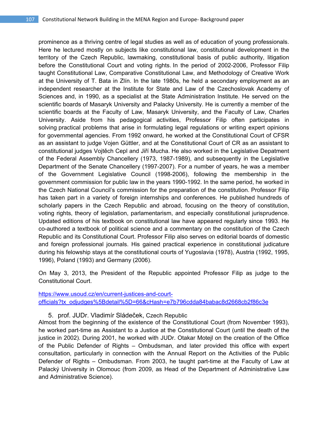prominence as a thriving centre of legal studies as well as of education of young professionals. Here he lectured mostly on subjects like constitutional law, constitutional development in the territory of the Czech Republic, lawmaking, constitutional basis of public authority, litigation before the Constitutional Court and voting rights. In the period of 2002-2006, Professor Filip taught Constitutional Law, Comparative Constitutional Law, and Methodology of Creative Work at the University of T. Bata in Zlín. In the late 1980s, he held a secondary employment as an independent researcher at the Institute for State and Law of the Czechoslovak Academy of Sciences and, in 1990, as a specialist at the State Administration Institute. He served on the scientific boards of Masaryk University and Palacky University. He is currently a member of the scientific boards at the Faculty of Law, Masaryk University, and the Faculty of Law, Charles University. Aside from his pedagogical activities, Professor Filip often participates in solving practical problems that arise in formulating legal regulations or writing expert opinions for governmental agencies. From 1992 onward, he worked at the Constitutional Court of CFSR as an assistant to judge Vojen Güttler, and at the Constitutional Court of CR as an assistant to constitutional judges Vojtěch Cepl and Jiří Mucha. He also worked in the Legislative Depatment of the Federal Assembly Chancellery (1973, 1987-1989), and subsequently in the Legislative Department of the Senate Chancellery (1997-2007). For a number of years, he was a member of the Government Legislative Council (1998-2006), following the membership in the government commission for public law in the years 1990-1992. In the same period, he worked in the Czech National Council's commission for the preparation of the constitution. Professor Filip has taken part in a variety of foreign internships and conferences. He published hundreds of scholarly papers in the Czech Republic and abroad, focusing on the theory of constitution, voting rights, theory of legislation, parlamentarism, and especially constitutional jurisprudence. Updated editions of his textbook on constitutional law have appeared regularly since 1993. He co-authored a textbook of political science and a commentary on the constitution of the Czech Republic and its Constitutional Court. Professor Filip also serves on editorial boards of domestic and foreign professional journals. His gained practical experience in constitutional judicature during his felowship stays at the constitutional courts of Yugoslavia (1978), Austria (1992, 1995, 1996), Poland (1993) and Germany (2006).

On May 3, 2013, the President of the Republic appointed Professor Filip as judge to the Constitutional Court.

#### https://www.usoud.cz/en/current-justices-and-courtofficials?tx\_odjudges%5Bdetail%5D=66&cHash=e7b796cdda84babac8d2668cb2f86c3e

5. prof. JUDr. Vladimír Sládeček, Czech Republic

Almost from the beginning of the existence of the Constitutional Court (from November 1993), he worked part-time as Assistant to a Justice at the Constitutional Court (until the death of the justice in 2002). During 2001, he worked with JUDr. Otakar Motejl on the creation of the Office of the Public Defender of Rights – Ombudsman, and later provided this office with expert consultation, particularly in connection with the Annual Report on the Activities of the Public Defender of Rights – Ombudsman. From 2003, he taught part-time at the Faculty of Law at Palacký University in Olomouc (from 2009, as Head of the Department of Administrative Law and Administrative Science).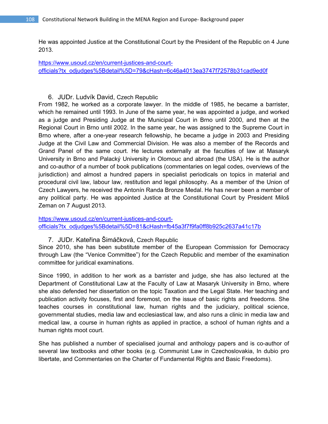He was appointed Justice at the Constitutional Court by the President of the Republic on 4 June 2013.

https://www.usoud.cz/en/current-justices-and-courtofficials?tx\_odjudges%5Bdetail%5D=79&cHash=6c46a4013ea3747f72578b31cad9ed0f

#### 6. JUDr. Ludvík David, Czech Republic

From 1982, he worked as a corporate lawyer. In the middle of 1985, he became a barrister, which he remained until 1993. In June of the same year, he was appointed a judge, and worked as a judge and Presiding Judge at the Municipal Court in Brno until 2000, and then at the Regional Court in Brno until 2002. In the same year, he was assigned to the Supreme Court in Brno where, after a one-year research fellowship, he became a judge in 2003 and Presiding Judge at the Civil Law and Commercial Division. He was also a member of the Records and Grand Panel of the same court. He lectures externally at the faculties of law at Masaryk University in Brno and Palacký University in Olomouc and abroad (the USA). He is the author and co-author of a number of book publications (commentaries on legal codes, overviews of the jurisdiction) and almost a hundred papers in specialist periodicals on topics in material and procedural civil law, labour law, restitution and legal philosophy. As a member of the Union of Czech Lawyers, he received the Antonín Randa Bronze Medal. He has never been a member of any political party. He was appointed Justice at the Constitutional Court by President Miloš Zeman on 7 August 2013.

https://www.usoud.cz/en/current-justices-and-courtofficials?tx\_odjudges%5Bdetail%5D=81&cHash=fb45a3f7f9fa0ff8b925c2637a41c17b

#### 7. JUDr. Kateřina Šimáčková, Czech Republic

Since 2010, she has been substitute member of the European Commission for Democracy through Law (the "Venice Committee") for the Czech Republic and member of the examination committee for juridical examinations.

Since 1990, in addition to her work as a barrister and judge, she has also lectured at the Department of Constitutional Law at the Faculty of Law at Masaryk University in Brno, where she also defended her dissertation on the topic Taxation and the Legal State. Her teaching and publication activity focuses, first and foremost, on the issue of basic rights and freedoms. She teaches courses in constitutional law, human rights and the judiciary, political science, governmental studies, media law and ecclesiastical law, and also runs a clinic in media law and medical law, a course in human rights as applied in practice, a school of human rights and a human rights moot court.

She has published a number of specialised journal and anthology papers and is co-author of several law textbooks and other books (e.g. Communist Law in Czechoslovakia, In dubio pro libertate, and Commentaries on the Charter of Fundamental Rights and Basic Freedoms).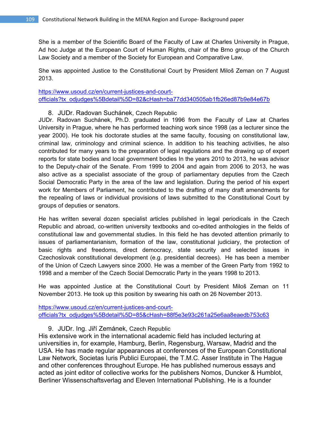She is a member of the Scientific Board of the Faculty of Law at Charles University in Prague, Ad hoc Judge at the European Court of Human Rights, chair of the Brno group of the Church Law Society and a member of the Society for European and Comparative Law.

She was appointed Justice to the Constitutional Court by President Miloš Zeman on 7 August 2013.

https://www.usoud.cz/en/current-justices-and-courtofficials?tx\_odjudges%5Bdetail%5D=82&cHash=ba77dd340505ab1fb26ed87b9e84e67b

8. JUDr. Radovan Suchánek, Czech Republic

JUDr. Radovan Suchánek, Ph.D. graduated in 1996 from the Faculty of Law at Charles University in Prague, where he has performed teaching work since 1998 (as a lecturer since the year 2000). He took his doctorate studies at the same faculty, focusing on constitutional law, criminal law, criminology and criminal science. In addition to his teaching activities, he also contributed for many years to the preparation of legal regulations and the drawing up of expert reports for state bodies and local government bodies In the years 2010 to 2013, he was advisor to the Deputy-chair of the Senate. From 1999 to 2004 and again from 2006 to 2013, he was also active as a specialist associate of the group of parliamentary deputies from the Czech Social Democratic Party in the area of the law and legislation. During the period of his expert work for Members of Parliament, he contributed to the drafting of many draft amendments for the repealing of laws or individual provisions of laws submitted to the Constitutional Court by groups of deputies or senators.

He has written several dozen specialist articles published in legal periodicals in the Czech Republic and abroad, co-written university textbooks and co-edited anthologies in the fields of constitutional law and governmental studies. In this field he has devoted attention primarily to issues of parliamentarianism, formation of the law, constitutional judiciary, the protection of basic rights and freedoms, direct democracy, state security and selected issues in Czechoslovak constitutional development (e.g. presidential decrees). He has been a member of the Union of Czech Lawyers since 2000. He was a member of the Green Party from 1992 to 1998 and a member of the Czech Social Democratic Party in the years 1998 to 2013.

He was appointed Justice at the Constitutional Court by President Miloš Zeman on 11 November 2013. He took up this position by swearing his oath on 26 November 2013.

https://www.usoud.cz/en/current-justices-and-courtofficials?tx\_odjudges%5Bdetail%5D=85&cHash=88f5e3e93c261a25e6aa8eaedb753c63

9. JUDr. Ing. Jiří Zemánek, Czech Republic

His extensive work in the international academic field has included lecturing at universities in, for example, Hamburg, Berlin, Regensburg, Warsaw, Madrid and the USA. He has made regular appearances at conferences of the European Constitutional Law Network, Societas Iuris Publici Europaei, the T.M.C. Asser Institute in The Hague and other conferences throughout Europe. He has published numerous essays and acted as joint editor of collective works for the publishers Nomos, Duncker & Humblot, Berliner Wissenschaftsverlag and Eleven International Publishing. He is a founder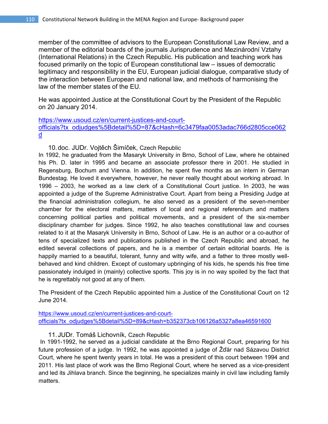member of the committee of advisors to the European Constitutional Law Review, and a member of the editorial boards of the journals Jurisprudence and Mezinárodní Vztahy (International Relations) in the Czech Republic. His publication and teaching work has focused primarily on the topic of European constitutional law – issues of democratic legitimacy and responsibility in the EU, European judicial dialogue, comparative study of the interaction between European and national law, and methods of harmonising the law of the member states of the EU.

He was appointed Justice at the Constitutional Court by the President of the Republic on 20 January 2014.

# https://www.usoud.cz/en/current-justices-and-courtofficials?tx\_odjudges%5Bdetail%5D=87&cHash=6c3479faa0053adac766d2805cce062 d

# 10.doc. JUDr. Vojtěch Šimíček, Czech Republic

In 1992, he graduated from the Masaryk University in Brno, School of Law, where he obtained his Ph. D. later in 1995 and became an associate professor there in 2001. He studied in Regensburg, Bochum and Vienna. In addition, he spent five months as an intern in German Bundestag. He loved it everywhere, however, he never really thought about working abroad. In 1996 – 2003, he worked as a law clerk of a Constitutional Court justice. In 2003, he was appointed a judge of the Supreme Administrative Court. Apart from being a Presiding Judge at the financial administration collegium, he also served as a president of the seven-member chamber for the electoral matters, matters of local and regional referendum and matters concerning political parties and political movements, and a president of the six-member disciplinary chamber for judges. Since 1992, he also teaches constitutional law and courses related to it at the Masaryk University in Brno, School of Law. He is an author or a co-author of tens of specialized texts and publications published in the Czech Republic and abroad, he edited several collections of papers, and he is a member of certain editorial boards. He is happily married to a beautiful, tolerant, funny and witty wife, and a father to three mostly wellbehaved and kind children. Except of customary upbringing of his kids, he spends his free time passionately indulged in (mainly) collective sports. This joy is in no way spoiled by the fact that he is regrettably not good at any of them.

The President of the Czech Republic appointed him a Justice of the Constitutional Court on 12 June 2014.

https://www.usoud.cz/en/current-justices-and-courtofficials?tx\_odjudges%5Bdetail%5D=89&cHash=b352373cb106126a5327a8ea46591600

# 11.JUDr. Tomáš Lichovník, Czech Republic

 In 1991-1992, he served as a judicial candidate at the Brno Regional Court, preparing for his future profession of a judge. In 1992, he was appointed a judge of Žďár nad Sázavou District Court, where he spent twenty years in total. He was a president of this court between 1994 and 2011. His last place of work was the Brno Regional Court, where he served as a vice-president and led its Jihlava branch. Since the beginning, he specializes mainly in civil law including family matters.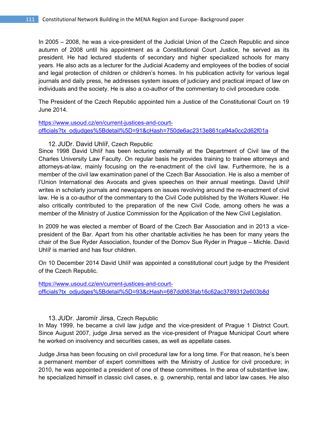In 2005 – 2008, he was a vice-president of the Judicial Union of the Czech Republic and since autumn of 2008 until his appointment as a Constitutional Court Justice, he served as its president. He had lectured students of secondary and higher specialized schools for many years. He also acts as a lecturer for the Judicial Academy and employees of the bodies of social and legal protection of children or children's homes. In his publication activity for various legal journals and daily press, he addresses system issues of judiciary and practical impact of law on individuals and the society. He is also a co-author of the commentary to civil procedure code.

The President of the Czech Republic appointed him a Justice of the Constitutional Court on 19 June 2014.

# https://www.usoud.cz/en/current-justices-and-courtofficials?tx\_odjudges%5Bdetail%5D=91&cHash=750de6ac2313e861ca94a0cc2d62f01a

# 12.JUDr. David Uhlíř, Czech Republic

Since 1998 David Uhlíř has been lecturing externally at the Department of Civil law of the Charles University Law Faculty. On regular basis he provides training to trainee attorneys and attorneys-at-law, mainly focusing on the re-enactment of the civil law. Furthermore, he is a member of the civil law examination panel of the Czech Bar Association. He is also a member of l'Union International des Avocats and gives speeches on their annual meetings. David Uhlíř writes in scholarly journals and newspapers on issues revolving around the re-enactment of civil law. He is a co-author of the commentary to the Civil Code published by the Wolters Kluwer. He also critically contributed to the preparation of the new Civil Code, among others he was a member of the Ministry of Justice Commission for the Application of the New Civil Legislation.

In 2009 he was elected a member of Board of the Czech Bar Association and in 2013 a vicepresident of the Bar. Apart from his other charitable activities he has been for many years the chair of the Sue Ryder Association, founder of the Domov Sue Ryder in Prague – Michle. David Uhlíř is married and has four children.

On 10 December 2014 David Uhlíř was appointed a constitutional court judge by the President of the Czech Republic.

https://www.usoud.cz/en/current-justices-and-courtofficials?tx\_odjudges%5Bdetail%5D=93&cHash=687dd063fab16c62ac3789312e603b8d

#### 13.JUDr. Jaromír Jirsa, Czech Republic

In May 1999, he became a civil law judge and the vice-president of Prague 1 District Court. Since August 2007, judge Jirsa served as the vice-president of Prague Municipal Court where he worked on insolvency and securities cases, as well as appellate cases.

Judge Jirsa has been focusing on civil procedural law for a long time. For that reason, he's been a permanent member of expert committees with the Ministry of Justice for civil procedure; in 2010, he was appointed a president of one of these committees. In the area of substantive law, he specialized himself in classic civil cases, e. g. ownership, rental and labor law cases. He also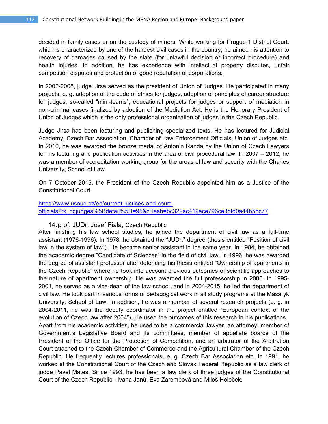decided in family cases or on the custody of minors. While working for Prague 1 District Court, which is characterized by one of the hardest civil cases in the country, he aimed his attention to recovery of damages caused by the state (for unlawful decision or incorrect procedure) and health injuries. In addition, he has experience with intellectual property disputes, unfair competition disputes and protection of good reputation of corporations.

In 2002-2008, judge Jirsa served as the president of Union of Judges. He participated in many projects, e. g. adoption of the code of ethics for judges, adoption of principles of career structure for judges, so-called "mini-teams", educational projects for judges or support of mediation in non-criminal cases finalized by adoption of the Mediation Act. He is the Honorary President of Union of Judges which is the only professional organization of judges in the Czech Republic.

Judge Jirsa has been lecturing and publishing specialized texts. He has lectured for Judicial Academy, Czech Bar Association, Chamber of Law Enforcement Officials, Union of Judges etc. In 2010, he was awarded the bronze medal of Antonin Randa by the Union of Czech Lawyers for his lecturing and publication activities in the area of civil procedural law. In 2007 – 2012, he was a member of accreditation working group for the areas of law and security with the Charles University, School of Law.

On 7 October 2015, the President of the Czech Republic appointed him as a Justice of the Constitutional Court.

# https://www.usoud.cz/en/current-justices-and-courtofficials?tx\_odjudges%5Bdetail%5D=95&cHash=bc322ac419ace796ce3bfd0a44b5bc77

14.prof. JUDr. Josef Fiala, Czech Republic

After finishing his law school studies, he joined the department of civil law as a full-time assistant (1976-1996). In 1978, he obtained the "JUDr." degree (thesis entitled "Position of civil law in the system of law"). He became senior assistant in the same year. In 1984, he obtained the academic degree "Candidate of Sciences" in the field of civil law. In 1996, he was awarded the degree of assistant professor after defending his thesis entitled "Ownership of apartments in the Czech Republic" where he took into account previous outcomes of scientific approaches to the nature of apartment ownership. He was awarded the full professorship in 2006. In 1995- 2001, he served as a vice-dean of the law school, and in 2004-2015, he led the department of civil law. He took part in various forms of pedagogical work in all study programs at the Masaryk University, School of Law. In addition, he was a member of several research projects (e. g. in 2004-2011, he was the deputy coordinator in the project entitled "European context of the evolution of Czech law after 2004"). He used the outcomes of this research in his publications. Apart from his academic activities, he used to be a commercial lawyer, an attorney, member of Government's Legislative Board and its committees, member of appellate boards of the President of the Office for the Protection of Competition, and an arbitrator of the Arbitration Court attached to the Czech Chamber of Commerce and the Agricultural Chamber of the Czech Republic. He frequently lectures professionals, e. g. Czech Bar Association etc. In 1991, he worked at the Constitutional Court of the Czech and Slovak Federal Republic as a law clerk of judge Pavel Mates. Since 1993, he has been a law clerk of three judges of the Constitutional Court of the Czech Republic - Ivana Janů, Eva Zarembová and Miloš Holeček.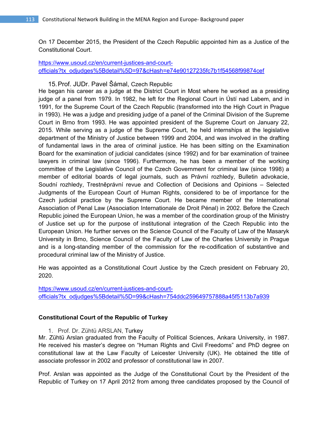On 17 December 2015, the President of the Czech Republic appointed him as a Justice of the Constitutional Court.

# https://www.usoud.cz/en/current-justices-and-courtofficials?tx\_odjudges%5Bdetail%5D=97&cHash=e74e90127235fc7b1f54568f99874cef

15.Prof. JUDr. Pavel Šámal, Czech Republic

He began his career as a judge at the District Court in Most where he worked as a presiding judge of a panel from 1979. In 1982, he left for the Regional Court in Ústí nad Labem, and in 1991, for the Supreme Court of the Czech Republic (transformed into the High Court in Prague in 1993). He was a judge and presiding judge of a panel of the Criminal Division of the Supreme Court in Brno from 1993. He was appointed president of the Supreme Court on January 22, 2015. While serving as a judge of the Supreme Court, he held internships at the legislative department of the Ministry of Justice between 1999 and 2004, and was involved in the drafting of fundamental laws in the area of criminal justice. He has been sitting on the Examination Board for the examination of judicial candidates (since 1992) and for bar examination of trainee lawyers in criminal law (since 1996). Furthermore, he has been a member of the working committee of the Legislative Council of the Czech Government for criminal law (since 1998) a member of editorial boards of legal journals, such as Právní rozhledy, Bulletin advokacie, Soudní rozhledy, Trestněprávní revue and Collection of Decisions and Opinions – Selected Judgments of the European Court of Human Rights, considered to be of importance for the Czech judicial practice by the Supreme Court. He became member of the International Association of Penal Law (Association Internationale de Droit Pénal) in 2002. Before the Czech Republic joined the European Union, he was a member of the coordination group of the Ministry of Justice set up for the purpose of institutional integration of the Czech Republic into the European Union. He further serves on the Science Council of the Faculty of Law of the Masaryk University in Brno, Science Council of the Faculty of Law of the Charles University in Prague and is a long-standing member of the commission for the re-codification of substantive and procedural criminal law of the Ministry of Justice.

He was appointed as a Constitutional Court Justice by the Czech president on February 20, 2020.

https://www.usoud.cz/en/current-justices-and-courtofficials?tx\_odjudges%5Bdetail%5D=99&cHash=754ddc259649757888a45f5113b7a939

# **Constitutional Court of the Republic of Turkey**

1. Prof. Dr. Zühtü ARSLAN, Turkey

Mr. Zühtü Arslan graduated from the Faculty of Political Sciences, Ankara University, in 1987. He received his master's degree on "Human Rights and Civil Freedoms" and PhD degree on constitutional law at the Law Faculty of Leicester University (UK). He obtained the title of associate professor in 2002 and professor of constitutional law in 2007.

Prof. Arslan was appointed as the Judge of the Constitutional Court by the President of the Republic of Turkey on 17 April 2012 from among three candidates proposed by the Council of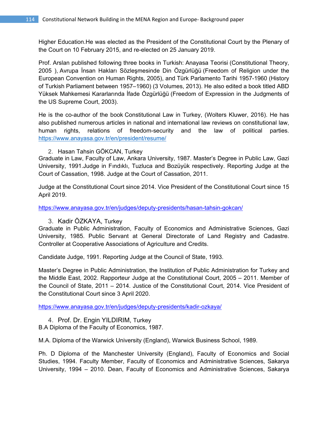Higher Education.He was elected as the President of the Constitutional Court by the Plenary of the Court on 10 February 2015, and re-elected on 25 January 2019.

Prof. Arslan published following three books in Turkish: Anayasa Teorisi (Constitutional Theory, 2005 ), Avrupa İnsan Hakları Sözleşmesinde Din Özgürlüğü (Freedom of Religion under the European Convention on Human Rights, 2005), and Türk Parlamento Tarihi 1957-1960 (History of Turkish Parliament between 1957–1960) (3 Volumes, 2013). He also edited a book titled ABD Yüksek Mahkemesi Kararlarında İfade Özgürlüğü (Freedom of Expression in the Judgments of the US Supreme Court, 2003).

He is the co-author of the book Constitutional Law in Turkey, (Wolters Kluwer, 2016). He has also published numerous articles in national and international law reviews on constitutional law, human rights, relations of freedom-security and the law of political parties. https://www.anayasa.gov.tr/en/president/resume/

# 2. Hasan Tahsin GÖKCAN, Turkey

Graduate in Law, Faculty of Law, Ankara University, 1987. Master's Degree in Public Law, Gazi University, 1991.Judge in Fındıklı, Tuzluca and Bozüyük respectively. Reporting Judge at the Court of Cassation, 1998. Judge at the Court of Cassation, 2011.

Judge at the Constitutional Court since 2014. Vice President of the Constitutional Court since 15 April 2019.

https://www.anayasa.gov.tr/en/judges/deputy-presidents/hasan-tahsin-gokcan/

# 3. Kadir ÖZKAYA, Turkey

Graduate in Public Administration, Faculty of Economics and Administrative Sciences, Gazi University, 1985. Public Servant at General Directorate of Land Registry and Cadastre. Controller at Cooperative Associations of Agriculture and Credits.

Candidate Judge, 1991. Reporting Judge at the Council of State, 1993.

Master's Degree in Public Administration, the Institution of Public Administration for Turkey and the Middle East, 2002. Rapporteur Judge at the Constitutional Court, 2005 – 2011. Member of the Council of State, 2011 – 2014. Justice of the Constitutional Court, 2014. Vice President of the Constitutional Court since 3 April 2020.

https://www.anayasa.gov.tr/en/judges/deputy-presidents/kadir-ozkaya/

# 4. Prof. Dr. Engin YILDIRIM, Turkey

B.A Diploma of the Faculty of Economics, 1987.

M.A. Diploma of the Warwick University (England), Warwick Business School, 1989.

Ph. D Diploma of the Manchester University (England), Faculty of Economics and Social Studies, 1994. Faculty Member, Faculty of Economics and Administrative Sciences, Sakarya University, 1994 – 2010. Dean, Faculty of Economics and Administrative Sciences, Sakarya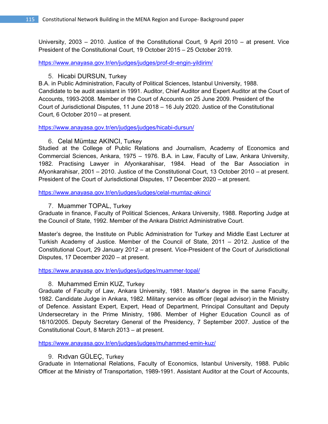University, 2003 – 2010. Justice of the Constitutional Court, 9 April 2010 – at present. Vice President of the Constitutional Court, 19 October 2015 – 25 October 2019.

https://www.anayasa.gov.tr/en/judges/judges/prof-dr-engin-yildirim/

# 5. Hicabi DURSUN, Turkey

B.A. in Public Administration, Faculty of Political Sciences, Istanbul University, 1988. Candidate to be audit assistant in 1991. Auditor, Chief Auditor and Expert Auditor at the Court of Accounts, 1993-2008. Member of the Court of Accounts on 25 June 2009. President of the Court of Jurisdictional Disputes, 11 June 2018 – 16 July 2020. Justice of the Constitutional Court, 6 October 2010 – at present.

https://www.anayasa.gov.tr/en/judges/judges/hicabi-dursun/

6. Celal Mümtaz AKINCI, Turkey

Studied at the College of Public Relations and Journalism, Academy of Economics and Commercial Sciences, Ankara, 1975 – 1976. B.A. in Law, Faculty of Law, Ankara University, 1982. Practising Lawyer in Afyonkarahisar, 1984. Head of the Bar Association in Afyonkarahisar, 2001 – 2010. Justice of the Constitutional Court, 13 October 2010 – at present. President of the Court of Jurisdictional Disputes, 17 December 2020 – at present.

https://www.anayasa.gov.tr/en/judges/judges/celal-mumtaz-akinci/

# 7. Muammer TOPAL, Turkey

Graduate in finance, Faculty of Political Sciences, Ankara University, 1988. Reporting Judge at the Council of State, 1992. Member of the Ankara District Administrative Court.

Master's degree, the Institute on Public Administration for Turkey and Middle East Lecturer at Turkish Academy of Justice. Member of the Council of State, 2011 – 2012. Justice of the Constitutional Court, 29 January 2012 – at present. Vice-President of the Court of Jurisdictional Disputes, 17 December 2020 – at present.

https://www.anayasa.gov.tr/en/judges/judges/muammer-topal/

# 8. Muhammed Emin KUZ, Turkey

Graduate of Faculty of Law, Ankara University, 1981. Master's degree in the same Faculty, 1982. Candidate Judge in Ankara, 1982. Military service as officer (legal advisor) in the Ministry of Defence. Assistant Expert, Expert, Head of Department, Principal Consultant and Deputy Undersecretary in the Prime Ministry, 1986. Member of Higher Education Council as of 18/10/2005. Deputy Secretary General of the Presidency, 7 September 2007. Justice of the Constitutional Court, 8 March 2013 – at present.

https://www.anayasa.gov.tr/en/judges/judges/muhammed-emin-kuz/

# 9. Rıdvan GÜLEÇ, Turkey

Graduate in International Relations, Faculty of Economics, Istanbul University, 1988. Public Officer at the Ministry of Transportation, 1989-1991. Assistant Auditor at the Court of Accounts,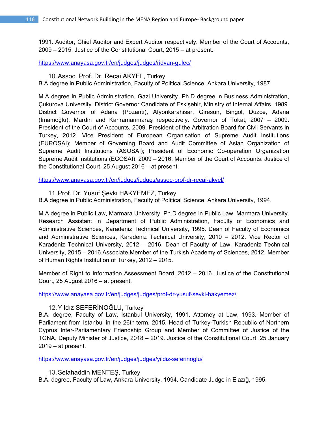1991. Auditor, Chief Auditor and Expert Auditor respectively. Member of the Court of Accounts, 2009 – 2015. Justice of the Constitutional Court, 2015 – at present.

https://www.anayasa.gov.tr/en/judges/judges/ridvan-gulec/

10.Assoc. Prof. Dr. Recai AKYEL, Turkey

B.A degree in Public Administration, Faculty of Political Science, Ankara University, 1987.

M.A degree in Public Administration, Gazi University. Ph.D degree in Business Administration, Çukurova University. District Governor Candidate of Eskişehir, Ministry of Internal Affairs, 1989. District Governor of Adana (Pozantı), Afyonkarahisar, Giresun, Bingöl, Düzce, Adana (İmamoğlu), Mardin and Kahramanmaraş respectively. Governor of Tokat, 2007 – 2009. President of the Court of Accounts, 2009. President of the Arbitration Board for Civil Servants in Turkey, 2012. Vice President of European Organisation of Supreme Audit Institutions (EUROSAI); Member of Governing Board and Audit Committee of Asian Organization of Supreme Audit Institutions (ASOSAI); President of Economic Co-operation Organization Supreme Audit Institutions (ECOSAI), 2009 – 2016. Member of the Court of Accounts. Justice of the Constitutional Court, 25 August 2016 – at present.

https://www.anayasa.gov.tr/en/judges/judges/assoc-prof-dr-recai-akyel/

11.Prof. Dr. Yusuf Şevki HAKYEMEZ, Turkey

B.A degree in Public Administration, Faculty of Political Science, Ankara University, 1994.

M.A degree in Public Law, Marmara University. Ph.D degree in Public Law, Marmara University. Research Assistant in Department of Public Administration, Faculty of Economics and Administrative Sciences, Karadeniz Technical University, 1995. Dean of Faculty of Economics and Administrative Sciences, Karadeniz Technical University, 2010 – 2012. Vice Rector of Karadeniz Technical University, 2012 – 2016. Dean of Faculty of Law, Karadeniz Technical University, 2015 – 2016.Associate Member of the Turkish Academy of Sciences, 2012. Member of Human Rights Institution of Turkey, 2012 – 2015.

Member of Right to Information Assessment Board, 2012 – 2016. Justice of the Constitutional Court, 25 August 2016 – at present.

https://www.anayasa.gov.tr/en/judges/judges/prof-dr-yusuf-sevki-hakyemez/

# 12.Yıldız SEFERİNOĞLU, Turkey

B.A. degree, Faculty of Law, Istanbul University, 1991. Attorney at Law, 1993. Member of Parliament from Istanbul in the 26th term, 2015. Head of Turkey-Turkish Republic of Northern Cyprus Inter-Parliamentary Friendship Group and Member of Committee of Justice of the TGNA. Deputy Minister of Justice, 2018 – 2019. Justice of the Constitutional Court, 25 January 2019 – at present.

https://www.anayasa.gov.tr/en/judges/judges/yildiz-seferinoglu/

13.Selahaddin MENTEŞ, Turkey

B.A. degree, Faculty of Law, Ankara University, 1994. Candidate Judge in Elazığ, 1995.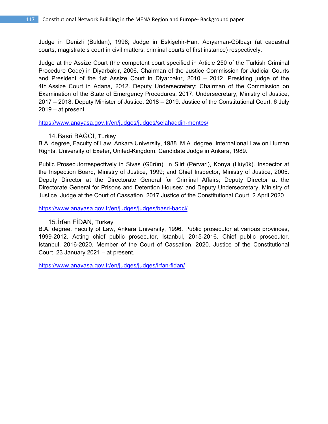Judge in Denizli (Buldan), 1998; Judge in Eskişehir-Han, Adıyaman-Gölbaşı (at cadastral courts, magistrate's court in civil matters, criminal courts of first instance) respectively.

Judge at the Assize Court (the competent court specified in Article 250 of the Turkish Criminal Procedure Code) in Diyarbakır, 2006. Chairman of the Justice Commission for Judicial Courts and President of the 1st Assize Court in Diyarbakır, 2010 – 2012. Presiding judge of the 4th Assize Court in Adana, 2012. Deputy Undersecretary; Chairman of the Commission on Examination of the State of Emergency Procedures, 2017. Undersecretary, Ministry of Justice, 2017 – 2018. Deputy Minister of Justice, 2018 – 2019. Justice of the Constitutional Court, 6 July  $2019 - at present$ .

https://www.anayasa.gov.tr/en/judges/judges/selahaddin-mentes/

# 14.Basri BAĞCI, Turkey

B.A. degree, Faculty of Law, Ankara University, 1988. M.A. degree, International Law on Human Rights, University of Exeter, United-Kingdom. Candidate Judge in Ankara, 1989.

Public Prosecutorrespectively in Sivas (Gürün), in Siirt (Pervari), Konya (Hüyük). Inspector at the Inspection Board, Ministry of Justice, 1999; and Chief Inspector, Ministry of Justice, 2005. Deputy Director at the Directorate General for Criminal Affairs; Deputy Director at the Directorate General for Prisons and Detention Houses; and Deputy Undersecretary, Ministry of Justice. Judge at the Court of Cassation, 2017.Justice of the Constitutional Court, 2 April 2020

https://www.anayasa.gov.tr/en/judges/judges/basri-bagci/

# 15.İrfan FİDAN, Turkey

B.A. degree, Faculty of Law, Ankara University, 1996. Public prosecutor at various provinces, 1999-2012. Acting chief public prosecutor, Istanbul, 2015-2016. Chief public prosecutor, Istanbul, 2016-2020. Member of the Court of Cassation, 2020. Justice of the Constitutional Court, 23 January 2021 – at present.

https://www.anayasa.gov.tr/en/judges/judges/irfan-fidan/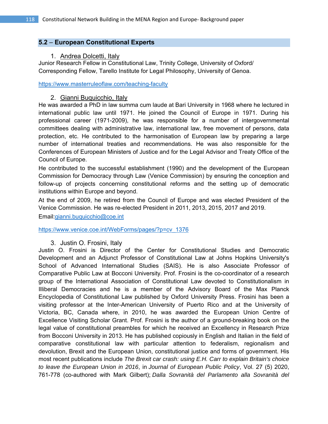# **5.2** – **European Constitutional Experts**

# 1. Andrea Dolcetti, Italy

Junior Research Fellow in Constitutional Law, Trinity College, University of Oxford/ Corresponding Fellow, Tarello Institute for Legal Philosophy, University of Genoa.

https://www.masterruleoflaw.com/teaching-faculty

# 2. Gianni Buquicchio, Italy

He was awarded a PhD in law summa cum laude at Bari University in 1968 where he lectured in international public law until 1971. He joined the Council of Europe in 1971. During his professional career (1971-2009), he was responsible for a number of intergovernmental committees dealing with administrative law, international law, free movement of persons, data protection, etc. He contributed to the harmonisation of European law by preparing a large number of international treaties and recommendations. He was also responsible for the Conferences of European Ministers of Justice and for the Legal Advisor and Treaty Office of the Council of Europe.

He contributed to the successful establishment (1990) and the development of the European Commission for Democracy through Law (Venice Commission) by ensuring the conception and follow-up of projects concerning constitutional reforms and the setting up of democratic institutions within Europe and beyond.

At the end of 2009, he retired from the Council of Europe and was elected President of the Venice Commission. He was re-elected President in 2011, 2013, 2015, 2017 and 2019. Email:gianni.buquicchio@coe.int

https://www.venice.coe.int/WebForms/pages/?p=cv\_1376

# 3. Justin O. Frosini, Italy

Justin O. Frosini is Director of the Center for Constitutional Studies and Democratic Development and an Adjunct Professor of Constitutional Law at Johns Hopkins University's School of Advanced International Studies (SAIS). He is also Associate Professor of Comparative Public Law at Bocconi University. Prof. Frosini is the co-coordinator of a research group of the International Association of Constitutional Law devoted to Constitutionalism in Illiberal Democracies and he is a member of the Advisory Board of the Max Planck Encyclopedia of Constitutional Law published by Oxford University Press. Frosini has been a visiting professor at the Inter-American University of Puerto Rico and at the University of Victoria, BC, Canada where, in 2010, he was awarded the European Union Centre of Excellence Visiting Scholar Grant. Prof. Frosini is the author of a ground-breaking book on the legal value of constitutional preambles for which he received an Excellency in Research Prize from Bocconi University in 2013. He has published copiously in English and Italian in the field of comparative constitutional law with particular attention to federalism, regionalism and devolution, Brexit and the European Union, constitutional justice and forms of government. His most recent publications include *The Brexit car crash: using E.H. Carr to explain Britain's choice to leave the European Union in 2016*, in *Journal of European Public Policy*, Vol. 27 (5) 2020, 761-778 (co-authored with Mark Gilbert); *Dalla Sovranità del Parlamento alla Sovranità del*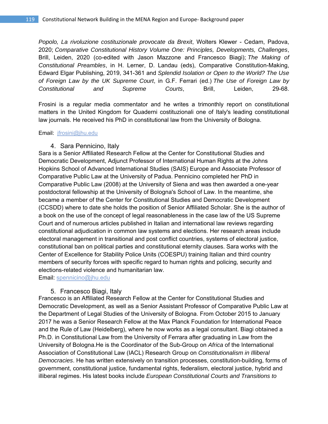*Popolo, La rivoluzione costituzionale provocate da Brexit*, Wolters Klewer - Cedam, Padova, 2020; *Comparative Constitutional History Volume One: Principles, Developments, Challenges*, Brill, Leiden, 2020 (co-edited with Jason Mazzone and Francesco Biagi); *The Making of Constitutional Preambles*, in H. Lerner, D. Landau (eds), Comparative Constitution-Making, Edward Elgar Publishing, 2019, 341-361 and *Splendid Isolation or Open to the World? The Use of Foreign Law by the UK Supreme Court*, in G.F. Ferrari (ed.) *The Use of Foreign Law by Constitutional and Supreme Courts*, Brill, Leiden, 29-68.

Frosini is a regular media commentator and he writes a trimonthly report on constitutional matters in the United Kingdom for Quaderni costituzionali one of Italy's leading constitutional law journals. He received his PhD in constitutional law from the University of Bologna.

Email: jfrosini@jhu.edu

### 4. Sara Pennicino, Italy

Sara is a Senior Affiliated Research Fellow at the Center for Constitutional Studies and Democratic Development, Adjunct Professor of International Human Rights at the Johns Hopkins School of Advanced International Studies (SAIS) Europe and Associate Professor of Comparative Public Law at the University of Padua. Pennicino completed her PhD in Comparative Public Law (2008) at the University of Siena and was then awarded a one-year postdoctoral fellowship at the University of Bologna's School of Law. In the meantime, she became a member of the Center for Constitutional Studies and Democratic Development (CCSDD) where to date she holds the position of Senior Affiliated Scholar. She is the author of a book on the use of the concept of legal reasonableness in the case law of the US Supreme Court and of numerous articles published in Italian and international law reviews regarding constitutional adjudication in common law systems and elections. Her research areas include electoral management in transitional and post conflict countries, systems of electoral justice, constitutional ban on political parties and constitutional eternity clauses. Sara works with the Center of Excellence for Stability Police Units (COESPU) training Italian and third country members of security forces with specific regard to human rights and policing, security and elections-related violence and humanitarian law.

Email: spennicino@jhu.edu

# 5. Francesco Biagi, Italy

Francesco is an Affiliated Research Fellow at the Center for Constitutional Studies and Democratic Development, as well as a Senior Assistant Professor of Comparative Public Law at the Department of Legal Studies of the University of Bologna. From October 2015 to January 2017 he was a Senior Research Fellow at the Max Planck Foundation for International Peace and the Rule of Law (Heidelberg), where he now works as a legal consultant. Biagi obtained a Ph.D. in Constitutional Law from the University of Ferrara after graduating in Law from the University of Bologna.He is the Coordinator of the Sub-Group on *Africa* of the International Association of Constitutional Law (IACL) Research Group on *Constitutionalism in Illiberal Democracies*. He has written extensively on transition processes, constitution-building, forms of government, constitutional justice, fundamental rights, federalism, electoral justice, hybrid and illiberal regimes. His latest books include *European Constitutional Courts and Transitions to*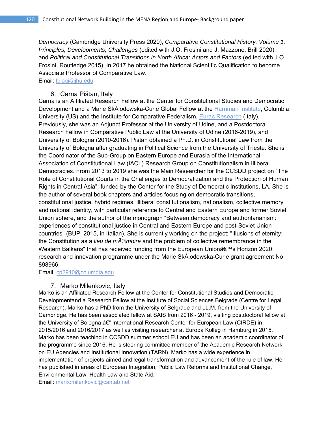*Democracy* (Cambridge University Press 2020), *Comparative Constitutional History. Volume 1: Principles, Developments, Challenges* (edited with J.O. Frosini and J. Mazzone, Brill 2020), and *Political and Constitutional Transitions in North Africa: Actors and Factors* (edited with J.O. Frosini, Routledge 2015). In 2017 he obtained the National Scientific Qualification to become Associate Professor of Comparative Law.

Email: fbiagi@jhu.edu

# 6. Carna Pištan, Italy

Carna is an Affiliated Research Fellow at the Center for Constitutional Studies and Democratic Development and a Marie SkÅ, odowska-Curie Global Fellow at the Harriman Institute, Columbia University (US) and the Institute for Comparative Federalism, Eurac Research (Italy). Previously, she was an Adjunct Professor at the University of Udine, and a Postdoctoral Research Fellow in Comparative Public Law at the University of Udine (2016-2019), and University of Bologna (2010-2016). Pistan obtained a Ph.D. in Constitutional Law from the University of Bologna after graduating in Political Science from the University of Trieste. She is the Coordinator of the Sub-Group on Eastern Europe and Eurasia of the International Association of Constitutional Law (IACL) Research Group on Constitutionalism in Illiberal Democracies. From 2013 to 2019 she was the Main Researcher for the CCSDD project on "The Role of Constitutional Courts in the Challenges to Democratization and the Protection of Human Rights in Central Asia", funded by the Center for the Study of Democratic Institutions, LA. She is the author of several book chapters and articles focusing on democratic transitions, constitutional justice, hybrid regimes, illiberal constitutionalism, nationalism, collective memory and national identity, with particular reference to Central and Eastern Europe and former Soviet Union sphere, and the author of the monograph "Between democracy and authoritarianism: experiences of constitutional justice in Central and Eastern Europe and post-Soviet Union countries" (BUP, 2015, in Italian). She is currently working on the project: "Illusions of eternity: the Constitution as a *lieu de m*©moire and the problem of collective remembrance in the Western Balkans" that has received funding from the European Union's Horizon 2020 research and innovation programme under the Marie SkÅ, odowska-Curie grant agreement No 898966.

Email: cp2910@columbia.edu

# 7. Marko Milenkovic, Italy

Marko is an Affiliated Research Fellow at the Center for Constitutional Studies and Democratic Developmentand a Research Fellow at the Institute of Social Sciences Belgrade (Centre for Legal Research). Marko has a PhD from the University of Belgrade and LL.M. from the University of Cambridge. He has been associated fellow at SAIS from 2016 - 2019, visiting postdoctoral fellow at the University of Bologna  $A \in \mathcal{C}$  International Research Center for European Law (CIRDE) in 2015/2016 and 2016/2017 as well as visiting researcher at Europa Kolleg in Hamburg in 2015. Marko has been teaching in CCSDD summer school EU and has been an academic coordinator of the programme since 2016. He is steering committee member of the Academic Research Network on EU Agencies and Institutional Innovation (TARN). Marko has a wide experience in implementation of projects aimed and legal transformation and advancement of the rule of law. He has published in areas of European Integration, Public Law Reforms and Institutional Change, Environmental Law, Health Law and State Aid.

Email: markomilenkovic@cantab.net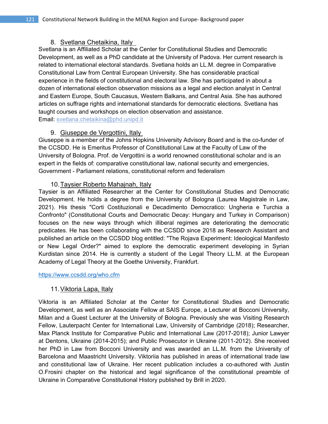# 8. Svetlana Chetaikina, Italy

Svetlana is an Affiliated Scholar at the Center for Constitutional Studies and Democratic Development, as well as a PhD candidate at the University of Padova. Her current research is related to international electoral standards. Svetlana holds an LL.M. degree in Comparative Constitutional Law from Central European University. She has considerable practical experience in the fields of constitutional and electoral law. She has participated in about a dozen of international election observation missions as a legal and election analyst in Central and Eastern Europe, South Caucasus, Western Balkans, and Central Asia. She has authored articles on suffrage rights and international standards for democratic elections. Svetlana has taught courses and workshops on election observation and assistance. Email: svetlana.chetaikina@phd.unipd.it

# 9. Giuseppe de Vergottini, Italy

Giuseppe is a member of the Johns Hopkins University Advisory Board and is the co-funder of the CCSDD. He is Emeritus Professor of Constitutional Law at the Faculty of Law of the University of Bologna. Prof. de Vergottini is a world renowned constitutional scholar and is an expert in the fields of: comparative constitutional law, national security and emergencies, Government - Parliament relations, constitutional reform and federalism

# 10. Taysier Roberto Mahajnah, Italy

Taysier is an Affiliated Researcher at the Center for Constitutional Studies and Democratic Development. He holds a degree from the University of Bologna (Laurea Magistrale in Law, 2021). His thesis "Corti Costituzionali e Decadimento Democratico: Ungheria e Turchia a Confronto" (Constitutional Courts and Democratic Decay: Hungary and Turkey in Comparison) focuses on the new ways through which illiberal regimes are deteriorating the democratic predicates. He has been collaborating with the CCSDD since 2018 as Research Assistant and published an article on the CCSDD blog entitled: "The Rojava Experiment: Ideological Manifesto or New Legal Order?" aimed to explore the democratic experiment developing in Syrian Kurdistan since 2014. He is currently a student of the Legal Theory LL.M. at the European Academy of Legal Theory at the Goethe University, Frankfurt.

https://www.ccsdd.org/who.cfm

# 11. Viktoria Lapa, Italy

Viktoria is an Affiliated Scholar at the Center for Constitutional Studies and Democratic Development, as well as an Associate Fellow at SAIS Europe, a Lecturer at Bocconi University, Milan and a Guest Lecturer at the University of Bologna. Previously she was Visiting Research Fellow, Lauterpacht Center for International Law, University of Cambridge (2018); Researcher, Max Planck Institute for Comparative Public and International Law (2017-2018); Junior Lawyer at Dentons, Ukraine (2014-2015); and Public Prosecutor in Ukraine (2011-2012). She received her PhD in Law from Bocconi University and was awarded an LL.M. from the University of Barcelona and Maastricht University. Viktoriia has published in areas of international trade law and constitutional law of Ukraine. Her recent publication includes a co-authored with Justin O.Frosini chapter on the historical and legal significance of the constitutional preamble of Ukraine in Comparative Constitutional History published by Brill in 2020.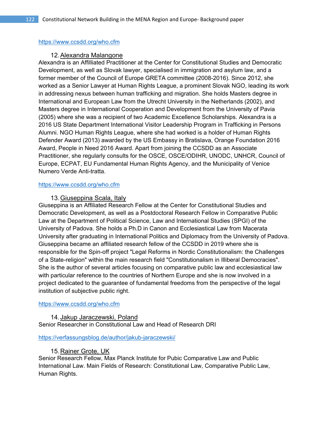### https://www.ccsdd.org/who.cfm

### 12. Alexandra Malangone

Alexandra is an Affilliated Practitioner at the Center for Constitutional Studies and Democratic Development, as well as Slovak lawyer, specialised in immigration and asylum law, and a former member of the Council of Europe GRETA committee (2008-2016). Since 2012, she worked as a Senior Lawyer at Human Rights League, a prominent Slovak NGO, leading its work in addressing nexus between human trafficking and migration. She holds Masters degree in International and European Law from the Utrecht University in the Netherlands (2002), and Masters degree in International Cooperation and Development from the University of Pavia (2005) where she was a recipient of two Academic Excellence Scholarships. Alexandra is a 2016 US State Department International Visitor Leadership Program in Trafficking in Persons Alumni. NGO Human Rights League, where she had worked is a holder of Human Rights Defender Award (2013) awarded by the US Embassy in Bratislava, Orange Foundation 2016 Award, People in Need 2016 Award. Apart from joining the CCSDD as an Associate Practitioner, she regularly consults for the OSCE, OSCE/ODIHR, UNODC, UNHCR, Council of Europe, ECPAT, EU Fundamental Human Rights Agency, and the Municipality of Venice Numero Verde Anti-tratta.

### https://www.ccsdd.org/who.cfm

# 13. Giuseppina Scala, Italy

Giuseppina is an Affiliated Research Fellow at the Center for Constitutional Studies and Democratic Development, as well as a Postdoctoral Research Fellow in Comparative Public Law at the Department of Political Science, Law and International Studies (SPGI) of the University of Padova. She holds a Ph.D in Canon and Ecclesiastical Law from Macerata University after graduating in International Politics and Diplomacy from the University of Padova. Giuseppina became an affiliated research fellow of the CCSDD in 2019 where she is responsible for the Spin-off project "Legal Reforms in Nordic Constitutionalism: the Challenges of a State-religion" within the main research field "Constitutionalism in Illiberal Democracies". She is the author of several articles focusing on comparative public law and ecclesiastical law with particular reference to the countries of Northern Europe and she is now involved in a project dedicated to the guarantee of fundamental freedoms from the perspective of the legal institution of subjective public right.

#### https://www.ccsdd.org/who.cfm

# 14. Jakup Jaraczewski, Poland

Senior Researcher in Constitutional Law and Head of Research DRI

# https://verfassungsblog.de/author/jakub-jaraczewski/

# 15. Rainer Grote, UK

Senior Research Fellow, Max Planck Institute for Pubic Comparative Law and Public International Law. Main Fields of Research: Constitutional Law, Comparative Public Law, Human Rights.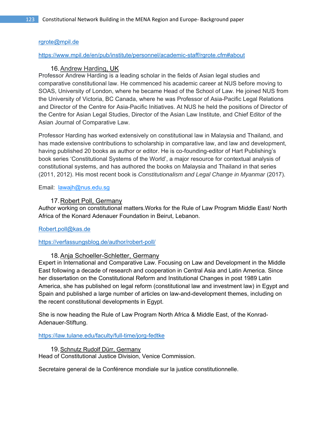# rgrote@mpil.de

### https://www.mpil.de/en/pub/institute/personnel/academic-staff/rgrote.cfm#about

# 16. Andrew Harding, UK

Professor Andrew Harding is a leading scholar in the fields of Asian legal studies and comparative constitutional law. He commenced his academic career at NUS before moving to SOAS, University of London, where he became Head of the School of Law. He joined NUS from the University of Victoria, BC Canada, where he was Professor of Asia-Pacific Legal Relations and Director of the Centre for Asia-Pacific Initiatives. At NUS he held the positions of Director of the Centre for Asian Legal Studies, Director of the Asian Law Institute, and Chief Editor of the Asian Journal of Comparative Law.

Professor Harding has worked extensively on constitutional law in Malaysia and Thailand, and has made extensive contributions to scholarship in comparative law, and law and development, having published 20 books as author or editor. He is co-founding-editor of Hart Publishing's book series 'Constitutional Systems of the World', a major resource for contextual analysis of constitutional systems, and has authored the books on Malaysia and Thailand in that series (2011, 2012). His most recent book is *Constitutionalism and Legal Change in Myanmar* (2017).

Email: <u>lawajh@nus.edu.sg</u>

# 17. Robert Poll, Germany

Author working on constitutional matters.Works for the Rule of Law Program Middle East/ North Africa of the Konard Adenauer Foundation in Beirut, Lebanon.

# Robert.poll@kas.de

https://verfassungsblog.de/author/robert-poll/

# 18. Anja Schoeller-Schletter, Germany

Expert in International and Comparative Law. Focusing on Law and Development in the Middle East following a decade of research and cooperation in Central Asia and Latin America. Since her dissertation on the Constitutional Reform and Institutional Changes in post 1989 Latin America, she has published on legal reform (constitutional law and investment law) in Egypt and Spain and published a large number of articles on law-and-development themes, including on the recent constitutional developments in Egypt.

She is now heading the Rule of Law Program North Africa & Middle East, of the Konrad-Adenauer-Stiftung.

https://law.tulane.edu/faculty/full-time/jorg-fedtke

19. Schnutz Rudolf Dürr, Germany Head of Constitutional Justice Division, Venice Commission.

Secretaire general de la Conférence mondiale sur la justice constitutionnelle.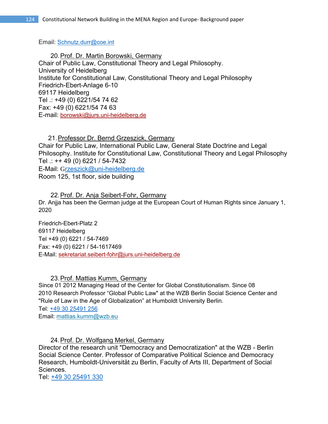Email: Schnutz.durr@coe.int

20. Prof. Dr. Martin Borowski, Germany Chair of Public Law, Constitutional Theory and Legal Philosophy. University of Heidelberg Institute for Constitutional Law, Constitutional Theory and Legal Philosophy Friedrich-Ebert-Anlage 6-10 69117 Heidelberg Tel .: +49 (0) 6221/54 74 62 Fax: +49 (0) 6221/54 74 63 E-mail: borowski@jurs.uni-heidelberg.de

21. Professor Dr. Bernd Grzeszick, Germany Chair for Public Law, International Public Law, General State Doctrine and Legal Philosophy. Institute for Constitutional Law, Constitutional Theory and Legal Philosophy Tel .: ++ 49 (0) 6221 / 54-7432 E-Mail: Grzeszick@uni-heidelberg.de

Room 125, 1st floor, side building

22. Prof. Dr. Anja Seibert-Fohr, Germany Dr. Anjja has been the German judge at the European Court of Human Rights since January 1, 2020

Friedrich-Ebert-Platz 2 69117 Heidelberg Tel +49 (0) 6221 / 54-7469 Fax: +49 (0) 6221 / 54-1617469 E-Mail: sekretariat.seibert-fohr@jurs.uni-heidelberg.de

23. Prof. Mattias Kumm, Germany

Since 01 2012 Managing Head of the Center for Global Constitutionalism. Since 08 2010 Research Professor "Global Public Law" at the WZB Berlin Social Science Center and "Rule of Law in the Age of Globalization" at Humboldt University Berlin.

Tel: +49 30 25491 256

Email: mattias.kumm@wzb.eu

24. Prof. Dr. Wolfgang Merkel, Germany

Director of the research unit "Democracy and Democratization" at the WZB - Berlin Social Science Center. Professor of Comparative Political Science and Democracy Research, Humboldt-Universität zu Berlin, Faculty of Arts III, Department of Social Sciences.

Tel: +49 30 25491 330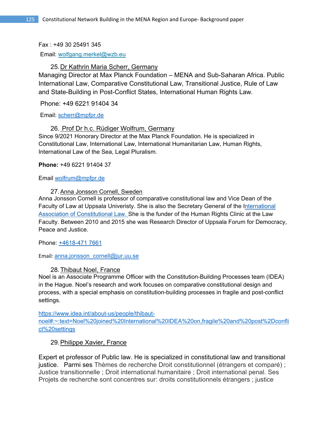# Fax : +49 30 25491 345

Email: wolfgang.merkel@wzb.eu

# 25. Dr Kathrin Maria Scherr, Germany

Managing Director at Max Planck Foundation – MENA and Sub-Saharan Africa. Public International Law, Comparative Constitutional Law, Transitional Justice, Rule of Law and State-Building in Post-Conflict States, International Human Rights Law.

Phone: +49 6221 91404 34

Email: scherr@mpfpr.de

# 26. Prof Dr h.c. Rüdiger Wolfrum, Germany

Since 9/2021 Honorary Director at the Max Planck Foundation. He is specialized in Constitutional Law, International Law, International Humanitarian Law, Human Rights, International Law of the Sea, Legal Pluralism.

**Phone:** +49 6221 91404 37

Email wolfrum@mpfpr.de

# 27. Anna Jonsson Cornell, Sweden

Anna Jonsson Cornell is professor of comparative constitutional law and Vice Dean of the Faculty of Law at Uppsala Univeristy. She is also the Secretary General of the International Association of Constitutional Law. She is the funder of the Human Rights Clinic at the Law Faculty. Between 2010 and 2015 she was Research Director of Uppsala Forum for Democracy, Peace and Justice.

Phone: +4618-471 7661

Email: anna.jonsson\_cornell@jur.uu.se

# 28. Thibaut Noel, France

Noel is an Associate Programme Officer with the Constitution-Building Processes team (IDEA) in the Hague. Noel's research and work focuses on comparative constitutional design and process, with a special emphasis on constitution-building processes in fragile and post-conflict settings.

https://www.idea.int/about-us/people/thibautnoel#:~:text=Noel%20joined%20International%20IDEA%20on,fragile%20and%20post%2Dconfli ct%20settings

# 29. Philippe Xavier, France

Expert et professor of Public law. He is specialized in constitutional law and transitional justice. Parmi ses Thèmes de recherche Droit constitutionnel (étrangers et comparé) ; Justice transitionnelle ; Droit international humanitaire ; Droit international penal. Ses Projets de recherche sont concentres sur: droits constitutionnels étrangers ; justice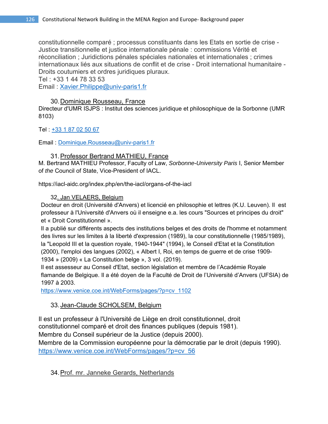constitutionnelle comparé ; processus constituants dans les Etats en sortie de crise - Justice transitionnelle et justice internationale pénale : commissions Vérité et réconciliation ; Juridictions pénales spéciales nationales et internationales ; crimes internationaux liés aux situations de conflit et de crise - Droit international humanitaire - Droits coutumiers et ordres juridiques pluraux.

Tel : +33 1 44 78 33 53

Email : Xavier.Philippe@univ-paris1.fr

# 30. Dominique Rousseau, France

Directeur d'UMR ISJPS : Institut des sciences juridique et philosophique de la Sorbonne (UMR 8103)

Tel: +33 1 87 02 50 67

Email : Dominique.Rousseau@univ-paris1.fr

# 31. Professor Bertrand MATHIEU, France

M. Bertrand MATHIEU Professor, Faculty of Law, *Sorbonne*-*University Paris* I, Senior Member of *the* Council of State, Vice-President of IACL.

https://iacl-aidc.org/index.php/en/the-iacl/organs-of-the-iacl

# 32. Jan VELAERS, Belgium

Docteur en droit (Université d'Anvers) et licencié en philosophie et lettres (K.U. Leuven). Il est professeur à l'Université d'Anvers où il enseigne e.a. les cours "Sources et principes du droit" et « Droit Constitutionnel ».

Il a publié sur différents aspects des institutions belges et des droits de l'homme et notamment des livres sur les limites à la liberté d'expression (1989), la cour constitutionnelle (1985/1989), la "Leopold III et la question royale, 1940-1944" (1994), le Conseil d'Etat et la Constitution (2000), l'emploi des langues (2002), « Albert I, Roi, en temps de guerre et de crise 1909- 1934 » (2009) « La Constitution belge », 3 vol. (2019).

Il est assesseur au Conseil d'Etat, section législation et membre de l'Académie Royale flamande de Belgique. Il a été doyen de la Faculté de Droit de l'Université d'Anvers (UFSIA) de 1997 à 2003.

https://www.venice.coe.int/WebForms/pages/?p=cv\_1102

# 33. Jean-Claude SCHOLSEM, Belgium

Il est un professeur à l'Université de Liège en droit constitutionnel, droit constitutionnel comparé et droit des finances publiques (depuis 1981). Membre du Conseil supérieur de la Justice (depuis 2000). Membre de la Commission européenne pour la démocratie par le droit (depuis 1990). https://www.venice.coe.int/WebForms/pages/?p=cv\_56

# 34. Prof. mr. Janneke Gerards, Netherlands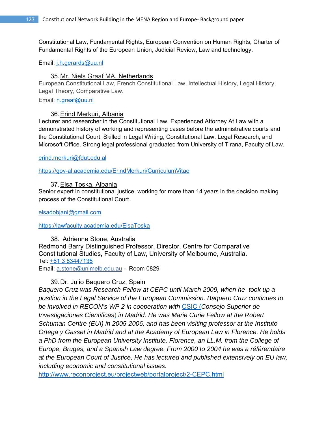Constitutional Law, Fundamental Rights, European Convention on Human Rights, Charter of Fundamental Rights of the European Union, Judicial Review, Law and technology.

### Email: j.h.gerards@uu.nl

# 35. Mr. Niels Graaf MA, Netherlands

European Constitutional Law, French Constitutional Law, Intellectual History, Legal History, Legal Theory, Comparative Law.

Email: n.graaf@uu.nl

### 36. Erind Merkuri, Albania

Lecturer and researcher in the Constitutional Law. Experienced Attorney At Law with a demonstrated history of working and representing cases before the administrative courts and the Constitutional Court. Skilled in Legal Writing, Constitutional Law, Legal Research, and Microsoft Office. Strong legal professional graduated from University of Tirana, Faculty of Law.

#### erind.merkuri@fdut.edu.al

https://gov-al.academia.edu/ErindMerkuri/CurriculumVitae

### 37. Elsa Toska, Albania

Senior expert in constitutional justice, working for more than 14 years in the decision making process of the Constitutional Court.

elsadobjani@gmail.com

#### https://lawfaculty.academia.edu/ElsaToska

# 38. Adrienne Stone, Australia Redmond Barry Distinguished Professor, Director, Centre for Comparative Constitutional Studies, Faculty of Law, University of Melbourne, Australia. Tel: +61 3 83447135 Email: a.stone@unimelb.edu.au - Room 0829

# 39. Dr. Julio Baquero Cruz, Spain

*Baquero Cruz was Research Fellow at CEPC until March 2009, when he took up a position in the Legal Service of the European Commission. Baquero Cruz continues to be involved in RECON's WP 2 in cooperation with* CSIC (*Consejo Superior de Investigaciones Cientificas*) *in Madrid. He was Marie Curie Fellow at the Robert Schuman Centre (EUI) in 2005-2006, and has been visiting professor at the Instituto Ortega y Gasset in Madrid and at the Academy of European Law in Florence. He holds a PhD from the European University Institute, Florence, an LL.M. from the College of Europe, Bruges, and a Spanish Law degree. From 2000 to 2004 he was a référendaire at the European Court of Justice, He has lectured and published extensively on EU law, including economic and constitutional issues.*

http://www.reconproject.eu/projectweb/portalproject/2-CEPC.html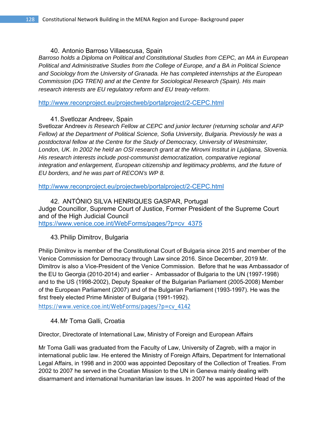# 40. Antonio Barroso Villaescusa, Spain

*Barroso holds a Diploma on Political and Constitutional Studies from CEPC, an MA in European Political and Administrative Studies from the College of Europe, and a BA in Political Science and Sociology from the University of Granada. He has completed internships at the European Commission (DG TREN) and at the Centre for Sociological Research (Spain). His main research interests are EU regulatory reform and EU treaty-reform.* 

http://www.reconproject.eu/projectweb/portalproject/2-CEPC.html

# 41. Svetlozar Andreev, Spain

Svetlozar Andreev *is Research Fellow at CEPC and junior lecturer (returning scholar and AFP Fellow) at the Department of Political Science, Sofia University, Bulgaria. Previously he was a postdoctoral fellow at the Centre for the Study of Democracy, University of Westminster, London, UK. In 2002 he held an OSI research grant at the Mirovni Institut in Ljubljana, Slovenia. His research interests include post-communist democratization, comparative regional integration and enlargement, European citizenship and legitimacy problems, and the future of EU borders, and he was part of RECON's WP 8.*

http://www.reconproject.eu/projectweb/portalproject/2-CEPC.html

42. ANTÓNIO SILVA HENRIQUES GASPAR, Portugal Judge Councillor, Supreme Court of Justice, Former President of the Supreme Court and of the High Judicial Council https://www.venice.coe.int/WebForms/pages/?p=cv\_4375

# 43. Philip Dimitrov, Bulgaria

Philip Dimitrov is member of the Constitutional Court of Bulgaria since 2015 and member of the Venice Commission for Democracy through Law since 2016. Since December, 2019 Mr. Dimitrov is also a Vice-President of the Venice Commission. Before that he was Ambassador of the EU to Georgia (2010-2014) and earlier - Ambassador of Bulgaria to the UN (1997-1998) and to the US (1998-2002), Deputy Speaker of the Bulgarian Parliament (2005-2008) Member of the European Parliament (2007) and of the Bulgarian Parliament (1993-1997). He was the first freely elected Prime Minister of Bulgaria (1991-1992).

https://www.venice.coe.int/WebForms/pages/?p=cv\_4142

# 44. Mr Toma Galli, Croatia

Director, Directorate of International Law, Ministry of Foreign and European Affairs

Mr Toma Galli was graduated from the Faculty of Law, University of Zagreb, with a major in international public law. He entered the Ministry of Foreign Affairs, Department for International Legal Affairs, in 1998 and in 2000 was appointed Depositary of the Collection of Treaties. From 2002 to 2007 he served in the Croatian Mission to the UN in Geneva mainly dealing with disarmament and international humanitarian law issues. In 2007 he was appointed Head of the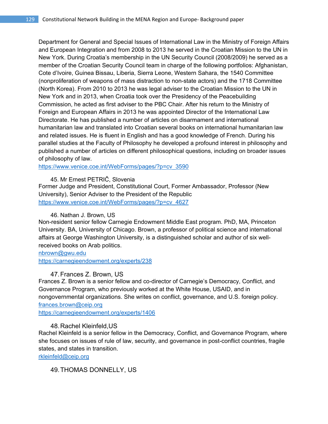Department for General and Special Issues of International Law in the Ministry of Foreign Affairs and European Integration and from 2008 to 2013 he served in the Croatian Mission to the UN in New York. During Croatia's membership in the UN Security Council (2008/2009) he served as a member of the Croatian Security Council team in charge of the following portfolios: Afghanistan, Cote d'Ivoire, Guinea Bissau, Liberia, Sierra Leone, Western Sahara, the 1540 Committee (nonproliferation of weapons of mass distraction to non-state actors) and the 1718 Committee (North Korea). From 2010 to 2013 he was legal adviser to the Croatian Mission to the UN in New York and in 2013, when Croatia took over the Presidency of the Peacebuilding Commission, he acted as first adviser to the PBC Chair. After his return to the Ministry of Foreign and European Affairs in 2013 he was appointed Director of the International Law Directorate. He has published a number of articles on disarmament and international humanitarian law and translated into Croatian several books on international humanitarian law and related issues. He is fluent in English and has a good knowledge of French. During his parallel studies at the Faculty of Philosophy he developed a profound interest in philosophy and published a number of articles on different philosophical questions, including on broader issues of philosophy of law.

https://www.venice.coe.int/WebForms/pages/?p=cv\_3590

45. Mr Ernest PETRIČ, Slovenia

Former Judge and President, Constitutional Court, Former Ambassador, Professor (New University), Senior Adviser to the President of the Republic https://www.venice.coe.int/WebForms/pages/?p=cv\_4627

# 46. Nathan J. Brown, US

Non-resident senior fellow Carnegie Endowment Middle East program. PhD, MA, Princeton University. BA, University of Chicago. Brown, a professor of political science and international affairs at George Washington University, is a distinguished scholar and author of six wellreceived books on Arab politics.

#### nbrown@gwu.edu

https://carnegieendowment.org/experts/238

# 47. Frances Z. Brown, US

Frances Z. Brown is a senior fellow and co-director of Carnegie's Democracy, Conflict, and Governance Program, who previously worked at the White House, USAID, and in nongovernmental organizations. She writes on conflict, governance, and U.S. foreign policy. frances.brown@ceip.org

https://carnegieendowment.org/experts/1406

# 48. Rachel Kleinfeld,US

Rachel Kleinfeld is a senior fellow in the Democracy, Conflict, and Governance Program, where she focuses on issues of rule of law, security, and governance in post-conflict countries, fragile states, and states in transition.

rkleinfeld@ceip.org

49. THOMAS DONNELLY, US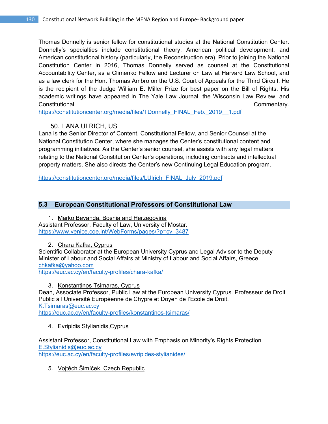Thomas Donnelly is senior fellow for constitutional studies at the National Constitution Center. Donnelly's specialties include constitutional theory, American political development, and American constitutional history (particularly, the Reconstruction era). Prior to joining the National Constitution Center in 2016, Thomas Donnelly served as counsel at the Constitutional Accountability Center, as a Climenko Fellow and Lecturer on Law at Harvard Law School, and as a law clerk for the Hon. Thomas Ambro on the U.S. Court of Appeals for the Third Circuit. He is the recipient of the Judge William E. Miller Prize for best paper on the Bill of Rights. His academic writings have appeared in The Yale Law Journal, the Wisconsin Law Review, and Constitutional Commentary.

https://constitutioncenter.org/media/files/TDonnelly\_FINAL\_Feb.\_2019\_\_1.pdf

# 50. LANA ULRICH, US

Lana is the Senior Director of Content, Constitutional Fellow, and Senior Counsel at the National Constitution Center, where she manages the Center's constitutional content and programming initiatives. As the Center's senior counsel, she assists with any legal matters relating to the National Constitution Center's operations, including contracts and intellectual property matters. She also directs the Center's new Continuing Legal Education program.

https://constitutioncenter.org/media/files/LUlrich\_FINAL\_July\_2019.pdf

# **5.3** – **European Constitutional Professors of Constitutional Law**

1. Marko Bevanda, Bosnia and Herzegovina Assistant Professor, Faculty of Law, University of Mostar. https://www.venice.coe.int/WebForms/pages/?p=cv\_3487

2. Chara Kafka, Cyprus

Scientific Collaborator at the European University Cyprus and Legal Advisor to the Deputy Minister of Labour and Social Affairs at Ministry of Labour and Social Affairs, Greece. chkafka@yahoo.com

https://euc.ac.cy/en/faculty-profiles/chara-kafka/

3. Konstantinos Tsimaras, Cyprus

Dean, Associate Professor, Public Law at the European University Cyprus. Professeur de Droit Public à l'Université Européenne de Chypre et Doyen de l'Ecole de Droit. K.Tsimaras@euc.ac.cy https://euc.ac.cy/en/faculty-profiles/konstantinos-tsimaras/

# 4. Evripidis Stylianidis,Cyprus

Assistant Professor, Constitutional Law with Emphasis on Minority's Rights Protection E.Stylianidis@euc.ac.cy https://euc.ac.cy/en/faculty-profiles/evripides-stylianides/

5. Vojtěch Šimíček. Czech Republic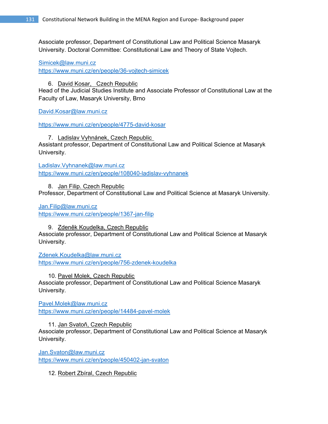Associate professor, Department of Constitutional Law and Political Science Masaryk University. Doctoral Committee: Constitutional Law and Theory of State Vojtech.

Simicek@law.muni.cz https://www.muni.cz/en/people/36-vojtech-simicek

6. David Kosar, Czech Republic

Head of the Judicial Studies Institute and Associate Professor of Constitutional Law at the Faculty of Law, Masaryk University, Brno

David.Kosar@law.muni.cz

https://www.muni.cz/en/people/4775-david-kosar

7. Ladislav Vyhnánek, Czech Republic Assistant professor, Department of Constitutional Law and Political Science at Masaryk University.

Ladislav.Vyhnanek@law.muni.cz https://www.muni.cz/en/people/108040-ladislav-vyhnanek

8. Jan Filip. Czech Republic Professor, Department of Constitutional Law and Political Science at Masaryk University.

Jan.Filip@law.muni.cz

https://www.muni.cz/en/people/1367-jan-filip

9. Zdeněk Koudelka, Czech Republic

Associate professor, Department of Constitutional Law and Political Science at Masaryk University.

Zdenek.Koudelka@law.muni.cz https://www.muni.cz/en/people/756-zdenek-koudelka

10. Pavel Molek, Czech Republic Associate professor, Department of Constitutional Law and Political Science Masaryk University.

Pavel.Molek@law.muni.cz https://www.muni.cz/en/people/14484-pavel-molek

11. Jan Svatoň, Czech Republic Associate professor, Department of Constitutional Law and Political Science at Masaryk University.

Jan.Svaton@law.muni.cz https://www.muni.cz/en/people/450402-jan-svaton

12. Robert Zbíral, Czech Republic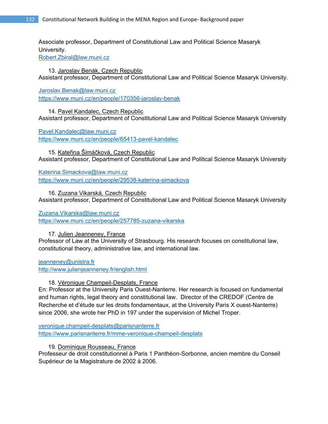Associate professor, Department of Constitutional Law and Political Science Masaryk University.

Robert.Zbiral@law.muni.cz

13. Jaroslav Benák, Czech Republic Assistant professor, Department of Constitutional Law and Political Science Masaryk University.

Jaroslav.Benak@law.muni.cz https://www.muni.cz/en/people/170356-jaroslav-benak

14. Pavel Kandalec, Czech Republic Assistant professor, Department of Constitutional Law and Political Science Masaryk University

Pavel.Kandalec@law.muni.cz

https://www.muni.cz/en/people/65413-pavel-kandalec

15. Kateřina Šimáčková, Czech Republic Assistant professor, Department of Constitutional Law and Political Science Masaryk University

Katerina.Simackova@law.muni.cz https://www.muni.cz/en/people/29538-katerina-simackova

16. Zuzana Vikarská, Czech Republic Assistant professor, Department of Constitutional Law and Political Science Masaryk University

# Zuzana.Vikarska@law.muni.cz

https://www.muni.cz/en/people/257785-zuzana-vikarska

17. Julien Jeanneney, France

Professor of Law at the University of Strasbourg. His research focuses on constitutional law, constitutional theory, administrative law, and international law.

jeanneney@unistra.fr

http://www.julienjeanneney.fr/english.html

18. Véronique Champeil-Desplats, France

En: Professor at the University Paris Ouest-Nanterre. Her research is focused on fundamental and human rights, legal theory and constitutional law. Director of the CREDOF (Centre de Recherche et d'étude sur les droits fondamentaux, at the University Paris X ouest-Nanterre) since 2006, she wrote her PhD in 197 under the supervision of Michel Troper.

veronique.champeil-desplats@parisnanterre.fr https://www.parisnanterre.fr/mme-veronique-champeil-desplats

19. Dominique Rousseau, France

Professeur de droit constitutionnel à Paris 1 Panthéon-Sorbonne, ancien membre du Conseil Supérieur de la Magistrature de 2002 à 2006.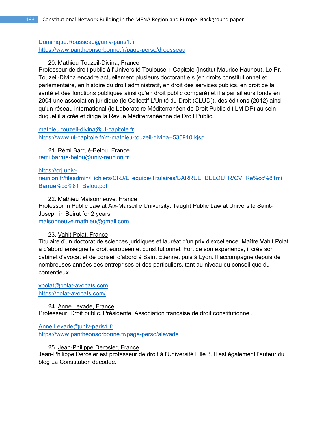# Dominique.Rousseau@univ-paris1.fr https://www.pantheonsorbonne.fr/page-perso/drousseau

# 20. Mathieu Touzeil-Divina, France

Professeur de droit public à l'Université Toulouse 1 Capitole (Institut Maurice Hauriou). Le Pr. Touzeil-Divina encadre actuellement plusieurs doctorant.e.s (en droits constitutionnel et parlementaire, en histoire du droit administratif, en droit des services publics, en droit de la santé et des fonctions publiques ainsi qu'en droit public comparé) et il a par ailleurs fondé en 2004 une association juridique (le Collectif L'Unité du Droit (CLUD)), des éditions (2012) ainsi qu'un réseau international (le Laboratoire Méditerranéen de Droit Public dit LM-DP) au sein duquel il a créé et dirige la Revue Méditerranéenne de Droit Public.

mathieu.touzeil-divina@ut-capitole.fr https://www.ut-capitole.fr/m-mathieu-touzeil-divina--535910.kjsp

# 21. Rémi Barrué-Belou, France

remi.barrue-belou@univ-reunion.fr

# https://crj.univ-

reunion.fr/fileadmin/Fichiers/CRJ/L\_equipe/Titulaires/BARRUE\_BELOU\_R/CV\_Re%cc%81mi Barrue%cc%81\_Belou.pdf

22. Mathieu Maisonneuve, France

Professor in Public Law at Aix-Marseille University. Taught Public Law at Université Saint-Joseph in Beirut for 2 years.

maisonneuve.mathieu@gmail.com

# 23. Vahit Polat, France

Titulaire d'un doctorat de sciences juridiques et lauréat d'un prix d'excellence, Maître Vahit Polat a d'abord enseigné le droit européen et constitutionnel. Fort de son expérience, il crée son cabinet d'avocat et de conseil d'abord à Saint Étienne, puis à Lyon. Il accompagne depuis de nombreuses années des entreprises et des particuliers, tant au niveau du conseil que du contentieux.

vpolat@polat-avocats.com https://polat-avocats.com/

24. Anne Levade, France Professeur, Droit public. Présidente, Association française de droit constitutionnel.

Anne.Levade@univ-paris1.fr https://www.pantheonsorbonne.fr/page-perso/alevade

25. Jean-Philippe Derosier, France

Jean-Philippe Derosier est professeur de droit à l'Université Lille 3. Il est également l'auteur du blog La Constitution décodée.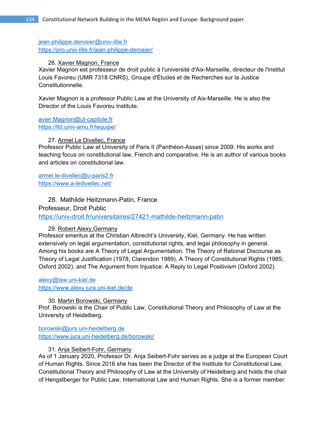jean-philippe.derosier@univ-lille.fr https://pro.univ-lille.fr/jean-philippe-derosier/

### 26. Xavier Magnon, France

Xavier Magnon est professeur de droit public à l'université d'Aix-Marseille, directeur de l'institut Louis Favoreu (UMR 7318 CNRS), Groupe d'Études et de Recherches sur la Justice Constitutionnelle.

Xavier Magnon is a professor Public Law at the University of Aix-Marseille. He is also the Director of the Louis Favoreu Institute.

avier.Magnon@ut-capitole.fr https://ltd.univ-amu.fr/lequipe/

# 27. Armel Le Divellec, France

Professor Public Law at University of Paris II (Panthéon-Assas) since 2009. His works and teaching focus on constitutional law, French and comparative. He is an author of various books and articles on constitutional law.

armel.le-divellec@u-paris2.fr https://www.a-ledivellec.net/

28. Mathilde Heitzmann-Patin, France Professeur, Droit Public https://univ-droit.fr/universitaires/27421-mathilde-heitzmann-patin

# 29. Robert Alexy,Germany

Professor emeritus at the Christian Albrecht's University, Kiel, Germany. He has written extensively on legal argumentation, constitutional rights, and legal philosophy in general. Among his books are A Theory of Legal Argumentation. The Theory of Rational Discourse as Theory of Legal Justification (1978; Clarendon 1989), A Theory of Constitutional Rights (1985; Oxford 2002), and The Argument from Injustice: A Reply to Legal Positivism (Oxford 2002).

alexy@law.uni-kiel.de https://www.alexy.jura.uni-kiel.de/de

30. Martin Borowski, Germany Prof. Borowski is the Chair of Public Law, Constitutional Theory and Philosophy of Law at the University of Heidelberg.

borowski@jurs.uni-heidelberg.de https://www.jura.uni-heidelberg.de/borowski/

# 31. Anja Seibert-Fohr, Germany

As of 1 January 2020, Professor Dr. Anja Seibert-Fohr serves as a judge at the European Court of Human Rights. Since 2016 she has been the Director of the Institute for Constitutional Law, Constitutional Theory and Philosophy of Law at the University of Heidelberg and holds the chair of Hengstberger for Public Law, International Law and Human Rights. She is a former member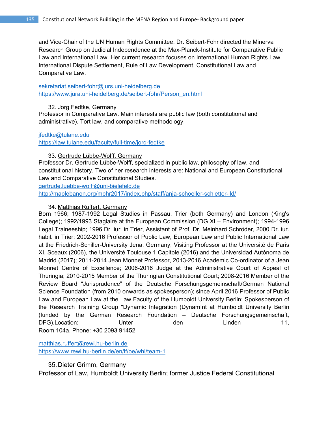and Vice-Chair of the UN Human Rights Committee. Dr. Seibert-Fohr directed the Minerva Research Group on Judicial Independence at the Max-Planck-Institute for Comparative Public Law and International Law. Her current research focuses on International Human Rights Law, International Dispute Settlement, Rule of Law Development, Constitutional Law and Comparative Law.

# sekretariat.seibert-fohr@jurs.uni-heidelberg.de https://www.jura.uni-heidelberg.de/seibert-fohr/Person\_en.html

# 32. Jorg Fedtke, Germany

Professor in Comparative Law. Main interests are public law (both constitutional and administrative). Tort law, and comparative methodology.

### jfedtke@tulane.edu

https://law.tulane.edu/faculty/full-time/jorg-fedtke

# 33. Gertrude Lübbe-Wolff, Germany

Professor Dr. Gertrude Lübbe-Wolff, specialized in public law, philosophy of law, and constitutional history. Two of her research interests are: National and European Constitutional Law and Comparative Constitutional Studies.

gertrude.luebbe-wolff@uni-bielefeld.de

http://maplebanon.org/mphr2017/index.php/staff/anja-schoeller-schletter-lld/

# 34. Matthias Ruffert, Germany

Born 1966; 1987-1992 Legal Studies in Passau, Trier (both Germany) and London (King's College); 1992/1993 Stagiaire at the European Commission (DG XI – Environment); 1994-1996 Legal Traineeship; 1996 Dr. iur. in Trier, Assistant of Prof. Dr. Meinhard Schröder, 2000 Dr. iur. habil. in Trier; 2002-2016 Professor of Public Law, European Law and Public International Law at the Friedrich-Schiller-University Jena, Germany; Visiting Professor at the Université de Paris XI, Sceaux (2006), the Université Toulouse 1 Capitole (2016) and the Universidad Autónoma de Madrid (2017); 2011-2014 Jean Monnet Professor, 2013-2016 Academic Co-ordinator of a Jean Monnet Centre of Excellence; 2006-2016 Judge at the Administrative Court of Appeal of Thuringia; 2010-2015 Member of the Thuringian Constitutional Court; 2008-2016 Member of the Review Board "Jurisprudence" of the Deutsche Forschungsgemeinschaft/German National Science Foundation (from 2010 onwards as spokesperson); since April 2016 Professor of Public Law and European Law at the Law Faculty of the Humboldt University Berlin; Spokesperson of the Research Training Group "Dynamic Integration (DynamInt at Humboldt University Berlin (funded by the German Research Foundation – Deutsche Forschungsgemeinschaft, DFG).Location: Unter den Linden 11, Room 104a. Phone: +30 2093 91452

matthias.ruffert@rewi.hu-berlin.de https://www.rewi.hu-berlin.de/en/lf/oe/whi/team-1

# 35. Dieter Grimm, Germany

Professor of Law, Humboldt University Berlin; former Justice Federal Constitutional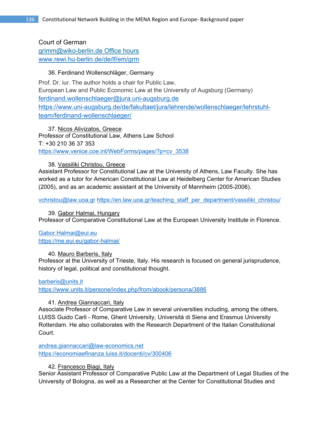Court of German grimm@wiko-berlin.de Office hours www.rewi.hu-berlin.de/de/lf/em/grm

# 36. Ferdinand Wollenschläger, Germany

Prof. Dr. iur. The author holds a chair for Public Law, European Law and Public Economic Law at the University of Augsburg (Germany) ferdinand.wollenschlaeger@jura.uni-augsburg.de https://www.uni-augsburg.de/de/fakultaet/jura/lehrende/wollenschlaeger/lehrstuhlteam/ferdinand-wollenschlaeger/

37. Nicos Alivizatos, Greece Professor of Constitutional Law, Athens Law School T: +30 210 36 37 353 https://www.venice.coe.int/WebForms/pages/?p=cv\_3538

# 38. Vassiliki Christou, Greece

Assistant Professor for Constitutional Law at the University of Athens, Law Faculty. She has worked as a tutor for American Constitutional Law at Heidelberg Center for American Studies (2005), and as an academic assistant at the University of Mannheim (2005-2006).

vchristou@law.uoa.gr https://en.law.uoa.gr/teaching\_staff\_per\_department/vassiliki\_christou/

39. Gabor Halmai, Hungary Professor of Comparative Constitutional Law at the European University Institute in Florence.

Gabor.Halmai@eui.eu https://me.eui.eu/gabor-halmai/

# 40. Mauro Barberis, Italy

Professor at the University of Trieste, Italy. His research is focused on general jurisprudence, history of legal, political and constitutional thought.

# barberis@units.it

https://www.units.it/persone/index.php/from/abook/persona/3886

# 41. Andrea Giannaccari, Italy

Associate Professor of Comparative Law in several universities including, among the others, LUISS Guido Carli - Rome, Ghent University, Università di Siena and Erasmus University Rotterdam. He also collaborates with the Research Department of the Italian Constitutional Court.

andrea.giannaccari@law-economics.net https://economiaefinanza.luiss.it/docenti/cv/300406

# 42. Francesco Biagi, Italy

Senior Assistant Professor of Comparative Public Law at the Department of Legal Studies of the University of Bologna, as well as a Researcher at the Center for Constitutional Studies and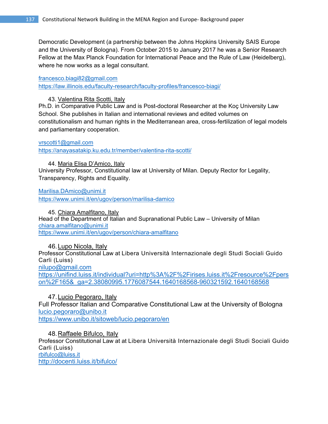Democratic Development (a partnership between the Johns Hopkins University SAIS Europe and the University of Bologna). From October 2015 to January 2017 he was a Senior Research Fellow at the Max Planck Foundation for International Peace and the Rule of Law (Heidelberg), where he now works as a legal consultant.

#### francesco.biagi82@gmail.com

https://law.illinois.edu/faculty-research/faculty-profiles/francesco-biagi/

#### 43. Valentina Rita Scotti, Italy

Ph.D. in Comparative Public Law and is Post-doctoral Researcher at the Koç University Law School. She publishes in Italian and international reviews and edited volumes on constitutionalism and human rights in the Mediterranean area, cross-fertilization of legal models and parliamentary cooperation.

#### vrscotti1@gmail.com

https://anayasatakip.ku.edu.tr/member/valentina-rita-scotti/

#### 44. Maria Elisa D'Amico, Italy

University Professor, Constitutional law at University of Milan. Deputy Rector for Legality, Transparency, Rights and Equality.

Marilisa.DAmico@unimi.it

https://www.unimi.it/en/ugov/person/marilisa-damico

45. Chiara Amalfitano, Italy Head of the Department of Italian and Supranational Public Law – University of Milan chiara.amalfitano@unimi.it https://www.unimi.it/en/ugov/person/chiara-amalfitano

# 46. Lupo Nicola, Italy Professor Constitutional Law at Libera Università Internazionale degli Studi Sociali Guido Carli (Luiss) nilupo@gmail.com https://unifind.luiss.it/individual?uri=http%3A%2F%2Firises.luiss.it%2Fresource%2Fpers on%2F165&\_ga=2.38080995.1776087544.1640168568-960321592.1640168568

# 47. Lucio Pegoraro, Italy

Full Professor Italian and Comparative Constitutional Law at the University of Bologna lucio.pegoraro@unibo.it https://www.unibo.it/sitoweb/lucio.pegoraro/en

48. Raffaele Bifulco, Italy

Professor Constitutional Law at at Libera Università Internazionale degli Studi Sociali Guido Carli (Luiss) rbifulco@luiss.it http://docenti.luiss.it/bifulco/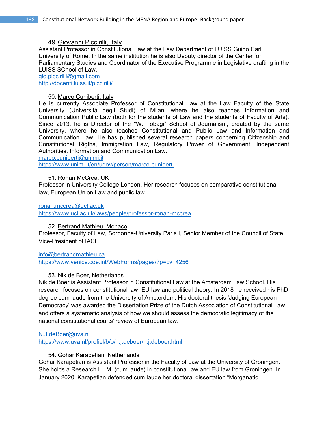### 49. Giovanni Piccirilli, Italy

Assistant Professor in Constitutional Law at the Law Department of LUISS Guido Carli University of Rome. In the same institution he is also Deputy director of the Center for Parliamentary Studies and Coordinator of the Executive Programme in Legislative drafting in the LUISS SChool of Law. gio.piccirilli@gmail.com

http://docenti.luiss.it/piccirilli/

### 50. Marco Cuniberti, Italy

He is currently Associate Professor of Constitutional Law at the Law Faculty of the State University (Università degli Studi) of Milan, where he also teaches Information and Communication Public Law (both for the students of Law and the students of Faculty of Arts). Since 2013, he is Director of the "W. Tobagi" School of Journalism, created by the same University, where he also teaches Constitutional and Public Law and Information and Communication Law. He has published several research papers concerning Citizenship and Constitutional Rigths, Immigration Law, Regulatory Power of Government, Independent Authorities, Information and Communication Law.

marco.cuniberti@unimi.it

https://www.unimi.it/en/ugov/person/marco-cuniberti

### 51. Ronan McCrea, UK

Professor in University College London. Her research focuses on comparative constitutional law, European Union Law and public law.

#### ronan.mccrea@ucl.ac.uk

https://www.ucl.ac.uk/laws/people/professor-ronan-mccrea

# 52. Bertrand Mathieu, Monaco

Professor, Faculty of Law, Sorbonne-University Paris I, Senior Member of the Council of State, Vice-President of IACL.

info@bertrandmathieu.ca

https://www.venice.coe.int/WebForms/pages/?p=cv\_4256

# 53. Nik de Boer, Netherlands

Nik de Boer is Assistant Professor in Constitutional Law at the Amsterdam Law School. His research focuses on constitutional law, EU law and political theory. In 2018 he received his PhD degree cum laude from the University of Amsterdam. His doctoral thesis 'Judging European Democracy' was awarded the Dissertation Prize of the Dutch Association of Constitutional Law and offers a systematic analysis of how we should assess the democratic legitimacy of the national constitutional courts' review of European law.

# N.J.deBoer@uva.nl

https://www.uva.nl/profiel/b/o/n.j.deboer/n.j.deboer.html

# 54. Gohar Karapetian, Netherlands

Gohar Karapetian is Assistant Professor in the Faculty of Law at the University of Groningen. She holds a Research LL.M. (cum laude) in constitutional law and EU law from Groningen. In January 2020, Karapetian defended cum laude her doctoral dissertation "Morganatic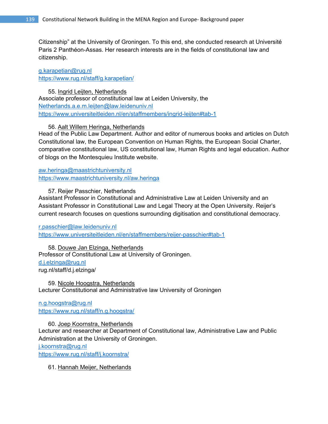Citizenship" at the University of Groningen. To this end, she conducted research at Université Paris 2 Panthéon-Assas. Her research interests are in the fields of constitutional law and citizenship.

g.karapetian@rug.nl https://www.rug.nl/staff/g.karapetian/

55. Ingrid Leijten, Netherlands Associate professor of constitutional law at Leiden University, the Netherlands.a.e.m.leijten@law.leidenuniv.nl https://www.universiteitleiden.nl/en/staffmembers/ingrid-leijten#tab-1

#### 56. Aalt Willem Heringa, Netherlands

Head of the Public Law Department. Author and editor of numerous books and articles on Dutch Constitutional law, the European Convention on Human Rights, the European Social Charter, comparative constitutional law, US constitutional law, Human Rights and legal education. Author of blogs on the Montesquieu Institute website.

aw.heringa@maastrichtuniversity.nl https://www.maastrichtuniversity.nl/aw.heringa

57. Reijer Passchier, Netherlands

Assistant Professor in Constitutional and Administrative Law at Leiden University and an Assistant Professor in Constitutional Law and Legal Theory at the Open University. Reijer's current research focuses on questions surrounding digitisation and constitutional democracy.

r.passchier@law.leidenuniv.nl https://www.universiteitleiden.nl/en/staffmembers/reijer-passchier#tab-1

58. Douwe Jan Elzinga, Netherlands Professor of Constitutional Law at University of Groningen. d.j.elzinga@rug.nl rug.nl/staff/d.j.elzinga/

59. Nicole Hoogstra, Netherlands Lecturer Constitutional and Administrative law University of Groningen

n.g.hoogstra@rug.nl https://www.rug.nl/staff/n.g.hoogstra/

60. Joep Koornstra, Netherlands Lecturer and researcher at Department of Constitutional law, Administrative Law and Public Administration at the University of Groningen.

j.koornstra@rug.nl

https://www.rug.nl/staff/j.koornstra/

61. Hannah Meijer, Netherlands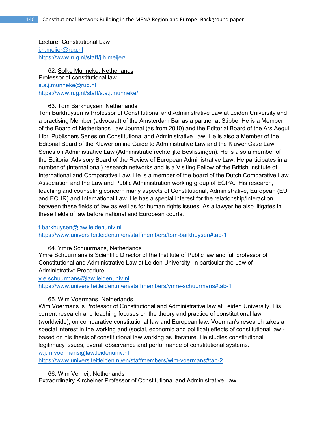Lecturer Constitutional Law j.h.meijer@rug.nl https://www.rug.nl/staff/j.h.meijer/

62. Solke Munneke, Netherlands Professor of constitutional law s.a.j.munneke@rug.nl https://www.rug.nl/staff/s.a.j.munneke/

# 63. Tom Barkhuysen, Netherlands

Tom Barkhuysen is Professor of Constitutional and Administrative Law at Leiden University and a practising Member (advocaat) of the Amsterdam Bar as a partner at Stibbe. He is a Member of the Board of Netherlands Law Journal (as from 2010) and the Editorial Board of the Ars Aequi Libri Publishers Series on Constitutional and Administrative Law. He is also a Member of the Editorial Board of the Kluwer online Guide to Administrative Law and the Kluwer Case Law Series on Administrative Law (Administratiefrechtelijke Beslissingen). He is also a member of the Editorial Advisory Board of the Review of European Administrative Law. He participates in a number of (international) research networks and is a Visiting Fellow of the British Institute of International and Comparative Law. He is a member of the board of the Dutch Comparative Law Association and the Law and Public Administration working group of EGPA. His research, teaching and counseling concern many aspects of Constitutional, Administrative, European (EU and ECHR) and International Law. He has a special interest for the relationship/interaction between these fields of law as well as for human rights issues. As a lawyer he also litigates in these fields of law before national and European courts.

#### t.barkhuysen@law.leidenuniv.nl

https://www.universiteitleiden.nl/en/staffmembers/tom-barkhuysen#tab-1

# 64. Ymre Schuurmans, Netherlands

Ymre Schuurmans is Scientific Director of the Institute of Public law and full professor of Constitutional and Administrative Law at Leiden University, in particular the Law of Administrative Procedure.

y.e.schuurmans@law.leidenuniv.nl

https://www.universiteitleiden.nl/en/staffmembers/ymre-schuurmans#tab-1

65. Wim Voermans, Netherlands

Wim Voermans is Professor of Constitutional and Administrative law at Leiden University. His current research and teaching focuses on the theory and practice of constitutional law (worldwide), on comparative constitutional law and European law. Voerman's research takes a special interest in the working and (social, economic and political) effects of constitutional law based on his thesis of constitutional law working as literature. He studies constitutional legitimacy issues, overall observance and performance of constitutional systems.

w.j.m.voermans@law.leidenuniv.nl

https://www.universiteitleiden.nl/en/staffmembers/wim-voermans#tab-2

66. Wim Verheij, Netherlands

Extraordinairy Kircheiner Professor of Constitutional and Administrative Law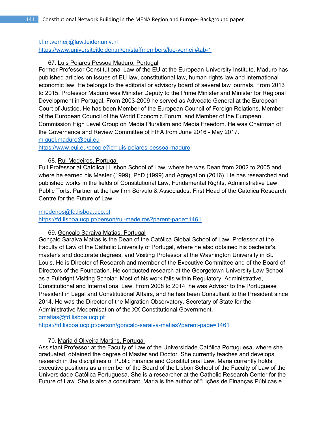#### l.f.m.verheij@law.leidenuniv.nl

https://www.universiteitleiden.nl/en/staffmembers/luc-verheij#tab-1

# 67. Luis Poiares Pessoa Maduro, Portugal

Former Professor Constitutional Law of the EU at the European University Institute. Maduro has published articles on issues of EU law, constitutional law, human rights law and international economic law. He belongs to the editorial or advisory board of several law journals. From 2013 to 2015, Professor Maduro was Minister Deputy to the Prime Minister and Minister for Regional Development in Portugal. From 2003-2009 he served as Advocate General at the European Court of Justice. He has been Member of the European Council of Foreign Relations, Member of the European Council of the World Economic Forum, and Member of the European Commission High Level Group on Media Pluralism and Media Freedom. He was Chairman of the Governance and Review Committee of FIFA from June 2016 - May 2017.

miguel.maduro@eui.eu

https://www.eui.eu/people?id=luis-poiares-pessoa-maduro

#### 68. Rui Medeiros, Portugal

Full Professor at Católica | Lisbon School of Law, where he was Dean from 2002 to 2005 and where he earned his Master (1999), PhD (1999) and Agregation (2016). He has researched and published works in the fields of Constitutional Law, Fundamental Rights, Administrative Law, Public Torts. Partner at the law firm Sérvulo & Associados. First Head of the Católica Research Centre for the Future of Law.

### rmedeiros@fd.lisboa.ucp.pt

https://fd.lisboa.ucp.pt/person/rui-medeiros?parent-page=1461

#### 69. Gonçalo Saraiva Matias, Portugal

Gonçalo Saraiva Matias is the Dean of the Católica Global School of Law, Professor at the Faculty of Law of the Catholic University of Portugal, where he also obtained his bachelor's, master's and doctorate degrees, and Visiting Professor at the Washington University in St. Louis. He is Director of Research and member of the Executive Committee and of the Board of Directors of the Foundation. He conducted research at the Georgetown University Law School as a Fulbright Visiting Scholar. Most of his work falls within Regulatory, Administrative, Constitutional and International Law. From 2008 to 2014, he was Advisor to the Portuguese President in Legal and Constitutional Affairs, and he has been Consultant to the President since 2014. He was the Director of the Migration Observatory, Secretary of State for the Administrative Modernisation of the XX Constitutional Government.

gmatias@fd.lisboa.ucp.pt

https://fd.lisboa.ucp.pt/person/goncalo-saraiva-matias?parent-page=1461

#### 70. Maria d'Oliveira Martins, Portugal

Assistant Professor at the Faculty of Law of the Universidade Católica Portuguesa, where she graduated, obtained the degree of Master and Doctor. She currently teaches and develops research in the disciplines of Public Finance and Constitutional Law. Maria currently holds executive positions as a member of the Board of the Lisbon School of the Faculty of Law of the Universidade Católica Portuguesa. She is a researcher at the Catholic Research Center for the Future of Law. She is also a consultant. Maria is the author of "Lições de Finanças Públicas e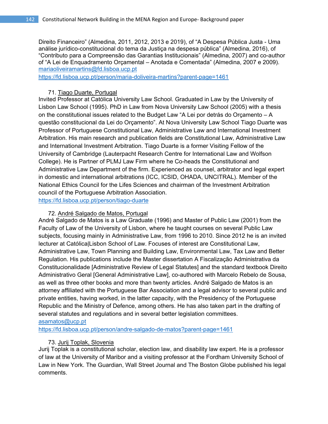Direito Financeiro" (Almedina, 2011, 2012, 2013 e 2019), of "A Despesa Pública Justa - Uma análise jurídico-constitucional do tema da Justiça na despesa pública" (Almedina, 2016), of "Contributo para a Compreensão das Garantias Institucionais" (Almedina, 2007) and co-author of "A Lei de Enquadramento Orçamental – Anotada e Comentada" (Almedina, 2007 e 2009). mariaoliveiramartins@fd.lisboa.ucp.pt

https://fd.lisboa.ucp.pt/person/maria-doliveira-martins?parent-page=1461

# 71. Tiago Duarte, Portugal

Invited Professor at Católica University Law School. Graduated in Law by the University of Lisbon Law School (1995). PhD in Law from Nova University Law School (2005) with a thesis on the constitutional issues related to the Budget Law "A Lei por detrás do Orçamento – A questão constitucional da Lei do Orçamento". At Nova University Law School Tiago Duarte was Professor of Portuguese Constitutional Law, Administrative Law and International Investment Arbitration. His main research and publication fields are Constitutional Law, Administrative Law and International Investment Arbitration. Tiago Duarte is a former Visiting Fellow of the University of Cambridge (Lauterpacht Research Centre for International Law and Wolfson College). He is Partner of PLMJ Law Firm where he Co-heads the Constitutional and Administrative Law Department of the firm. Experienced as counsel, arbitrator and legal expert in domestic and international arbitrations (ICC, ICSID, OHADA, UNCITRAL). Member of the National Ethics Council for the Lifes Sciences and chairman of the Investment Arbitration council of the Portuguese Arbitration Association.

https://fd.lisboa.ucp.pt/person/tiago-duarte

# 72. André Salgado de Matos, Portugal

André Salgado de Matos is a Law Graduate (1996) and Master of Public Law (2001) from the Faculty of Law of the University of Lisbon, where he taught courses on several Public Law subjects, focusing mainly in Administrative Law, from 1996 to 2010. Since 2012 he is an invited lecturer at Católica|Lisbon School of Law. Focuses of interest are Constitutional Law, Administrative Law, Town Planning and Building Law, Environmental Law, Tax Law and Better Regulation. His publications include the Master dissertation A Fiscalização Administrativa da Constitucionalidade [Administrative Review of Legal Statutes] and the standard textbook Direito Administrativo Geral [General Administrative Law], co-authored with Marcelo Rebelo de Sousa, as well as three other books and more than twenty articles. André Salgado de Matos is an attorney affiliated with the Portuguese Bar Association and a legal advisor to several public and private entities, having worked, in the latter capacity, with the Presidency of the Portuguese Republic and the Ministry of Defence, among others. He has also taken part in the drafting of several statutes and regulations and in several better legislation committees.

asamatos@ucp.pt

https://fd.lisboa.ucp.pt/person/andre-salgado-de-matos?parent-page=1461

# 73. Jurij Toplak, Slovenia

Jurij Toplak is a constitutional scholar, election law, and disability law expert. He is a professor of law at the University of Maribor and a visiting professor at the Fordham University School of Law in New York. The Guardian, Wall Street Journal and The Boston Globe published his legal comments.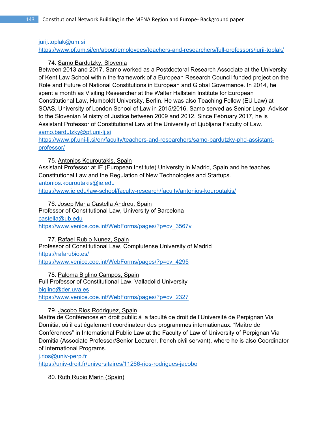### jurij.toplak@um.si

https://www.pf.um.si/en/about/employees/teachers-and-researchers/full-professors/jurij-toplak/

# 74. Samo Bardutzky, Slovenia

Between 2013 and 2017, Samo worked as a Postdoctoral Research Associate at the University of Kent Law School within the framework of a European Research Council funded project on the Role and Future of National Constitutions in European and Global Governance. In 2014, he spent a month as Visiting Researcher at the Walter Hallstein Institute for European Constitutional Law, Humboldt University, Berlin. He was also Teaching Fellow (EU Law) at SOAS, University of London School of Law in 2015/2016. Samo served as Senior Legal Advisor to the Slovenian Ministry of Justice between 2009 and 2012. Since February 2017, he is Assistant Professor of Constitutional Law at the University of Ljubljana Faculty of Law. samo.bardutzky@pf.uni-lj.si

https://www.pf.uni-lj.si/en/faculty/teachers-and-researchers/samo-bardutzky-phd-assistantprofessor/

75. Antonios Kouroutakis, Spain

Assistant Professor at IE (European Institute) University in Madrid, Spain and he teaches Constitutional Law and the Regulation of New Technologies and Startups. antonios.kouroutakis@ie.edu

https://www.ie.edu/law-school/faculty-research/faculty/antonios-kouroutakis/

76. Josep Maria Castella Andreu, Spain Professor of Constitutional Law, University of Barcelona castella@ub.edu https://www.venice.coe.int/WebForms/pages/?p=cv\_3567v

77. Rafael Rubio Nunez, Spain Professor of Constitutional Law, Complutense University of Madrid https://rafarubio.es/ https://www.venice.coe.int/WebForms/pages/?p=cv\_4295

78. Paloma Biglino Campos, Spain Full Professor of Constitutional Law, Valladolid University biglino@der.uva.es https://www.venice.coe.int/WebForms/pages/?p=cv\_2327

79. Jacobo Rios Rodriguez, Spain

Maître de Conférences en droit public à la faculté de droit de l'Université de Perpignan Via Domitia, où il est également coordinateur des programmes internationaux. "Maître de Conférences" in International Public Law at the Faculty of Law of University of Perpignan Via Domitia (Associate Professor/Senior Lecturer, french civil servant), where he is also Coordinator of International Programs.

j.rios@univ-perp.fr

https://univ-droit.fr/universitaires/11266-rios-rodrigues-jacobo

80. Ruth Rubio Marin (Spain)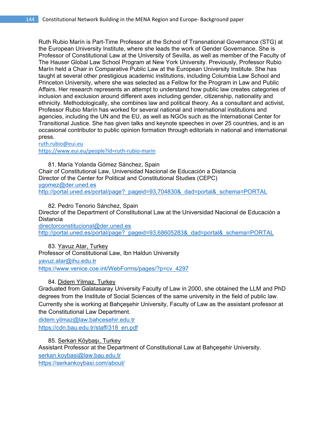Ruth Rubio Marín is Part-Time Professor at the School of Transnational Governance (STG) at the European University Institute, where she leads the work of Gender Governance. She is Professor of Constitutional Law at the University of Sevilla, as well as member of the Faculty of The Hauser Global Law School Program at New York University. Previously, Professor Rubio Marín held a Chair in Comparative Public Law at the European University Institute. She has taught at several other prestigious academic institutions, including Columbia Law School and Princeton University, where she was selected as a Fellow for the Program in Law and Public Affairs. Her research represents an attempt to understand how public law creates categories of inclusion and exclusion around different axes including gender, citizenship, nationality and ethnicity. Methodologically, she combines law and political theory. As a consultant and activist, Professor Rubio Marín has worked for several national and international institutions and agencies, including the UN and the EU, as well as NGOs such as the International Center for Transitional Justice. She has given talks and keynote speeches in over 25 countries, and is an occasional contributor to public opinion formation through editorials in national and international press.

ruth.rubio@eui.eu

https://www.eui.eu/people?id=ruth‐rubio‐marin

81. María Yolanda Gómez Sánchez, Spain Chair of Constitutional Law, Universidad Nacional de Educación a Distancia Director of the Center for Political and Constitutional Studies (CEPC) ygomez@der.uned.es http://portal.uned.es/portal/page?\_pageid=93,704830&\_dad=portal&\_schema=PORTAL

82. Pedro Tenorio Sánchez, Spain Director of the Department of Constitutional Law at the Universidad Nacional de Educación a Distancia

directorconstitucional@der.uned.es http://portal.uned.es/portal/page?\_pageid=93,68605283&\_dad=portal&\_schema=PORTAL

83. Yavuz Atar, Turkey Professor of Constitutional Law, Ibn Haldun University yavuz.atar@ihu.edu.tr https://www.venice.coe.int/WebForms/pages/?p=cv\_4297

#### 84. Didem Yilmaz, Turkey

Graduated from Galatasaray University Faculty of Law in 2000, she obtained the LLM and PhD degrees from the Institute of Social Sciences of the same university in the field of public law. Currently she is working at Bahçeşehir University, Faculty of Law as the assistant professor at the Constitutional Law Department.

didem.yilmaz@law.bahcesehir.edu.tr https://cdn.bau.edu.tr/staff/318\_en.pdf

85. Serkan Köybaşı, Turkey

Assistant Professor at the Department of Constitutional Law at Bahçeşehir University. serkan.koybasi@law.bau.edu.tr https://serkankoybasi.com/about/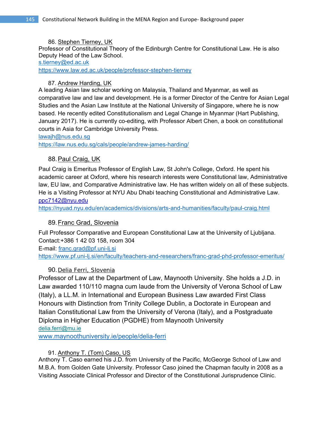#### 86. Stephen Tierney, UK

Professor of Constitutional Theory of the Edinburgh Centre for Constitutional Law. He is also Deputy Head of the Law School.

#### s.tierney@ed.ac.uk

https://www.law.ed.ac.uk/people/professor-stephen-tierney

## 87. Andrew Harding, UK

A leading Asian law scholar working on Malaysia, Thailand and Myanmar, as well as comparative law and law and development. He is a former Director of the Centre for Asian Legal Studies and the Asian Law Institute at the National University of Singapore, where he is now based. He recently edited Constitutionalism and Legal Change in Myanmar (Hart Publishing, January 2017). He is currently co-editing, with Professor Albert Chen, a book on constitutional courts in Asia for Cambridge University Press.

### lawajh@nus.edu.sg

https://law.nus.edu.sg/cals/people/andrew-james-harding/

# 88. Paul Craig, UK

Paul Craig is Emeritus Professor of English Law, St John's College, Oxford. He spent his academic career at Oxford, where his research interests were Constitutional law, Administrative law, EU law, and Comparative Administrative law. He has written widely on all of these subjects. He is a Visiting Professor at NYU Abu Dhabi teaching Constitutional and Administrative Law. ppc7142@nyu.edu

https://nyuad.nyu.edu/en/academics/divisions/arts-and-humanities/faculty/paul-craig.html

# 89. Franc Grad, Slovenia

Full Professor Comparative and European Constitutional Law at the University of Ljubljana. Contact:+386 1 42 03 158, room 304

E-mail: franc.grad@pf.uni-lj.si

https://www.pf.uni-lj.si/en/faculty/teachers-and-researchers/franc-grad-phd-professor-emeritus/

## 90. Delia Ferri, Slovenia

Professor of Law at the Department of Law, Maynooth University. She holds a J.D. in Law awarded 110/110 magna cum laude from the University of Verona School of Law (Italy), a LL.M. in International and European Business Law awarded First Class Honours with Distinction from Trinity College Dublin, a Doctorate in European and Italian Constitutional Law from the University of Verona (Italy), and a Postgraduate Diploma in Higher Education (PGDHE) from Maynooth University delia.ferri@mu.ie

www.maynoothuniversity.ie/people/delia-ferri

## 91. Anthony T. (Tom) Caso, US

Anthony T. Caso earned his J.D. from University of the Pacific, McGeorge School of Law and M.B.A. from Golden Gate University. Professor Caso joined the Chapman faculty in 2008 as a Visiting Associate Clinical Professor and Director of the Constitutional Jurisprudence Clinic.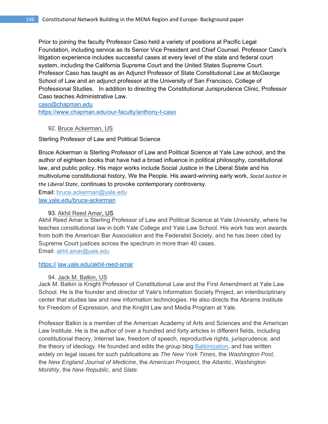Prior to joining the faculty Professor Caso held a variety of positions at Pacific Legal Foundation, including service as its Senior Vice President and Chief Counsel. Professor Caso's litigation experience includes successful cases at every level of the state and federal court system, including the California Supreme Court and the United States Supreme Court. Professor Caso has taught as an Adjunct Professor of State Constitutional Law at McGeorge School of Law and an adjunct professor at the University of San Francisco, College of Professional Studies. In addition to directing the Constitutional Jurisprudence Clinic, Professor Caso teaches Administrative Law.

caso@chapman.edu

https://www.chapman.edu/our-faculty/anthony-t-caso

#### 92. Bruce Ackerman, US

Sterling Professor of Law and Political Science

Bruce Ackerman is Sterling Professor of Law and Political Science at Yale Law school, and the author of eighteen books that have had a broad influence in political philosophy, constitutional law, and public policy. His major works include Social Justice in the Liberal State and his multivolume constitutional history, We the People. His award-winning early work, *Social Justice in the Liberal State*, continues to provoke contemporary controversy.

Email: bruce.ackerman@yale.edu

law.yale.edu/bruce-ackerman

#### 93. Akhil Reed Amar, US

Akhil Reed Amar is Sterling Professor of Law and Political Science at Yale University, where he teaches constitutional law in both Yale College and Yale Law School. His work has won awards from both the American Bar Association and the Federalist Society, and he has been cited by Supreme Court justices across the spectrum in more than 40 cases. Email: akhil.amar@yale.edu

https:// law.yale.edu/akhil-reed-amar

#### 94. Jack M. Balkin, US

Jack M. Balkin is Knight Professor of Constitutional Law and the First Amendment at Yale Law School. He is the founder and director of Yale's Information Society Project, an interdisciplinary center that studies law and new information technologies. He also directs the Abrams Institute for Freedom of Expression, and the Knight Law and Media Program at Yale.

Professor Balkin is a member of the American Academy of Arts and Sciences and the American Law Institute. He is the author of over a hundred and forty articles in different fields, including constitutional theory, Internet law, freedom of speech, reproductive rights, jurisprudence, and the theory of ideology. He founded and edits the group blog **Balkinization**, and has written widely on legal issues for such publications as *The New York Times*, the *Washington Post*, the *New England Journal of Medicine*, the *American Prospect*, the *Atlantic*, *Washington Monthly*, the *New Republic*, and *Slate*.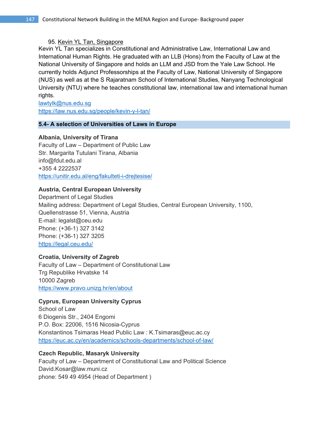### 95. Kevin YL Tan, Singapore

Kevin YL Tan specializes in Constitutional and Administrative Law, International Law and International Human Rights. He graduated with an LLB (Hons) from the Faculty of Law at the National University of Singapore and holds an LLM and JSD from the Yale Law School. He currently holds Adjunct Professorships at the Faculty of Law, National University of Singapore (NUS) as well as at the S Rajaratnam School of International Studies, Nanyang Technological University (NTU) where he teaches constitutional law, international law and international human rights.

lawtylk@nus.edu.sg https://law.nus.edu.sg/people/kevin-y-l-tan/

#### **5.4- A selection of Universities of Laws in Europe**

### **Albania, University of Tirana**

Faculty of Law – Department of Public Law Str. Margarita Tutulani Tirana, Albania info@fdut.edu.al +355 4 2222537 https://unitir.edu.al/eng/fakulteti-i-drejtesise/

### **Austria, Central European University**

Department of Legal Studies Mailing address: Department of Legal Studies, Central European University, 1100, Quellenstrasse 51, Vienna, Austria E-mail: legalst@ceu.edu Phone: (+36-1) 327 3142 Phone: (+36-1) 327 3205 https://legal.ceu.edu/

### **Croatia, University of Zagreb**

Faculty of Law – Department of Constitutional Law Trg Republike Hrvatske 14 10000 Zagreb https://www.pravo.unizg.hr/en/about

### **Cyprus, European University Cyprus**

School of Law 6 Diogenis Str., 2404 Engomi P.O. Box: 22006, 1516 Nicosia-Cyprus Konstantinos Tsimaras Head Public Law : K.Tsimaras@euc.ac.cy https://euc.ac.cy/en/academics/schools-departments/school-of-law/

### **Czech Republic, Masaryk University**

Faculty of Law – Department of Constitutional Law and Political Science David.Kosar@law.muni.cz phone: 549 49 4954 (Head of Department )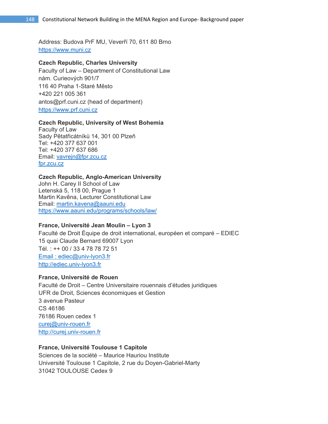Address: Budova PrF MU, Veverří 70, 611 80 Brno https://www.muni.cz

#### **Czech Republic, Charles University**

Faculty of Law – Department of Constitutional Law nám. Curieových 901/7 116 40 Praha 1-Staré Město +420 221 005 361 antos@prf.cuni.cz (head of department) https://www.prf.cuni.cz

#### **Czech Republic, University of West Bohemia**

Faculty of Law Sady Pětatřicátníků 14, 301 00 Plzeň Tel: +420 377 637 001 Tel: +420 377 637 686 Email: vavrejn@fpr.zcu.cz fpr.zcu.cz

#### **Czech Republic, Anglo-American University**

John H. Carey II School of Law Letenská 5, 118 00, Prague 1 Martin Kavěna, Lecturer Constitutional Law Email: martin.kavena@aauni.edu https://www.aauni.edu/programs/schools/law/

#### **France, Université Jean Moulin – Lyon 3**

Faculté de Droit Équipe de droit international, européen et comparé – EDIEC 15 quai Claude Bernard 69007 Lyon Tél. : ++ 00 / 33 4 78 78 72 51 Email : ediec@univ-lyon3.fr http://ediec.univ-lyon3.fr

#### **France, Université de Rouen**

Faculté de Droit – Centre Universitaire rouennais d'études juridiques UFR de Droit, Sciences économiques et Gestion 3 avenue Pasteur CS 46186 76186 Rouen cedex 1 curej@univ-rouen.fr http://curej.univ-rouen.fr

### **France, Université Toulouse 1 Capitole**

Sciences de la société – Maurice Hauriou Institute Université Toulouse 1 Capitole, 2 rue du Doyen-Gabriel-Marty 31042 TOULOUSE Cedex 9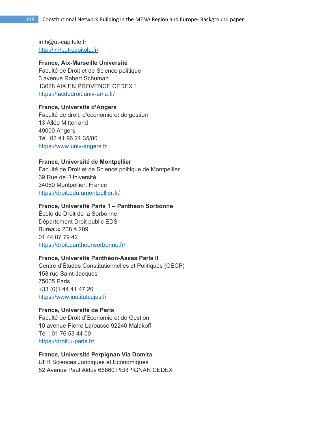imh@ut-capitole.fr http://imh.ut-capitole.fr/

#### **France, Aix-Marseille Université**

Faculté de Droit et de Science politique 3 avenue Robert Schuman 13628 AIX EN PROVENCE CEDEX 1 https://facdedroit.univ-amu.fr/

#### **France, Université d'Angers**

Faculté de droit, d'économie et de gestion 13 Allée Mitterrand 49000 Angers Tél. 02 41 96 21 35/80 https://www.univ-angers.fr

#### **France, Université de Montpellier**

Faculté de Droit et de Science politique de Montpellier 39 Rue de l'Université 34060 Montpellier, France https://droit.edu.umontpellier.fr/

### **France, Université Paris 1 – Panthéon Sorbonne**

École de Droit de la Sorbonne Département Droit public EDS Bureaux 208 à 209 01 44 07 79 42 https://droit.pantheonsorbonne.fr/

### **France, Université Panthéon-Assas Paris II**

Centre d'Études Constitutionnelles et Politiques (CECP) 158 rue Saint-Jacques 75005 Paris +33 (0)1 44 41 47 20 https://www.institutcujas.fr

### **France, Université de Paris**

Faculté de Droit d'Economie et de Gestion 10 avenue Pierre Larousse 92240 Malakoff Tél : 01 76 53 44 00 https://droit.u-paris.fr/

# **France, Université Perpignan Via Domita**

UFR Sciences Juridiques et Economiques 52 Avenue Paul Alduy 66860 PERPIGNAN CEDEX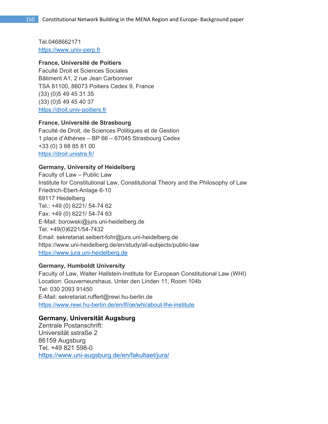Tél.0468662171 https://www.univ-perp.fr

### **France, Université de Poitiers**

Faculté Droit et Sciences Sociales Bâtiment A1, 2 rue Jean Carbonnier TSA 81100, 86073 Poitiers Cedex 9, France (33) (0)5 49 45 31 35 (33) (0)5 49 45 40 37 https://droit.univ-poitiers.fr

### **France, Université de Strasbourg**

Faculté de Droit, de Sciences Politiques et de Gestion 1 place d'Athènes – BP 66 – 67045 Strasbourg Cedex +33 (0) 3 68 85 81 00 https://droit.unistra.fr/

### **Germany, University of Heidelberg**

Faculty of Law – Public Law Institute for Constitutional Law, Constitutional Theory and the Philosophy of Law Friedrich-Ebert-Anlage 6-10 69117 Heidelberg Tel.: +49 (0) 6221/ 54-74 62 Fax: +49 (0) 6221/ 54-74 63 E-Mail: borowski@jurs.uni-heidelberg.de Tel. +49(0)6221/54-7432 Email: sekretariat.seibert-fohr@jurs.uni-heidelberg.de https://www.uni-heidelberg.de/en/study/all-subjects/public-law https://www.jura.uni-heidelberg.de

#### **Germany, Humboldt University**

Faculty of Law, Walter Hallstein-Institute for European Constitutional Law (WHI) Location: Gouverneurshaus, Unter den Linden 11, Room 104b Tel: 030 2093 91450 E-Mail: sekretariat.ruffert@rewi.hu-berlin.de https://www.rewi.hu-berlin.de/en/lf/oe/whi/about-the-institute

### **Germany, Universität Augsburg**

Zentrale Postanschrift: Universität sstraße 2 86159 Augsburg Tel. +49 821 598-0 https://www.uni-augsburg.de/en/fakultaet/jura/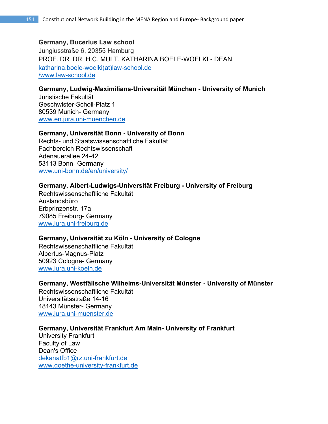# **Germany, Bucerius Law school**  Jungiusstraße 6, 20355 Hamburg PROF. DR. DR. H.C. MULT. KATHARINA BOELE-WOELKI - DEAN katharina.boele-woelki(at)law-school.de

/www.law-school.de

# **Germany, Ludwig-Maximilians-Universität München - University of Munich**

Juristische Fakultät Geschwister-Scholl-Platz 1 80539 Munich- Germany www.en.jura.uni-muenchen.de

### **Germany, Universität Bonn - University of Bonn**

Rechts- und Staatswissenschaftliche Fakultät Fachbereich Rechtswissenschaft Adenauerallee 24-42 53113 Bonn- Germany www.uni-bonn.de/en/university/

### **Germany, Albert-Ludwigs-Universität Freiburg - University of Freiburg**

Rechtswissenschaftliche Fakultät Auslandsbüro Erbprinzenstr. 17a 79085 Freiburg- Germany www.jura.uni-freiburg.de

## **Germany, Universität zu Köln - University of Cologne**

Rechtswissenschaftliche Fakultät Albertus-Magnus-Platz 50923 Cologne- Germany www.jura.uni-koeln.de

### **Germany, Westfälische Wilhelms-Universität Münster - University of Münster**

Rechtswissenschaftliche Fakultät Universitätsstraße 14-16 48143 Münster- Germany www.jura.uni-muenster.de

### **Germany, Universität Frankfurt Am Main- University of Frankfurt**

University Frankfurt Faculty of Law Dean's Office dekanatfb1@rz.uni-frankfurt.de www.goethe-university-frankfurt.de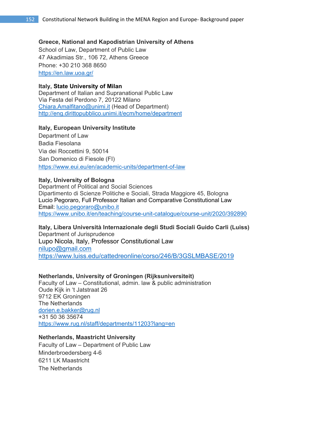#### **Greece, National and Kapodistrian University of Athens**

School of Law, Department of Public Law 47 Akadimias Str., 106 72, Athens Greece Phone: +30 210 368 8650 https://en.law.uoa.gr/

#### **Italy, State University of Milan**

Department of Italian and Supranational Public Law Via Festa del Perdono 7, 20122 Milano Chiara.Amalfitano@unimi.it (Head of Department) http://eng.dirittopubblico.unimi.it/ecm/home/department

#### **Italy, European University Institute**

Department of Law Badia Fiesolana Via dei Roccettini 9, 50014 San Domenico di Fiesole (FI) https://www.eui.eu/en/academic-units/department-of-law

#### **Italy, University of Bologna**

Department of Political and Social Sciences Dipartimento di Scienze Politiche e Sociali, Strada Maggiore 45, Bologna Lucio Pegoraro, Full Professor Italian and Comparative Constitutional Law Email: lucio.pegoraro@unibo.it https://www.unibo.it/en/teaching/course-unit-catalogue/course-unit/2020/392890

## **Italy, Libera Università Internazionale degli Studi Sociali Guido Carli (Luiss)**  Department of Jurisprudence

Lupo Nicola, Italy, Professor Constitutional Law nilupo@gmail.com https://www.luiss.edu/cattedreonline/corso/246/B/3GSLMBASE/2019

#### **Netherlands, University of Groningen (Rijksuniversiteit)**

Faculty of Law – Constitutional, admin. law & public administration Oude Kijk in 't Jatstraat 26 9712 EK Groningen The Netherlands dorien.e.bakker@rug.nl +31 50 36 35674 https://www.rug.nl/staff/departments/11203?lang=en

#### **Netherlands, Maastricht University**

Faculty of Law – Department of Public Law Minderbroedersberg 4-6 6211 LK Maastricht The Netherlands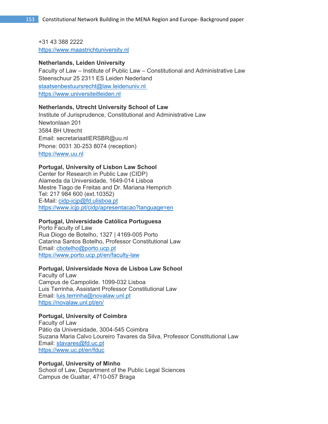+31 43 388 2222 https://www.maastrichtuniversity.nl

#### **Netherlands, Leiden University**

Faculty of Law – Institute of Public Law – Constitutional and Administrative Law Steenschuur 25 2311 ES Leiden Nederland staatsenbestuursrecht@law.leidenuniv.nl https://www.universiteitleiden.nl

#### **Netherlands, Utrecht University School of Law**

Institute of Jurisprudence, Constitutional and Administrative Law Newtonlaan 201 3584 BH Utrecht Email: secretariaatIERSBR@uu.nl Phone: 0031 30-253 8074 (reception) https://www.uu.nl

#### **Portugal, University of Lisbon Law School**

Center for Research in Public Law (CIDP) Alameda da Universidade, 1649-014 Lisboa Mestre Tiago de Freitas and Dr. Mariana Hemprich Tel: 217 984 600 (ext.10352) E-Mail: cidp-icjp@fd.ulisboa.pt https://www.icjp.pt/cidp/apresentacao?language=en

#### **Portugal, Universidade Católica Portuguesa**

Porto Faculty of Law Rua Diogo de Botelho, 1327 | 4169-005 Porto Catarina Santos Botelho, Professor Constitutional Law Email: cbotelho@porto.ucp.pt https://www.porto.ucp.pt/en/faculty-law

#### **Portugal, Universidade Nova de Lisboa Law School**

Faculty of Law Campus de Campolide. 1099-032 Lisboa Luis Terrinha, Assistant Professor Constitutional Law Email: luis.terrinha@novalaw.unl.pt https://novalaw.unl.pt/en/

#### **Portugal, University of Coimbra**

Faculty of Law Pátio da Universidade, 3004-545 Coimbra Suzana Maria Calvo Loureiro Tavares da Silva, Professor Constitutional Law Email: stavares@fd.uc.pt https://www.uc.pt/en/fduc

#### **Portugal, University of Minho**

School of Law, Department of the Public Legal Sciences Campus de Gualtar, 4710-057 Braga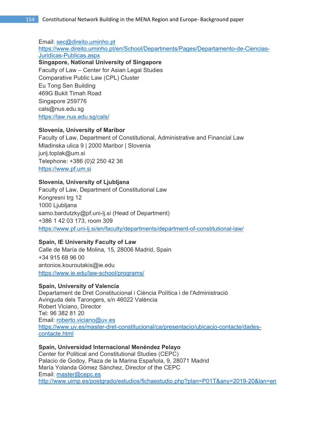Email: sec@direito.uminho.pt

https://www.direito.uminho.pt/en/School/Departments/Pages/Departamento-de-Ciencias-Juridicas-Publicas.aspx

**Singapore, National University of Singapore** Faculty of Law – Center for Asian Legal Studies Comparative Public Law (CPL) Cluster Eu Tong Sen Building 469G Bukit Timah Road Singapore 259776 cals@nus.edu.sg https://law.nus.edu.sg/cals/

### **Slovenia, University of Maribor**

Faculty of Law, Department of Constitutional, Administrative and Financial Law Mladinska ulica 9 | 2000 Maribor | Slovenia jurij.toplak@um.si Telephone: +386 (0)2 250 42 36 https://www.pf.um.si

### **Slovenia, University of Ljubljana**

Faculty of Law, Department of Constitutional Law Kongresni trg 12 1000 Ljubljana samo.bardutzky@pf.uni-lj.si (Head of Department) +386 1 42 03 173, room 309 https://www.pf.uni-lj.si/en/faculty/departments/department-of-constitutional-law/

### **Spain, IE University Faculty of Law**

Calle de María de Molina, 15, 28006 Madrid, Spain +34 915 68 96 00 antonios.kouroutakis@ie.edu https://www.ie.edu/law-school/programs/

### **Spain, University of Valencia**

Departament de Dret Constitucional i Ciència Política i de l'Administració Avinguda dels Tarongers, s/n 46022 València Robert Viciano, Director Tel: 96 382 81 20 Email: roberto.viciano@uv.es https://www.uv.es/master-dret-constitucional/ca/presentacio/ubicacio-contacte/dadescontacte.html

### **Spain, Universidad Internacional Menéndez Pelayo**

Center for Political and Constitutional Studies (CEPC) Palacio de Godoy, Plaza de la Marina Española, 9, 28071 Madrid María Yolanda Gómez Sánchez, Director of the CEPC Email: master@cepc.es http://www.uimp.es/postgrado/estudios/fichaestudio.php?plan=P01T&any=2019-20&lan=en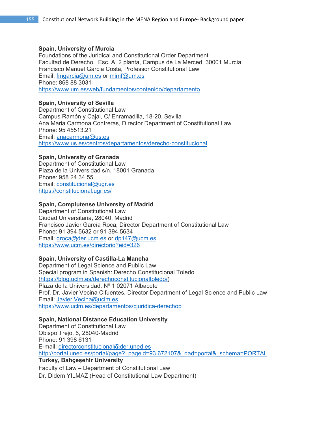#### **Spain, University of Murcia**

Foundations of the Juridical and Constitutional Order Department Facultad de Derecho. Esc. A. 2 planta, Campus de La Merced, 30001 Murcia Francisco Manuel Garcia Costa, Professor Constitutional Law Email: fmgarcia@um.es or mimf@um.es Phone: 868 88 3031 https://www.um.es/web/fundamentos/contenido/departamento

## **Spain, University of Sevilla**

Department of Constitutional Law Campus Ramón y Cajal, C/ Enramadilla, 18-20, Sevilla Ana Maria Carmona Contreras, Director Department of Constitutional Law Phone: 95 45513.21 Email: anacarmona@us.es https://www.us.es/centros/departamentos/derecho-constitucional

## **Spain, University of Granada**

Department of Constitutional Law Plaza de la Universidad s/n, 18001 Granada Phone: 958 24 34 55 Email: constitucional@ugr.es https://constitucional.ugr.es/

### **Spain, Complutense University of Madrid**

Department of Constitutional Law Ciudad Universitaria, 28040, Madrid Francisco Javier García Roca, Director Department of Constitutional Law Phone: 91 394 5632 or 91 394 5634 Email: groca@der.ucm.es or dp147@ucm.es https://www.ucm.es/directorio?eid=326

## **Spain, University of Castilla-La Mancha**

Department of Legal Science and Public Law Special program in Spanish: Derecho Constitucional Toledo (https://blog.uclm.es/derechoconstitucionaltoledo/) Plaza de la Universidad, Nº 1 02071 Albacete Prof. Dr. Javier Vecina Cifuentes, Director Department of Legal Science and Public Law Email: Javier.Vecina@uclm.es https://www.uclm.es/departamentos/cjuridica-derechop

### **Spain, National Distance Education University**

Department of Constitutional Law Obispo Trejo, 6, 28040-Madrid Phone: 91 398 6131 E-mail: directorconstitucional@der.uned.es http://portal.uned.es/portal/page?\_pageid=93,672107&\_dad=portal&\_schema=PORTAL **Turkey, Bahçeşehir University**  Faculty of Law – Department of Constitutional Law

Dr. Didem YILMAZ (Head of Constitutional Law Department)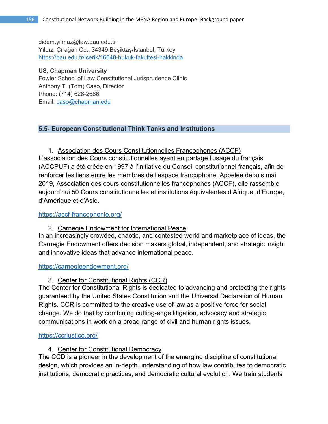didem.yilmaz@law.bau.edu.tr Yıldız, Çırağan Cd., 34349 Beşiktaş/İstanbul, Turkey https://bau.edu.tr/icerik/16640-hukuk-fakultesi-hakkinda

### **US, Chapman University**

Fowler School of Law Constitutional Jurisprudence Clinic Anthony T. (Tom) Caso, Director Phone: (714) 628-2666 Email: caso@chapman.edu

## **5.5- European Constitutional Think Tanks and Institutions**

1. Association des Cours Constitutionnelles Francophones (ACCF) L'association des Cours constitutionnelles ayant en partage l'usage du français (ACCPUF) a été créée en 1997 à l'initiative du Conseil constitutionnel français, afin de renforcer les liens entre les membres de l'espace francophone. Appelée depuis mai 2019, Association des cours constitutionnelles francophones (ACCF), elle rassemble aujourd'hui 50 Cours constitutionnelles et institutions équivalentes d'Afrique, d'Europe, d'Amérique et d'Asie.

### https://accf-francophonie.org/

2. Carnegie Endowment for International Peace

In an increasingly crowded, chaotic, and contested world and marketplace of ideas, the Carnegie Endowment offers decision makers global, independent, and strategic insight and innovative ideas that advance international peace.

### https://carnegieendowment.org/

3. Center for Constitutional Rights (CCR)

The Center for Constitutional Rights is dedicated to advancing and protecting the rights guaranteed by the United States Constitution and the Universal Declaration of Human Rights. CCR is committed to the creative use of law as a positive force for social change. We do that by combining cutting-edge litigation, advocacy and strategic communications in work on a broad range of civil and human rights issues.

### https://ccrjustice.org/

4. Center for Constitutional Democracy

The CCD is a pioneer in the development of the emerging discipline of constitutional design, which provides an in-depth understanding of how law contributes to democratic institutions, democratic practices, and democratic cultural evolution. We train students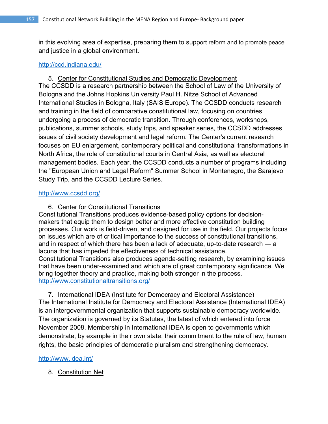in this evolving area of expertise, preparing them to support reform and to promote peace and justice in a global environment.

## http://ccd.indiana.edu/

5. Center for Constitutional Studies and Democratic Development The CCSDD is a research partnership between the School of Law of the University of Bologna and the Johns Hopkins University Paul H. Nitze School of Advanced International Studies in Bologna, Italy (SAIS Europe). The CCSDD conducts research and training in the field of comparative constitutional law, focusing on countries undergoing a process of democratic transition. Through conferences, workshops, publications, summer schools, study trips, and speaker series, the CCSDD addresses issues of civil society development and legal reform. The Center's current research focuses on EU enlargement, contemporary political and constitutional transformations in North Africa, the role of constitutional courts in Central Asia, as well as electoral management bodies. Each year, the CCSDD conducts a number of programs including the "European Union and Legal Reform" Summer School in Montenegro, the Sarajevo Study Trip, and the CCSDD Lecture Series.

## http://www.ccsdd.org/

6. Center for Constitutional Transitions

Constitutional Transitions produces evidence-based policy options for decisionmakers that equip them to design better and more effective constitution building processes. Our work is field-driven, and designed for use in the field. Our projects focus on issues which are of critical importance to the success of constitutional transitions, and in respect of which there has been a lack of adequate, up-to-date research — a lacuna that has impeded the effectiveness of technical assistance. Constitutional Transitions also produces agenda-setting research, by examining issues that have been under-examined and which are of great contemporary significance. We bring together theory and practice, making both stronger in the process. http://www.constitutionaltransitions.org/

7. International IDEA (Institute for Democracy and Electoral Assistance) The International Institute for Democracy and Electoral Assistance (International IDEA) is an intergovernmental organization that supports sustainable democracy worldwide. The organization is governed by its Statutes, the latest of which entered into force November 2008. Membership in International IDEA is open to governments which demonstrate, by example in their own state, their commitment to the rule of law, human rights, the basic principles of democratic pluralism and strengthening democracy.

## http://www.idea.int/

8. Constitution Net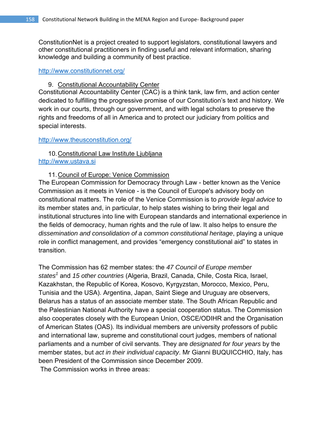ConstitutionNet is a project created to support legislators, constitutional lawyers and other constitutional practitioners in finding useful and relevant information, sharing knowledge and building a community of best practice.

### http://www.constitutionnet.org/

## 9. Constitutional Accountability Center

Constitutional Accountability Center (CAC) is a think tank, law firm, and action center dedicated to fulfilling the progressive promise of our Constitution's text and history. We work in our courts, through our government, and with legal scholars to preserve the rights and freedoms of all in America and to protect our judiciary from politics and special interests.

### http://www.theusconstitution.org/

# 10. Constitutional Law Institute Ljubljana http://www.ustava.si

## 11. Council of Europe: Venice Commission

The European Commission for Democracy through Law - better known as the Venice Commission as it meets in Venice - is the Council of Europe's advisory body on constitutional matters. The role of the Venice Commission is to *provide legal advice* to its member states and, in particular, to help states wishing to bring their legal and institutional structures into line with European standards and international experience in the fields of democracy, human rights and the rule of law. It also helps to ensure *the dissemination and consolidation of a common constitutional heritage*, playing a unique role in conflict management, and provides "emergency constitutional aid" to states in transition.

The Commission has 62 member states: the *47 Council of Europe member states<sup>1</sup>* and *15 other countries* (Algeria, Brazil, Canada, Chile, Costa Rica, Israel, Kazakhstan, the Republic of Korea, Kosovo, Kyrgyzstan, Morocco, Mexico, Peru, Tunisia and the USA). Argentina, Japan, Saint Siege and Uruguay are observers, Belarus has a status of an associate member state. The South African Republic and the Palestinian National Authority have a special cooperation status. The Commission also cooperates closely with the European Union, OSCE/ODIHR and the Organisation of American States (OAS). Its individual members are university professors of public and international law, supreme and constitutional court judges, members of national parliaments and a number of civil servants. They are *designated for four years* by the member states, but *act in their individual capacity*. Mr Gianni BUQUICCHIO, Italy, has been President of the Commission since December 2009. The Commission works in three areas: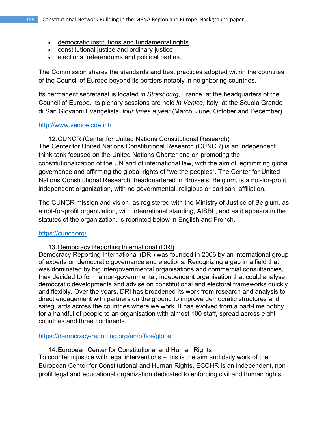- democratic institutions and fundamental rights
- constitutional justice and ordinary justice
- elections, referendums and political parties.

The Commission shares the standards and best practices adopted within the countries of the Council of Europe beyond its borders notably in neighboring countries.

Its permanent secretariat is located *in Strasbourg*, France, at the headquarters of the Council of Europe. Its plenary sessions are held *in Venice*, Italy, at the Scuola Grande di San Giovanni Evangelista, *four times a year* (March, June, October and December).

# http://www.venice.coe.int/

12. CUNCR (Center for United Nations Constitutional Research) The Center for United Nations Constitutional Research (CUNCR) is an independent think-tank focused on the United Nations Charter and on promoting the constitutionalization of the UN and of international law, with the aim of legitimizing global governance and affirming the global rights of "we the peoples". The Center for United Nations Constitutional Research, headquartered in Brussels, Belgium, is a not-for-profit, independent organization, with no governmental, religious or partisan, affiliation.

The CUNCR mission and vision, as registered with the Ministry of Justice of Belgium, as a not-for-profit organization, with international standing, AISBL, and as it appears in the statutes of the organization, is reprinted below in English and French.

# https://cuncr.org/

# 13. Democracy Reporting International (DRI)

Democracy Reporting International (DRI) was founded in 2006 by an international group of experts on democratic governance and elections. Recognizing a gap in a field that was dominated by big intergovernmental organisations and commercial consultancies, they decided to form a non-governmental, independent organisation that could analyse democratic developments and advise on constitutional and electoral frameworks quickly and flexibly. Over the years, DRI has broadened its work from research and analysis to direct engagement with partners on the ground to improve democratic structures and safeguards across the countries where we work. It has evolved from a part-time hobby for a handful of people to an organisation with almost 100 staff, spread across eight countries and three continents.

## https://democracy-reporting.org/en/office/global

# 14. European Center for Constitutional and Human Rights

To counter injustice with legal interventions – this is the aim and daily work of the European Center for Constitutional and Human Rights. ECCHR is an independent, nonprofit legal and educational organization dedicated to enforcing civil and human rights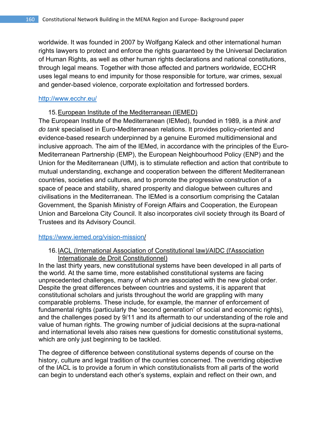worldwide. It was founded in 2007 by Wolfgang Kaleck and other international human rights lawyers to protect and enforce the rights guaranteed by the Universal Declaration of Human Rights, as well as other human rights declarations and national constitutions, through legal means. Together with those affected and partners worldwide, ECCHR uses legal means to end impunity for those responsible for torture, war crimes, sexual and gender-based violence, corporate exploitation and fortressed borders.

### http://www.ecchr.eu/

## 15. European Institute of the Mediterranean (IEMED)

The European Institute of the Mediterranean (IEMed), founded in 1989, is a *think and do tank* specialised in Euro-Mediterranean relations. It provides policy-oriented and evidence-based research underpinned by a genuine Euromed multidimensional and inclusive approach. The aim of the IEMed, in accordance with the principles of the Euro-Mediterranean Partnership (EMP), the European Neighbourhood Policy (ENP) and the Union for the Mediterranean (UfM), is to stimulate reflection and action that contribute to mutual understanding, exchange and cooperation between the different Mediterranean countries, societies and cultures, and to promote the progressive construction of a space of peace and stability, shared prosperity and dialogue between cultures and civilisations in the Mediterranean. The IEMed is a consortium comprising the Catalan Government, the Spanish Ministry of Foreign Affairs and Cooperation, the European Union and Barcelona City Council. It also incorporates civil society through its Board of Trustees and its Advisory Council.

### https://www.iemed.org/vision-mission/

## 16. IACL (International Association of Constitutional law)/AIDC (l'Association Internationale de Droit Constitutionnel)

In the last thirty years, new constitutional systems have been developed in all parts of the world. At the same time, more established constitutional systems are facing unprecedented challenges, many of which are associated with the new global order. Despite the great differences between countries and systems, it is apparent that constitutional scholars and jurists throughout the world are grappling with many comparable problems. These include, for example, the manner of enforcement of fundamental rights (particularly the 'second generation' of social and economic rights), and the challenges posed by 9/11 and its aftermath to our understanding of the role and value of human rights. The growing number of judicial decisions at the supra-national and international levels also raises new questions for domestic constitutional systems, which are only just beginning to be tackled.

The degree of difference between constitutional systems depends of course on the history, culture and legal tradition of the countries concerned. The overriding objective of the IACL is to provide a forum in which constitutionalists from all parts of the world can begin to understand each other's systems, explain and reflect on their own, and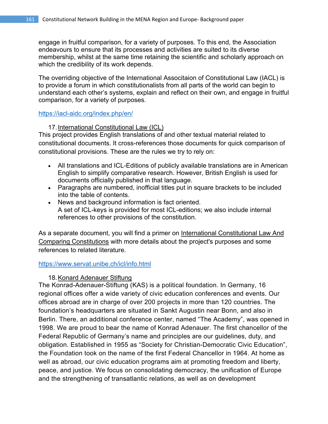engage in fruitful comparison, for a variety of purposes. To this end, the Association endeavours to ensure that its processes and activities are suited to its diverse membership, whilst at the same time retaining the scientific and scholarly approach on which the credibility of its work depends.

The overriding objective of the International Associtaion of Constitutional Law (IACL) is to provide a forum in which constitutionalists from all parts of the world can begin to understand each other's systems, explain and reflect on their own, and engage in fruitful comparison, for a variety of purposes.

https://iacl-aidc.org/index.php/en/

## 17. International Constitutional Law (ICL)

This project provides English translations of and other textual material related to constitutional documents. It cross-references those documents for quick comparison of constitutional provisions. These are the rules we try to rely on:

- All translations and ICL-Editions of publicly available translations are in American English to simplify comparative research. However, British English is used for documents officially published in that language.
- Paragraphs are numbered, inofficial titles put in square brackets to be included into the table of contents.
- News and background information is fact oriented. A set of ICL-keys is provided for most ICL-editions; we also include internal references to other provisions of the constitution.

As a separate document, you will find a primer on International Constitutional Law And Comparing Constitutions with more details about the project's purposes and some references to related literature.

## https://www.servat.unibe.ch/icl/info.html

## 18. Konard Adenauer Stiftung

The Konrad-Adenauer-Stiftung (KAS) is a political foundation. In Germany, 16 regional offices offer a wide variety of civic education conferences and events. Our offices abroad are in charge of over 200 projects in more than 120 countries. The foundation's headquarters are situated in Sankt Augustin near Bonn, and also in Berlin. There, an additional conference center, named "The Academy", was opened in 1998. We are proud to bear the name of Konrad Adenauer. The first chancellor of the Federal Republic of Germany's name and principles are our guidelines, duty, and obligation. Established in 1955 as "Society for Christian-Democratic Civic Education", the Foundation took on the name of the first Federal Chancellor in 1964. At home as well as abroad, our civic education programs aim at promoting freedom and liberty, peace, and justice. We focus on consolidating democracy, the unification of Europe and the strengthening of transatlantic relations, as well as on development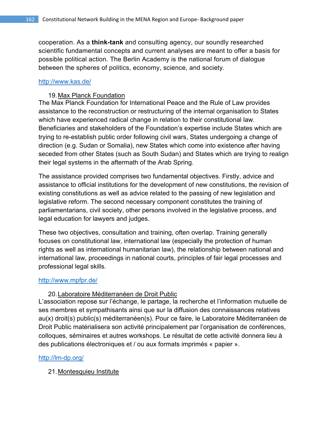cooperation. As a **think-tank** and consulting agency, our soundly researched scientific fundamental concepts and current analyses are meant to offer a basis for possible political action. The Berlin Academy is the national forum of dialogue between the spheres of politics, economy, science, and society.

## http://www.kas.de/

## 19. Max Planck Foundation

The Max Planck Foundation for International Peace and the Rule of Law provides assistance to the reconstruction or restructuring of the internal organisation to States which have experienced radical change in relation to their constitutional law. Beneficiaries and stakeholders of the Foundation's expertise include States which are trying to re-establish public order following civil wars, States undergoing a change of direction (e.g. Sudan or Somalia), new States which come into existence after having seceded from other States (such as South Sudan) and States which are trying to realign their legal systems in the aftermath of the Arab Spring.

The assistance provided comprises two fundamental objectives. Firstly, advice and assistance to official institutions for the development of new constitutions, the revision of existing constitutions as well as advice related to the passing of new legislation and legislative reform. The second necessary component constitutes the training of parliamentarians, civil society, other persons involved in the legislative process, and legal education for lawyers and judges.

These two objectives, consultation and training, often overlap. Training generally focuses on constitutional law, international law (especially the protection of human rights as well as international humanitarian law), the relationship between national and international law, proceedings in national courts, principles of fair legal processes and professional legal skills.

## http://www.mpfpr.de/

## 20. Laboratoire Méditerranéen de Droit Public

L'association repose sur l'échange, le partage, la recherche et l'information mutuelle de ses membres et sympathisants ainsi que sur la diffusion des connaissances relatives au(x) droit(s) public(s) méditerranéen(s). Pour ce faire, le Laboratoire Méditerranéen de Droit Public matérialisera son activité principalement par l'organisation de conférences, colloques, séminaires et autres workshops. Le résultat de cette activité donnera lieu à des publications électroniques et / ou aux formats imprimés « papier ».

## http://lm-dp.org/

21. Montesquieu Institute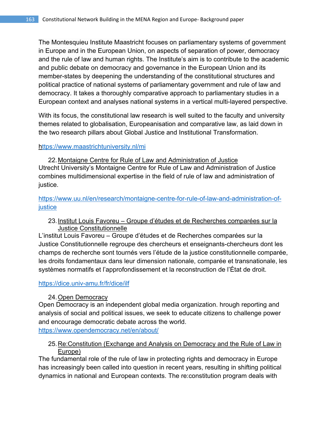The Montesquieu Institute Maastricht focuses on parliamentary systems of government in Europe and in the European Union, on aspects of separation of power, democracy and the rule of law and human rights. The Institute's aim is to contribute to the academic and public debate on democracy and governance in the European Union and its member-states by deepening the understanding of the constitutional structures and political practice of national systems of parliamentary government and rule of law and democracy. It takes a thoroughly comparative approach to parliamentary studies in a European context and analyses national systems in a vertical multi-layered perspective.

With its focus, the constitutional law research is well suited to the faculty and university themes related to globalisation, Europeanisation and comparative law, as laid down in the two research pillars about Global Justice and Institutional Transformation.

## https://www.maastrichtuniversity.nl/mi

22. Montaigne Centre for Rule of Law and Administration of Justice Utrecht University's Montaigne Centre for Rule of Law and Administration of Justice combines multidimensional expertise in the field of rule of law and administration of justice.

# https://www.uu.nl/en/research/montaigne-centre-for-rule-of-law-and-administration-ofjustice

# 23. Institut Louis Favoreu – Groupe d'études et de Recherches comparées sur la Justice Constitutionnelle

L'institut Louis Favoreu – Groupe d'études et de Recherches comparées sur la Justice Constitutionnelle regroupe des chercheurs et enseignants-chercheurs dont les champs de recherche sont tournés vers l'étude de la justice constitutionnelle comparée, les droits fondamentaux dans leur dimension nationale, comparée et transnationale, les systèmes normatifs et l'approfondissement et la reconstruction de l'État de droit.

## https://dice.univ-amu.fr/fr/dice/ilf

# 24. Open Democracy

Open Democracy is an independent global media organization. hrough reporting and analysis of social and political issues, we seek to educate citizens to challenge power and encourage democratic debate across the world. https://www.opendemocracy.net/en/about/

# 25. Re:Constitution (Exchange and Analysis on Democracy and the Rule of Law in Europe)

The fundamental role of the rule of law in protecting rights and democracy in Europe has increasingly been called into question in recent years, resulting in shifting political dynamics in national and European contexts. The re:constitution program deals with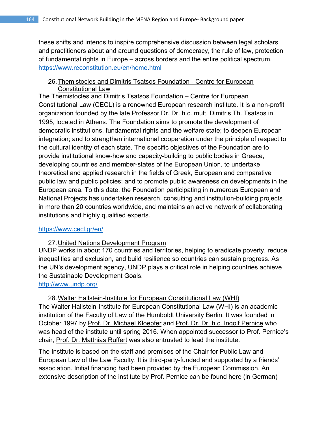these shifts and intends to inspire comprehensive discussion between legal scholars and practitioners about and around questions of democracy, the rule of law, protection of fundamental rights in Europe – across borders and the entire political spectrum. https://www.reconstitution.eu/en/home.html

# 26. Themistocles and Dimitris Tsatsos Foundation - Centre for European Constitutional Law

The Themistocles and Dimitris Tsatsos Foundation – Centre for European Constitutional Law (CECL) is a renowned European research institute. It is a non-profit organization founded by the late Professor Dr. Dr. h.c. mult. Dimitris Th. Tsatsos in 1995, located in Athens. The Foundation aims to promote the development of democratic institutions, fundamental rights and the welfare state; to deepen European integration; and to strengthen international cooperation under the principle of respect to the cultural identity of each state. The specific objectives of the Foundation are to provide institutional know-how and capacity-building to public bodies in Greece, developing countries and member-states of the European Union, to undertake theoretical and applied research in the fields of Greek, European and comparative public law and public policies; and to promote public awareness on developments in the European area. To this date, the Foundation participating in numerous European and National Projects has undertaken research, consulting and institution-building projects in more than 20 countries worldwide, and maintains an active network of collaborating institutions and highly qualified experts.

# https://www.cecl.gr/en/

# 27. United Nations Development Program

UNDP works in about 170 countries and territories, helping to eradicate poverty, reduce inequalities and exclusion, and build resilience so countries can sustain progress. As the UN's development agency, UNDP plays a critical role in helping countries achieve the Sustainable Development Goals.

http://www.undp.org/

28. Walter Hallstein-Institute for European Constitutional Law (WHI) The Walter Hallstein-Institute for European Constitutional Law (WHI) is an academic institution of the Faculty of Law of the Humboldt University Berlin. It was founded in October 1997 by Prof. Dr. Michael Kloepfer and Prof. Dr. Dr. h.c. Ingolf Pernice who was head of the institute until spring 2016. When appointed successor to Prof. Pernice's chair, Prof. Dr. Matthias Ruffert was also entrusted to lead the institute.

The Institute is based on the staff and premises of the Chair for Public Law and European Law of the Law Faculty. It is third-party-funded and supported by a friends' association. Initial financing had been provided by the European Commission. An extensive description of the institute by Prof. Pernice can be found here (in German)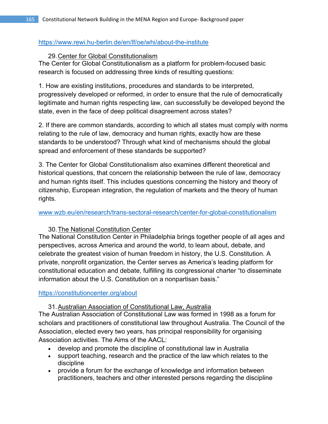## https://www.rewi.hu-berlin.de/en/lf/oe/whi/about-the-institute

# 29. Center for Global Constitutionalism

The Center for Global Constitutionalism as a platform for problem-focused basic research is focused on addressing three kinds of resulting questions:

1. How are existing institutions, procedures and standards to be interpreted, progressively developed or reformed, in order to ensure that the rule of democratically legitimate and human rights respecting law, can successfully be developed beyond the state, even in the face of deep political disagreement across states?

2. If there are common standards, according to which all states must comply with norms relating to the rule of law, democracy and human rights, exactly how are these standards to be understood? Through what kind of mechanisms should the global spread and enforcement of these standards be supported?

3. The Center for Global Constitutionalism also examines different theoretical and historical questions, that concern the relationship between the rule of law, democracy and human rights itself. This includes questions concerning the history and theory of citizenship, European integration, the regulation of markets and the theory of human rights.

www.wzb.eu/en/research/trans-sectoral-research/center-for-global-constitutionalism

# 30. The National Constitution Center

The National Constitution Center in Philadelphia brings together people of all ages and perspectives, across America and around the world, to learn about, debate, and celebrate the greatest vision of human freedom in history, the U.S. Constitution. A private, nonprofit organization, the Center serves as America's leading platform for constitutional education and debate, fulfilling its congressional charter "to disseminate information about the U.S. Constitution on a nonpartisan basis."

## https://constitutioncenter.org/about

31. Australian Association of Constitutional Law, Australia

The Australian Association of Constitutional Law was formed in 1998 as a forum for scholars and practitioners of constitutional law throughout Australia. The Council of the Association, elected every two years, has principal responsibility for organising Association activities. The Aims of the AACL:

- develop and promote the discipline of constitutional law in Australia
- support teaching, research and the practice of the law which relates to the discipline
- provide a forum for the exchange of knowledge and information between practitioners, teachers and other interested persons regarding the discipline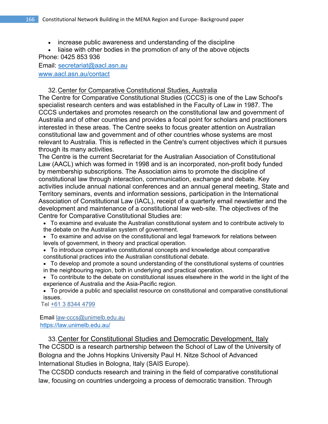- increase public awareness and understanding of the discipline
- liaise with other bodies in the promotion of any of the above objects

Phone: 0425 853 936 Email: secretariat@aacl.asn.au

www.aacl.asn.au/contact

# 32. Center for Comparative Constitutional Studies, Australia

The Centre for Comparative Constitutional Studies (CCCS) is one of the Law School's specialist research centers and was established in the Faculty of Law in 1987. The CCCS undertakes and promotes research on the constitutional law and government of Australia and of other countries and provides a focal point for scholars and practitioners interested in these areas. The Centre seeks to focus greater attention on Australian constitutional law and government and of other countries whose systems are most relevant to Australia. This is reflected in the Centre's current objectives which it pursues through its many activities.

The Centre is the current Secretariat for the Australian Association of Constitutional Law (AACL) which was formed in 1998 and is an incorporated, non-profit body funded by membership subscriptions. The Association aims to promote the discipline of constitutional law through interaction, communication, exchange and debate. Key activities include annual national conferences and an annual general meeting, State and Territory seminars, events and information sessions, participation in the International Association of Constitutional Law (IACL), receipt of a quarterly email newsletter and the development and maintenance of a constitutional law web-site. The objectives of the Centre for Comparative Constitutional Studies are:

- To examine and evaluate the Australian constitutional system and to contribute actively to the debate on the Australian system of government.
- To examine and advise on the constitutional and legal framework for relations between levels of government, in theory and practical operation.
- To introduce comparative constitutional concepts and knowledge about comparative constitutional practices into the Australian constitutional debate.
- To develop and promote a sound understanding of the constitutional systems of countries in the neighbouring region, both in underlying and practical operation.
- To contribute to the debate on constitutional issues elsewhere in the world in the light of the experience of Australia and the Asia-Pacific region.
- To provide a public and specialist resource on constitutional and comparative constitutional issues.

Tel +61 3 8344 4799

 Email law-cccs@unimelb.edu.au https://law.unimelb.edu.au/

33. Center for Constitutional Studies and Democratic Development, Italy The CCSDD is a research partnership between the School of Law of the University of Bologna and the Johns Hopkins University Paul H. Nitze School of Advanced International Studies in Bologna, Italy (SAIS Europe).

The CCSDD conducts research and training in the field of comparative constitutional law, focusing on countries undergoing a process of democratic transition. Through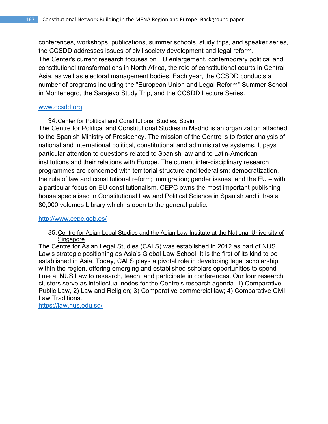conferences, workshops, publications, summer schools, study trips, and speaker series, the CCSDD addresses issues of civil society development and legal reform. The Center's current research focuses on EU enlargement, contemporary political and constitutional transformations in North Africa, the role of constitutional courts in Central Asia, as well as electoral management bodies. Each year, the CCSDD conducts a number of programs including the "European Union and Legal Reform" Summer School in Montenegro, the Sarajevo Study Trip, and the CCSDD Lecture Series.

### www.ccsdd.org

34. Center for Political and Constitutional Studies, Spain

The Centre for Political and Constitutional Studies in Madrid is an organization attached to the Spanish Ministry of Presidency. The mission of the Centre is to foster analysis of national and international political, constitutional and administrative systems. It pays particular attention to questions related to Spanish law and to Latin-American institutions and their relations with Europe. The current inter-disciplinary research programmes are concerned with territorial structure and federalism; democratization, the rule of law and constitutional reform; immigration; gender issues; and the EU – with a particular focus on EU constitutionalism. CEPC owns the most important publishing house specialised in Constitutional Law and Political Science in Spanish and it has a 80,000 volumes Library which is open to the general public.

## http://www.cepc.gob.es/

### 35. Centre for Asian Legal Studies and the Asian Law Institute at the National University of Singapore

The Centre for Asian Legal Studies (CALS) was established in 2012 as part of NUS Law's strategic positioning as Asia's Global Law School. It is the first of its kind to be established in Asia. Today, CALS plays a pivotal role in developing legal scholarship within the region, offering emerging and established scholars opportunities to spend time at NUS Law to research, teach, and participate in conferences. Our four research clusters serve as intellectual nodes for the Centre's research agenda. 1) Comparative Public Law, 2) Law and Religion; 3) Comparative commercial law; 4) Comparative Civil Law Traditions.

https://law.nus.edu.sg/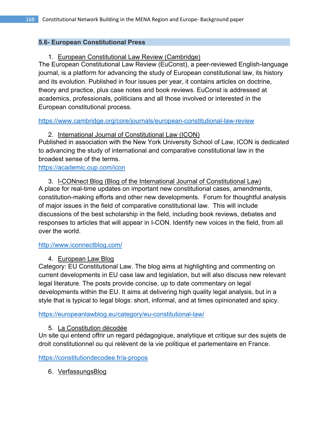# **5.6- European Constitutional Press**

# 1. European Constitutional Law Review (Cambridge)

The European Constitutional Law Review (EuConst), a peer-reviewed English-language journal, is a platform for advancing the study of European constitutional law, its history and its evolution. Published in four issues per year, it contains articles on doctrine, theory and practice, plus case notes and book reviews. EuConst is addressed at academics, professionals, politicians and all those involved or interested in the European constitutional process.

https://www.cambridge.org/core/journals/european-constitutional-law-review

2. International Journal of Constitutional Law (ICON)

Published in association with the New York University School of Law, ICON is dedicated to advancing the study of international and comparative constitutional law in the broadest sense of the terms.

https://academic.oup.com/icon

3. I-CONnect Blog (Blog of the International Journal of Constitutional Law) A place for real-time updates on important new constitutional cases, amendments, constitution-making efforts and other new developments. Forum for thoughtful analysis of major issues in the field of comparative constitutional law. This will include discussions of the best scholarship in the field, including book reviews, debates and responses to articles that will appear in I-CON. Identify new voices in the field, from all over the world.

# http://www.iconnectblog.com/

# 4. European Law Blog

Category: EU Constitutional Law. The blog aims at highlighting and commenting on current developments in EU case law and legislation, but will also discuss new relevant legal literature. The posts provide concise, up to date commentary on legal developments within the EU. It aims at delivering high quality legal analysis, but in a style that is typical to legal blogs: short, informal, and at times opinionated and spicy.

https://europeanlawblog.eu/category/eu-constitutional-law/

# 5. La Constitution décodée

Un site qui entend offrir un regard pédagogique, analytique et critique sur des sujets de droit constitutionnel ou qui relèvent de la vie politique et parlementaire en France.

https://constitutiondecodee.fr/a-propos

6. VerfassungsBlog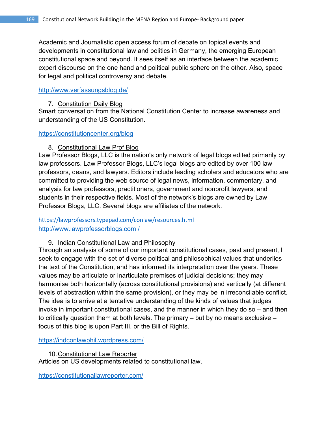Academic and Journalistic open access forum of debate on topical events and developments in constitutional law and politics in Germany, the emerging European constitutional space and beyond. It sees itself as an interface between the academic expert discourse on the one hand and political public sphere on the other. Also, space for legal and political controversy and debate.

# http://www.verfassungsblog.de/

# 7. Constitution Daily Blog

Smart conversation from the National Constitution Center to increase awareness and understanding of the US Constitution.

## https://constitutioncenter.org/blog

# 8. Constitutional Law Prof Blog

Law Professor Blogs, LLC is the nation's only network of legal blogs edited primarily by law professors. Law Professor Blogs, LLC's legal blogs are edited by over 100 law professors, deans, and lawyers. Editors include leading scholars and educators who are committed to providing the web source of legal news, information, commentary, and analysis for law professors, practitioners, government and nonprofit lawyers, and students in their respective fields. Most of the network's blogs are owned by Law Professor Blogs, LLC. Several blogs are affiliates of the network.

# https://lawprofessors.typepad.com/conlaw/resources.html http://www.lawprofessorblogs.com /

# 9. Indian Constitutional Law and Philosophy

Through an analysis of some of our important constitutional cases, past and present, I seek to engage with the set of diverse political and philosophical values that underlies the text of the Constitution, and has informed its interpretation over the years. These values may be articulate or inarticulate premises of judicial decisions; they may harmonise both horizontally (across constitutional provisions) and vertically (at different levels of abstraction within the same provision), or they may be in irreconcilable conflict. The idea is to arrive at a tentative understanding of the kinds of values that judges invoke in important constitutional cases, and the manner in which they do so – and then to critically question them at both levels. The primary – but by no means exclusive – focus of this blog is upon Part III, or the Bill of Rights.

https://indconlawphil.wordpress.com/

10. Constitutional Law Reporter Articles on US developments related to constitutional law.

https://constitutionallawreporter.com/